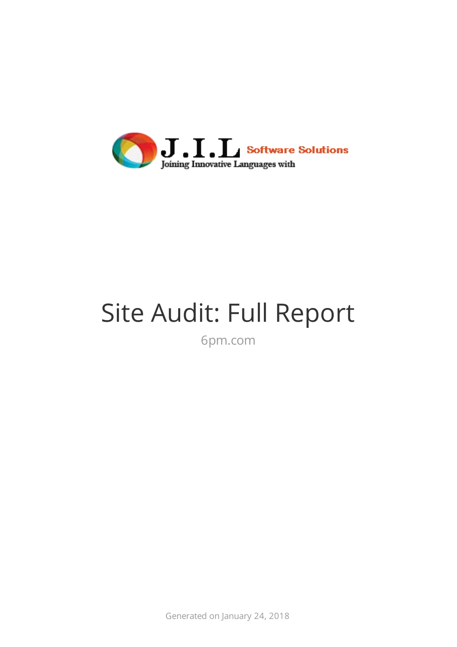

# Site Audit: Full Report

6pm.com

Generated on January 24, 2018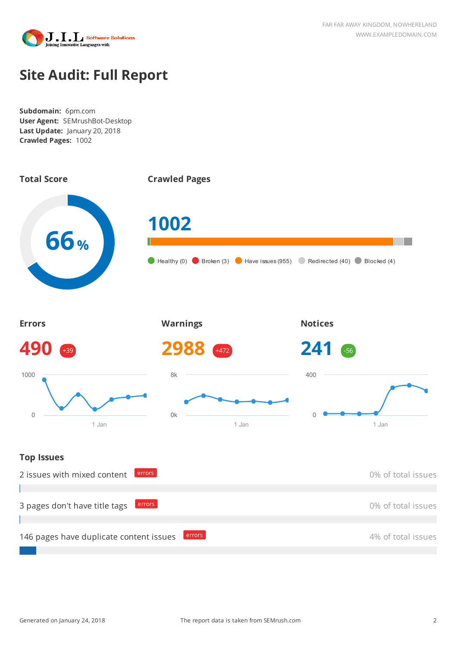

## **Site Audit: Full Report**

**Subdomain:** 6pm.com **User Agent:** SEMrushBot-Desktop **Last Update:** January 20, 2018 **Crawled Pages:** 1002

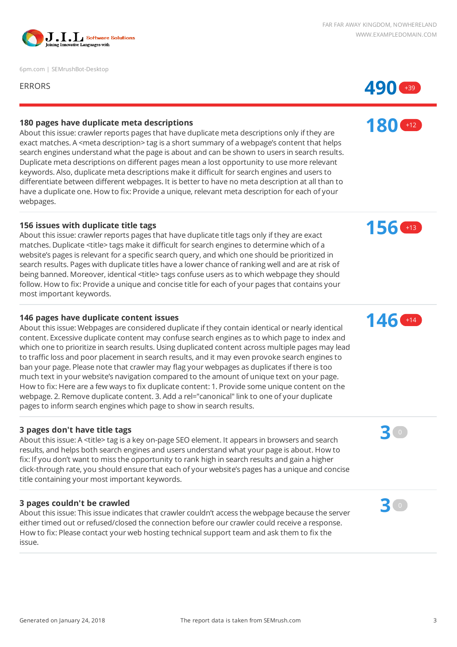

6pm.com | SEMrushBot-Desktop



**180** +12

#### **180 pages have duplicate meta descriptions**

About this issue: crawler reports pages that have duplicate meta descriptions only if they are exact matches. A <meta description> tag is a short summary of a webpage's content that helps search engines understand what the page is about and can be shown to users in search results. Duplicate meta descriptions on different pages mean a lost opportunity to use more relevant keywords. Also, duplicate meta descriptions make it difficult for search engines and users to differentiate between different webpages. It is better to have no meta description at all than to have a duplicate one. How to fix: Provide a unique, relevant meta description for each of your webpages.

#### **156 issues with duplicate title tags**

About this issue: crawler reports pages that have duplicate title tags only if they are exact matches. Duplicate <title> tags make it difficult for search engines to determine which of a website's pages is relevant for a specific search query, and which one should be prioritized in search results. Pages with duplicate titles have a lower chance of ranking well and are at risk of being banned. Moreover, identical <title> tags confuse users as to which webpage they should follow. How to fix: Provide a unique and concise title for each of your pages that contains your most important keywords.

#### **146 pages have duplicate content issues**

About this issue: Webpages are considered duplicate if they contain identical or nearly identical content. Excessive duplicate content may confuse search engines as to which page to index and which one to prioritize in search results. Using duplicated content across multiple pages may lead to traffic loss and poor placement in search results, and it may even provoke search engines to ban your page. Please note that crawler may flag your webpages as duplicates if there is too much text in your website's navigation compared to the amount of unique text on your page. How to fix: Here are a few ways to fix duplicate content: 1. Provide some unique content on the webpage. 2. Remove duplicate content. 3. Add a rel="canonical" link to one of your duplicate pages to inform search engines which page to show in search results.

#### **3 pages don't have title tags**

About this issue: A <title> tag is a key on-page SEO element. It appears in browsers and search results, and helps both search engines and users understand what your page is about. How to fix: If you don't want to miss the opportunity to rank high in search results and gain a higher click-through rate, you should ensure that each of your website's pages has a unique and concise title containing your most important keywords.

#### **3 pages couldn't be crawled**

About this issue: This issue indicates that crawler couldn't access the webpage because the server either timed out or refused/closed the connection before our crawler could receive a response. How to fix: Please contact your web hosting technical support team and ask them to fix the issue.

**156** +13

**146** +14

**3** <sup>0</sup>

**3** <sup>0</sup>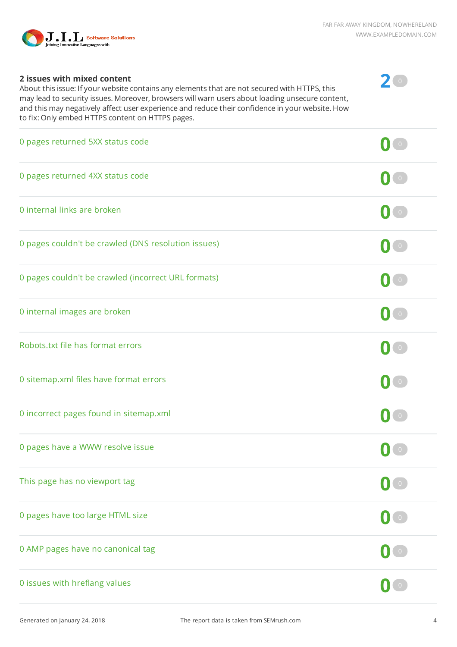

**2** <sup>0</sup>

#### **2 issues with mixed content**

About this issue: If your website contains any elements that are not secured with HTTPS, this may lead to security issues. Moreover, browsers will warn users about loading unsecure content, and this may negatively affect user experience and reduce their confidence in your website. How to fix: Only embed HTTPS content on HTTPS pages.

| 0 pages returned 5XX status code                    |                                                   |
|-----------------------------------------------------|---------------------------------------------------|
| 0 pages returned 4XX status code                    | $\begin{pmatrix} 0 \end{pmatrix}$                 |
| 0 internal links are broken                         | $\bullet$                                         |
| 0 pages couldn't be crawled (DNS resolution issues) | $\bullet$                                         |
| 0 pages couldn't be crawled (incorrect URL formats) | $\begin{pmatrix} 0 \end{pmatrix}$                 |
| 0 internal images are broken                        | $\begin{bmatrix} 0 \end{bmatrix}$                 |
| Robots.txt file has format errors                   | $\begin{pmatrix} 0 \end{pmatrix}$                 |
| 0 sitemap.xml files have format errors              | $\bullet$                                         |
| 0 incorrect pages found in sitemap.xml              | $\overline{0}$                                    |
| 0 pages have a WWW resolve issue                    |                                                   |
| This page has no viewport tag                       | $\bullet$                                         |
| 0 pages have too large HTML size                    | $\begin{array}{c} \bullet \\ \bullet \end{array}$ |
| 0 AMP pages have no canonical tag                   | $\mathbf{0}$ $\circ$                              |
| 0 issues with hreflang values                       | $\mathbf{0}$ $\bullet$                            |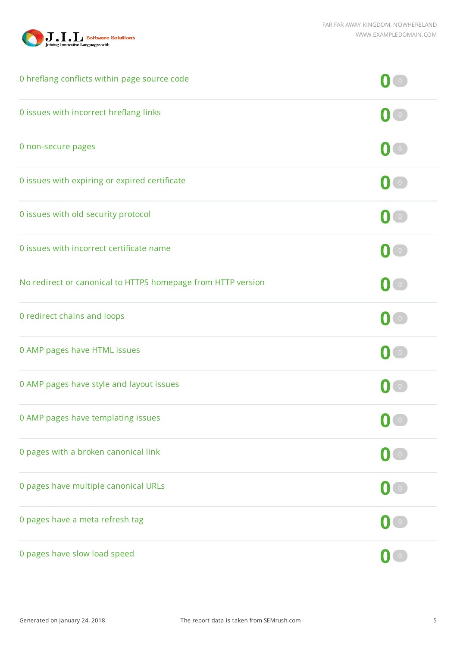



| 0 hreflang conflicts within page source code                 |                                                                              |
|--------------------------------------------------------------|------------------------------------------------------------------------------|
| 0 issues with incorrect hreflang links                       | $\overline{0}$                                                               |
| 0 non-secure pages                                           | $\bullet$                                                                    |
| 0 issues with expiring or expired certificate                | $\overline{0}$                                                               |
| 0 issues with old security protocol                          | $\begin{pmatrix} 0 \end{pmatrix}$                                            |
| 0 issues with incorrect certificate name                     | $\begin{bmatrix} 0 \end{bmatrix}$                                            |
| No redirect or canonical to HTTPS homepage from HTTP version |                                                                              |
| 0 redirect chains and loops                                  | $\begin{array}{ c c } \hline \hline \hline \hline \hline \hline \end{array}$ |
| 0 AMP pages have HTML issues                                 | $\overline{0}$                                                               |
| 0 AMP pages have style and layout issues                     |                                                                              |
| 0 AMP pages have templating issues                           | $\bullet$ $\bullet$                                                          |
| 0 pages with a broken canonical link                         |                                                                              |
| 0 pages have multiple canonical URLs                         | $\begin{pmatrix} 0 \end{pmatrix}$                                            |
| 0 pages have a meta refresh tag                              | $\begin{pmatrix} 0 \end{pmatrix}$                                            |
| 0 pages have slow load speed                                 |                                                                              |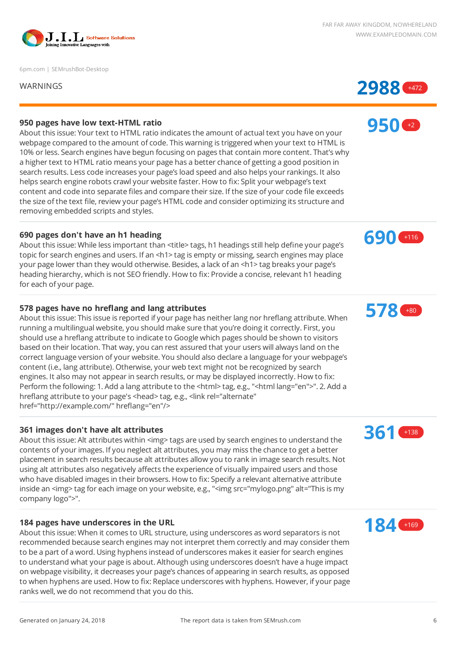

6pm.com | SEMrushBot-Desktop



**950** +2

#### **950 pages have low text-HTML ratio**

About this issue: Your text to HTML ratio indicates the amount of actual text you have on your webpage compared to the amount of code. This warning is triggered when your text to HTML is 10% or less. Search engines have begun focusing on pages that contain more content. That's why a higher text to HTML ratio means your page has a better chance of getting a good position in search results. Less code increases your page's load speed and also helps your rankings. It also helps search engine robots crawl your website faster. How to fix: Split your webpage's text content and code into separate files and compare their size. If the size of your code file exceeds the size of the text file, review your page's HTML code and consider optimizing its structure and removing embedded scripts and styles.

#### **690 pages don't have an h1 heading**

About this issue: While less important than <title> tags, h1 headings still help define your page's topic for search engines and users. If an <h1> tag is empty or missing, search engines may place your page lower than they would otherwise. Besides, a lack of an <h1> tag breaks your page's heading hierarchy, which is not SEO friendly. How to fix: Provide a concise, relevant h1 heading for each of your page.

#### **578 pages have no hreflang and lang attributes**

About this issue: This issue is reported if your page has neither lang nor hreflang attribute. When running a multilingual website, you should make sure that you're doing it correctly. First, you should use a hreflang attribute to indicate to Google which pages should be shown to visitors based on their location. That way, you can rest assured that your users will always land on the correct language version of your website. You should also declare a language for your webpage's content (i.e., lang attribute). Otherwise, your web text might not be recognized by search engines. It also may not appear in search results, or may be displayed incorrectly. How to fix: Perform the following: 1. Add a lang attribute to the <html> tag, e.g., "<html lang="en">". 2. Add a hreflang attribute to your page's <head> tag, e.g., <link rel="alternate" href="http://example.com/" hreflang="en"/>

#### **361 images don't have alt attributes**

About this issue: Alt attributes within <img> tags are used by search engines to understand the contents of your images. If you neglect alt attributes, you may miss the chance to get a better placement in search results because alt attributes allow you to rank in image search results. Not using alt attributes also negatively affects the experience of visually impaired users and those who have disabled images in their browsers. How to fix: Specify a relevant alternative attribute inside an <img> tag for each image on your website, e.g., "<img src="mylogo.png" alt="This is my company logo">".

#### **184 pages have underscores in the URL**

About this issue: When it comes to URL structure, using underscores as word separators is not recommended because search engines may not interpret them correctly and may consider them to be a part of a word. Using hyphens instead of underscores makes it easier for search engines to understand what your page is about. Although using underscores doesn't have a huge impact on webpage visibility, it decreases your page's chances of appearing in search results, as opposed to when hyphens are used. How to fix: Replace underscores with hyphens. However, if your page ranks well, we do not recommend that you do this.



**690** +116



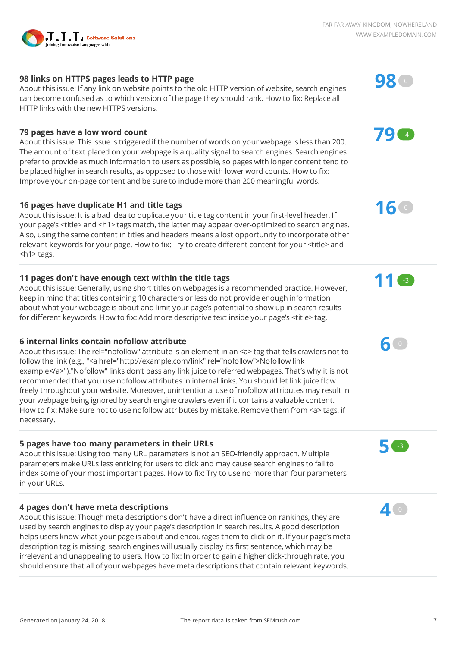### **98 links on HTTPS pages leads to HTTP page**

About this issue: If any link on website points to the old HTTP version of website, search engines can become confused as to which version of the page they should rank. How to fix: Replace all HTTP links with the new HTTPS versions.

#### **79 pages have a low word count**

About this issue: This issue is triggered if the number of words on your webpage is less than 200. The amount of text placed on your webpage is a quality signal to search engines. Search engines prefer to provide as much information to users as possible, so pages with longer content tend to be placed higher in search results, as opposed to those with lower word counts. How to fix: Improve your on-page content and be sure to include more than 200 meaningful words.

#### **16 pages have duplicate H1 and title tags**

About this issue: It is a bad idea to duplicate your title tag content in your first-level header. If your page's <title> and <h1> tags match, the latter may appear over-optimized to search engines. Also, using the same content in titles and headers means a lost opportunity to incorporate other relevant keywords for your page. How to fix: Try to create different content for your <title> and <h1> tags.

### **11 pages don't have enough text within the title tags**

About this issue: Generally, using short titles on webpages is a recommended practice. However, keep in mind that titles containing 10 characters or less do not provide enough information about what your webpage is about and limit your page's potential to show up in search results for different keywords. How to fix: Add more descriptive text inside your page's <title> tag.

#### **6 internal links contain nofollow attribute**

About this issue: The rel="nofollow" attribute is an element in an <a> tag that tells crawlers not to follow the link (e.g., "<a href="http://example.com/link" rel="nofollow">Nofollow link example</a>")."Nofollow" links don't pass any link juice to referred webpages. That's why it is not recommended that you use nofollow attributes in internal links. You should let link juice flow freely throughout your website. Moreover, unintentional use of nofollow attributes may result in your webpage being ignored by search engine crawlers even if it contains a valuable content. How to fix: Make sure not to use nofollow attributes by mistake. Remove them from <a> tags, if necessary.

### **5 pages have too many parameters in their URLs**

About this issue: Using too many URL parameters is not an SEO-friendly approach. Multiple parameters make URLs less enticing for users to click and may cause search engines to fail to index some of your most important pages. How to fix: Try to use no more than four parameters in your URLs.

### **4 pages don't have meta descriptions**

About this issue: Though meta descriptions don't have a direct influence on rankings, they are used by search engines to display your page's description in search results. A good description helps users know what your page is about and encourages them to click on it. If your page's meta description tag is missing, search engines will usually display its first sentence, which may be irrelevant and unappealing to users. How to fix: In order to gain a higher click-through rate, you should ensure that all of your webpages have meta descriptions that contain relevant keywords.



**79** -4

**16** <sup>0</sup>



**11** -3





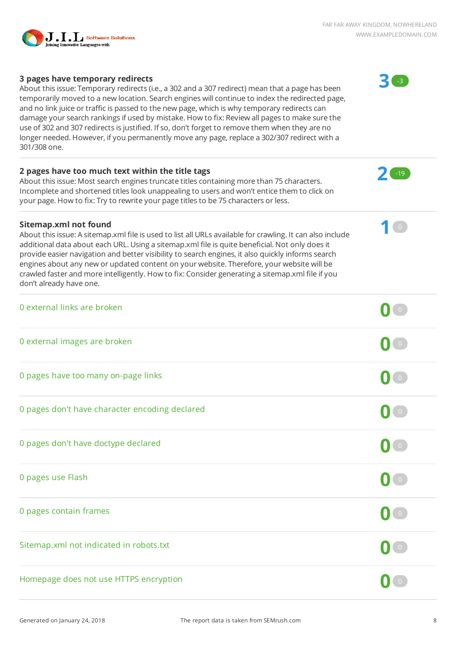

**3** -3

**2** -19

**1** <sup>0</sup>

#### **3 pages have temporary redirects**

About this issue: Temporary redirects (i.e., a 302 and a 307 redirect) mean that a page has been temporarily moved to a new location. Search engines will continue to index the redirected page, and no link juice or traffic is passed to the new page, which is why temporary redirects can damage your search rankings if used by mistake. How to fix: Review all pages to make sure the use of 302 and 307 redirects is justified. If so, don't forget to remove them when they are no longer needed. However, if you permanently move any page, replace a 302/307 redirect with a 301/308 one.

#### **2 pages have too much text within the title tags**

About this issue: Most search engines truncate titles containing more than 75 characters. Incomplete and shortened titles look unappealing to users and won't entice them to click on your page. How to fix: Try to rewrite your page titles to be 75 characters or less.

#### **Sitemap.xml not found**

About this issue: A sitemap.xml file is used to list all URLs available for crawling. It can also include additional data about each URL. Using a sitemap.xml file is quite beneficial. Not only does it provide easier navigation and better visibility to search engines, it also quickly informs search engines about any new or updated content on your website. Therefore, your website will be crawled faster and more intelligently. How to fix: Consider generating a sitemap.xml file if you don't already have one.

| 0 external links are broken                    | $\circ$                                             |
|------------------------------------------------|-----------------------------------------------------|
| 0 external images are broken                   | $\begin{pmatrix} 0 \end{pmatrix}$                   |
| 0 pages have too many on-page links            | $\left( \begin{matrix} 0 \\ 0 \end{matrix} \right)$ |
| 0 pages don't have character encoding declared | $\begin{pmatrix} 0 \end{pmatrix}$                   |
| 0 pages don't have doctype declared            | $\mathbf{0}$ $\circ$                                |
| 0 pages use Flash                              | $\mathbf{O}(\mathbf{0})$                            |
| 0 pages contain frames                         | $\begin{pmatrix} 0 \end{pmatrix}$                   |
| Sitemap.xml not indicated in robots.txt        | $\begin{pmatrix} 0 \end{pmatrix}$                   |
| Homepage does not use HTTPS encryption         |                                                     |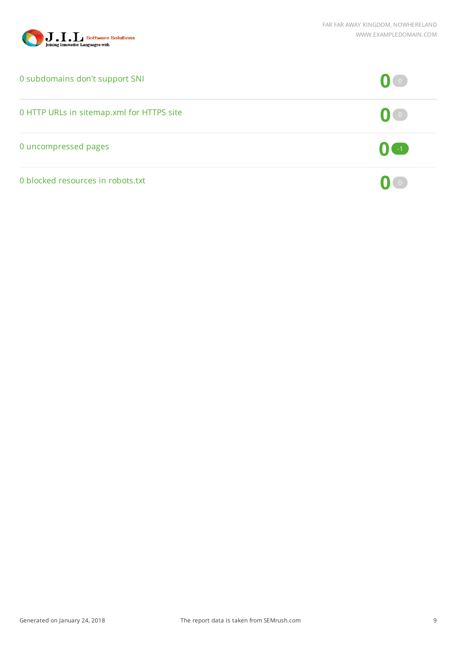

| 0 subdomains don't support SNI            | $\mathbf{U}$ $\mathbf{U}$   |
|-------------------------------------------|-----------------------------|
| 0 HTTP URLs in sitemap.xml for HTTPS site | $\left( 0$ ( $\circ$ )      |
| 0 uncompressed pages                      | $\left( 0$ (-1)             |
| 0 blocked resources in robots.txt         | $\mathbf{0}$ $\mathbf{I}$ o |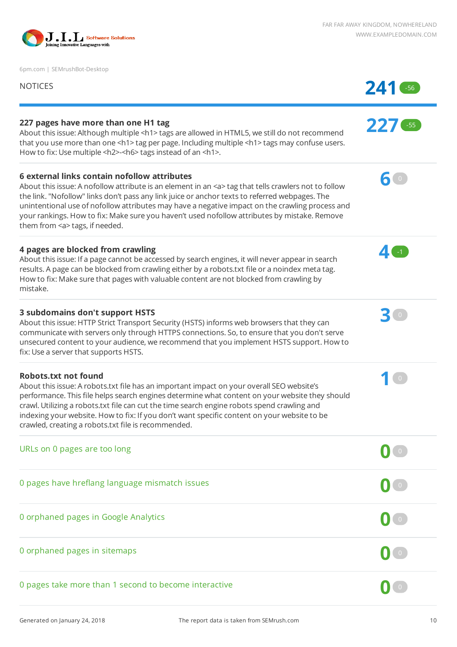

6pm.com | SEMrushBot-Desktop

| <b>NOTICES</b>                                                                                                                                                                                                                                                                                                                                                                                                                                                                                          |     |
|---------------------------------------------------------------------------------------------------------------------------------------------------------------------------------------------------------------------------------------------------------------------------------------------------------------------------------------------------------------------------------------------------------------------------------------------------------------------------------------------------------|-----|
| 227 pages have more than one H1 tag<br>About this issue: Although multiple <h1> tags are allowed in HTML5, we still do not recommend<br/>that you use more than one <h1> tag per page. Including multiple <h1> tags may confuse users.<br/>How to fix: Use multiple <h2>-<h6> tags instead of an <h1>.</h1></h6></h2></h1></h1></h1>                                                                                                                                                                    | 227 |
| 6 external links contain nofollow attributes<br>About this issue: A nofollow attribute is an element in an <a> tag that tells crawlers not to follow<br/>the link. "Nofollow" links don't pass any link juice or anchor texts to referred webpages. The<br/>unintentional use of nofollow attributes may have a negative impact on the crawling process and<br/>your rankings. How to fix: Make sure you haven't used nofollow attributes by mistake. Remove<br/>them from <a> tags, if needed.</a></a> | 60  |
| 4 pages are blocked from crawling<br>About this issue: If a page cannot be accessed by search engines, it will never appear in search<br>results. A page can be blocked from crawling either by a robots.txt file or a noindex meta tag.<br>How to fix: Make sure that pages with valuable content are not blocked from crawling by<br>mistake.                                                                                                                                                         |     |
| 3 subdomains don't support HSTS<br>About this issue: HTTP Strict Transport Security (HSTS) informs web browsers that they can<br>communicate with servers only through HTTPS connections. So, to ensure that you don't serve<br>unsecured content to your audience, we recommend that you implement HSTS support. How to<br>fix: Use a server that supports HSTS.                                                                                                                                       |     |
| Robots.txt not found<br>About this issue: A robots.txt file has an important impact on your overall SEO website's<br>performance. This file helps search engines determine what content on your website they should<br>crawl. Utilizing a robots.txt file can cut the time search engine robots spend crawling and<br>indexing your website. How to fix: If you don't want specific content on your website to be<br>crawled, creating a robots.txt file is recommended.                                |     |
| URLs on 0 pages are too long                                                                                                                                                                                                                                                                                                                                                                                                                                                                            |     |
| 0 pages have hreflang language mismatch issues                                                                                                                                                                                                                                                                                                                                                                                                                                                          |     |
| 0 orphaned pages in Google Analytics                                                                                                                                                                                                                                                                                                                                                                                                                                                                    |     |
| 0 orphaned pages in sitemaps                                                                                                                                                                                                                                                                                                                                                                                                                                                                            |     |
| 0 pages take more than 1 second to become interactive                                                                                                                                                                                                                                                                                                                                                                                                                                                   |     |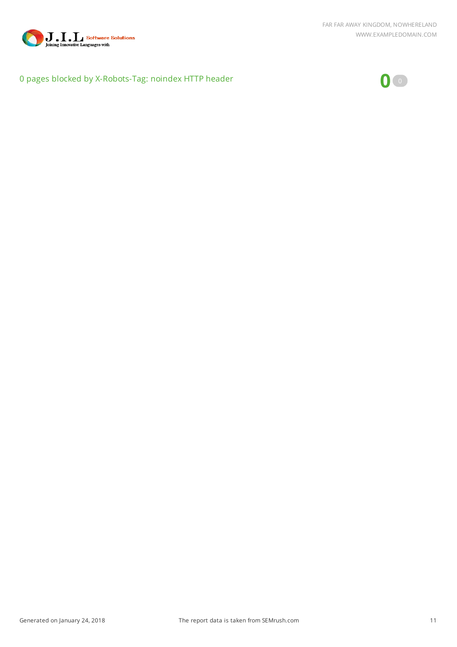

### 0 pages blocked by X-Robots-Tag: noindex HTTP header **0** <sup>0</sup>

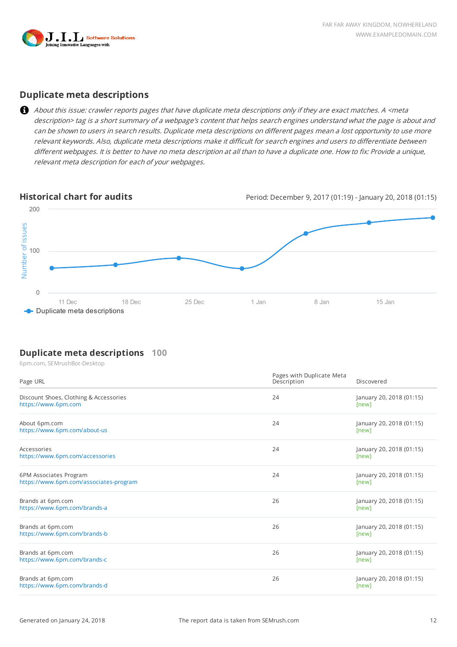

#### **Duplicate meta descriptions**

About this issue: crawler reports pages that have duplicate meta descriptions only if they are exact matches. A <meta description> tag is a short summary of a webpage's content that helps search engines understand what the page is about and can be shown to users in search results. Duplicate meta descriptions on different pages mean a lost opportunity to use more relevant keywords. Also, duplicate meta descriptions make it difficult for search engines and users to differentiate between different webpages. It is better to have no meta description at all than to have a duplicate one. How to fix: Provide a unique, relevant meta description for each of your webpages.

**Historical chart for audits** Period: December 9, 2017 (01:19) - January 20, 2018 (01:15)



#### **Duplicate meta descriptions 100**

6pm.com, SEMrushBot-Desktop

| Page URL                                                         | Pages with Duplicate Meta<br>Description | Discovered                        |
|------------------------------------------------------------------|------------------------------------------|-----------------------------------|
| Discount Shoes, Clothing & Accessories<br>https://www.6pm.com    | 24                                       | January 20, 2018 (01:15)<br>[new] |
| About 6pm.com<br>https://www.6pm.com/about-us                    | 24                                       | January 20, 2018 (01:15)<br>[new] |
| Accessories<br>https://www.6pm.com/accessories                   | 24                                       | January 20, 2018 (01:15)<br>[new] |
| 6PM Associates Program<br>https://www.6pm.com/associates-program | 24                                       | January 20, 2018 (01:15)<br>[new] |
| Brands at 6pm.com<br>https://www.6pm.com/brands-a                | 26                                       | January 20, 2018 (01:15)<br>[new] |
| Brands at 6pm.com<br>https://www.6pm.com/brands-b                | 26                                       | January 20, 2018 (01:15)<br>[new] |
| Brands at 6pm.com<br>https://www.6pm.com/brands-c                | 26                                       | January 20, 2018 (01:15)<br>[new] |
| Brands at 6pm.com<br>https://www.6pm.com/brands-d                | 26                                       | January 20, 2018 (01:15)<br>[new] |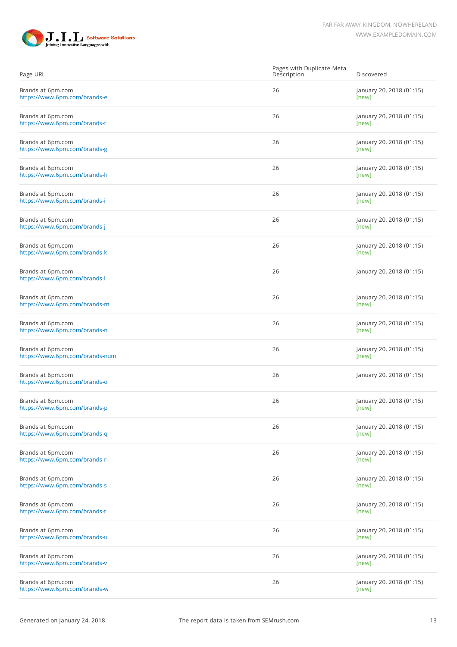

| Page URL                                            | Pages with Duplicate Meta<br>Description | Discovered                        |
|-----------------------------------------------------|------------------------------------------|-----------------------------------|
| Brands at 6pm.com<br>https://www.6pm.com/brands-e   | 26                                       | January 20, 2018 (01:15)<br>[new] |
| Brands at 6pm.com<br>https://www.6pm.com/brands-f   | 26                                       | January 20, 2018 (01:15)<br>[new] |
| Brands at 6pm.com<br>https://www.6pm.com/brands-g   | 26                                       | January 20, 2018 (01:15)<br>[new] |
| Brands at 6pm.com<br>https://www.6pm.com/brands-h   | 26                                       | January 20, 2018 (01:15)<br>[new] |
| Brands at 6pm.com<br>https://www.6pm.com/brands-i   | 26                                       | January 20, 2018 (01:15)<br>[new] |
| Brands at 6pm.com<br>https://www.6pm.com/brands-j   | 26                                       | January 20, 2018 (01:15)<br>[new] |
| Brands at 6pm.com<br>https://www.6pm.com/brands-k   | 26                                       | January 20, 2018 (01:15)<br>[new] |
| Brands at 6pm.com<br>https://www.6pm.com/brands-l   | 26                                       | January 20, 2018 (01:15)          |
| Brands at 6pm.com<br>https://www.6pm.com/brands-m   | 26                                       | January 20, 2018 (01:15)<br>[new] |
| Brands at 6pm.com<br>https://www.6pm.com/brands-n   | 26                                       | January 20, 2018 (01:15)<br>[new] |
| Brands at 6pm.com<br>https://www.6pm.com/brands-num | 26                                       | January 20, 2018 (01:15)<br>[new] |
| Brands at 6pm.com<br>https://www.6pm.com/brands-o   | 26                                       | January 20, 2018 (01:15)          |
| Brands at 6pm.com<br>https://www.6pm.com/brands-p   | 26                                       | January 20, 2018 (01:15)<br>[new] |
| Brands at 6pm.com<br>https://www.6pm.com/brands-q   | 26                                       | January 20, 2018 (01:15)<br>[new] |
| Brands at 6pm.com<br>https://www.6pm.com/brands-r   | 26                                       | January 20, 2018 (01:15)<br>[new] |
| Brands at 6pm.com<br>https://www.6pm.com/brands-s   | 26                                       | January 20, 2018 (01:15)<br>[new] |
| Brands at 6pm.com<br>https://www.6pm.com/brands-t   | 26                                       | January 20, 2018 (01:15)<br>[new] |
| Brands at 6pm.com<br>https://www.6pm.com/brands-u   | 26                                       | January 20, 2018 (01:15)<br>[new] |
| Brands at 6pm.com<br>https://www.6pm.com/brands-v   | 26                                       | January 20, 2018 (01:15)<br>[new] |
| Brands at 6pm.com<br>https://www.6pm.com/brands-w   | 26                                       | January 20, 2018 (01:15)<br>[new] |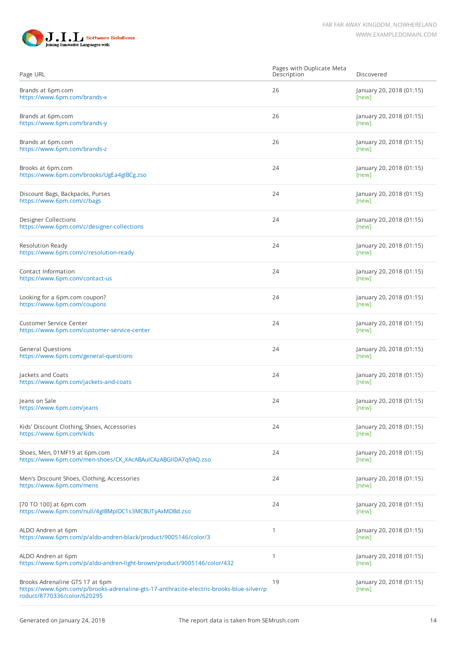

| Page URL                                                                                                                                                  | Pages with Duplicate Meta<br>Description | Discovered                        |
|-----------------------------------------------------------------------------------------------------------------------------------------------------------|------------------------------------------|-----------------------------------|
| Brands at 6pm.com<br>https://www.6pm.com/brands-x                                                                                                         | 26                                       | January 20, 2018 (01:15)<br>[new] |
| Brands at 6pm.com<br>https://www.6pm.com/brands-y                                                                                                         | 26                                       | January 20, 2018 (01:15)<br>[new] |
| Brands at 6pm.com<br>https://www.6pm.com/brands-z                                                                                                         | 26                                       | January 20, 2018 (01:15)<br>[new] |
| Brooks at 6pm.com<br>https://www.6pm.com/brooks/UgEa4gIBCg.zso                                                                                            | 24                                       | January 20, 2018 (01:15)<br>[new] |
| Discount Bags, Backpacks, Purses<br>https://www.6pm.com/c/bags                                                                                            | 24                                       | January 20, 2018 (01:15)<br>[new] |
| <b>Designer Collections</b><br>https://www.6pm.com/c/designer-collections                                                                                 | 24                                       | January 20, 2018 (01:15)<br>[new] |
| Resolution Ready<br>https://www.6pm.com/c/resolution-ready                                                                                                | 24                                       | January 20, 2018 (01:15)<br>[new] |
| Contact Information<br>https://www.6pm.com/contact-us                                                                                                     | 24                                       | January 20, 2018 (01:15)<br>[new] |
| Looking for a 6pm.com coupon?<br>https://www.6pm.com/coupons                                                                                              | 24                                       | January 20, 2018 (01:15)<br>[new] |
| <b>Customer Service Center</b><br>https://www.6pm.com/customer-service-center                                                                             | 24                                       | January 20, 2018 (01:15)<br>[new] |
| <b>General Questions</b><br>https://www.6pm.com/general-questions                                                                                         | 24                                       | January 20, 2018 (01:15)<br>[new] |
| Jackets and Coats<br>https://www.6pm.com/jackets-and-coats                                                                                                | 24                                       | January 20, 2018 (01:15)<br>[new] |
| Jeans on Sale<br>https://www.6pm.com/jeans                                                                                                                | 24                                       | January 20, 2018 (01:15)<br>[new] |
| Kids' Discount Clothing, Shoes, Accessories<br>https://www.6pm.com/kids                                                                                   | 24                                       | January 20, 2018 (01:15)<br>[new] |
| Shoes, Men, 01MF19 at 6pm.com<br>https://www.6pm.com/men-shoes/CK_XAcABAuICAzABGIIDA7q9AQ.zso                                                             | 24                                       | January 20, 2018 (01:15)<br>[new] |
| Men's Discount Shoes, Clothing, Accessories<br>https://www.6pm.com/mens                                                                                   | 24                                       | January 20, 2018 (01:15)<br>[new] |
| [70 TO 100] at 6pm.com<br>https://www.6pm.com/null/4glBMpIDC1s3MCBUTyAxMDBd.zso                                                                           | 24                                       | January 20, 2018 (01:15)<br>[new] |
| ALDO Andren at 6pm<br>https://www.6pm.com/p/aldo-andren-black/product/9005146/color/3                                                                     | 1                                        | January 20, 2018 (01:15)<br>[new] |
| ALDO Andren at 6pm<br>https://www.6pm.com/p/aldo-andren-light-brown/product/9005146/color/432                                                             | 1                                        | January 20, 2018 (01:15)<br>[new] |
| Brooks Adrenaline GTS 17 at 6pm<br>https://www.6pm.com/p/brooks-adrenaline-gts-17-anthracite-electric-brooks-blue-silver/p<br>roduct/8770336/color/620295 | 19                                       | January 20, 2018 (01:15)<br>[new] |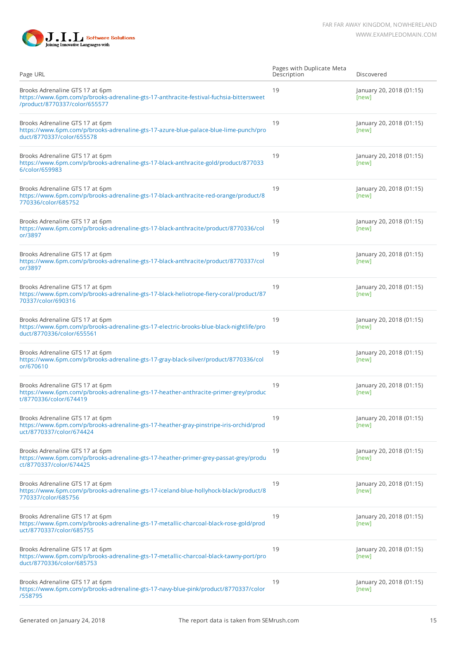

| Page URL                                                                                                                                                   | Pages with Duplicate Meta<br>Description | Discovered                        |
|------------------------------------------------------------------------------------------------------------------------------------------------------------|------------------------------------------|-----------------------------------|
| Brooks Adrenaline GTS 17 at 6pm<br>https://www.6pm.com/p/brooks-adrenaline-gts-17-anthracite-festival-fuchsia-bittersweet<br>/product/8770337/color/655577 | 19                                       | January 20, 2018 (01:15)<br>[new] |
| Brooks Adrenaline GTS 17 at 6pm<br>https://www.6pm.com/p/brooks-adrenaline-gts-17-azure-blue-palace-blue-lime-punch/pro<br>duct/8770337/color/655578       | 19                                       | January 20, 2018 (01:15)<br>[new] |
| Brooks Adrenaline GTS 17 at 6pm<br>https://www.6pm.com/p/brooks-adrenaline-gts-17-black-anthracite-gold/product/877033<br>6/color/659983                   | 19                                       | January 20, 2018 (01:15)<br>[new] |
| Brooks Adrenaline GTS 17 at 6pm<br>https://www.6pm.com/p/brooks-adrenaline-gts-17-black-anthracite-red-orange/product/8<br>770336/color/685752             | 19                                       | January 20, 2018 (01:15)<br>[new] |
| Brooks Adrenaline GTS 17 at 6pm<br>https://www.6pm.com/p/brooks-adrenaline-gts-17-black-anthracite/product/8770336/col<br>or/3897                          | 19                                       | January 20, 2018 (01:15)<br>[new] |
| Brooks Adrenaline GTS 17 at 6pm<br>https://www.6pm.com/p/brooks-adrenaline-gts-17-black-anthracite/product/8770337/col<br>or/3897                          | 19                                       | January 20, 2018 (01:15)<br>[new] |
| Brooks Adrenaline GTS 17 at 6pm<br>https://www.6pm.com/p/brooks-adrenaline-gts-17-black-heliotrope-fiery-coral/product/87<br>70337/color/690316            | 19                                       | January 20, 2018 (01:15)<br>[new] |
| Brooks Adrenaline GTS 17 at 6pm<br>https://www.6pm.com/p/brooks-adrenaline-gts-17-electric-brooks-blue-black-nightlife/pro<br>duct/8770336/color/655561    | 19                                       | January 20, 2018 (01:15)<br>[new] |
| Brooks Adrenaline GTS 17 at 6pm<br>https://www.6pm.com/p/brooks-adrenaline-gts-17-gray-black-silver/product/8770336/col<br>or/670610                       | 19                                       | January 20, 2018 (01:15)<br>[new] |
| Brooks Adrenaline GTS 17 at 6pm<br>https://www.6pm.com/p/brooks-adrenaline-gts-17-heather-anthracite-primer-grey/produc<br>t/8770336/color/674419          | 19                                       | January 20, 2018 (01:15)<br>[new] |
| Brooks Adrenaline GTS 17 at 6pm<br>https://www.6pm.com/p/brooks-adrenaline-gts-17-heather-gray-pinstripe-iris-orchid/prod<br>uct/8770337/color/674424      | 19                                       | January 20, 2018 (01:15)<br>[new] |
| Brooks Adrenaline GTS 17 at 6pm<br>https://www.6pm.com/p/brooks-adrenaline-gts-17-heather-primer-grey-passat-grey/produ<br>ct/8770337/color/674425         | 19                                       | January 20, 2018 (01:15)<br>[new] |
| Brooks Adrenaline GTS 17 at 6pm<br>https://www.6pm.com/p/brooks-adrenaline-gts-17-iceland-blue-hollyhock-black/product/8<br>770337/color/685756            | 19                                       | January 20, 2018 (01:15)<br>[new] |
| Brooks Adrenaline GTS 17 at 6pm<br>https://www.6pm.com/p/brooks-adrenaline-gts-17-metallic-charcoal-black-rose-gold/prod<br>uct/8770337/color/685755       | 19                                       | January 20, 2018 (01:15)<br>[new] |
| Brooks Adrenaline GTS 17 at 6pm<br>https://www.6pm.com/p/brooks-adrenaline-gts-17-metallic-charcoal-black-tawny-port/pro<br>duct/8770336/color/685753      | 19                                       | January 20, 2018 (01:15)<br>[new] |
| Brooks Adrenaline GTS 17 at 6pm<br>https://www.6pm.com/p/brooks-adrenaline-gts-17-navy-blue-pink/product/8770337/color<br>/558795                          | 19                                       | January 20, 2018 (01:15)<br>[new] |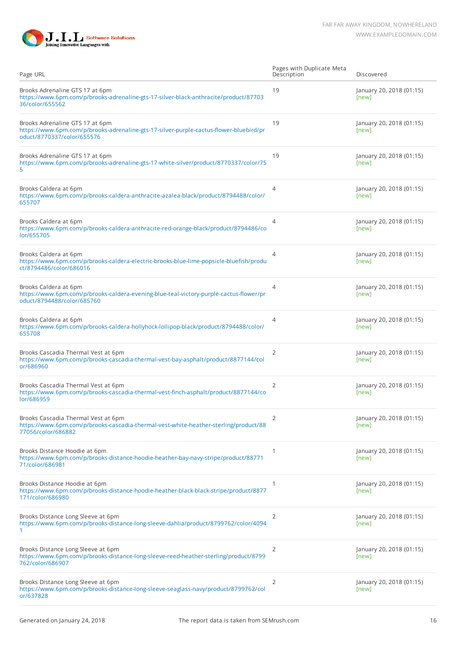



| Page URL                                                                                                                                                | Pages with Duplicate Meta<br>Description | Discovered                        |
|---------------------------------------------------------------------------------------------------------------------------------------------------------|------------------------------------------|-----------------------------------|
| Brooks Adrenaline GTS 17 at 6pm<br>https://www.6pm.com/p/brooks-adrenaline-gts-17-silver-black-anthracite/product/87703<br>36/color/655562              | 19                                       | January 20, 2018 (01:15)<br>[new] |
| Brooks Adrenaline GTS 17 at 6pm<br>https://www.6pm.com/p/brooks-adrenaline-gts-17-silver-purple-cactus-flower-bluebird/pr<br>oduct/8770337/color/655576 | 19                                       | January 20, 2018 (01:15)<br>[new] |
| Brooks Adrenaline GTS 17 at 6pm<br>https://www.6pm.com/p/brooks-adrenaline-gts-17-white-silver/product/8770337/color/75<br>5                            | 19                                       | January 20, 2018 (01:15)<br>[new] |
| Brooks Caldera at 6pm<br>https://www.6pm.com/p/brooks-caldera-anthracite-azalea-black/product/8794488/color/<br>655707                                  | $\overline{4}$                           | January 20, 2018 (01:15)<br>[new] |
| Brooks Caldera at 6pm<br>https://www.6pm.com/p/brooks-caldera-anthracite-red-orange-black/product/8794486/co<br>lor/655705                              | $\overline{4}$                           | January 20, 2018 (01:15)<br>[new] |
| Brooks Caldera at 6pm<br>https://www.6pm.com/p/brooks-caldera-electric-brooks-blue-lime-popsicle-bluefish/produ<br>ct/8794486/color/686016              | $\overline{4}$                           | January 20, 2018 (01:15)<br>[new] |
| Brooks Caldera at 6pm<br>https://www.6pm.com/p/brooks-caldera-evening-blue-teal-victory-purple-cactus-flower/pr<br>oduct/8794488/color/685760           | 4                                        | January 20, 2018 (01:15)<br>[new] |
| Brooks Caldera at 6pm<br>https://www.6pm.com/p/brooks-caldera-hollyhock-lollipop-black/product/8794488/color/<br>655708                                 | 4                                        | January 20, 2018 (01:15)<br>[new] |
| Brooks Cascadia Thermal Vest at 6pm<br>https://www.6pm.com/p/brooks-cascadia-thermal-vest-bay-asphalt/product/8877144/col<br>or/686960                  | 2                                        | January 20, 2018 (01:15)<br>[new] |
| Brooks Cascadia Thermal Vest at 6pm<br>https://www.6pm.com/p/brooks-cascadia-thermal-vest-finch-asphalt/product/8877144/co<br>lor/686959                | 2                                        | January 20, 2018 (01:15)<br>[new] |
| Brooks Cascadia Thermal Vest at 6pm<br>https://www.6pm.com/p/brooks-cascadia-thermal-vest-white-heather-sterling/product/88<br>77056/color/686882       | 2                                        | January 20, 2018 (01:15)<br>[new] |
| Brooks Distance Hoodie at 6pm<br>https://www.6pm.com/p/brooks-distance-hoodie-heather-bay-navy-stripe/product/88771<br>71/color/686981                  | 1                                        | January 20, 2018 (01:15)<br>[new] |
| Brooks Distance Hoodie at 6pm<br>https://www.6pm.com/p/brooks-distance-hoodie-heather-black-black-stripe/product/8877<br>171/color/686980               | 1                                        | January 20, 2018 (01:15)<br>[new] |
| Brooks Distance Long Sleeve at 6pm<br>https://www.6pm.com/p/brooks-distance-long-sleeve-dahlia/product/8799762/color/4094<br>1.                         | 2                                        | January 20, 2018 (01:15)<br>[new] |
| Brooks Distance Long Sleeve at 6pm<br>https://www.6pm.com/p/brooks-distance-long-sleeve-reed-heather-sterling/product/8799<br>762/color/686907          | 2                                        | January 20, 2018 (01:15)<br>[new] |
| Brooks Distance Long Sleeve at 6pm<br>https://www.6pm.com/p/brooks-distance-long-sleeve-seaglass-navy/product/8799762/col<br>or/637828                  | 2                                        | January 20, 2018 (01:15)<br>[new] |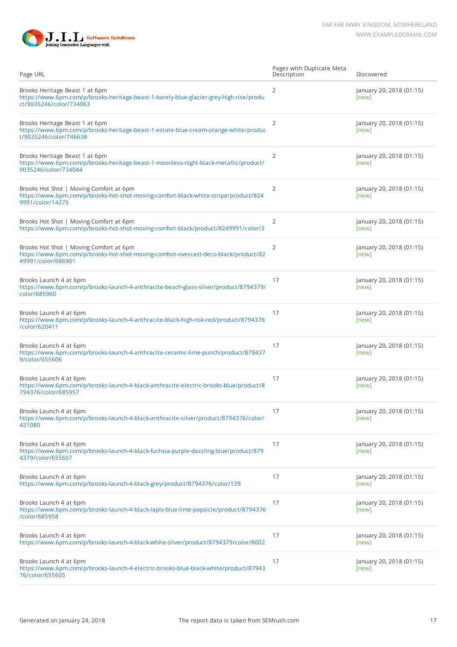

| Page URL                                                                                                                                             | Pages with Duplicate Meta<br>Description | Discovered                        |
|------------------------------------------------------------------------------------------------------------------------------------------------------|------------------------------------------|-----------------------------------|
| Brooks Heritage Beast 1 at 6pm<br>https://www.6pm.com/p/brooks-heritage-beast-1-barely-blue-glacier-grey-high-rise/produ<br>ct/9035246/color/734063  | 2                                        | January 20, 2018 (01:15)<br>[new] |
| Brooks Heritage Beast 1 at 6pm<br>https://www.6pm.com/p/brooks-heritage-beast-1-estate-blue-cream-orange-white/produc<br>t/9035246/color/746638      | $\overline{2}$                           | January 20, 2018 (01:15)<br>[new] |
| Brooks Heritage Beast 1 at 6pm<br>https://www.6pm.com/p/brooks-heritage-beast-1-moonless-night-black-metallic/product/<br>9035246/color/734044       | $\overline{2}$                           | January 20, 2018 (01:15)<br>[new] |
| Brooks Hot Shot   Moving Comfort at 6pm<br>https://www.6pm.com/p/brooks-hot-shot-moving-comfort-black-white-stripe/product/824<br>9991/color/14275   | 2                                        | January 20, 2018 (01:15)<br>[new] |
| Brooks Hot Shot   Moving Comfort at 6pm<br>https://www.6pm.com/p/brooks-hot-shot-moving-comfort-black/product/8249991/color/3                        | 2                                        | January 20, 2018 (01:15)<br>[new] |
| Brooks Hot Shot   Moving Comfort at 6pm<br>https://www.6pm.com/p/brooks-hot-shot-moving-comfort-overcast-deco-black/product/82<br>49991/color/686901 | $\overline{2}$                           | January 20, 2018 (01:15)<br>[new] |
| Brooks Launch 4 at 6pm<br>https://www.6pm.com/p/brooks-launch-4-anthracite-beach-glass-silver/product/8794379/<br>color/685960                       | 17                                       | January 20, 2018 (01:15)<br>[new] |
| Brooks Launch 4 at 6pm<br>https://www.6pm.com/p/brooks-launch-4-anthracite-black-high-risk-red/product/8794376<br>/color/620411                      | 17                                       | January 20, 2018 (01:15)<br>[new] |
| Brooks Launch 4 at 6pm<br>https://www.6pm.com/p/brooks-launch-4-anthracite-ceramic-lime-punch/product/879437<br>9/color/655606                       | 17                                       | January 20, 2018 (01:15)<br>[new] |
| Brooks Launch 4 at 6pm<br>https://www.6pm.com/p/brooks-launch-4-black-anthracite-electric-brooks-blue/product/8<br>794376/color/685957               | 17                                       | January 20, 2018 (01:15)<br>[new] |
| Brooks Launch 4 at 6pm<br>https://www.6pm.com/p/brooks-launch-4-black-anthracite-silver/product/8794376/color/<br>421080                             | 17                                       | January 20, 2018 (01:15)<br>[new] |
| Brooks Launch 4 at 6pm<br>https://www.6pm.com/p/brooks-launch-4-black-fuchsia-purple-dazzling-blue/product/879<br>4379/color/655607                  | 17                                       | January 20, 2018 (01:15)<br>[new] |
| Brooks Launch 4 at 6pm<br>https://www.6pm.com/p/brooks-launch-4-black-grey/product/8794376/color/139                                                 | 17                                       | January 20, 2018 (01:15)<br>[new] |
| Brooks Launch 4 at 6pm<br>https://www.6pm.com/p/brooks-launch-4-black-lapis-blue-lime-popsicle/product/8794376<br>/color/685958                      | 17                                       | January 20, 2018 (01:15)<br>[new] |
| Brooks Launch 4 at 6pm<br>https://www.6pm.com/p/brooks-launch-4-black-white-silver/product/8794379/color/8002                                        | 17                                       | January 20, 2018 (01:15)<br>[new] |
| Brooks Launch 4 at 6pm<br>https://www.6pm.com/p/brooks-launch-4-electric-brooks-blue-black-white/product/87943<br>76/color/655605                    | 17                                       | January 20, 2018 (01:15)<br>[new] |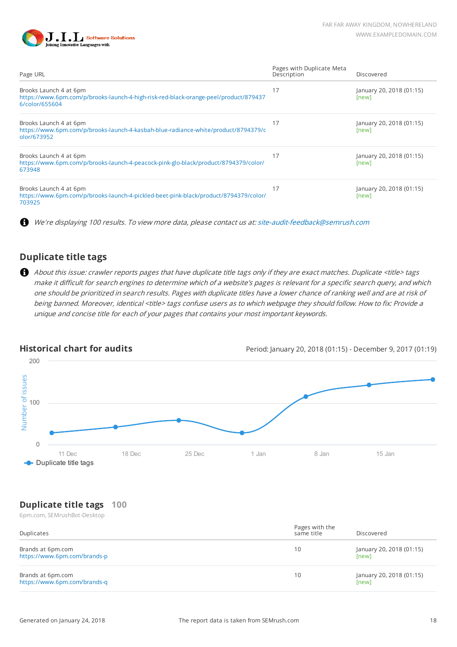

| Page URL                                                                                                                         | Pages with Duplicate Meta<br>Description | Discovered                        |
|----------------------------------------------------------------------------------------------------------------------------------|------------------------------------------|-----------------------------------|
| Brooks Launch 4 at 6pm<br>https://www.6pm.com/p/brooks-launch-4-high-risk-red-black-orange-peel/product/879437<br>6/color/655604 | 17                                       | January 20, 2018 (01:15)<br>[new] |
| Brooks Launch 4 at 6pm<br>https://www.6pm.com/p/brooks-launch-4-kasbah-blue-radiance-white/product/8794379/c<br>olor/673952      | 17                                       | January 20, 2018 (01:15)<br>[new] |
| Brooks Launch 4 at 6pm<br>https://www.6pm.com/p/brooks-launch-4-peacock-pink-glo-black/product/8794379/color/<br>673948          | 17                                       | January 20, 2018 (01:15)<br>[new] |
| Brooks Launch 4 at 6pm<br>https://www.6pm.com/p/brooks-launch-4-pickled-beet-pink-black/product/8794379/color/<br>703925         | 17                                       | January 20, 2018 (01:15)<br>[new] |

A We're displaying 100 results. To view more data, please contact us at: [site-audit-feedback@semrush.com](mailto:site-audit-feedback@semrush.com)

### **Duplicate title tags**

About this issue: crawler reports pages that have duplicate title tags only if they are exact matches. Duplicate <title> tags make it difficult for search engines to determine which of a website's pages is relevant for a specific search query, and which one should be prioritized in search results. Pages with duplicate titles have a lower chance of ranking well and are at risk of being banned. Moreover, identical <title> tags confuse users as to which webpage they should follow. How to fix: Provide a unique and concise title for each of your pages that contains your most important keywords.



**Historical chart for audits Historical chart for audits** Period: January 20, 2018 (01:15) - December 9, 2017 (01:19)

### **Duplicate title tags 100**

6pm.com, SEMrushBot-Desktop

| Duplicates                                        | Pages with the<br>same title | Discovered                        |
|---------------------------------------------------|------------------------------|-----------------------------------|
| Brands at 6pm.com<br>https://www.6pm.com/brands-p | 10                           | January 20, 2018 (01:15)<br>[new] |
| Brands at 6pm.com<br>https://www.6pm.com/brands-q | 10                           | January 20, 2018 (01:15)<br>[new] |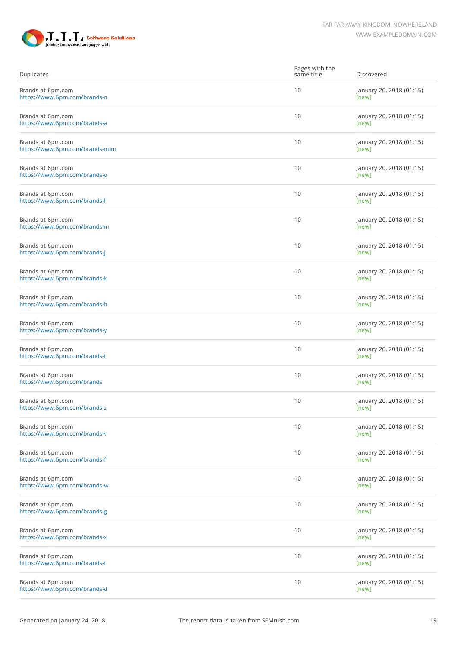

| Duplicates                                          | Pages with the<br>same title | Discovered                        |
|-----------------------------------------------------|------------------------------|-----------------------------------|
| Brands at 6pm.com<br>https://www.6pm.com/brands-n   | 10                           | January 20, 2018 (01:15)<br>[new] |
| Brands at 6pm.com<br>https://www.6pm.com/brands-a   | 10                           | January 20, 2018 (01:15)<br>[new] |
| Brands at 6pm.com<br>https://www.6pm.com/brands-num | 10                           | January 20, 2018 (01:15)<br>[new] |
| Brands at 6pm.com<br>https://www.6pm.com/brands-o   | 10                           | January 20, 2018 (01:15)<br>[new] |
| Brands at 6pm.com<br>https://www.6pm.com/brands-l   | 10                           | January 20, 2018 (01:15)<br>[new] |
| Brands at 6pm.com<br>https://www.6pm.com/brands-m   | 10                           | January 20, 2018 (01:15)<br>[new] |
| Brands at 6pm.com<br>https://www.6pm.com/brands-j   | 10                           | January 20, 2018 (01:15)<br>[new] |
| Brands at 6pm.com<br>https://www.6pm.com/brands-k   | 10                           | January 20, 2018 (01:15)<br>[new] |
| Brands at 6pm.com<br>https://www.6pm.com/brands-h   | 10                           | January 20, 2018 (01:15)<br>[new] |
| Brands at 6pm.com<br>https://www.6pm.com/brands-y   | 10                           | January 20, 2018 (01:15)<br>[new] |
| Brands at 6pm.com<br>https://www.6pm.com/brands-i   | 10                           | January 20, 2018 (01:15)<br>[new] |
| Brands at 6pm.com<br>https://www.6pm.com/brands     | 10                           | January 20, 2018 (01:15)<br>[new] |
| Brands at 6pm.com<br>https://www.6pm.com/brands-z   | 10                           | January 20, 2018 (01:15)<br>[new] |
| Brands at 6pm.com<br>https://www.6pm.com/brands-v   | 10                           | January 20, 2018 (01:15)<br>[new] |
| Brands at 6pm.com<br>https://www.6pm.com/brands-f   | 10                           | January 20, 2018 (01:15)<br>[new] |
| Brands at 6pm.com<br>https://www.6pm.com/brands-w   | 10                           | January 20, 2018 (01:15)<br>[new] |
| Brands at 6pm.com<br>https://www.6pm.com/brands-g   | 10                           | January 20, 2018 (01:15)<br>[new] |
| Brands at 6pm.com<br>https://www.6pm.com/brands-x   | 10                           | January 20, 2018 (01:15)<br>[new] |
| Brands at 6pm.com<br>https://www.6pm.com/brands-t   | 10                           | January 20, 2018 (01:15)<br>[new] |
| Brands at 6pm.com<br>https://www.6pm.com/brands-d   | 10                           | January 20, 2018 (01:15)<br>[new] |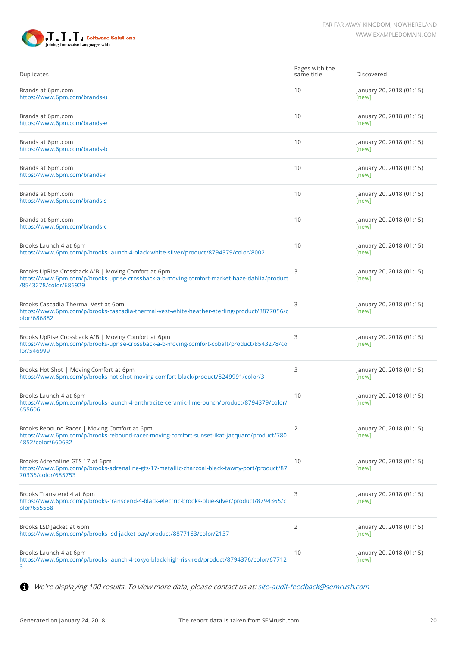

| Duplicates                                                                                                                                                                  | Pages with the<br>same title | Discovered                        |
|-----------------------------------------------------------------------------------------------------------------------------------------------------------------------------|------------------------------|-----------------------------------|
| Brands at 6pm.com<br>https://www.6pm.com/brands-u                                                                                                                           | 10                           | January 20, 2018 (01:15)<br>[new] |
| Brands at 6pm.com<br>https://www.6pm.com/brands-e                                                                                                                           | 10                           | January 20, 2018 (01:15)<br>[new] |
| Brands at 6pm.com<br>https://www.6pm.com/brands-b                                                                                                                           | 10                           | January 20, 2018 (01:15)<br>[new] |
| Brands at 6pm.com<br>https://www.6pm.com/brands-r                                                                                                                           | 10                           | January 20, 2018 (01:15)<br>[new] |
| Brands at 6pm.com<br>https://www.6pm.com/brands-s                                                                                                                           | 10                           | January 20, 2018 (01:15)<br>[new] |
| Brands at 6pm.com<br>https://www.6pm.com/brands-c                                                                                                                           | 10                           | January 20, 2018 (01:15)<br>[new] |
| Brooks Launch 4 at 6pm<br>https://www.6pm.com/p/brooks-launch-4-black-white-silver/product/8794379/color/8002                                                               | 10                           | January 20, 2018 (01:15)<br>[new] |
| Brooks UpRise Crossback A/B   Moving Comfort at 6pm<br>https://www.6pm.com/p/brooks-uprise-crossback-a-b-moving-comfort-market-haze-dahlia/product<br>/8543278/color/686929 | 3                            | January 20, 2018 (01:15)<br>[new] |
| Brooks Cascadia Thermal Vest at 6pm<br>https://www.6pm.com/p/brooks-cascadia-thermal-vest-white-heather-sterling/product/8877056/c<br>olor/686882                           | 3                            | January 20, 2018 (01:15)<br>[new] |
| Brooks UpRise Crossback A/B   Moving Comfort at 6pm<br>https://www.6pm.com/p/brooks-uprise-crossback-a-b-moving-comfort-cobalt/product/8543278/co<br>lor/546999             | 3                            | January 20, 2018 (01:15)<br>[new] |
| Brooks Hot Shot   Moving Comfort at 6pm<br>https://www.6pm.com/p/brooks-hot-shot-moving-comfort-black/product/8249991/color/3                                               | 3                            | January 20, 2018 (01:15)<br>[new] |
| Brooks Launch 4 at 6pm<br>https://www.6pm.com/p/brooks-launch-4-anthracite-ceramic-lime-punch/product/8794379/color/<br>655606                                              | 10                           | January 20, 2018 (01:15)<br>[new] |
| Brooks Rebound Racer   Moving Comfort at 6pm<br>https://www.6pm.com/p/brooks-rebound-racer-moving-comfort-sunset-ikat-jacquard/product/780<br>4852/color/660632             | 2                            | January 20, 2018 (01:15)<br>[new] |
| Brooks Adrenaline GTS 17 at 6pm<br>https://www.6pm.com/p/brooks-adrenaline-gts-17-metallic-charcoal-black-tawny-port/product/87<br>70336/color/685753                       | 10                           | January 20, 2018 (01:15)<br>[new] |
| Brooks Transcend 4 at 6pm<br>https://www.6pm.com/p/brooks-transcend-4-black-electric-brooks-blue-silver/product/8794365/c<br>olor/655558                                    | 3                            | January 20, 2018 (01:15)<br>[new] |
| Brooks LSD Jacket at 6pm<br>https://www.6pm.com/p/brooks-lsd-jacket-bay/product/8877163/color/2137                                                                          | 2                            | January 20, 2018 (01:15)<br>[new] |
| Brooks Launch 4 at 6pm<br>https://www.6pm.com/p/brooks-launch-4-tokyo-black-high-risk-red/product/8794376/color/67712<br>3                                                  | 10                           | January 20, 2018 (01:15)<br>[new] |

We're displaying 100 results. To view more data, please contact us at: [site-audit-feedback@semrush.com](mailto:site-audit-feedback@semrush.com)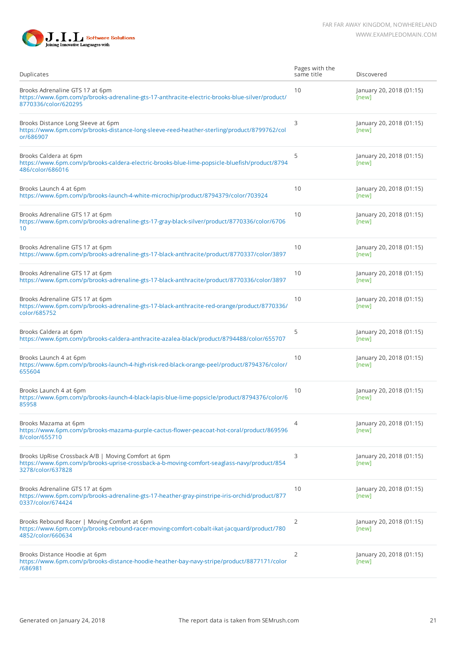

| Duplicates                                                                                                                                                             | Pages with the<br>same title | Discovered                        |
|------------------------------------------------------------------------------------------------------------------------------------------------------------------------|------------------------------|-----------------------------------|
| Brooks Adrenaline GTS 17 at 6pm<br>https://www.6pm.com/p/brooks-adrenaline-gts-17-anthracite-electric-brooks-blue-silver/product/<br>8770336/color/620295              | 10                           | January 20, 2018 (01:15)<br>[new] |
| Brooks Distance Long Sleeve at 6pm<br>https://www.6pm.com/p/brooks-distance-long-sleeve-reed-heather-sterling/product/8799762/col<br>or/686907                         | 3                            | January 20, 2018 (01:15)<br>[new] |
| Brooks Caldera at 6pm<br>https://www.6pm.com/p/brooks-caldera-electric-brooks-blue-lime-popsicle-bluefish/product/8794<br>486/color/686016                             | 5                            | January 20, 2018 (01:15)<br>[new] |
| Brooks Launch 4 at 6pm<br>https://www.6pm.com/p/brooks-launch-4-white-microchip/product/8794379/color/703924                                                           | 10                           | January 20, 2018 (01:15)<br>[new] |
| Brooks Adrenaline GTS 17 at 6pm<br>https://www.6pm.com/p/brooks-adrenaline-gts-17-gray-black-silver/product/8770336/color/6706<br>10                                   | 10                           | January 20, 2018 (01:15)<br>[new] |
| Brooks Adrenaline GTS 17 at 6pm<br>https://www.6pm.com/p/brooks-adrenaline-gts-17-black-anthracite/product/8770337/color/3897                                          | 10                           | January 20, 2018 (01:15)<br>[new] |
| Brooks Adrenaline GTS 17 at 6pm<br>https://www.6pm.com/p/brooks-adrenaline-gts-17-black-anthracite/product/8770336/color/3897                                          | 10                           | January 20, 2018 (01:15)<br>[new] |
| Brooks Adrenaline GTS 17 at 6pm<br>https://www.6pm.com/p/brooks-adrenaline-gts-17-black-anthracite-red-orange/product/8770336/<br>color/685752                         | 10                           | January 20, 2018 (01:15)<br>[new] |
| Brooks Caldera at 6pm<br>https://www.6pm.com/p/brooks-caldera-anthracite-azalea-black/product/8794488/color/655707                                                     | 5                            | January 20, 2018 (01:15)<br>[new] |
| Brooks Launch 4 at 6pm<br>https://www.6pm.com/p/brooks-launch-4-high-risk-red-black-orange-peel/product/8794376/color/<br>655604                                       | 10                           | January 20, 2018 (01:15)<br>[new] |
| Brooks Launch 4 at 6pm<br>https://www.6pm.com/p/brooks-launch-4-black-lapis-blue-lime-popsicle/product/8794376/color/6<br>85958                                        | 10                           | January 20, 2018 (01:15)<br>[new] |
| Brooks Mazama at 6pm<br>https://www.6pm.com/p/brooks-mazama-purple-cactus-flower-peacoat-hot-coral/product/869596<br>8/color/655710                                    | $\overline{4}$               | January 20, 2018 (01:15)<br>[new] |
| Brooks UpRise Crossback A/B   Moving Comfort at 6pm<br>https://www.6pm.com/p/brooks-uprise-crossback-a-b-moving-comfort-seaglass-navy/product/854<br>3278/color/637828 | 3                            | January 20, 2018 (01:15)<br>[new] |
| Brooks Adrenaline GTS 17 at 6pm<br>https://www.6pm.com/p/brooks-adrenaline-gts-17-heather-gray-pinstripe-iris-orchid/product/877<br>0337/color/674424                  | 10                           | January 20, 2018 (01:15)<br>[new] |
| Brooks Rebound Racer   Moving Comfort at 6pm<br>https://www.6pm.com/p/brooks-rebound-racer-moving-comfort-cobalt-ikat-jacquard/product/780<br>4852/color/660634        | 2                            | January 20, 2018 (01:15)<br>[new] |
| Brooks Distance Hoodie at 6pm<br>https://www.6pm.com/p/brooks-distance-hoodie-heather-bay-navy-stripe/product/8877171/color<br>/686981                                 | 2                            | January 20, 2018 (01:15)<br>[new] |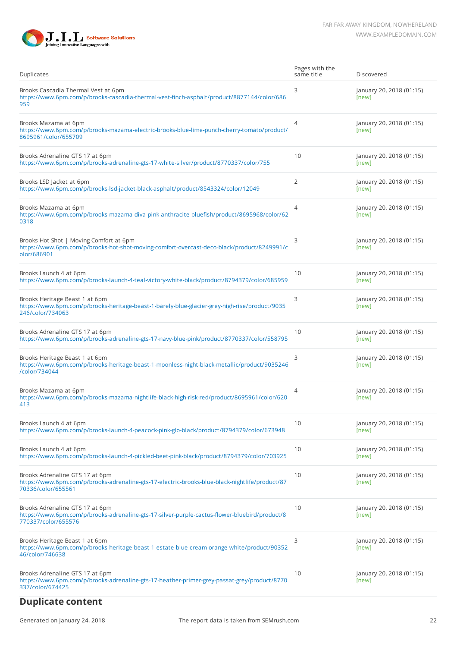

| Duplicates                                                                                                                                              | Pages with the<br>same title | Discovered                        |
|---------------------------------------------------------------------------------------------------------------------------------------------------------|------------------------------|-----------------------------------|
| Brooks Cascadia Thermal Vest at 6pm<br>https://www.6pm.com/p/brooks-cascadia-thermal-vest-finch-asphalt/product/8877144/color/686<br>959                | 3                            | January 20, 2018 (01:15)<br>[new] |
| Brooks Mazama at 6pm<br>https://www.6pm.com/p/brooks-mazama-electric-brooks-blue-lime-punch-cherry-tomato/product/<br>8695961/color/655709              | $\overline{4}$               | January 20, 2018 (01:15)<br>[new] |
| Brooks Adrenaline GTS 17 at 6pm<br>https://www.6pm.com/p/brooks-adrenaline-gts-17-white-silver/product/8770337/color/755                                | 10                           | January 20, 2018 (01:15)<br>[new] |
| Brooks LSD Jacket at 6pm<br>https://www.6pm.com/p/brooks-lsd-jacket-black-asphalt/product/8543324/color/12049                                           | $\overline{2}$               | January 20, 2018 (01:15)<br>[new] |
| Brooks Mazama at 6pm<br>https://www.6pm.com/p/brooks-mazama-diva-pink-anthracite-bluefish/product/8695968/color/62<br>0318                              | $\overline{4}$               | January 20, 2018 (01:15)<br>[new] |
| Brooks Hot Shot   Moving Comfort at 6pm<br>https://www.6pm.com/p/brooks-hot-shot-moving-comfort-overcast-deco-black/product/8249991/c<br>olor/686901    | 3                            | January 20, 2018 (01:15)<br>[new] |
| Brooks Launch 4 at 6pm<br>https://www.6pm.com/p/brooks-launch-4-teal-victory-white-black/product/8794379/color/685959                                   | 10                           | January 20, 2018 (01:15)<br>[new] |
| Brooks Heritage Beast 1 at 6pm<br>https://www.6pm.com/p/brooks-heritage-beast-1-barely-blue-glacier-grey-high-rise/product/9035<br>246/color/734063     | 3                            | January 20, 2018 (01:15)<br>[new] |
| Brooks Adrenaline GTS 17 at 6pm<br>https://www.6pm.com/p/brooks-adrenaline-gts-17-navy-blue-pink/product/8770337/color/558795                           | 10                           | January 20, 2018 (01:15)<br>[new] |
| Brooks Heritage Beast 1 at 6pm<br>https://www.6pm.com/p/brooks-heritage-beast-1-moonless-night-black-metallic/product/9035246<br>/color/734044          | 3                            | January 20, 2018 (01:15)<br>[new] |
| Brooks Mazama at 6pm<br>https://www.6pm.com/p/brooks-mazama-nightlife-black-high-risk-red/product/8695961/color/620<br>413                              | $\overline{4}$               | January 20, 2018 (01:15)<br>[new] |
| Brooks Launch 4 at 6pm<br>https://www.6pm.com/p/brooks-launch-4-peacock-pink-glo-black/product/8794379/color/673948                                     | 10                           | January 20, 2018 (01:15)<br>[new] |
| Brooks Launch 4 at 6pm<br>https://www.6pm.com/p/brooks-launch-4-pickled-beet-pink-black/product/8794379/color/703925                                    | 10                           | January 20, 2018 (01:15)<br>[new] |
| Brooks Adrenaline GTS 17 at 6pm<br>https://www.6pm.com/p/brooks-adrenaline-gts-17-electric-brooks-blue-black-nightlife/product/87<br>70336/color/655561 | 10                           | January 20, 2018 (01:15)<br>[new] |
| Brooks Adrenaline GTS 17 at 6pm<br>https://www.6pm.com/p/brooks-adrenaline-gts-17-silver-purple-cactus-flower-bluebird/product/8<br>770337/color/655576 | 10                           | January 20, 2018 (01:15)<br>[new] |
| Brooks Heritage Beast 1 at 6pm<br>https://www.6pm.com/p/brooks-heritage-beast-1-estate-blue-cream-orange-white/product/90352<br>46/color/746638         | 3                            | January 20, 2018 (01:15)<br>[new] |
| Brooks Adrenaline GTS 17 at 6pm<br>https://www.6pm.com/p/brooks-adrenaline-gts-17-heather-primer-grey-passat-grey/product/8770<br>337/color/674425      | 10                           | January 20, 2018 (01:15)<br>[new] |
| <b>Duplicate content</b>                                                                                                                                |                              |                                   |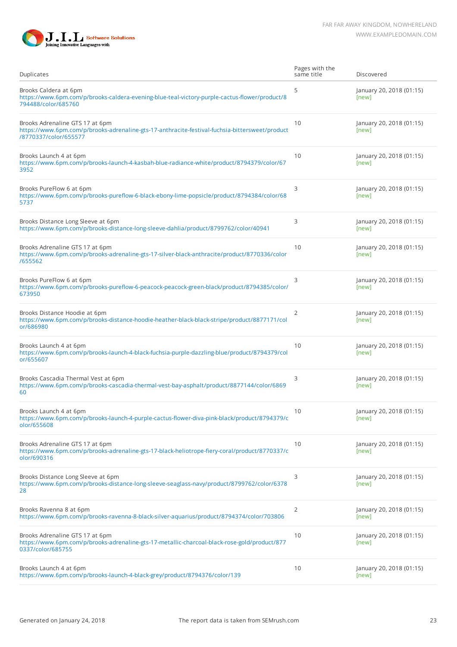

| Duplicates                                                                                                                                                 | Pages with the<br>same title | Discovered                        |
|------------------------------------------------------------------------------------------------------------------------------------------------------------|------------------------------|-----------------------------------|
| Brooks Caldera at 6pm<br>https://www.6pm.com/p/brooks-caldera-evening-blue-teal-victory-purple-cactus-flower/product/8<br>794488/color/685760              | 5                            | January 20, 2018 (01:15)<br>[new] |
| Brooks Adrenaline GTS 17 at 6pm<br>https://www.6pm.com/p/brooks-adrenaline-gts-17-anthracite-festival-fuchsia-bittersweet/product<br>/8770337/color/655577 | 10                           | January 20, 2018 (01:15)<br>[new] |
| Brooks Launch 4 at 6pm<br>https://www.6pm.com/p/brooks-launch-4-kasbah-blue-radiance-white/product/8794379/color/67<br>3952                                | 10                           | January 20, 2018 (01:15)<br>[new] |
| Brooks PureFlow 6 at 6pm<br>https://www.6pm.com/p/brooks-pureflow-6-black-ebony-lime-popsicle/product/8794384/color/68<br>5737                             | 3                            | January 20, 2018 (01:15)<br>[new] |
| Brooks Distance Long Sleeve at 6pm<br>https://www.6pm.com/p/brooks-distance-long-sleeve-dahlia/product/8799762/color/40941                                 | 3                            | January 20, 2018 (01:15)<br>[new] |
| Brooks Adrenaline GTS 17 at 6pm<br>https://www.6pm.com/p/brooks-adrenaline-gts-17-silver-black-anthracite/product/8770336/color<br>/655562                 | 10                           | January 20, 2018 (01:15)<br>[new] |
| Brooks PureFlow 6 at 6pm<br>https://www.6pm.com/p/brooks-pureflow-6-peacock-peacock-green-black/product/8794385/color/<br>673950                           | 3                            | January 20, 2018 (01:15)<br>[new] |
| Brooks Distance Hoodie at 6pm<br>https://www.6pm.com/p/brooks-distance-hoodie-heather-black-black-stripe/product/8877171/col<br>or/686980                  | 2                            | January 20, 2018 (01:15)<br>[new] |
| Brooks Launch 4 at 6pm<br>https://www.6pm.com/p/brooks-launch-4-black-fuchsia-purple-dazzling-blue/product/8794379/col<br>or/655607                        | 10                           | January 20, 2018 (01:15)<br>[new] |
| Brooks Cascadia Thermal Vest at 6pm<br>https://www.6pm.com/p/brooks-cascadia-thermal-vest-bay-asphalt/product/8877144/color/6869<br>60                     | 3                            | January 20, 2018 (01:15)<br>[new] |
| Brooks Launch 4 at 6pm<br>https://www.6pm.com/p/brooks-launch-4-purple-cactus-flower-diva-pink-black/product/8794379/c<br>olor/655608                      | 10                           | January 20, 2018 (01:15)<br>[new] |
| Brooks Adrenaline GTS 17 at 6pm<br>https://www.6pm.com/p/brooks-adrenaline-gts-17-black-heliotrope-fiery-coral/product/8770337/c<br>olor/690316            | 10                           | January 20, 2018 (01:15)<br>[new] |
| Brooks Distance Long Sleeve at 6pm<br>https://www.6pm.com/p/brooks-distance-long-sleeve-seaglass-navy/product/8799762/color/6378<br>28                     | 3                            | January 20, 2018 (01:15)<br>[new] |
| Brooks Ravenna 8 at 6pm<br>https://www.6pm.com/p/brooks-ravenna-8-black-silver-aquarius/product/8794374/color/703806                                       | $\overline{2}$               | January 20, 2018 (01:15)<br>[new] |
| Brooks Adrenaline GTS 17 at 6pm<br>https://www.6pm.com/p/brooks-adrenaline-gts-17-metallic-charcoal-black-rose-gold/product/877<br>0337/color/685755       | 10                           | January 20, 2018 (01:15)<br>[new] |
| Brooks Launch 4 at 6pm<br>https://www.6pm.com/p/brooks-launch-4-black-grey/product/8794376/color/139                                                       | 10                           | January 20, 2018 (01:15)<br>[new] |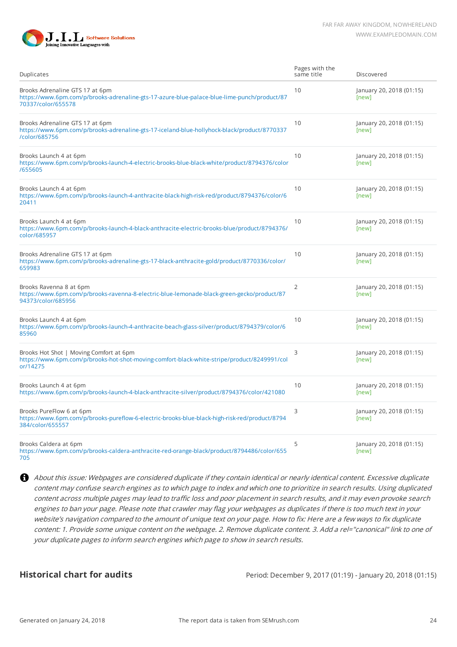

| Duplicates                                                                                                                                           | Pages with the<br>same title | Discovered                        |
|------------------------------------------------------------------------------------------------------------------------------------------------------|------------------------------|-----------------------------------|
| Brooks Adrenaline GTS 17 at 6pm<br>https://www.6pm.com/p/brooks-adrenaline-gts-17-azure-blue-palace-blue-lime-punch/product/87<br>70337/color/655578 | 10                           | January 20, 2018 (01:15)<br>[new] |
| Brooks Adrenaline GTS 17 at 6pm<br>https://www.6pm.com/p/brooks-adrenaline-gts-17-iceland-blue-hollyhock-black/product/8770337<br>/color/685756      | 10                           | January 20, 2018 (01:15)<br>[new] |
| Brooks Launch 4 at 6pm<br>https://www.6pm.com/p/brooks-launch-4-electric-brooks-blue-black-white/product/8794376/color<br>/655605                    | 10                           | January 20, 2018 (01:15)<br>[new] |
| Brooks Launch 4 at 6pm<br>https://www.6pm.com/p/brooks-launch-4-anthracite-black-high-risk-red/product/8794376/color/6<br>20411                      | 10                           | January 20, 2018 (01:15)<br>[new] |
| Brooks Launch 4 at 6pm<br>https://www.6pm.com/p/brooks-launch-4-black-anthracite-electric-brooks-blue/product/8794376/<br>color/685957               | 10                           | January 20, 2018 (01:15)<br>[new] |
| Brooks Adrenaline GTS 17 at 6pm<br>https://www.6pm.com/p/brooks-adrenaline-gts-17-black-anthracite-gold/product/8770336/color/<br>659983             | 10                           | January 20, 2018 (01:15)<br>[new] |
| Brooks Ravenna 8 at 6pm<br>https://www.6pm.com/p/brooks-ravenna-8-electric-blue-lemonade-black-green-gecko/product/87<br>94373/color/685956          | $\overline{2}$               | January 20, 2018 (01:15)<br>[new] |
| Brooks Launch 4 at 6pm<br>https://www.6pm.com/p/brooks-launch-4-anthracite-beach-glass-silver/product/8794379/color/6<br>85960                       | 10                           | January 20, 2018 (01:15)<br>[new] |
| Brooks Hot Shot   Moving Comfort at 6pm<br>https://www.6pm.com/p/brooks-hot-shot-moving-comfort-black-white-stripe/product/8249991/col<br>or/14275   | 3                            | January 20, 2018 (01:15)<br>[new] |
| Brooks Launch 4 at 6pm<br>https://www.6pm.com/p/brooks-launch-4-black-anthracite-silver/product/8794376/color/421080                                 | 10                           | January 20, 2018 (01:15)<br>[new] |
| Brooks PureFlow 6 at 6pm<br>https://www.6pm.com/p/brooks-pureflow-6-electric-brooks-blue-black-high-risk-red/product/8794<br>384/color/655557        | 3                            | January 20, 2018 (01:15)<br>[new] |
| Brooks Caldera at 6pm<br>https://www.6pm.com/p/brooks-caldera-anthracite-red-orange-black/product/8794486/color/655<br>705                           | 5                            | January 20, 2018 (01:15)<br>[new] |

About this issue: Webpages are considered duplicate if they contain identical or nearly identical content. Excessive duplicate content may confuse search engines as to which page to index and which one to prioritize in search results. Using duplicated content across multiple pages may lead to traffic loss and poor placement in search results, and it may even provoke search engines to ban your page. Please note that crawler may flag your webpages as duplicates if there is too much text in your website's navigation compared to the amount of unique text on your page. How to fix: Here are a few ways to fix duplicate content: 1. Provide some unique content on the webpage. 2. Remove duplicate content. 3. Add a rel="canonical" link to one of your duplicate pages to inform search engines which page to show in search results.

**Historical chart for audits Historical chart for audits** Period: December 9, 2017 (01:19) - January 20, 2018 (01:15)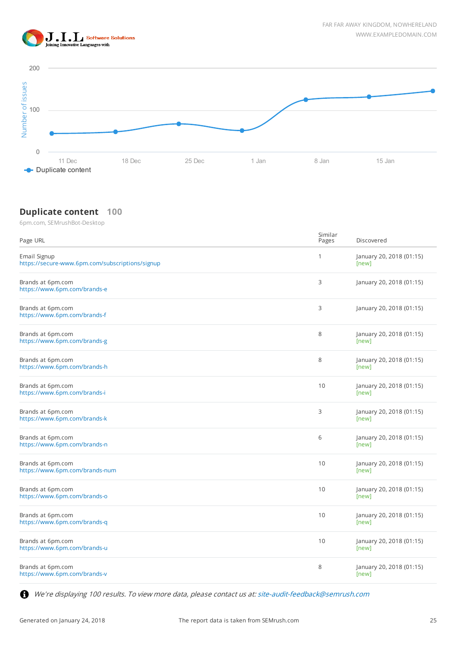



#### **Duplicate content 100**

6pm.com, SEMrushBot-Desktop

| Page URL                                                        | Similar<br>Pages | Discovered                        |
|-----------------------------------------------------------------|------------------|-----------------------------------|
| Email Signup<br>https://secure-www.6pm.com/subscriptions/signup | $\mathbf{1}$     | January 20, 2018 (01:15)<br>[new] |
| Brands at 6pm.com<br>https://www.6pm.com/brands-e               | 3                | January 20, 2018 (01:15)          |
| Brands at 6pm.com<br>https://www.6pm.com/brands-f               | 3                | January 20, 2018 (01:15)          |
| Brands at 6pm.com<br>https://www.6pm.com/brands-g               | 8                | January 20, 2018 (01:15)<br>[new] |
| Brands at 6pm.com<br>https://www.6pm.com/brands-h               | 8                | January 20, 2018 (01:15)<br>[new] |
| Brands at 6pm.com<br>https://www.6pm.com/brands-i               | 10               | January 20, 2018 (01:15)<br>[new] |
| Brands at 6pm.com<br>https://www.6pm.com/brands-k               | 3                | January 20, 2018 (01:15)<br>[new] |
| Brands at 6pm.com<br>https://www.6pm.com/brands-n               | 6                | January 20, 2018 (01:15)<br>[new] |
| Brands at 6pm.com<br>https://www.6pm.com/brands-num             | 10               | January 20, 2018 (01:15)<br>[new] |
| Brands at 6pm.com<br>https://www.6pm.com/brands-o               | 10               | January 20, 2018 (01:15)<br>[new] |
| Brands at 6pm.com<br>https://www.6pm.com/brands-q               | 10               | January 20, 2018 (01:15)<br>[new] |
| Brands at 6pm.com<br>https://www.6pm.com/brands-u               | 10               | January 20, 2018 (01:15)<br>[new] |
| Brands at 6pm.com<br>https://www.6pm.com/brands-v               | 8                | January 20, 2018 (01:15)<br>[new] |

We're displaying 100 results. To view more data, please contact us at: [site-audit-feedback@semrush.com](mailto:site-audit-feedback@semrush.com)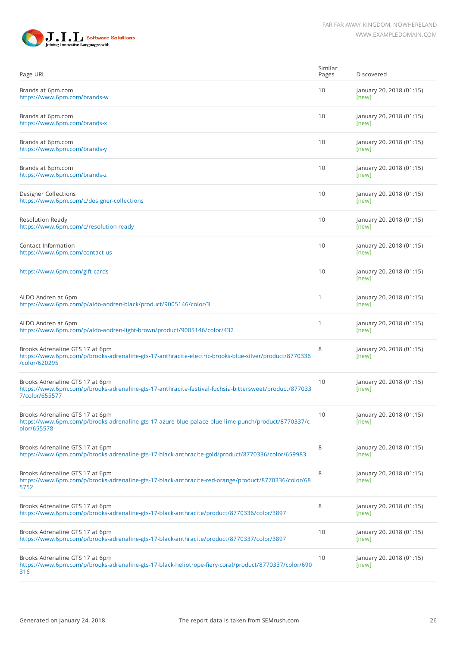



| Page URL                                                                                                                                                   | Similar<br>Pages | Discovered                        |
|------------------------------------------------------------------------------------------------------------------------------------------------------------|------------------|-----------------------------------|
| Brands at 6pm.com<br>https://www.6pm.com/brands-w                                                                                                          | 10               | January 20, 2018 (01:15)<br>[new] |
| Brands at 6pm.com<br>https://www.6pm.com/brands-x                                                                                                          | 10               | January 20, 2018 (01:15)<br>[new] |
| Brands at 6pm.com<br>https://www.6pm.com/brands-y                                                                                                          | 10               | January 20, 2018 (01:15)<br>[new] |
| Brands at 6pm.com<br>https://www.6pm.com/brands-z                                                                                                          | 10               | January 20, 2018 (01:15)<br>[new] |
| <b>Designer Collections</b><br>https://www.6pm.com/c/designer-collections                                                                                  | 10               | January 20, 2018 (01:15)<br>[new] |
| Resolution Ready<br>https://www.6pm.com/c/resolution-ready                                                                                                 | 10               | January 20, 2018 (01:15)<br>[new] |
| Contact Information<br>https://www.6pm.com/contact-us                                                                                                      | 10               | January 20, 2018 (01:15)<br>[new] |
| https://www.6pm.com/gift-cards                                                                                                                             | 10               | January 20, 2018 (01:15)<br>[new] |
| ALDO Andren at 6pm<br>https://www.6pm.com/p/aldo-andren-black/product/9005146/color/3                                                                      | 1                | January 20, 2018 (01:15)<br>[new] |
| ALDO Andren at 6pm<br>https://www.6pm.com/p/aldo-andren-light-brown/product/9005146/color/432                                                              | 1                | January 20, 2018 (01:15)<br>[new] |
| Brooks Adrenaline GTS 17 at 6pm<br>https://www.6pm.com/p/brooks-adrenaline-gts-17-anthracite-electric-brooks-blue-silver/product/8770336<br>/color/620295  | 8                | January 20, 2018 (01:15)<br>[new] |
| Brooks Adrenaline GTS 17 at 6pm<br>https://www.6pm.com/p/brooks-adrenaline-gts-17-anthracite-festival-fuchsia-bittersweet/product/877033<br>7/color/655577 | 10               | January 20, 2018 (01:15)<br>[new] |
| Brooks Adrenaline GTS 17 at 6pm<br>https://www.6pm.com/p/brooks-adrenaline-gts-17-azure-blue-palace-blue-lime-punch/product/8770337/c<br>olor/655578       | 10               | January 20, 2018 (01:15)<br>[new] |
| Brooks Adrenaline GTS 17 at 6pm<br>https://www.6pm.com/p/brooks-adrenaline-gts-17-black-anthracite-gold/product/8770336/color/659983                       | 8                | January 20, 2018 (01:15)<br>[new] |
| Brooks Adrenaline GTS 17 at 6pm<br>https://www.6pm.com/p/brooks-adrenaline-gts-17-black-anthracite-red-orange/product/8770336/color/68<br>5752             | 8                | January 20, 2018 (01:15)<br>[new] |
| Brooks Adrenaline GTS 17 at 6pm<br>https://www.6pm.com/p/brooks-adrenaline-gts-17-black-anthracite/product/8770336/color/3897                              | 8                | January 20, 2018 (01:15)<br>[new] |
| Brooks Adrenaline GTS 17 at 6pm<br>https://www.6pm.com/p/brooks-adrenaline-gts-17-black-anthracite/product/8770337/color/3897                              | 10               | January 20, 2018 (01:15)<br>[new] |
| Brooks Adrenaline GTS 17 at 6pm<br>https://www.6pm.com/p/brooks-adrenaline-gts-17-black-heliotrope-fiery-coral/product/8770337/color/690<br>316            | 10               | January 20, 2018 (01:15)<br>[new] |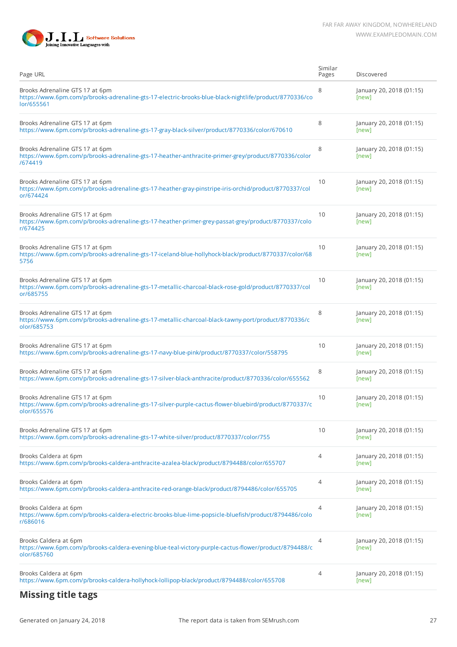

| Page URL                                                                                                                                                | Similar<br>Pages | Discovered                        |
|---------------------------------------------------------------------------------------------------------------------------------------------------------|------------------|-----------------------------------|
| Brooks Adrenaline GTS 17 at 6pm<br>https://www.6pm.com/p/brooks-adrenaline-gts-17-electric-brooks-blue-black-nightlife/product/8770336/co<br>lor/655561 | 8                | January 20, 2018 (01:15)<br>[new] |
| Brooks Adrenaline GTS 17 at 6pm<br>https://www.6pm.com/p/brooks-adrenaline-gts-17-gray-black-silver/product/8770336/color/670610                        | 8                | January 20, 2018 (01:15)<br>[new] |
| Brooks Adrenaline GTS 17 at 6pm<br>https://www.6pm.com/p/brooks-adrenaline-gts-17-heather-anthracite-primer-grey/product/8770336/color<br>/674419       | 8                | January 20, 2018 (01:15)<br>[new] |
| Brooks Adrenaline GTS 17 at 6pm<br>https://www.6pm.com/p/brooks-adrenaline-gts-17-heather-gray-pinstripe-iris-orchid/product/8770337/col<br>or/674424   | 10               | January 20, 2018 (01:15)<br>[new] |
| Brooks Adrenaline GTS 17 at 6pm<br>https://www.6pm.com/p/brooks-adrenaline-gts-17-heather-primer-grey-passat-grey/product/8770337/colo<br>r/674425      | 10               | January 20, 2018 (01:15)<br>[new] |
| Brooks Adrenaline GTS 17 at 6pm<br>https://www.6pm.com/p/brooks-adrenaline-gts-17-iceland-blue-hollyhock-black/product/8770337/color/68<br>5756         | 10               | January 20, 2018 (01:15)<br>[new] |
| Brooks Adrenaline GTS 17 at 6pm<br>https://www.6pm.com/p/brooks-adrenaline-gts-17-metallic-charcoal-black-rose-gold/product/8770337/col<br>or/685755    | 10               | January 20, 2018 (01:15)<br>[new] |
| Brooks Adrenaline GTS 17 at 6pm<br>https://www.6pm.com/p/brooks-adrenaline-gts-17-metallic-charcoal-black-tawny-port/product/8770336/c<br>olor/685753   | 8                | January 20, 2018 (01:15)<br>[new] |
| Brooks Adrenaline GTS 17 at 6pm<br>https://www.6pm.com/p/brooks-adrenaline-gts-17-navy-blue-pink/product/8770337/color/558795                           | 10               | January 20, 2018 (01:15)<br>[new] |
| Brooks Adrenaline GTS 17 at 6pm<br>https://www.6pm.com/p/brooks-adrenaline-gts-17-silver-black-anthracite/product/8770336/color/655562                  | 8                | January 20, 2018 (01:15)<br>[new] |
| Brooks Adrenaline GTS 17 at 6pm<br>https://www.6pm.com/p/brooks-adrenaline-gts-17-silver-purple-cactus-flower-bluebird/product/8770337/c<br>olor/655576 | 10               | January 20, 2018 (01:15)<br>[new] |
| Brooks Adrenaline GTS 17 at 6pm<br>https://www.6pm.com/p/brooks-adrenaline-gts-17-white-silver/product/8770337/color/755                                | 10               | January 20, 2018 (01:15)<br>[new] |
| Brooks Caldera at 6pm<br>https://www.6pm.com/p/brooks-caldera-anthracite-azalea-black/product/8794488/color/655707                                      | 4                | January 20, 2018 (01:15)<br>[new] |
| Brooks Caldera at 6pm<br>https://www.6pm.com/p/brooks-caldera-anthracite-red-orange-black/product/8794486/color/655705                                  | 4                | January 20, 2018 (01:15)<br>[new] |
| Brooks Caldera at 6pm<br>https://www.6pm.com/p/brooks-caldera-electric-brooks-blue-lime-popsicle-bluefish/product/8794486/colo<br>r/686016              | 4                | January 20, 2018 (01:15)<br>[new] |
| Brooks Caldera at 6pm<br>https://www.6pm.com/p/brooks-caldera-evening-blue-teal-victory-purple-cactus-flower/product/8794488/c<br>olor/685760           | 4                | January 20, 2018 (01:15)<br>[new] |
| Brooks Caldera at 6pm<br>https://www.6pm.com/p/brooks-caldera-hollyhock-lollipop-black/product/8794488/color/655708                                     | 4                | January 20, 2018 (01:15)<br>[new] |
|                                                                                                                                                         |                  |                                   |

### **Missing title tags**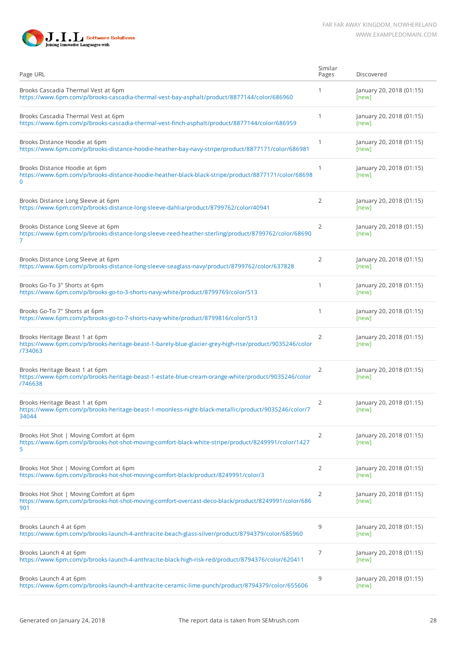



| Page URL                                                                                                                                             | Similar<br>Pages | Discovered                        |
|------------------------------------------------------------------------------------------------------------------------------------------------------|------------------|-----------------------------------|
| Brooks Cascadia Thermal Vest at 6pm<br>https://www.6pm.com/p/brooks-cascadia-thermal-vest-bay-asphalt/product/8877144/color/686960                   | 1                | January 20, 2018 (01:15)<br>[new] |
| Brooks Cascadia Thermal Vest at 6pm<br>https://www.6pm.com/p/brooks-cascadia-thermal-vest-finch-asphalt/product/8877144/color/686959                 | 1                | January 20, 2018 (01:15)<br>[new] |
| Brooks Distance Hoodie at 6pm<br>https://www.6pm.com/p/brooks-distance-hoodie-heather-bay-navy-stripe/product/8877171/color/686981                   | $\mathbf{1}$     | January 20, 2018 (01:15)<br>[new] |
| Brooks Distance Hoodie at 6pm<br>https://www.6pm.com/p/brooks-distance-hoodie-heather-black-black-stripe/product/8877171/color/68698<br>0            | $\mathbf{1}$     | January 20, 2018 (01:15)<br>[new] |
| Brooks Distance Long Sleeve at 6pm<br>https://www.6pm.com/p/brooks-distance-long-sleeve-dahlia/product/8799762/color/40941                           | $\overline{2}$   | January 20, 2018 (01:15)<br>[new] |
| Brooks Distance Long Sleeve at 6pm<br>https://www.6pm.com/p/brooks-distance-long-sleeve-reed-heather-sterling/product/8799762/color/68690<br>7       | 2                | January 20, 2018 (01:15)<br>[new] |
| Brooks Distance Long Sleeve at 6pm<br>https://www.6pm.com/p/brooks-distance-long-sleeve-seaglass-navy/product/8799762/color/637828                   | $\overline{2}$   | January 20, 2018 (01:15)<br>[new] |
| Brooks Go-To 3" Shorts at 6pm<br>https://www.6pm.com/p/brooks-go-to-3-shorts-navy-white/product/8799769/color/513                                    | $\mathbf{1}$     | January 20, 2018 (01:15)<br>[new] |
| Brooks Go-To 7" Shorts at 6pm<br>https://www.6pm.com/p/brooks-go-to-7-shorts-navy-white/product/8799816/color/513                                    | $\mathbf{1}$     | January 20, 2018 (01:15)<br>[new] |
| Brooks Heritage Beast 1 at 6pm<br>https://www.6pm.com/p/brooks-heritage-beast-1-barely-blue-glacier-grey-high-rise/product/9035246/color<br>/734063  | 2                | January 20, 2018 (01:15)<br>[new] |
| Brooks Heritage Beast 1 at 6pm<br>https://www.6pm.com/p/brooks-heritage-beast-1-estate-blue-cream-orange-white/product/9035246/color<br>/746638      | $\overline{2}$   | January 20, 2018 (01:15)<br>[new] |
| Brooks Heritage Beast 1 at 6pm<br>https://www.6pm.com/p/brooks-heritage-beast-1-moonless-night-black-metallic/product/9035246/color/7<br>34044       | $\overline{2}$   | January 20, 2018 (01:15)<br>[new] |
| Brooks Hot Shot   Moving Comfort at 6pm<br>https://www.6pm.com/p/brooks-hot-shot-moving-comfort-black-white-stripe/product/8249991/color/1427<br>5   | 2                | January 20, 2018 (01:15)<br>[new] |
| Brooks Hot Shot   Moving Comfort at 6pm<br>https://www.6pm.com/p/brooks-hot-shot-moving-comfort-black/product/8249991/color/3                        | $\overline{2}$   | January 20, 2018 (01:15)<br>[new] |
| Brooks Hot Shot   Moving Comfort at 6pm<br>https://www.6pm.com/p/brooks-hot-shot-moving-comfort-overcast-deco-black/product/8249991/color/686<br>901 | 2                | January 20, 2018 (01:15)<br>[new] |
| Brooks Launch 4 at 6pm<br>https://www.6pm.com/p/brooks-launch-4-anthracite-beach-glass-silver/product/8794379/color/685960                           | 9                | January 20, 2018 (01:15)<br>[new] |
| Brooks Launch 4 at 6pm<br>https://www.6pm.com/p/brooks-launch-4-anthracite-black-high-risk-red/product/8794376/color/620411                          | 7                | January 20, 2018 (01:15)<br>[new] |
| Brooks Launch 4 at 6pm<br>https://www.6pm.com/p/brooks-launch-4-anthracite-ceramic-lime-punch/product/8794379/color/655606                           | 9                | January 20, 2018 (01:15)<br>[new] |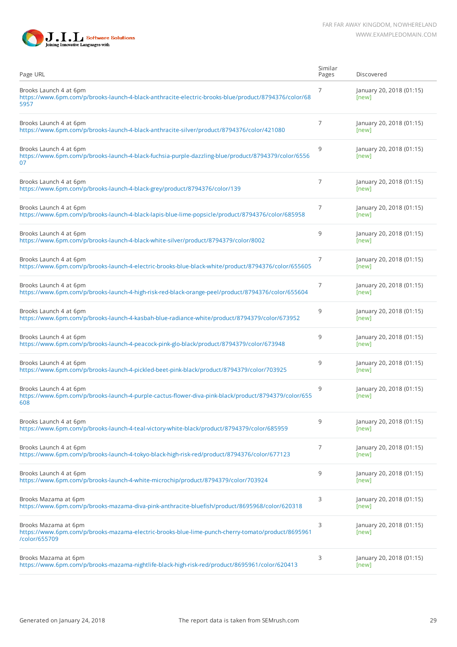

| Page URL                                                                                                                                   | Similar<br>Pages | Discovered                        |
|--------------------------------------------------------------------------------------------------------------------------------------------|------------------|-----------------------------------|
| Brooks Launch 4 at 6pm<br>https://www.6pm.com/p/brooks-launch-4-black-anthracite-electric-brooks-blue/product/8794376/color/68<br>5957     | 7                | January 20, 2018 (01:15)<br>[new] |
| Brooks Launch 4 at 6pm<br>https://www.6pm.com/p/brooks-launch-4-black-anthracite-silver/product/8794376/color/421080                       | 7                | January 20, 2018 (01:15)<br>[new] |
| Brooks Launch 4 at 6pm<br>https://www.6pm.com/p/brooks-launch-4-black-fuchsia-purple-dazzling-blue/product/8794379/color/6556<br>07        | 9                | January 20, 2018 (01:15)<br>[new] |
| Brooks Launch 4 at 6pm<br>https://www.6pm.com/p/brooks-launch-4-black-grey/product/8794376/color/139                                       | $\overline{7}$   | January 20, 2018 (01:15)<br>[new] |
| Brooks Launch 4 at 6pm<br>https://www.6pm.com/p/brooks-launch-4-black-lapis-blue-lime-popsicle/product/8794376/color/685958                | 7                | January 20, 2018 (01:15)<br>[new] |
| Brooks Launch 4 at 6pm<br>https://www.6pm.com/p/brooks-launch-4-black-white-silver/product/8794379/color/8002                              | 9                | January 20, 2018 (01:15)<br>[new] |
| Brooks Launch 4 at 6pm<br>https://www.6pm.com/p/brooks-launch-4-electric-brooks-blue-black-white/product/8794376/color/655605              | 7                | January 20, 2018 (01:15)<br>[new] |
| Brooks Launch 4 at 6pm<br>https://www.6pm.com/p/brooks-launch-4-high-risk-red-black-orange-peel/product/8794376/color/655604               | 7                | January 20, 2018 (01:15)<br>[new] |
| Brooks Launch 4 at 6pm<br>https://www.6pm.com/p/brooks-launch-4-kasbah-blue-radiance-white/product/8794379/color/673952                    | 9                | January 20, 2018 (01:15)<br>[new] |
| Brooks Launch 4 at 6pm<br>https://www.6pm.com/p/brooks-launch-4-peacock-pink-glo-black/product/8794379/color/673948                        | 9                | January 20, 2018 (01:15)<br>[new] |
| Brooks Launch 4 at 6pm<br>https://www.6pm.com/p/brooks-launch-4-pickled-beet-pink-black/product/8794379/color/703925                       | 9                | January 20, 2018 (01:15)<br>[new] |
| Brooks Launch 4 at 6pm<br>https://www.6pm.com/p/brooks-launch-4-purple-cactus-flower-diva-pink-black/product/8794379/color/655<br>608      | 9                | January 20, 2018 (01:15)<br>[new] |
| Brooks Launch 4 at 6pm<br>https://www.6pm.com/p/brooks-launch-4-teal-victory-white-black/product/8794379/color/685959                      | 9                | January 20, 2018 (01:15)<br>[new] |
| Brooks Launch 4 at 6pm<br>https://www.6pm.com/p/brooks-launch-4-tokyo-black-high-risk-red/product/8794376/color/677123                     | 7                | January 20, 2018 (01:15)<br>[new] |
| Brooks Launch 4 at 6pm<br>https://www.6pm.com/p/brooks-launch-4-white-microchip/product/8794379/color/703924                               | 9                | January 20, 2018 (01:15)<br>[new] |
| Brooks Mazama at 6pm<br>https://www.6pm.com/p/brooks-mazama-diva-pink-anthracite-bluefish/product/8695968/color/620318                     | 3                | January 20, 2018 (01:15)<br>[new] |
| Brooks Mazama at 6pm<br>https://www.6pm.com/p/brooks-mazama-electric-brooks-blue-lime-punch-cherry-tomato/product/8695961<br>/color/655709 | 3                | January 20, 2018 (01:15)<br>[new] |
| Brooks Mazama at 6pm<br>https://www.6pm.com/p/brooks-mazama-nightlife-black-high-risk-red/product/8695961/color/620413                     | 3                | January 20, 2018 (01:15)<br>[new] |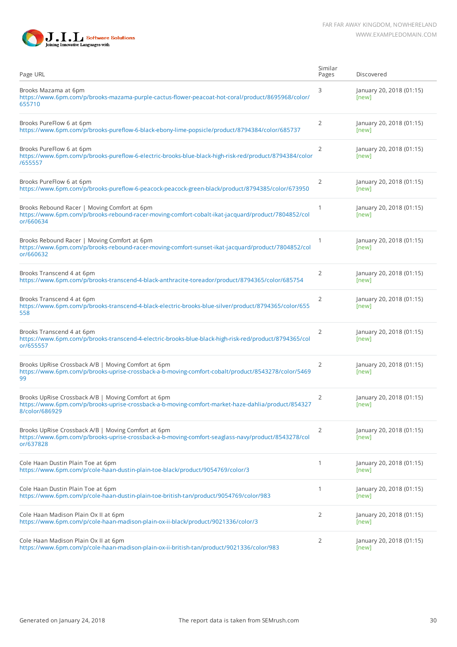

| Page URL                                                                                                                                                                    | Similar<br>Pages | Discovered                        |
|-----------------------------------------------------------------------------------------------------------------------------------------------------------------------------|------------------|-----------------------------------|
| Brooks Mazama at 6pm<br>https://www.6pm.com/p/brooks-mazama-purple-cactus-flower-peacoat-hot-coral/product/8695968/color/<br>655710                                         | 3                | January 20, 2018 (01:15)<br>[new] |
| Brooks PureFlow 6 at 6pm<br>https://www.6pm.com/p/brooks-pureflow-6-black-ebony-lime-popsicle/product/8794384/color/685737                                                  | $\overline{2}$   | January 20, 2018 (01:15)<br>[new] |
| Brooks PureFlow 6 at 6pm<br>https://www.6pm.com/p/brooks-pureflow-6-electric-brooks-blue-black-high-risk-red/product/8794384/color<br>/655557                               | $\overline{2}$   | January 20, 2018 (01:15)<br>[new] |
| Brooks PureFlow 6 at 6pm<br>https://www.6pm.com/p/brooks-pureflow-6-peacock-peacock-green-black/product/8794385/color/673950                                                | 2                | January 20, 2018 (01:15)<br>[new] |
| Brooks Rebound Racer   Moving Comfort at 6pm<br>https://www.6pm.com/p/brooks-rebound-racer-moving-comfort-cobalt-ikat-jacquard/product/7804852/col<br>or/660634             | 1                | January 20, 2018 (01:15)<br>[new] |
| Brooks Rebound Racer   Moving Comfort at 6pm<br>https://www.6pm.com/p/brooks-rebound-racer-moving-comfort-sunset-ikat-jacquard/product/7804852/col<br>or/660632             | $\mathbf{1}$     | January 20, 2018 (01:15)<br>[new] |
| Brooks Transcend 4 at 6pm<br>https://www.6pm.com/p/brooks-transcend-4-black-anthracite-toreador/product/8794365/color/685754                                                | $\overline{2}$   | January 20, 2018 (01:15)<br>[new] |
| Brooks Transcend 4 at 6pm<br>https://www.6pm.com/p/brooks-transcend-4-black-electric-brooks-blue-silver/product/8794365/color/655<br>558                                    | $\overline{2}$   | January 20, 2018 (01:15)<br>[new] |
| Brooks Transcend 4 at 6pm<br>https://www.6pm.com/p/brooks-transcend-4-electric-brooks-blue-black-high-risk-red/product/8794365/col<br>or/655557                             | $\overline{2}$   | January 20, 2018 (01:15)<br>[new] |
| Brooks UpRise Crossback A/B   Moving Comfort at 6pm<br>https://www.6pm.com/p/brooks-uprise-crossback-a-b-moving-comfort-cobalt/product/8543278/color/5469<br>99             | $\overline{2}$   | January 20, 2018 (01:15)<br>[new] |
| Brooks UpRise Crossback A/B   Moving Comfort at 6pm<br>https://www.6pm.com/p/brooks-uprise-crossback-a-b-moving-comfort-market-haze-dahlia/product/854327<br>8/color/686929 | 2                | January 20, 2018 (01:15)<br>[new] |
| Brooks UpRise Crossback A/B   Moving Comfort at 6pm<br>https://www.6pm.com/p/brooks-uprise-crossback-a-b-moving-comfort-seaglass-navy/product/8543278/col<br>or/637828      | $\overline{2}$   | January 20, 2018 (01:15)<br>[new] |
| Cole Haan Dustin Plain Toe at 6pm<br>https://www.6pm.com/p/cole-haan-dustin-plain-toe-black/product/9054769/color/3                                                         | $\mathbf{1}$     | January 20, 2018 (01:15)<br>[new] |
| Cole Haan Dustin Plain Toe at 6pm<br>https://www.6pm.com/p/cole-haan-dustin-plain-toe-british-tan/product/9054769/color/983                                                 | $\mathbf{1}$     | January 20, 2018 (01:15)<br>[new] |
| Cole Haan Madison Plain Ox II at 6pm<br>https://www.6pm.com/p/cole-haan-madison-plain-ox-ii-black/product/9021336/color/3                                                   | $\overline{2}$   | January 20, 2018 (01:15)<br>[new] |
| Cole Haan Madison Plain Ox II at 6pm<br>https://www.6pm.com/p/cole-haan-madison-plain-ox-ii-british-tan/product/9021336/color/983                                           | $\overline{2}$   | January 20, 2018 (01:15)<br>[new] |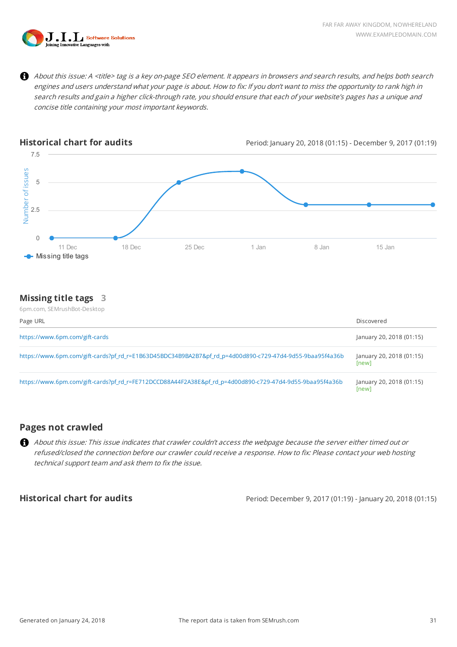

 $\mathbf \Theta$ About this issue: A <title> tag is a key on-page SEO element. It appears in browsers and search results, and helps both search engines and users understand what your page is about. How to fix: If you don't want to miss the opportunity to rank high in search results and gain a higher click-through rate, you should ensure that each of your website's pages has a unique and concise title containing your most important keywords.



#### **Missing title tags 3**

| 6pm.com, SEMrushBot-Desktop                                                                              |                                   |
|----------------------------------------------------------------------------------------------------------|-----------------------------------|
| Page URL                                                                                                 | Discovered                        |
| https://www.6pm.com/gift-cards                                                                           | January 20, 2018 (01:15)          |
| https://www.6pm.com/gift-cards?pf_rd_r=E1B63D45BDC34B9BA2B7&pf_rd_p=4d00d890-c729-47d4-9d55-9baa95f4a36b | January 20, 2018 (01:15)<br>[new] |
| https://www.6pm.com/gift-cards?pf_rd_r=FE712DCCD88A44F2A38E&pf_rd_p=4d00d890-c729-47d4-9d55-9baa95f4a36b | January 20, 2018 (01:15)<br>[new] |

#### **Pages not crawled**

About this issue: This issue indicates that crawler couldn't access the webpage because the server either timed out or refused/closed the connection before our crawler could receive a response. How to fix: Please contact your web hosting technical support team and ask them to fix the issue.

**Historical chart for audits** Period: December 9, 2017 (01:19) - January 20, 2018 (01:15)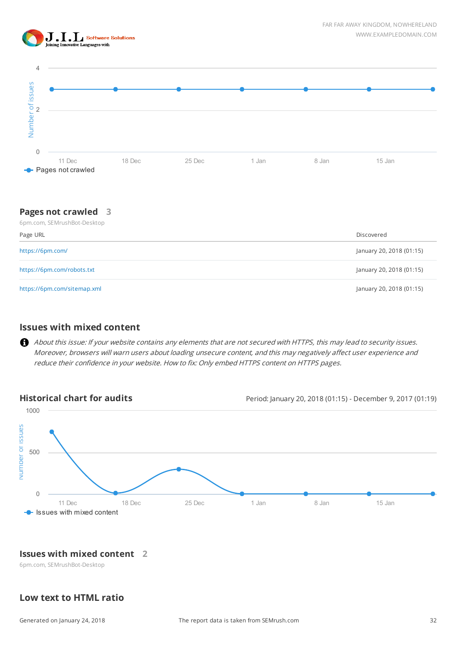



#### **Pages not crawled 3** 6pm.com, SEMrushBot-Desktop

| OPHILCOHI, DEIVILUSHDOL-DESKLOP |                          |
|---------------------------------|--------------------------|
| Page URL                        | Discovered               |
| https://6pm.com/                | January 20, 2018 (01:15) |
| https://6pm.com/robots.txt      | January 20, 2018 (01:15) |
| https://6pm.com/sitemap.xml     | January 20, 2018 (01:15) |

#### **Issues with mixed content**

About this issue: If your website contains any elements that are not secured with HTTPS, this may lead to security issues. Moreover, browsers will warn users about loading unsecure content, and this may negatively affect user experience and reduce their confidence in your website. How to fix: Only embed HTTPS content on HTTPS pages.



#### **Issues with mixed content 2**

6pm.com, SEMrushBot-Desktop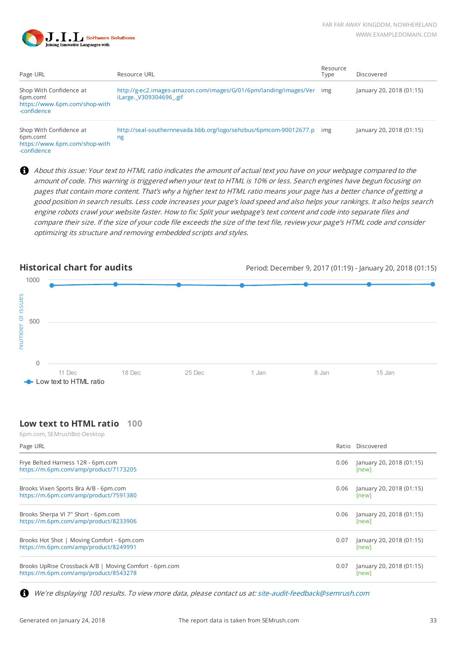

| Page URL                                                                            | Resource URL                                                                                     | Resource<br>Tvpe | Discovered               |
|-------------------------------------------------------------------------------------|--------------------------------------------------------------------------------------------------|------------------|--------------------------|
| Shop With Confidence at<br>6pm.com!<br>https://www.6pm.com/shop-with<br>-confidence | http://g-ec2.images-amazon.com/images/G/01/6pm/landing/images/Ver img<br>iLarge. V309304696 .gif |                  | January 20, 2018 (01:15) |
| Shop With Confidence at<br>6pm.com!<br>http://www.Gnm.com/chonwith                  | http://seal-southernnevada.bbb.org/logo/sehzbus/6pmcom-90012677.p img<br>ng                      |                  | January 20, 2018 (01:15) |

[https://www.6pm.com/shop-with](https://www.6pm.com/shop-with-confidence) -confidence

About this issue: Your text to HTML ratio indicates the amount of actual text you have on your webpage compared to the amount of code. This warning is triggered when your text to HTML is 10% or less. Search engines have begun focusing on pages that contain more content. That's why a higher text to HTML ratio means your page has a better chance of getting a good position in search results. Less code increases your page's load speed and also helps your rankings. It also helps search engine robots crawl your website faster. How to fix: Split your webpage's text content and code into separate files and compare their size. If the size of your code file exceeds the size of the text file, review your page's HTML code and consider optimizing its structure and removing embedded scripts and styles.



### **Low text to HTML ratio 100**

6pm.com, SEMrushBot-Desktop

| Page URL                                                                                        |      | Ratio Discovered                  |
|-------------------------------------------------------------------------------------------------|------|-----------------------------------|
| Frye Belted Harness 12R - 6pm.com<br>https://m.6pm.com/amp/product/7173205                      | 0.06 | January 20, 2018 (01:15)<br>[new] |
| Brooks Vixen Sports Bra A/B - 6pm.com<br>https://m.6pm.com/amp/product/7591380                  | 0.06 | January 20, 2018 (01:15)<br>[new] |
| Brooks Sherpa VI 7" Short - 6pm.com<br>https://m.6pm.com/amp/product/8233906                    | 0.06 | January 20, 2018 (01:15)<br>[new] |
| Brooks Hot Shot   Moving Comfort - 6pm.com<br>https://m.6pm.com/amp/product/8249991             | 0.07 | January 20, 2018 (01:15)<br>[new] |
| Brooks UpRise Crossback A/B   Moving Comfort - 6pm.com<br>https://m.6pm.com/amp/product/8543278 | 0.07 | January 20, 2018 (01:15)<br>[new] |

We're displaying 100 results. To view more data, please contact us at: [site-audit-feedback@semrush.com](mailto:site-audit-feedback@semrush.com) A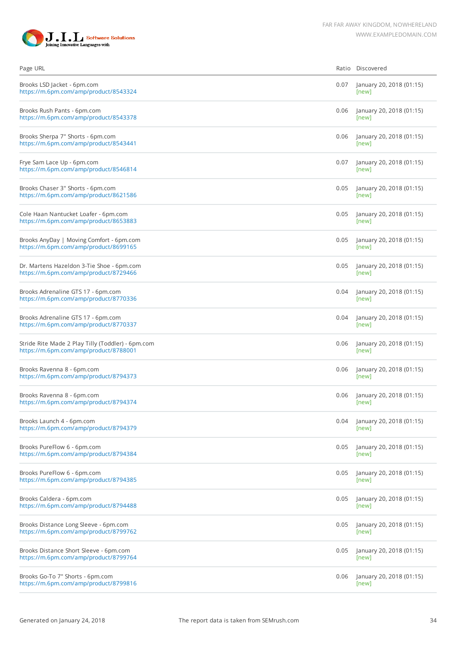

| Page URL                                                                                   | Ratio | Discovered                        |
|--------------------------------------------------------------------------------------------|-------|-----------------------------------|
| Brooks LSD Jacket - 6pm.com<br>https://m.6pm.com/amp/product/8543324                       | 0.07  | January 20, 2018 (01:15)<br>[new] |
| Brooks Rush Pants - 6pm.com<br>https://m.6pm.com/amp/product/8543378                       | 0.06  | January 20, 2018 (01:15)<br>[new] |
| Brooks Sherpa 7" Shorts - 6pm.com<br>https://m.6pm.com/amp/product/8543441                 | 0.06  | January 20, 2018 (01:15)<br>[new] |
| Frye Sam Lace Up - 6pm.com<br>https://m.6pm.com/amp/product/8546814                        | 0.07  | January 20, 2018 (01:15)<br>[new] |
| Brooks Chaser 3" Shorts - 6pm.com<br>https://m.6pm.com/amp/product/8621586                 | 0.05  | January 20, 2018 (01:15)<br>[new] |
| Cole Haan Nantucket Loafer - 6pm.com<br>https://m.6pm.com/amp/product/8653883              | 0.05  | January 20, 2018 (01:15)<br>[new] |
| Brooks AnyDay   Moving Comfort - 6pm.com<br>https://m.6pm.com/amp/product/8699165          | 0.05  | January 20, 2018 (01:15)<br>[new] |
| Dr. Martens Hazeldon 3-Tie Shoe - 6pm.com<br>https://m.6pm.com/amp/product/8729466         | 0.05  | January 20, 2018 (01:15)<br>[new] |
| Brooks Adrenaline GTS 17 - 6pm.com<br>https://m.6pm.com/amp/product/8770336                | 0.04  | January 20, 2018 (01:15)<br>[new] |
| Brooks Adrenaline GTS 17 - 6pm.com<br>https://m.6pm.com/amp/product/8770337                | 0.04  | January 20, 2018 (01:15)<br>[new] |
| Stride Rite Made 2 Play Tilly (Toddler) - 6pm.com<br>https://m.6pm.com/amp/product/8788001 | 0.06  | January 20, 2018 (01:15)<br>[new] |
| Brooks Ravenna 8 - 6pm.com<br>https://m.6pm.com/amp/product/8794373                        | 0.06  | January 20, 2018 (01:15)<br>[new] |
| Brooks Ravenna 8 - 6pm.com<br>https://m.6pm.com/amp/product/8794374                        | 0.06  | January 20, 2018 (01:15)<br>[new] |
| Brooks Launch 4 - 6pm.com<br>https://m.6pm.com/amp/product/8794379                         | 0.04  | January 20, 2018 (01:15)<br>[new] |
| Brooks PureFlow 6 - 6pm.com<br>https://m.6pm.com/amp/product/8794384                       | 0.05  | January 20, 2018 (01:15)<br>[new] |
| Brooks PureFlow 6 - 6pm.com<br>https://m.6pm.com/amp/product/8794385                       | 0.05  | January 20, 2018 (01:15)<br>[new] |
| Brooks Caldera - 6pm.com<br>https://m.6pm.com/amp/product/8794488                          | 0.05  | January 20, 2018 (01:15)<br>[new] |
| Brooks Distance Long Sleeve - 6pm.com<br>https://m.6pm.com/amp/product/8799762             | 0.05  | January 20, 2018 (01:15)<br>[new] |
| Brooks Distance Short Sleeve - 6pm.com<br>https://m.6pm.com/amp/product/8799764            | 0.05  | January 20, 2018 (01:15)<br>[new] |
| Brooks Go-To 7" Shorts - 6pm.com<br>https://m.6pm.com/amp/product/8799816                  | 0.06  | January 20, 2018 (01:15)<br>[new] |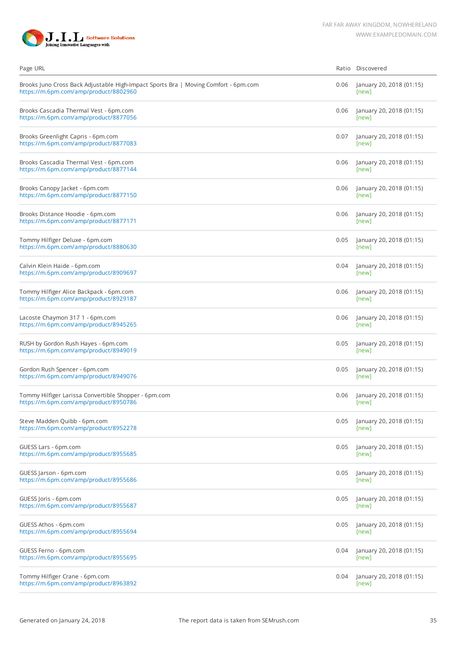

| Page URL                                                                                                                     |      | Ratio Discovered                  |
|------------------------------------------------------------------------------------------------------------------------------|------|-----------------------------------|
| Brooks Juno Cross Back Adjustable High-Impact Sports Bra   Moving Comfort - 6pm.com<br>https://m.6pm.com/amp/product/8802960 | 0.06 | January 20, 2018 (01:15)<br>[new] |
| Brooks Cascadia Thermal Vest - 6pm.com<br>https://m.6pm.com/amp/product/8877056                                              | 0.06 | January 20, 2018 (01:15)<br>[new] |
| Brooks Greenlight Capris - 6pm.com<br>https://m.6pm.com/amp/product/8877083                                                  | 0.07 | January 20, 2018 (01:15)<br>[new] |
| Brooks Cascadia Thermal Vest - 6pm.com<br>https://m.6pm.com/amp/product/8877144                                              | 0.06 | January 20, 2018 (01:15)<br>[new] |
| Brooks Canopy Jacket - 6pm.com<br>https://m.6pm.com/amp/product/8877150                                                      | 0.06 | January 20, 2018 (01:15)<br>[new] |
| Brooks Distance Hoodie - 6pm.com<br>https://m.6pm.com/amp/product/8877171                                                    | 0.06 | January 20, 2018 (01:15)<br>[new] |
| Tommy Hilfiger Deluxe - 6pm.com<br>https://m.6pm.com/amp/product/8880630                                                     | 0.05 | January 20, 2018 (01:15)<br>[new] |
| Calvin Klein Haide - 6pm.com<br>https://m.6pm.com/amp/product/8909697                                                        | 0.04 | January 20, 2018 (01:15)<br>[new] |
| Tommy Hilfiger Alice Backpack - 6pm.com<br>https://m.6pm.com/amp/product/8929187                                             | 0.06 | January 20, 2018 (01:15)<br>[new] |
| Lacoste Chaymon 317 1 - 6pm.com<br>https://m.6pm.com/amp/product/8945265                                                     | 0.06 | January 20, 2018 (01:15)<br>[new] |
| RUSH by Gordon Rush Hayes - 6pm.com<br>https://m.6pm.com/amp/product/8949019                                                 | 0.05 | January 20, 2018 (01:15)<br>[new] |
| Gordon Rush Spencer - 6pm.com<br>https://m.6pm.com/amp/product/8949076                                                       | 0.05 | January 20, 2018 (01:15)<br>[new] |
| Tommy Hilfiger Larissa Convertible Shopper - 6pm.com<br>https://m.6pm.com/amp/product/8950786                                | 0.06 | January 20, 2018 (01:15)<br>[new] |
| Steve Madden Quibb - 6pm.com<br>https://m.6pm.com/amp/product/8952278                                                        | 0.05 | January 20, 2018 (01:15)<br>[new] |
| GUESS Lars - 6pm.com<br>https://m.6pm.com/amp/product/8955685                                                                | 0.05 | January 20, 2018 (01:15)<br>[new] |
| GUESS Jarson - 6pm.com<br>https://m.6pm.com/amp/product/8955686                                                              | 0.05 | January 20, 2018 (01:15)<br>[new] |
| GUESS Joris - 6pm.com<br>https://m.6pm.com/amp/product/8955687                                                               | 0.05 | January 20, 2018 (01:15)<br>[new] |
| GUESS Athos - 6pm.com<br>https://m.6pm.com/amp/product/8955694                                                               | 0.05 | January 20, 2018 (01:15)<br>[new] |
| GUESS Ferno - 6pm.com<br>https://m.6pm.com/amp/product/8955695                                                               | 0.04 | January 20, 2018 (01:15)<br>[new] |
| Tommy Hilfiger Crane - 6pm.com<br>https://m.6pm.com/amp/product/8963892                                                      | 0.04 | January 20, 2018 (01:15)<br>[new] |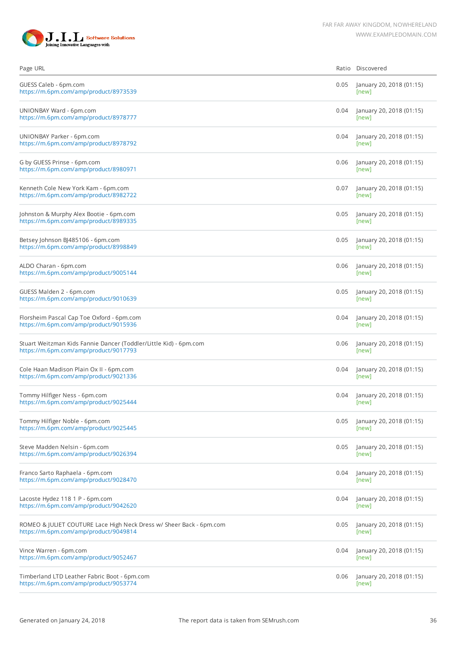

| Page URL                                                                                                     |      | Ratio Discovered                  |
|--------------------------------------------------------------------------------------------------------------|------|-----------------------------------|
| GUESS Caleb - 6pm.com<br>https://m.6pm.com/amp/product/8973539                                               | 0.05 | January 20, 2018 (01:15)<br>[new] |
| UNIONBAY Ward - 6pm.com<br>https://m.6pm.com/amp/product/8978777                                             | 0.04 | January 20, 2018 (01:15)<br>[new] |
| UNIONBAY Parker - 6pm.com<br>https://m.6pm.com/amp/product/8978792                                           | 0.04 | January 20, 2018 (01:15)<br>[new] |
| G by GUESS Prinse - 6pm.com<br>https://m.6pm.com/amp/product/8980971                                         | 0.06 | January 20, 2018 (01:15)<br>[new] |
| Kenneth Cole New York Kam - 6pm.com<br>https://m.6pm.com/amp/product/8982722                                 | 0.07 | January 20, 2018 (01:15)<br>[new] |
| Johnston & Murphy Alex Bootie - 6pm.com<br>https://m.6pm.com/amp/product/8989335                             | 0.05 | January 20, 2018 (01:15)<br>[new] |
| Betsey Johnson BJ485106 - 6pm.com<br>https://m.6pm.com/amp/product/8998849                                   | 0.05 | January 20, 2018 (01:15)<br>[new] |
| ALDO Charan - 6pm.com<br>https://m.6pm.com/amp/product/9005144                                               | 0.06 | January 20, 2018 (01:15)<br>[new] |
| GUESS Malden 2 - 6pm.com<br>https://m.6pm.com/amp/product/9010639                                            | 0.05 | January 20, 2018 (01:15)<br>[new] |
| Florsheim Pascal Cap Toe Oxford - 6pm.com<br>https://m.6pm.com/amp/product/9015936                           | 0.04 | January 20, 2018 (01:15)<br>[new] |
| Stuart Weitzman Kids Fannie Dancer (Toddler/Little Kid) - 6pm.com<br>https://m.6pm.com/amp/product/9017793   | 0.06 | January 20, 2018 (01:15)<br>[new] |
| Cole Haan Madison Plain Ox II - 6pm.com<br>https://m.6pm.com/amp/product/9021336                             | 0.04 | January 20, 2018 (01:15)<br>[new] |
| Tommy Hilfiger Ness - 6pm.com<br>https://m.6pm.com/amp/product/9025444                                       | 0.04 | January 20, 2018 (01:15)<br>[new] |
| Tommy Hilfiger Noble - 6pm.com<br>https://m.6pm.com/amp/product/9025445                                      | 0.05 | January 20, 2018 (01:15)<br>[new] |
| Steve Madden Nelsin - 6pm.com<br>https://m.6pm.com/amp/product/9026394                                       | 0.05 | January 20, 2018 (01:15)<br>[new] |
| Franco Sarto Raphaela - 6pm.com<br>https://m.6pm.com/amp/product/9028470                                     | 0.04 | January 20, 2018 (01:15)<br>[new] |
| Lacoste Hydez 118 1 P - 6pm.com<br>https://m.6pm.com/amp/product/9042620                                     | 0.04 | January 20, 2018 (01:15)<br>[new] |
| ROMEO & JULIET COUTURE Lace High Neck Dress w/ Sheer Back - 6pm.com<br>https://m.6pm.com/amp/product/9049814 | 0.05 | January 20, 2018 (01:15)<br>[new] |
| Vince Warren - 6pm.com<br>https://m.6pm.com/amp/product/9052467                                              | 0.04 | January 20, 2018 (01:15)<br>[new] |
| Timberland LTD Leather Fabric Boot - 6pm.com<br>https://m.6pm.com/amp/product/9053774                        | 0.06 | January 20, 2018 (01:15)<br>[new] |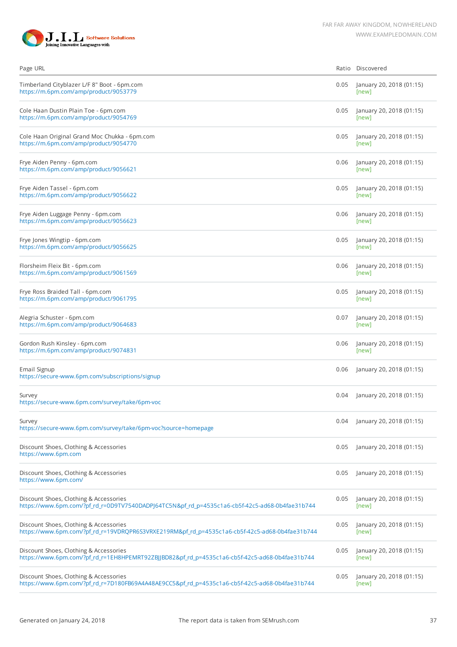

| Page URL                                                                                                                                 |      | Ratio Discovered                  |
|------------------------------------------------------------------------------------------------------------------------------------------|------|-----------------------------------|
| Timberland Cityblazer L/F 8" Boot - 6pm.com<br>https://m.6pm.com/amp/product/9053779                                                     | 0.05 | January 20, 2018 (01:15)<br>[new] |
| Cole Haan Dustin Plain Toe - 6pm.com<br>https://m.6pm.com/amp/product/9054769                                                            | 0.05 | January 20, 2018 (01:15)<br>[new] |
| Cole Haan Original Grand Moc Chukka - 6pm.com<br>https://m.6pm.com/amp/product/9054770                                                   | 0.05 | January 20, 2018 (01:15)<br>[new] |
| Frye Aiden Penny - 6pm.com<br>https://m.6pm.com/amp/product/9056621                                                                      | 0.06 | January 20, 2018 (01:15)<br>[new] |
| Frye Aiden Tassel - 6pm.com<br>https://m.6pm.com/amp/product/9056622                                                                     | 0.05 | January 20, 2018 (01:15)<br>[new] |
| Frye Aiden Luggage Penny - 6pm.com<br>https://m.6pm.com/amp/product/9056623                                                              | 0.06 | January 20, 2018 (01:15)<br>[new] |
| Frye Jones Wingtip - 6pm.com<br>https://m.6pm.com/amp/product/9056625                                                                    | 0.05 | January 20, 2018 (01:15)<br>[new] |
| Florsheim Fleix Bit - 6pm.com<br>https://m.6pm.com/amp/product/9061569                                                                   | 0.06 | January 20, 2018 (01:15)<br>[new] |
| Frye Ross Braided Tall - 6pm.com<br>https://m.6pm.com/amp/product/9061795                                                                | 0.05 | January 20, 2018 (01:15)<br>[new] |
| Alegria Schuster - 6pm.com<br>https://m.6pm.com/amp/product/9064683                                                                      | 0.07 | January 20, 2018 (01:15)<br>[new] |
| Gordon Rush Kinsley - 6pm.com<br>https://m.6pm.com/amp/product/9074831                                                                   | 0.06 | January 20, 2018 (01:15)<br>[new] |
| Email Signup<br>https://secure-www.6pm.com/subscriptions/signup                                                                          | 0.06 | January 20, 2018 (01:15)          |
| Survey<br>https://secure-www.6pm.com/survey/take/6pm-voc                                                                                 | 0.04 | January 20, 2018 (01:15)          |
| Survey<br>https://secure-www.6pm.com/survey/take/6pm-voc?source=homepage                                                                 | 0.04 | January 20, 2018 (01:15)          |
| Discount Shoes, Clothing & Accessories<br>https://www.6pm.com                                                                            | 0.05 | January 20, 2018 (01:15)          |
| Discount Shoes, Clothing & Accessories<br>https://www.6pm.com/                                                                           | 0.05 | January 20, 2018 (01:15)          |
| Discount Shoes, Clothing & Accessories<br>https://www.6pm.com/?pf_rd_r=0D9TV7540DADPJ64TC5N&pf_rd_p=4535c1a6-cb5f-42c5-ad68-0b4fae31b744 | 0.05 | January 20, 2018 (01:15)<br>[new] |
| Discount Shoes, Clothing & Accessories<br>https://www.6pm.com/?pf_rd_r=19VDRQPR6S3VRXE219RM&pf_rd_p=4535c1a6-cb5f-42c5-ad68-0b4fae31b744 | 0.05 | January 20, 2018 (01:15)<br>[new] |
| Discount Shoes, Clothing & Accessories<br>https://www.6pm.com/?pf_rd_r=1EH8HPEMRT92ZBJJBD82&pf_rd_p=4535c1a6-cb5f-42c5-ad68-0b4fae31b744 | 0.05 | January 20, 2018 (01:15)<br>[new] |
| Discount Shoes, Clothing & Accessories<br>https://www.6pm.com/?pf_rd_r=7D180FB69A4A48AE9CC5&pf_rd_p=4535c1a6-cb5f-42c5-ad68-0b4fae31b744 | 0.05 | January 20, 2018 (01:15)<br>[new] |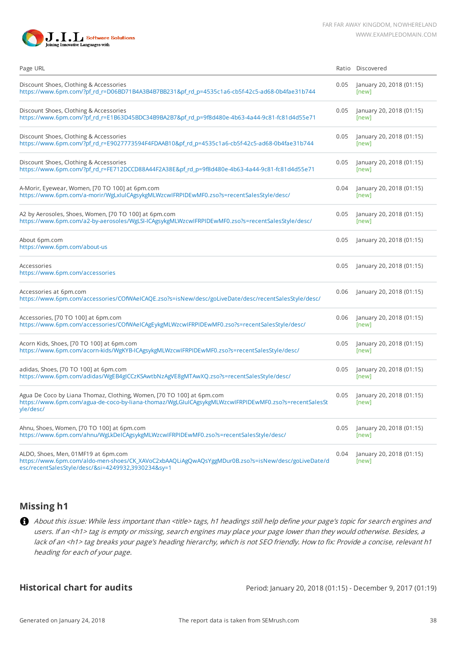



| Page URL                                                                                                                                                                                       |      | Ratio Discovered                  |
|------------------------------------------------------------------------------------------------------------------------------------------------------------------------------------------------|------|-----------------------------------|
| Discount Shoes, Clothing & Accessories<br>https://www.6pm.com/?pf_rd_r=D06BD71B4A3B4B7BB231&pf_rd_p=4535c1a6-cb5f-42c5-ad68-0b4fae31b744                                                       | 0.05 | January 20, 2018 (01:15)<br>[new] |
| Discount Shoes, Clothing & Accessories<br>https://www.6pm.com/?pf_rd_r=E1B63D45BDC34B9BA2B7&pf_rd_p=9f8d480e-4b63-4a44-9c81-fc81d4d55e71                                                       | 0.05 | January 20, 2018 (01:15)<br>[new] |
| Discount Shoes, Clothing & Accessories<br>https://www.6pm.com/?pf_rd_r=E9027773594F4FDAAB10&pf_rd_p=4535c1a6-cb5f-42c5-ad68-0b4fae31b744                                                       | 0.05 | January 20, 2018 (01:15)<br>[new] |
| Discount Shoes, Clothing & Accessories<br>https://www.6pm.com/?pf_rd_r=FE712DCCD88A44F2A38E&pf_rd_p=9f8d480e-4b63-4a44-9c81-fc81d4d55e71                                                       | 0.05 | January 20, 2018 (01:15)<br>[new] |
| A-Morir, Eyewear, Women, [70 TO 100] at 6pm.com<br>https://www.6pm.com/a-morir/WgLxIuICAgsykgMLWzcwIFRPIDEwMF0.zso?s=recentSalesStyle/desc/                                                    | 0.04 | January 20, 2018 (01:15)<br>[new] |
| A2 by Aerosoles, Shoes, Women, [70 TO 100] at 6pm.com<br>https://www.6pm.com/a2-by-aerosoles/WgLSI-ICAgsykgMLWzcwIFRPIDEwMF0.zso?s=recentSalesStyle/desc/                                      | 0.05 | January 20, 2018 (01:15)<br>[new] |
| About 6pm.com<br>https://www.6pm.com/about-us                                                                                                                                                  | 0.05 | January 20, 2018 (01:15)          |
| Accessories<br>https://www.6pm.com/accessories                                                                                                                                                 | 0.05 | January 20, 2018 (01:15)          |
| Accessories at 6pm.com<br>https://www.6pm.com/accessories/COfWAeICAQE.zso?s=isNew/desc/goLiveDate/desc/recentSalesStyle/desc/                                                                  | 0.06 | January 20, 2018 (01:15)          |
| Accessories, [70 TO 100] at 6pm.com<br>https://www.6pm.com/accessories/COfWAeICAgEykgMLWzcwIFRPIDEwMF0.zso?s=recentSalesStyle/desc/                                                            | 0.06 | January 20, 2018 (01:15)<br>[new] |
| Acorn Kids, Shoes, [70 TO 100] at 6pm.com<br>https://www.6pm.com/acorn-kids/WgKYB-ICAgsykgMLWzcwIFRPIDEwMF0.zso?s=recentSalesStyle/desc/                                                       | 0.05 | January 20, 2018 (01:15)<br>[new] |
| adidas, Shoes, [70 TO 100] at 6pm.com<br>https://www.6pm.com/adidas/WgEB4gICCzKSAwtbNzAgVE8gMTAwXQ.zso?s=recentSalesStyle/desc/                                                                | 0.05 | January 20, 2018 (01:15)<br>[new] |
| Agua De Coco by Liana Thomaz, Clothing, Women, [70 TO 100] at 6pm.com<br>https://www.6pm.com/agua-de-coco-by-liana-thomaz/WgLGIuICAgsykgMLWzcwIFRPIDEwMF0.zso?s=recentSalesSt<br>yle/desc/     | 0.05 | January 20, 2018 (01:15)<br>[new] |
| Ahnu, Shoes, Women, [70 TO 100] at 6pm.com<br>https://www.6pm.com/ahnu/WgLkDeICAgsykgMLWzcwIFRPIDEwMF0.zso?s=recentSalesStyle/desc/                                                            | 0.05 | January 20, 2018 (01:15)<br>[new] |
| ALDO, Shoes, Men, 01MF19 at 6pm.com<br>https://www.6pm.com/aldo-men-shoes/CK_XAVoC2xbAAQLiAgQwAQsYggMDur0B.zso?s=isNew/desc/goLiveDate/d<br>esc/recentSalesStyle/desc/&si=4249932,3930234&sy=1 | 0.04 | January 20, 2018 (01:15)<br>[new] |

## **Missing h1**

About this issue: While less important than <title> tags, h1 headings still help define your page's topic for search engines and users. If an <h1> tag is empty or missing, search engines may place your page lower than they would otherwise. Besides, a lack of an <h1> tag breaks your page's heading hierarchy, which is not SEO friendly. How to fix: Provide a concise, relevant h1 heading for each of your page.

**Historical chart for audits** Period: January 20, 2018 (01:15) - December 9, 2017 (01:19)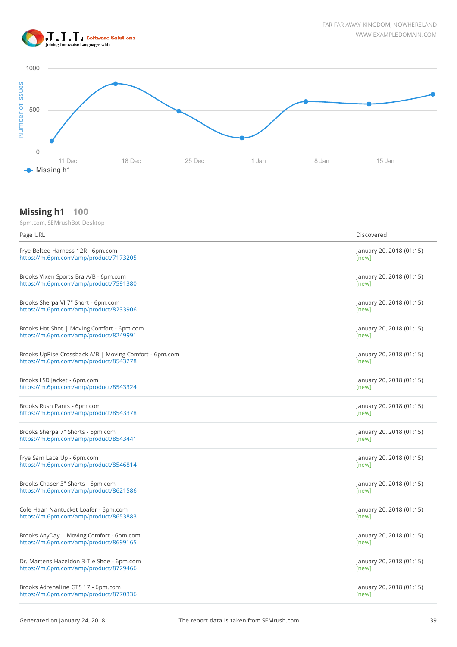



### **Missing h1 100**

| Page URL                                               | Discovered               |
|--------------------------------------------------------|--------------------------|
| Frye Belted Harness 12R - 6pm.com                      | January 20, 2018 (01:15) |
| https://m.6pm.com/amp/product/7173205                  | [new]                    |
| Brooks Vixen Sports Bra A/B - 6pm.com                  | January 20, 2018 (01:15) |
| https://m.6pm.com/amp/product/7591380                  | [new]                    |
| Brooks Sherpa VI 7" Short - 6pm.com                    | January 20, 2018 (01:15) |
| https://m.6pm.com/amp/product/8233906                  | [new]                    |
| Brooks Hot Shot   Moving Comfort - 6pm.com             | January 20, 2018 (01:15) |
| https://m.6pm.com/amp/product/8249991                  | [new]                    |
| Brooks UpRise Crossback A/B   Moving Comfort - 6pm.com | January 20, 2018 (01:15) |
| https://m.6pm.com/amp/product/8543278                  | [new]                    |
| Brooks LSD Jacket - 6pm.com                            | January 20, 2018 (01:15) |
| https://m.6pm.com/amp/product/8543324                  | [new]                    |
| Brooks Rush Pants - 6pm.com                            | January 20, 2018 (01:15) |
| https://m.6pm.com/amp/product/8543378                  | [new]                    |
| Brooks Sherpa 7" Shorts - 6pm.com                      | January 20, 2018 (01:15) |
| https://m.6pm.com/amp/product/8543441                  | [new]                    |
| Frye Sam Lace Up - 6pm.com                             | January 20, 2018 (01:15) |
| https://m.6pm.com/amp/product/8546814                  | [new]                    |
| Brooks Chaser 3" Shorts - 6pm.com                      | January 20, 2018 (01:15) |
| https://m.6pm.com/amp/product/8621586                  | [new]                    |
| Cole Haan Nantucket Loafer - 6pm.com                   | January 20, 2018 (01:15) |
| https://m.6pm.com/amp/product/8653883                  | [new]                    |
| Brooks AnyDay   Moving Comfort - 6pm.com               | January 20, 2018 (01:15) |
| https://m.6pm.com/amp/product/8699165                  | [new]                    |
| Dr. Martens Hazeldon 3-Tie Shoe - 6pm.com              | January 20, 2018 (01:15) |
| https://m.6pm.com/amp/product/8729466                  | [new]                    |
| Brooks Adrenaline GTS 17 - 6pm.com                     | January 20, 2018 (01:15) |
| https://m.6pm.com/amp/product/8770336                  | [new]                    |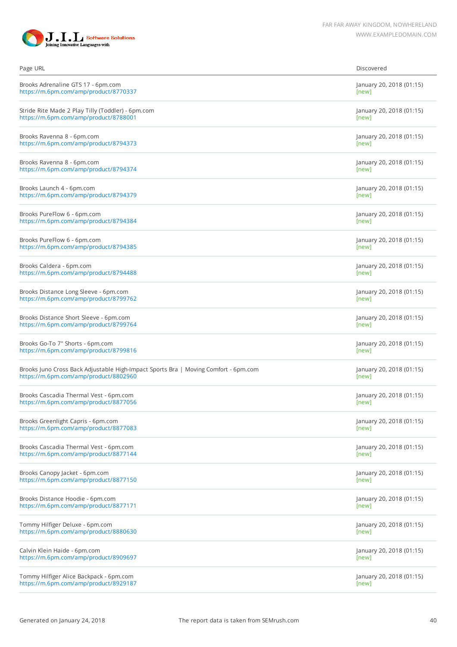

| Page URL                                                                            | Discovered               |
|-------------------------------------------------------------------------------------|--------------------------|
| Brooks Adrenaline GTS 17 - 6pm.com                                                  | January 20, 2018 (01:15) |
| https://m.6pm.com/amp/product/8770337                                               | [new]                    |
| Stride Rite Made 2 Play Tilly (Toddler) - 6pm.com                                   | January 20, 2018 (01:15) |
| https://m.6pm.com/amp/product/8788001                                               | [new]                    |
| Brooks Ravenna 8 - 6pm.com                                                          | January 20, 2018 (01:15) |
| https://m.6pm.com/amp/product/8794373                                               | [new]                    |
| Brooks Ravenna 8 - 6pm.com                                                          | January 20, 2018 (01:15) |
| https://m.6pm.com/amp/product/8794374                                               | [new]                    |
| Brooks Launch 4 - 6pm.com                                                           | January 20, 2018 (01:15) |
| https://m.6pm.com/amp/product/8794379                                               | [new]                    |
| Brooks PureFlow 6 - 6pm.com                                                         | January 20, 2018 (01:15) |
| https://m.6pm.com/amp/product/8794384                                               | [new]                    |
| Brooks PureFlow 6 - 6pm.com                                                         | January 20, 2018 (01:15) |
| https://m.6pm.com/amp/product/8794385                                               | [new]                    |
| Brooks Caldera - 6pm.com                                                            | January 20, 2018 (01:15) |
| https://m.6pm.com/amp/product/8794488                                               | [new]                    |
| Brooks Distance Long Sleeve - 6pm.com                                               | January 20, 2018 (01:15) |
| https://m.6pm.com/amp/product/8799762                                               | [new]                    |
| Brooks Distance Short Sleeve - 6pm.com                                              | January 20, 2018 (01:15) |
| https://m.6pm.com/amp/product/8799764                                               | [new]                    |
| Brooks Go-To 7" Shorts - 6pm.com                                                    | January 20, 2018 (01:15) |
| https://m.6pm.com/amp/product/8799816                                               | [new]                    |
| Brooks Juno Cross Back Adjustable High-Impact Sports Bra   Moving Comfort - 6pm.com | January 20, 2018 (01:15) |
| https://m.6pm.com/amp/product/8802960                                               | [new]                    |
| Brooks Cascadia Thermal Vest - 6pm.com                                              | January 20, 2018 (01:15) |
| https://m.6pm.com/amp/product/8877056                                               | [new]                    |
| Brooks Greenlight Capris - 6pm.com                                                  | January 20, 2018 (01:15) |
| https://m.6pm.com/amp/product/8877083                                               | [new]                    |
| Brooks Cascadia Thermal Vest - 6pm.com                                              | January 20, 2018 (01:15) |
| https://m.6pm.com/amp/product/8877144                                               | [new]                    |
| Brooks Canopy Jacket - 6pm.com                                                      | January 20, 2018 (01:15) |
| https://m.6pm.com/amp/product/8877150                                               | [new]                    |
| Brooks Distance Hoodie - 6pm.com                                                    | January 20, 2018 (01:15) |
| https://m.6pm.com/amp/product/8877171                                               | [new]                    |
| Tommy Hilfiger Deluxe - 6pm.com                                                     | January 20, 2018 (01:15) |
| https://m.6pm.com/amp/product/8880630                                               | [new]                    |
| Calvin Klein Haide - 6pm.com                                                        | January 20, 2018 (01:15) |
| https://m.6pm.com/amp/product/8909697                                               | [new]                    |
| Tommy Hilfiger Alice Backpack - 6pm.com                                             | January 20, 2018 (01:15) |
| https://m.6pm.com/amp/product/8929187                                               | [new]                    |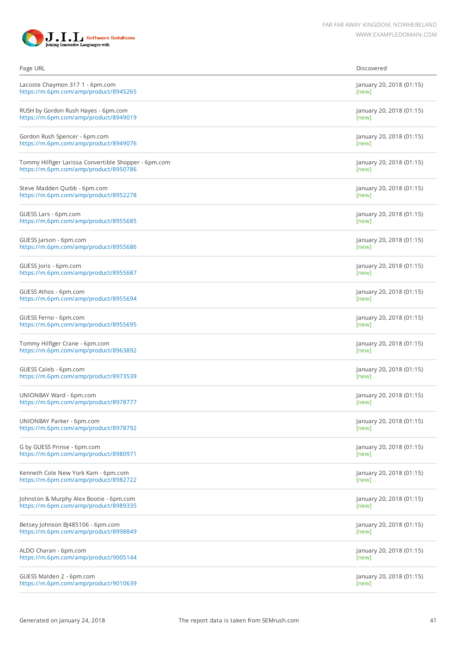

| Page URL                                             | Discovered               |
|------------------------------------------------------|--------------------------|
| Lacoste Chaymon 317 1 - 6pm.com                      | January 20, 2018 (01:15) |
| https://m.6pm.com/amp/product/8945265                | [new]                    |
| RUSH by Gordon Rush Hayes - 6pm.com                  | January 20, 2018 (01:15) |
| https://m.6pm.com/amp/product/8949019                | [new]                    |
| Gordon Rush Spencer - 6pm.com                        | January 20, 2018 (01:15) |
| https://m.6pm.com/amp/product/8949076                | [new]                    |
| Tommy Hilfiger Larissa Convertible Shopper - 6pm.com | January 20, 2018 (01:15) |
| https://m.6pm.com/amp/product/8950786                | [new]                    |
| Steve Madden Quibb - 6pm.com                         | January 20, 2018 (01:15) |
| https://m.6pm.com/amp/product/8952278                | [new]                    |
| GUESS Lars - 6pm.com                                 | January 20, 2018 (01:15) |
| https://m.6pm.com/amp/product/8955685                | [new]                    |
| GUESS Jarson - 6pm.com                               | January 20, 2018 (01:15) |
| https://m.6pm.com/amp/product/8955686                | [new]                    |
| GUESS Joris - 6pm.com                                | January 20, 2018 (01:15) |
| https://m.6pm.com/amp/product/8955687                | [new]                    |
| GUESS Athos - 6pm.com                                | January 20, 2018 (01:15) |
| https://m.6pm.com/amp/product/8955694                | [new]                    |
| GUESS Ferno - 6pm.com                                | January 20, 2018 (01:15) |
| https://m.6pm.com/amp/product/8955695                | [new]                    |
| Tommy Hilfiger Crane - 6pm.com                       | January 20, 2018 (01:15) |
| https://m.6pm.com/amp/product/8963892                | [new]                    |
| GUESS Caleb - 6pm.com                                | January 20, 2018 (01:15) |
| https://m.6pm.com/amp/product/8973539                | [new]                    |
| UNIONBAY Ward - 6pm.com                              | January 20, 2018 (01:15) |
| https://m.6pm.com/amp/product/8978777                | [new]                    |
| UNIONBAY Parker - 6pm.com                            | January 20, 2018 (01:15) |
| https://m.6pm.com/amp/product/8978792                | [new]                    |
| G by GUESS Prinse - 6pm.com                          | January 20, 2018 (01:15) |
| https://m.6pm.com/amp/product/8980971                | [new]                    |
| Kenneth Cole New York Kam - 6pm.com                  | January 20, 2018 (01:15) |
| https://m.6pm.com/amp/product/8982722                | [new]                    |
| Johnston & Murphy Alex Bootie - 6pm.com              | January 20, 2018 (01:15) |
| https://m.6pm.com/amp/product/8989335                | [new]                    |
| Betsey Johnson BJ485106 - 6pm.com                    | January 20, 2018 (01:15) |
| https://m.6pm.com/amp/product/8998849                | [new]                    |
| ALDO Charan - 6pm.com                                | January 20, 2018 (01:15) |
| https://m.6pm.com/amp/product/9005144                | [new]                    |
| GUESS Malden 2 - 6pm.com                             | January 20, 2018 (01:15) |
| https://m.6pm.com/amp/product/9010639                | [new]                    |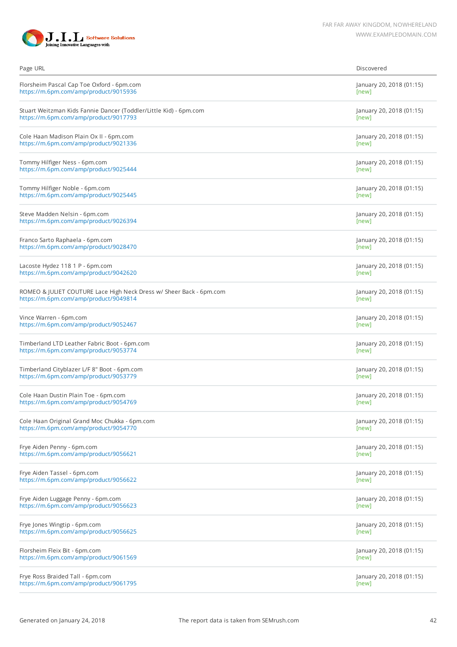

| Page URL                                                            | Discovered               |
|---------------------------------------------------------------------|--------------------------|
| Florsheim Pascal Cap Toe Oxford - 6pm.com                           | January 20, 2018 (01:15) |
| https://m.6pm.com/amp/product/9015936                               | [new]                    |
| Stuart Weitzman Kids Fannie Dancer (Toddler/Little Kid) - 6pm.com   | January 20, 2018 (01:15) |
| https://m.6pm.com/amp/product/9017793                               | [new]                    |
| Cole Haan Madison Plain Ox II - 6pm.com                             | January 20, 2018 (01:15) |
| https://m.6pm.com/amp/product/9021336                               | [new]                    |
| Tommy Hilfiger Ness - 6pm.com                                       | January 20, 2018 (01:15) |
| https://m.6pm.com/amp/product/9025444                               | [new]                    |
| Tommy Hilfiger Noble - 6pm.com                                      | January 20, 2018 (01:15) |
| https://m.6pm.com/amp/product/9025445                               | [new]                    |
| Steve Madden Nelsin - 6pm.com                                       | January 20, 2018 (01:15) |
| https://m.6pm.com/amp/product/9026394                               | [new]                    |
| Franco Sarto Raphaela - 6pm.com                                     | January 20, 2018 (01:15) |
| https://m.6pm.com/amp/product/9028470                               | [new]                    |
| Lacoste Hydez 118 1 P - 6pm.com                                     | January 20, 2018 (01:15) |
| https://m.6pm.com/amp/product/9042620                               | [new]                    |
| ROMEO & JULIET COUTURE Lace High Neck Dress w/ Sheer Back - 6pm.com | January 20, 2018 (01:15) |
| https://m.6pm.com/amp/product/9049814                               | [new]                    |
| Vince Warren - 6pm.com                                              | January 20, 2018 (01:15) |
| https://m.6pm.com/amp/product/9052467                               | [new]                    |
| Timberland LTD Leather Fabric Boot - 6pm.com                        | January 20, 2018 (01:15) |
| https://m.6pm.com/amp/product/9053774                               | [new]                    |
| Timberland Cityblazer L/F 8" Boot - 6pm.com                         | January 20, 2018 (01:15) |
| https://m.6pm.com/amp/product/9053779                               | [new]                    |
| Cole Haan Dustin Plain Toe - 6pm.com                                | January 20, 2018 (01:15) |
| https://m.6pm.com/amp/product/9054769                               | [new]                    |
| Cole Haan Original Grand Moc Chukka - 6pm.com                       | January 20, 2018 (01:15) |
| https://m.6pm.com/amp/product/9054770                               | [new]                    |
| Frye Aiden Penny - 6pm.com                                          | January 20, 2018 (01:15) |
| https://m.6pm.com/amp/product/9056621                               | [new]                    |
| Frye Aiden Tassel - 6pm.com                                         | January 20, 2018 (01:15) |
| https://m.6pm.com/amp/product/9056622                               | [new]                    |
| Frye Aiden Luggage Penny - 6pm.com                                  | January 20, 2018 (01:15) |
| https://m.6pm.com/amp/product/9056623                               | [new]                    |
| Frye Jones Wingtip - 6pm.com                                        | January 20, 2018 (01:15) |
| https://m.6pm.com/amp/product/9056625                               | [new]                    |
| Florsheim Fleix Bit - 6pm.com                                       | January 20, 2018 (01:15) |
| https://m.6pm.com/amp/product/9061569                               | [new]                    |
| Frye Ross Braided Tall - 6pm.com                                    | January 20, 2018 (01:15) |
| https://m.6pm.com/amp/product/9061795                               | [new]                    |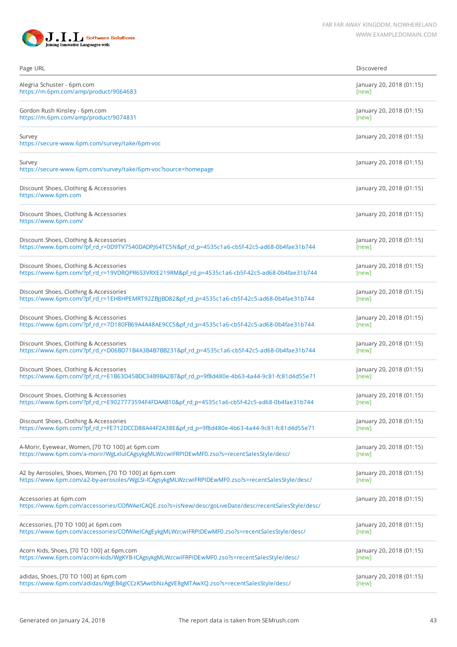

| Page URL                                                                                                                      | Discovered               |
|-------------------------------------------------------------------------------------------------------------------------------|--------------------------|
| Alegria Schuster - 6pm.com                                                                                                    | January 20, 2018 (01:15) |
| https://m.6pm.com/amp/product/9064683                                                                                         | [new]                    |
| Gordon Rush Kinsley - 6pm.com                                                                                                 | January 20, 2018 (01:15) |
| https://m.6pm.com/amp/product/9074831                                                                                         | [new]                    |
| Survey<br>https://secure-www.6pm.com/survey/take/6pm-voc                                                                      | January 20, 2018 (01:15) |
| Survey<br>https://secure-www.6pm.com/survey/take/6pm-voc?source=homepage                                                      | January 20, 2018 (01:15) |
| Discount Shoes, Clothing & Accessories<br>https://www.6pm.com                                                                 | January 20, 2018 (01:15) |
| Discount Shoes, Clothing & Accessories<br>https://www.6pm.com/                                                                | January 20, 2018 (01:15) |
| Discount Shoes, Clothing & Accessories                                                                                        | January 20, 2018 (01:15) |
| https://www.6pm.com/?pf_rd_r=0D9TV7540DADPJ64TC5N&pf_rd_p=4535c1a6-cb5f-42c5-ad68-0b4fae31b744                                | [new]                    |
| Discount Shoes, Clothing & Accessories                                                                                        | January 20, 2018 (01:15) |
| https://www.6pm.com/?pf_rd_r=19VDRQPR6S3VRXE219RM&pf_rd_p=4535c1a6-cb5f-42c5-ad68-0b4fae31b744                                | [new]                    |
| Discount Shoes, Clothing & Accessories                                                                                        | January 20, 2018 (01:15) |
| https://www.6pm.com/?pf_rd_r=1EH8HPEMRT92ZBJJBD82&pf_rd_p=4535c1a6-cb5f-42c5-ad68-0b4fae31b744                                | [new]                    |
| Discount Shoes, Clothing & Accessories                                                                                        | January 20, 2018 (01:15) |
| https://www.6pm.com/?pf_rd_r=7D180FB69A4A48AE9CC5&pf_rd_p=4535c1a6-cb5f-42c5-ad68-0b4fae31b744                                | [new]                    |
| Discount Shoes, Clothing & Accessories                                                                                        | January 20, 2018 (01:15) |
| https://www.6pm.com/?pf_rd_r=D06BD71B4A3B4B7BB231&pf_rd_p=4535c1a6-cb5f-42c5-ad68-0b4fae31b744                                | [new]                    |
| Discount Shoes, Clothing & Accessories                                                                                        | January 20, 2018 (01:15) |
| https://www.6pm.com/?pf_rd_r=E1B63D45BDC34B9BA2B7&pf_rd_p=9f8d480e-4b63-4a44-9c81-fc81d4d55e71                                | [new]                    |
| Discount Shoes, Clothing & Accessories                                                                                        | January 20, 2018 (01:15) |
| https://www.6pm.com/?pf_rd_r=E9027773594F4FDAAB10&pf_rd_p=4535c1a6-cb5f-42c5-ad68-0b4fae31b744                                | [new]                    |
| Discount Shoes, Clothing & Accessories                                                                                        | January 20, 2018 (01:15) |
| https://www.6pm.com/?pf_rd_r=FE712DCCD88A44F2A38E&pf_rd_p=9f8d480e-4b63-4a44-9c81-fc81d4d55e71                                | [new]                    |
| A-Morir, Eyewear, Women, [70 TO 100] at 6pm.com                                                                               | January 20, 2018 (01:15) |
| https://www.6pm.com/a-morir/WgLxluICAgsykgMLWzcwIFRPIDEwMF0.zso?s=recentSalesStyle/desc/                                      | [new]                    |
| A2 by Aerosoles, Shoes, Women, [70 TO 100] at 6pm.com                                                                         | January 20, 2018 (01:15) |
| https://www.6pm.com/a2-by-aerosoles/WgLSI-ICAgsykgMLWzcwIFRPIDEwMF0.zso?s=recentSalesStyle/desc/                              | [new]                    |
| Accessories at 6pm.com<br>https://www.6pm.com/accessories/COfWAeICAQE.zso?s=isNew/desc/goLiveDate/desc/recentSalesStyle/desc/ | January 20, 2018 (01:15) |
| Accessories, [70 TO 100] at 6pm.com                                                                                           | January 20, 2018 (01:15) |
| https://www.6pm.com/accessories/COfWAeICAgEykgMLWzcwIFRPIDEwMF0.zso?s=recentSalesStyle/desc/                                  | [new]                    |
| Acorn Kids, Shoes, [70 TO 100] at 6pm.com                                                                                     | January 20, 2018 (01:15) |
| https://www.6pm.com/acorn-kids/WgKYB-ICAgsykgMLWzcwIFRPIDEwMF0.zso?s=recentSalesStyle/desc/                                   | [new]                    |
| adidas, Shoes, [70 TO 100] at 6pm.com                                                                                         | January 20, 2018 (01:15) |
| https://www.6pm.com/adidas/WgEB4gICCzKSAwtbNzAgVE8gMTAwXQ.zso?s=recentSalesStyle/desc/                                        | [new]                    |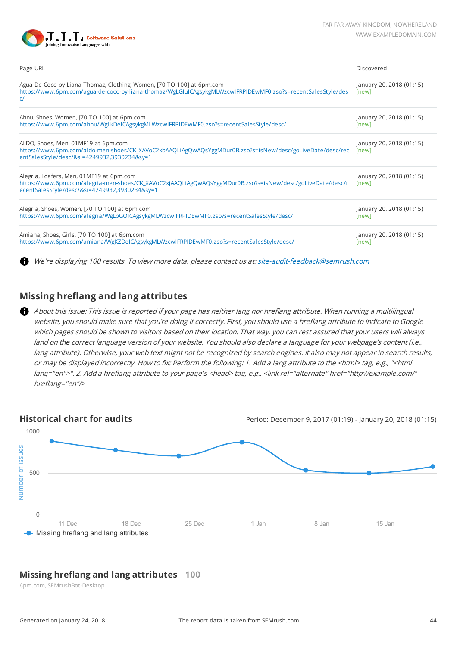

| Page URL                                                                                                                                                                                               | Discovered                        |
|--------------------------------------------------------------------------------------------------------------------------------------------------------------------------------------------------------|-----------------------------------|
| Agua De Coco by Liana Thomaz, Clothing, Women, [70 TO 100] at 6pm.com<br>https://www.6pm.com/agua-de-coco-by-liana-thomaz/WgLGIuICAgsykgMLWzcwIFRPIDEwMF0.zso?s=recentSalesStyle/des<br>C              | January 20, 2018 (01:15)<br>[new] |
| Ahnu, Shoes, Women, [70 TO 100] at 6pm.com<br>https://www.6pm.com/ahnu/WgLkDeICAgsykgMLWzcwIFRPIDEwMF0.zso?s=recentSalesStyle/desc/                                                                    | January 20, 2018 (01:15)<br>[new] |
| ALDO, Shoes, Men, 01MF19 at 6pm.com<br>https://www.6pm.com/aldo-men-shoes/CK_XAVoC2xbAAQLiAgQwAQsYggMDur0B.zso?s=isNew/desc/goLiveDate/desc/rec<br>entSalesStyle/desc/&si=4249932,3930234&sy=1         | January 20, 2018 (01:15)<br>[new] |
| Alegria, Loafers, Men, 01MF19 at 6pm.com<br>https://www.6pm.com/alegria-men-shoes/CK_XAVoC2xjAAQLiAgQwAQsYggMDur0B.zso?s=isNew/desc/goLiveDate/desc/r<br>ecentSalesStyle/desc/&si=4249932,3930234&sy=1 | January 20, 2018 (01:15)<br>[new] |
| Alegria, Shoes, Women, [70 TO 100] at 6pm.com<br>https://www.6pm.com/alegria/WgLbGOICAgsykgMLWzcwIFRPIDEwMF0.zso?s=recentSalesStyle/desc/                                                              | January 20, 2018 (01:15)<br>[new] |
| Amiana, Shoes, Girls, [70 TO 100] at 6pm.com<br>https://www.6pm.com/amiana/WgKZDeICAgsykgMLWzcwIFRPIDEwMF0.zso?s=recentSalesStyle/desc/                                                                | January 20, 2018 (01:15)<br>[new] |

A We're displaying 100 results. To view more data, please contact us at: [site-audit-feedback@semrush.com](mailto:site-audit-feedback@semrush.com)

## **Missing hreflang and lang attributes**

About this issue: This issue is reported if your page has neither lang nor hreflang attribute. When running a multilingual website, you should make sure that you're doing it correctly. First, you should use a hreflang attribute to indicate to Google which pages should be shown to visitors based on their location. That way, you can rest assured that your users will always land on the correct language version of your website. You should also declare a language for your webpage's content (i.e., lang attribute). Otherwise, your web text might not be recognized by search engines. It also may not appear in search results, or may be displayed incorrectly. How to fix: Perform the following: 1. Add a lang attribute to the <html> tag, e.g., "<html lang="en">". 2. Add a hreflang attribute to your page's <head> tag, e.g., <link rel="alternate" href="http://example.com/" hreflang="en"/>



## **Missing hreflang and lang attributes 100**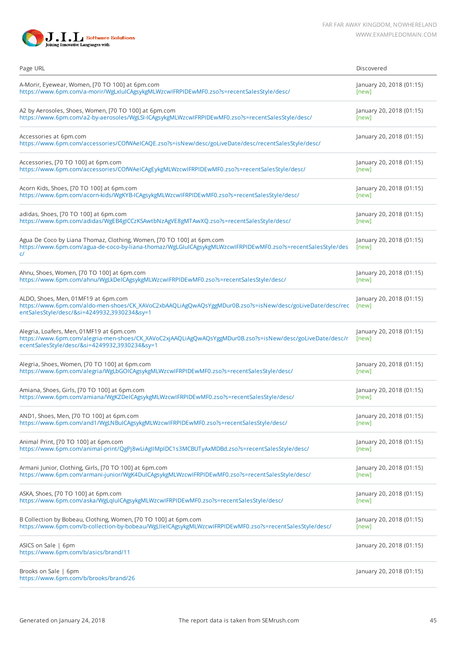

| Page URL                                                                                                                                                                                               | Discovered                        |
|--------------------------------------------------------------------------------------------------------------------------------------------------------------------------------------------------------|-----------------------------------|
| A-Morir, Eyewear, Women, [70 TO 100] at 6pm.com                                                                                                                                                        | January 20, 2018 (01:15)          |
| https://www.6pm.com/a-morir/WgLxIuICAgsykgMLWzcwIFRPIDEwMF0.zso?s=recentSalesStyle/desc/                                                                                                               | [new]                             |
| A2 by Aerosoles, Shoes, Women, [70 TO 100] at 6pm.com                                                                                                                                                  | January 20, 2018 (01:15)          |
| https://www.6pm.com/a2-by-aerosoles/WgLSI-ICAgsykgMLWzcwIFRPIDEwMF0.zso?s=recentSalesStyle/desc/                                                                                                       | [new]                             |
| Accessories at 6pm.com<br>https://www.6pm.com/accessories/COfWAeICAQE.zso?s=isNew/desc/goLiveDate/desc/recentSalesStyle/desc/                                                                          | January 20, 2018 (01:15)          |
| Accessories, [70 TO 100] at 6pm.com                                                                                                                                                                    | January 20, 2018 (01:15)          |
| https://www.6pm.com/accessories/COfWAeICAgEykgMLWzcwIFRPIDEwMF0.zso?s=recentSalesStyle/desc/                                                                                                           | [new]                             |
| Acorn Kids, Shoes, [70 TO 100] at 6pm.com                                                                                                                                                              | January 20, 2018 (01:15)          |
| https://www.6pm.com/acorn-kids/WgKYB-ICAgsykgMLWzcwIFRPIDEwMF0.zso?s=recentSalesStyle/desc/                                                                                                            | [new]                             |
| adidas, Shoes, [70 TO 100] at 6pm.com                                                                                                                                                                  | January 20, 2018 (01:15)          |
| https://www.6pm.com/adidas/WgEB4gICCzKSAwtbNzAgVE8gMTAwXQ.zso?s=recentSalesStyle/desc/                                                                                                                 | [new]                             |
| Agua De Coco by Liana Thomaz, Clothing, Women, [70 TO 100] at 6pm.com<br>https://www.6pm.com/agua-de-coco-by-liana-thomaz/WgLGIuICAgsykgMLWzcwIFRPIDEwMF0.zso?s=recentSalesStyle/des<br>C/             | January 20, 2018 (01:15)<br>[new] |
| Ahnu, Shoes, Women, [70 TO 100] at 6pm.com                                                                                                                                                             | January 20, 2018 (01:15)          |
| https://www.6pm.com/ahnu/WgLkDeICAgsykgMLWzcwIFRPIDEwMF0.zso?s=recentSalesStyle/desc/                                                                                                                  | [new]                             |
| ALDO, Shoes, Men, 01MF19 at 6pm.com<br>https://www.6pm.com/aldo-men-shoes/CK_XAVoC2xbAAQLiAgQwAQsYggMDur0B.zso?s=isNew/desc/goLiveDate/desc/rec<br>entSalesStyle/desc/&si=4249932,3930234&sy=1         | January 20, 2018 (01:15)<br>[new] |
| Alegria, Loafers, Men, 01MF19 at 6pm.com<br>https://www.6pm.com/alegria-men-shoes/CK_XAVoC2xjAAQLiAgQwAQsYggMDur0B.zso?s=isNew/desc/goLiveDate/desc/r<br>ecentSalesStyle/desc/&si=4249932,3930234&sy=1 | January 20, 2018 (01:15)<br>[new] |
| Alegria, Shoes, Women, [70 TO 100] at 6pm.com                                                                                                                                                          | January 20, 2018 (01:15)          |
| https://www.6pm.com/alegria/WgLbGOICAgsykgMLWzcwIFRPIDEwMF0.zso?s=recentSalesStyle/desc/                                                                                                               | [new]                             |
| Amiana, Shoes, Girls, [70 TO 100] at 6pm.com                                                                                                                                                           | January 20, 2018 (01:15)          |
| https://www.6pm.com/amiana/WgKZDeICAgsykgMLWzcwIFRPIDEwMF0.zso?s=recentSalesStyle/desc/                                                                                                                | [new]                             |
| AND1, Shoes, Men, [70 TO 100] at 6pm.com                                                                                                                                                               | January 20, 2018 (01:15)          |
| https://www.6pm.com/and1/WgLNBuICAgsykgMLWzcwIFRPIDEwMF0.zso?s=recentSalesStyle/desc/                                                                                                                  | [new]                             |
| Animal Print, [70 TO 100] at 6pm.com                                                                                                                                                                   | January 20, 2018 (01:15)          |
| https://www.6pm.com/animal-print/QgPj8wLiAgIIMpIDC1s3MCBUTyAxMDBd.zso?s=recentSalesStyle/desc/                                                                                                         | [new]                             |
| Armani Junior, Clothing, Girls, [70 TO 100] at 6pm.com                                                                                                                                                 | January 20, 2018 (01:15)          |
| https://www.6pm.com/armani-junior/WgK4DuICAgsykgMLWzcwIFRPIDEwMF0.zso?s=recentSalesStyle/desc/                                                                                                         | [new]                             |
| ASKA, Shoes, [70 TO 100] at 6pm.com                                                                                                                                                                    | January 20, 2018 (01:15)          |
| https://www.6pm.com/aska/WgLqIuICAgsykgMLWzcwIFRPIDEwMF0.zso?s=recentSalesStyle/desc/                                                                                                                  | [new]                             |
| B Collection by Bobeau, Clothing, Women, [70 TO 100] at 6pm.com                                                                                                                                        | January 20, 2018 (01:15)          |
| https://www.6pm.com/b-collection-by-bobeau/WgLlIeICAgsykgMLWzcwIFRPIDEwMF0.zso?s=recentSalesStyle/desc/                                                                                                | [new]                             |
| ASICS on Sale   6pm<br>https://www.6pm.com/b/asics/brand/11                                                                                                                                            | January 20, 2018 (01:15)          |
| Brooks on Sale   6pm<br>https://www.6pm.com/b/brooks/brand/26                                                                                                                                          | January 20, 2018 (01:15)          |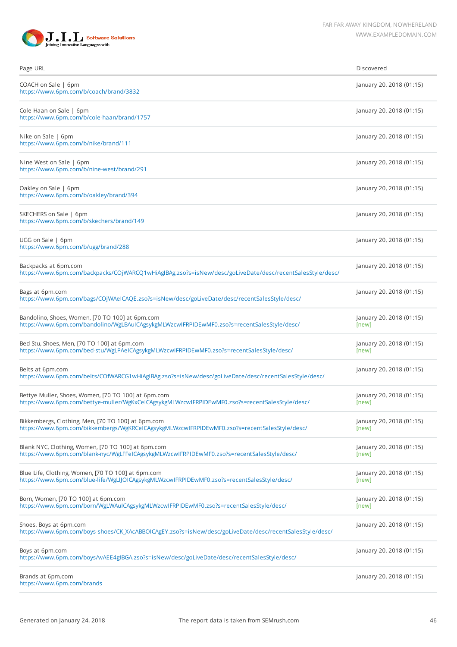

| Page URL                                                                                                                                              | Discovered                        |
|-------------------------------------------------------------------------------------------------------------------------------------------------------|-----------------------------------|
| COACH on Sale   6pm<br>https://www.6pm.com/b/coach/brand/3832                                                                                         | January 20, 2018 (01:15)          |
| Cole Haan on Sale   6pm<br>https://www.6pm.com/b/cole-haan/brand/1757                                                                                 | January 20, 2018 (01:15)          |
| Nike on Sale   6pm<br>https://www.6pm.com/b/nike/brand/111                                                                                            | January 20, 2018 (01:15)          |
| Nine West on Sale   6pm<br>https://www.6pm.com/b/nine-west/brand/291                                                                                  | January 20, 2018 (01:15)          |
| Oakley on Sale   6pm<br>https://www.6pm.com/b/oakley/brand/394                                                                                        | January 20, 2018 (01:15)          |
| SKECHERS on Sale   6pm<br>https://www.6pm.com/b/skechers/brand/149                                                                                    | January 20, 2018 (01:15)          |
| UGG on Sale   6pm<br>https://www.6pm.com/b/ugg/brand/288                                                                                              | January 20, 2018 (01:15)          |
| Backpacks at 6pm.com<br>https://www.6pm.com/backpacks/COjWARCQ1wHiAgIBAg.zso?s=isNew/desc/goLiveDate/desc/recentSalesStyle/desc/                      | January 20, 2018 (01:15)          |
| Bags at 6pm.com<br>https://www.6pm.com/bags/COjWAeICAQE.zso?s=isNew/desc/goLiveDate/desc/recentSalesStyle/desc/                                       | January 20, 2018 (01:15)          |
| Bandolino, Shoes, Women, [70 TO 100] at 6pm.com<br>https://www.6pm.com/bandolino/WgLBAulCAgsykgMLWzcwIFRPIDEwMF0.zso?s=recentSalesStyle/desc/         | January 20, 2018 (01:15)<br>[new] |
| Bed Stu, Shoes, Men, [70 TO 100] at 6pm.com<br>https://www.6pm.com/bed-stu/WgLPAeICAgsykgMLWzcwIFRPIDEwMF0.zso?s=recentSalesStyle/desc/               | January 20, 2018 (01:15)<br>[new] |
| Belts at 6pm.com<br>https://www.6pm.com/belts/COfWARCG1wHiAgIBAg.zso?s=isNew/desc/goLiveDate/desc/recentSalesStyle/desc/                              | January 20, 2018 (01:15)          |
| Bettye Muller, Shoes, Women, [70 TO 100] at 6pm.com<br>https://www.6pm.com/bettye-muller/WgKxCeICAgsykgMLWzcwIFRPIDEwMF0.zso?s=recentSalesStyle/desc/ | January 20, 2018 (01:15)<br>[new] |
| Bikkembergs, Clothing, Men, [70 TO 100] at 6pm.com<br>https://www.6pm.com/bikkembergs/WgKRCeICAgsykgMLWzcwIFRPIDEwMF0.zso?s=recentSalesStyle/desc/    | January 20, 2018 (01:15)<br>[new] |
| Blank NYC, Clothing, Women, [70 TO 100] at 6pm.com<br>https://www.6pm.com/blank-nyc/WgLFFeICAgsykgMLWzcwIFRPIDEwMF0.zso?s=recentSalesStyle/desc/      | January 20, 2018 (01:15)<br>[new] |
| Blue Life, Clothing, Women, [70 TO 100] at 6pm.com<br>https://www.6pm.com/blue-life/WgLIJOICAgsykgMLWzcwIFRPIDEwMF0.zso?s=recentSalesStyle/desc/      | January 20, 2018 (01:15)<br>[new] |
| Born, Women, [70 TO 100] at 6pm.com<br>https://www.6pm.com/born/WgLWAuICAgsykgMLWzcwIFRPIDEwMF0.zso?s=recentSalesStyle/desc/                          | January 20, 2018 (01:15)<br>[new] |
| Shoes, Boys at 6pm.com<br>https://www.6pm.com/boys-shoes/CK_XAcABBOICAgEY.zso?s=isNew/desc/goLiveDate/desc/recentSalesStyle/desc/                     | January 20, 2018 (01:15)          |
| Boys at 6pm.com<br>https://www.6pm.com/boys/wAEE4gIBGA.zso?s=isNew/desc/goLiveDate/desc/recentSalesStyle/desc/                                        | January 20, 2018 (01:15)          |
| Brands at 6pm.com<br>https://www.6pm.com/brands                                                                                                       | January 20, 2018 (01:15)          |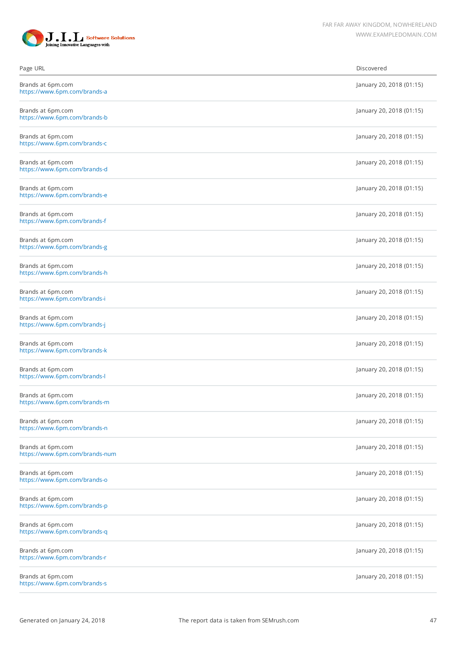

| Page URL                                            | Discovered               |
|-----------------------------------------------------|--------------------------|
| Brands at 6pm.com<br>https://www.6pm.com/brands-a   | January 20, 2018 (01:15) |
| Brands at 6pm.com<br>https://www.6pm.com/brands-b   | January 20, 2018 (01:15) |
| Brands at 6pm.com<br>https://www.6pm.com/brands-c   | January 20, 2018 (01:15) |
| Brands at 6pm.com<br>https://www.6pm.com/brands-d   | January 20, 2018 (01:15) |
| Brands at 6pm.com<br>https://www.6pm.com/brands-e   | January 20, 2018 (01:15) |
| Brands at 6pm.com<br>https://www.6pm.com/brands-f   | January 20, 2018 (01:15) |
| Brands at 6pm.com<br>https://www.6pm.com/brands-g   | January 20, 2018 (01:15) |
| Brands at 6pm.com<br>https://www.6pm.com/brands-h   | January 20, 2018 (01:15) |
| Brands at 6pm.com<br>https://www.6pm.com/brands-i   | January 20, 2018 (01:15) |
| Brands at 6pm.com<br>https://www.6pm.com/brands-j   | January 20, 2018 (01:15) |
| Brands at 6pm.com<br>https://www.6pm.com/brands-k   | January 20, 2018 (01:15) |
| Brands at 6pm.com<br>https://www.6pm.com/brands-l   | January 20, 2018 (01:15) |
| Brands at 6pm.com<br>https://www.6pm.com/brands-m   | January 20, 2018 (01:15) |
| Brands at 6pm.com<br>https://www.6pm.com/brands-n   | January 20, 2018 (01:15) |
| Brands at 6pm.com<br>https://www.6pm.com/brands-num | January 20, 2018 (01:15) |
| Brands at 6pm.com<br>https://www.6pm.com/brands-o   | January 20, 2018 (01:15) |
| Brands at 6pm.com<br>https://www.6pm.com/brands-p   | January 20, 2018 (01:15) |
| Brands at 6pm.com<br>https://www.6pm.com/brands-q   | January 20, 2018 (01:15) |
| Brands at 6pm.com<br>https://www.6pm.com/brands-r   | January 20, 2018 (01:15) |
| Brands at 6pm.com<br>https://www.6pm.com/brands-s   | January 20, 2018 (01:15) |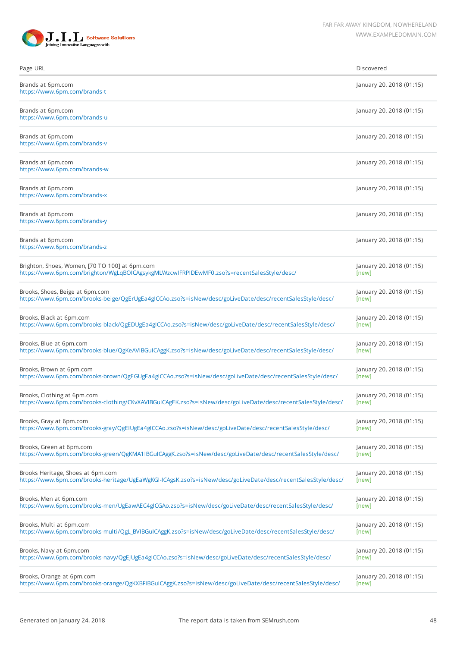

| Page URL                                                                                                     | Discovered               |
|--------------------------------------------------------------------------------------------------------------|--------------------------|
| Brands at 6pm.com<br>https://www.6pm.com/brands-t                                                            | January 20, 2018 (01:15) |
| Brands at 6pm.com<br>https://www.6pm.com/brands-u                                                            | January 20, 2018 (01:15) |
| Brands at 6pm.com<br>https://www.6pm.com/brands-v                                                            | January 20, 2018 (01:15) |
| Brands at 6pm.com<br>https://www.6pm.com/brands-w                                                            | January 20, 2018 (01:15) |
| Brands at 6pm.com<br>https://www.6pm.com/brands-x                                                            | January 20, 2018 (01:15) |
| Brands at 6pm.com<br>https://www.6pm.com/brands-y                                                            | January 20, 2018 (01:15) |
| Brands at 6pm.com<br>https://www.6pm.com/brands-z                                                            | January 20, 2018 (01:15) |
| Brighton, Shoes, Women, [70 TO 100] at 6pm.com                                                               | January 20, 2018 (01:15) |
| https://www.6pm.com/brighton/WgLqBOICAgsykgMLWzcwIFRPIDEwMF0.zso?s=recentSalesStyle/desc/                    | [new]                    |
| Brooks, Shoes, Beige at 6pm.com                                                                              | January 20, 2018 (01:15) |
| https://www.6pm.com/brooks-beige/QgErUgEa4gICCAo.zso?s=isNew/desc/goLiveDate/desc/recentSalesStyle/desc/     | [new]                    |
| Brooks, Black at 6pm.com                                                                                     | January 20, 2018 (01:15) |
| https://www.6pm.com/brooks-black/QgEDUgEa4gICCAo.zso?s=isNew/desc/goLiveDate/desc/recentSalesStyle/desc/     | [new]                    |
| Brooks, Blue at 6pm.com                                                                                      | January 20, 2018 (01:15) |
| https://www.6pm.com/brooks-blue/QgKeAVIBGuICAggK.zso?s=isNew/desc/goLiveDate/desc/recentSalesStyle/desc/     | [new]                    |
| Brooks, Brown at 6pm.com                                                                                     | January 20, 2018 (01:15) |
| https://www.6pm.com/brooks-brown/QgEGUgEa4gICCAo.zso?s=isNew/desc/goLiveDate/desc/recentSalesStyle/desc/     | [new]                    |
| Brooks, Clothing at 6pm.com                                                                                  | January 20, 2018 (01:15) |
| https://www.6pm.com/brooks-clothing/CKvXAVIBGuICAgEK.zso?s=isNew/desc/goLiveDate/desc/recentSalesStyle/desc/ | [new]                    |
| Brooks, Gray at 6pm.com                                                                                      | January 20, 2018 (01:15) |
| https://www.6pm.com/brooks-gray/QgEIUgEa4gICCAo.zso?s=isNew/desc/goLiveDate/desc/recentSalesStyle/desc/      | [new]                    |
| Brooks, Green at 6pm.com                                                                                     | January 20, 2018 (01:15) |
| https://www.6pm.com/brooks-green/QgKMA1IBGuICAggK.zso?s=isNew/desc/goLiveDate/desc/recentSalesStyle/desc/    | [new]                    |
| Brooks Heritage, Shoes at 6pm.com                                                                            | January 20, 2018 (01:15) |
| https://www.6pm.com/brooks-heritage/UgEaWgKGI-ICAgsK.zso?s=isNew/desc/goLiveDate/desc/recentSalesStyle/desc/ | [new]                    |
| Brooks, Men at 6pm.com                                                                                       | January 20, 2018 (01:15) |
| https://www.6pm.com/brooks-men/UgEawAEC4gICGAo.zso?s=isNew/desc/goLiveDate/desc/recentSalesStyle/desc/       | [new]                    |
| Brooks, Multi at 6pm.com                                                                                     | January 20, 2018 (01:15) |
| https://www.6pm.com/brooks-multi/QgL_BVIBGuICAggK.zso?s=isNew/desc/goLiveDate/desc/recentSalesStyle/desc/    | [new]                    |
| Brooks, Navy at 6pm.com                                                                                      | January 20, 2018 (01:15) |
| https://www.6pm.com/brooks-navy/QgEJUgEa4gICCAo.zso?s=isNew/desc/goLiveDate/desc/recentSalesStyle/desc/      | [new]                    |
| Brooks, Orange at 6pm.com                                                                                    | January 20, 2018 (01:15) |
| https://www.6pm.com/brooks-orange/QgKXBFIBGuICAggK.zso?s=isNew/desc/goLiveDate/desc/recentSalesStyle/desc/   | [new]                    |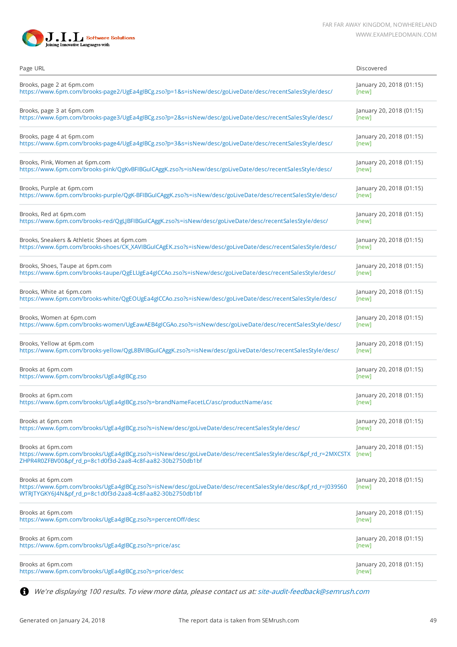

| Page URL                                                                                                                                                                                         | Discovered                        |
|--------------------------------------------------------------------------------------------------------------------------------------------------------------------------------------------------|-----------------------------------|
| Brooks, page 2 at 6pm.com                                                                                                                                                                        | January 20, 2018 (01:15)          |
| https://www.6pm.com/brooks-page2/UgEa4gIBCg.zso?p=1&s=isNew/desc/goLiveDate/desc/recentSalesStyle/desc/                                                                                          | [new]                             |
| Brooks, page 3 at 6pm.com                                                                                                                                                                        | January 20, 2018 (01:15)          |
| https://www.6pm.com/brooks-page3/UgEa4gIBCg.zso?p=2&s=isNew/desc/goLiveDate/desc/recentSalesStyle/desc/                                                                                          | [new]                             |
| Brooks, page 4 at 6pm.com                                                                                                                                                                        | January 20, 2018 (01:15)          |
| https://www.6pm.com/brooks-page4/UgEa4gIBCg.zso?p=3&s=isNew/desc/goLiveDate/desc/recentSalesStyle/desc/                                                                                          | [new]                             |
| Brooks, Pink, Women at 6pm.com                                                                                                                                                                   | January 20, 2018 (01:15)          |
| https://www.6pm.com/brooks-pink/QgKvBFIBGuICAggK.zso?s=isNew/desc/goLiveDate/desc/recentSalesStyle/desc/                                                                                         | [new]                             |
| Brooks, Purple at 6pm.com                                                                                                                                                                        | January 20, 2018 (01:15)          |
| https://www.6pm.com/brooks-purple/QgK-BFIBGuICAggK.zso?s=isNew/desc/goLiveDate/desc/recentSalesStyle/desc/                                                                                       | [new]                             |
| Brooks, Red at 6pm.com                                                                                                                                                                           | January 20, 2018 (01:15)          |
| https://www.6pm.com/brooks-red/QgLJBFIBGuICAggK.zso?s=isNew/desc/goLiveDate/desc/recentSalesStyle/desc/                                                                                          | [new]                             |
| Brooks, Sneakers & Athletic Shoes at 6pm.com                                                                                                                                                     | January 20, 2018 (01:15)          |
| https://www.6pm.com/brooks-shoes/CK_XAVIBGuICAgEK.zso?s=isNew/desc/goLiveDate/desc/recentSalesStyle/desc/                                                                                        | [new]                             |
| Brooks, Shoes, Taupe at 6pm.com                                                                                                                                                                  | January 20, 2018 (01:15)          |
| https://www.6pm.com/brooks-taupe/QgELUgEa4gICCAo.zso?s=isNew/desc/goLiveDate/desc/recentSalesStyle/desc/                                                                                         | [new]                             |
| Brooks, White at 6pm.com                                                                                                                                                                         | January 20, 2018 (01:15)          |
| https://www.6pm.com/brooks-white/QgEOUgEa4gICCAo.zso?s=isNew/desc/goLiveDate/desc/recentSalesStyle/desc/                                                                                         | [new]                             |
| Brooks, Women at 6pm.com                                                                                                                                                                         | January 20, 2018 (01:15)          |
| https://www.6pm.com/brooks-women/UgEawAEB4gICGAo.zso?s=isNew/desc/goLiveDate/desc/recentSalesStyle/desc/                                                                                         | [new]                             |
| Brooks, Yellow at 6pm.com                                                                                                                                                                        | January 20, 2018 (01:15)          |
| https://www.6pm.com/brooks-yellow/QgL8BVIBGuICAggK.zso?s=isNew/desc/goLiveDate/desc/recentSalesStyle/desc/                                                                                       | [new]                             |
| Brooks at 6pm.com                                                                                                                                                                                | January 20, 2018 (01:15)          |
| https://www.6pm.com/brooks/UgEa4gIBCg.zso                                                                                                                                                        | [new]                             |
| Brooks at 6pm.com                                                                                                                                                                                | January 20, 2018 (01:15)          |
| https://www.6pm.com/brooks/UgEa4gIBCg.zso?s=brandNameFacetLC/asc/productName/asc                                                                                                                 | [new]                             |
| Brooks at 6pm.com                                                                                                                                                                                | January 20, 2018 (01:15)          |
| https://www.6pm.com/brooks/UgEa4gIBCg.zso?s=isNew/desc/goLiveDate/desc/recentSalesStyle/desc/                                                                                                    | [new]                             |
| Brooks at 6pm.com<br>https://www.6pm.com/brooks/UgEa4gIBCg.zso?s=isNew/desc/goLiveDate/desc/recentSalesStyle/desc/&pf rd_r=2MXCSTX<br>ZHPR4R0ZFBV00&pf rd p=8c1d0f3d-2aa8-4c8f-aa82-30b2750db1bf | January 20, 2018 (01:15)<br>[new] |
| Brooks at 6pm.com<br>https://www.6pm.com/brooks/UgEa4gIBCg.zso?s=isNew/desc/goLiveDate/desc/recentSalesStyle/desc/&pf_rd_r=J039S60<br>WTRJTYGKY6J4N&pf_rd_p=8c1d0f3d-2aa8-4c8f-aa82-30b2750db1bf | January 20, 2018 (01:15)<br>[new] |
| Brooks at 6pm.com                                                                                                                                                                                | January 20, 2018 (01:15)          |
| https://www.6pm.com/brooks/UgEa4gIBCg.zso?s=percentOff/desc                                                                                                                                      | [new]                             |
| Brooks at 6pm.com                                                                                                                                                                                | January 20, 2018 (01:15)          |
| https://www.6pm.com/brooks/UgEa4gIBCg.zso?s=price/asc                                                                                                                                            | [new]                             |
| Brooks at 6pm.com                                                                                                                                                                                | January 20, 2018 (01:15)          |
| https://www.6pm.com/brooks/UgEa4gIBCg.zso?s=price/desc                                                                                                                                           | [new]                             |

We're displaying 100 results. To view more data, please contact us at: [site-audit-feedback@semrush.com](mailto:site-audit-feedback@semrush.com)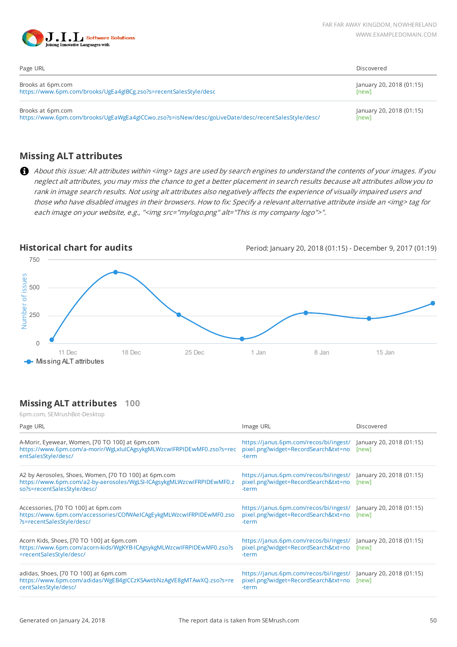

| Page URL                                                                                           | Discovered               |
|----------------------------------------------------------------------------------------------------|--------------------------|
| Brooks at 6pm.com                                                                                  | January 20, 2018 (01:15) |
| https://www.6pm.com/brooks/UgEa4gIBCg.zso?s=recentSalesStyle/desc                                  | [new]                    |
| Brooks at 6pm.com                                                                                  | January 20, 2018 (01:15) |
| https://www.6pm.com/brooks/UgEaWgEa4gICCwo.zso?s=isNew/desc/goLiveDate/desc/recentSalesStyle/desc/ | [new]                    |

## **Missing ALT attributes**

About this issue: Alt attributes within <img> tags are used by search engines to understand the contents of your images. If you neglect alt attributes, you may miss the chance to get a better placement in search results because alt attributes allow you to rank in image search results. Not using alt attributes also negatively affects the experience of visually impaired users and those who have disabled images in their browsers. How to fix: Specify a relevant alternative attribute inside an <img> tag for each image on your website, e.g., "<img src="mylogo.png" alt="This is my company logo">".



## **Missing ALT attributes 100**

| 6pm.com, SEMrushBot-Desktop                                                                                                                                   |                                                                                                                  |                                   |
|---------------------------------------------------------------------------------------------------------------------------------------------------------------|------------------------------------------------------------------------------------------------------------------|-----------------------------------|
| Page URL                                                                                                                                                      | Image URL                                                                                                        | Discovered                        |
| A-Morir, Eyewear, Women, [70 TO 100] at 6pm.com<br>https://www.6pm.com/a-morir/WgLxIuICAgsykgMLWzcwIFRPIDEwMF0.zso?s=rec<br>entSalesStyle/desc/               | https://janus.6pm.com/recos/bi/ingest/<br>pixel.png?widget=RecordSearch&txt=no<br>-term                          | January 20, 2018 (01:15)<br>[new] |
| A2 by Aerosoles, Shoes, Women, [70 TO 100] at 6pm.com<br>https://www.6pm.com/a2-by-aerosoles/WgLSI-ICAgsykgMLWzcwIFRPIDEwMF0.z<br>so?s=recentSalesStyle/desc/ | https://janus.6pm.com/recos/bi/ingest/ January 20, 2018 (01:15)<br>pixel.png?widget=RecordSearch&txt=no<br>-term | [new]                             |
| Accessories, [70 TO 100] at 6pm.com<br>https://www.6pm.com/accessories/COfWAeICAgEykgMLWzcwIFRPIDEwMF0.zso<br>?s=recentSalesStyle/desc/                       | https://janus.6pm.com/recos/bi/ingest/ January 20, 2018 (01:15)<br>pixel.png?widget=RecordSearch&txt=no<br>-term | [new]                             |
| Acorn Kids, Shoes, [70 TO 100] at 6pm.com<br>https://www.6pm.com/acorn-kids/WgKYB-ICAgsykgMLWzcwIFRPIDEwMF0.zso?s<br>=recentSalesStyle/desc/                  | https://janus.6pm.com/recos/bi/ingest/ January 20, 2018 (01:15)<br>pixel.png?widget=RecordSearch&txt=no<br>-term | [new]                             |
| adidas, Shoes, [70 TO 100] at 6pm.com<br>https://www.6pm.com/adidas/WgEB4gICCzKSAwtbNzAgVE8gMTAwXQ.zso?s=re<br>centSalesStyle/desc/                           | https://janus.6pm.com/recos/bi/ingest/<br>pixel.png?widget=RecordSearch&txt=no<br>-term                          | January 20, 2018 (01:15)<br>[new] |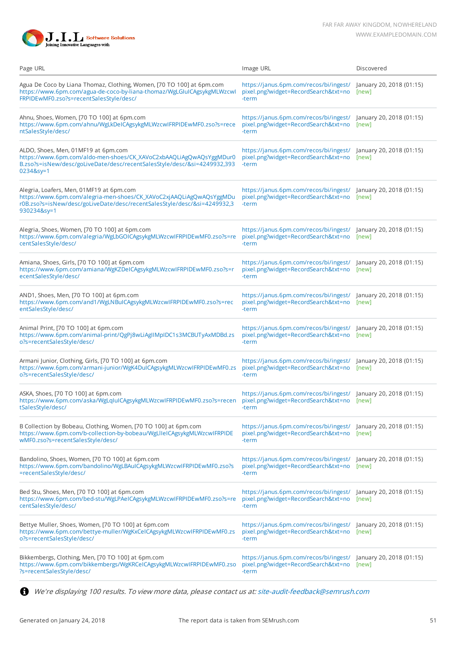

| Page URL                                                                                                                                                                                                   | Image URL                                                                                                        | Discovered                        |
|------------------------------------------------------------------------------------------------------------------------------------------------------------------------------------------------------------|------------------------------------------------------------------------------------------------------------------|-----------------------------------|
| Agua De Coco by Liana Thomaz, Clothing, Women, [70 TO 100] at 6pm.com<br>https://www.6pm.com/agua-de-coco-by-liana-thomaz/WgLGIuICAgsykgMLWzcwl<br>FRPIDEwMF0.zso?s=recentSalesStyle/desc/                 | https://janus.6pm.com/recos/bi/ingest/<br>pixel.png?widget=RecordSearch&txt=no<br>-term                          | January 20, 2018 (01:15)<br>[new] |
| Ahnu, Shoes, Women, [70 TO 100] at 6pm.com<br>https://www.6pm.com/ahnu/WgLkDeICAgsykgMLWzcwIFRPIDEwMF0.zso?s=rece<br>ntSalesStyle/desc/                                                                    | https://janus.6pm.com/recos/bi/ingest/ January 20, 2018 (01:15)<br>pixel.png?widget=RecordSearch&txt=no<br>-term | [new]                             |
| ALDO, Shoes, Men, 01MF19 at 6pm.com<br>https://www.6pm.com/aldo-men-shoes/CK_XAVoC2xbAAQLiAgQwAQsYggMDur0<br>B.zso?s=isNew/desc/goLiveDate/desc/recentSalesStyle/desc/&si=4249932,393<br>0234&sy=1         | https://janus.6pm.com/recos/bi/ingest/ January 20, 2018 (01:15)<br>pixel.png?widget=RecordSearch&txt=no<br>-term | [new]                             |
| Alegria, Loafers, Men, 01MF19 at 6pm.com<br>https://www.6pm.com/alegria-men-shoes/CK_XAVoC2xjAAQLiAgQwAQsYggMDu<br>r0B.zso?s=isNew/desc/goLiveDate/desc/recentSalesStyle/desc/&si=4249932,3<br>930234&sy=1 | https://janus.6pm.com/recos/bi/ingest/ January 20, 2018 (01:15)<br>pixel.png?widget=RecordSearch&txt=no<br>-term | [new]                             |
| Alegria, Shoes, Women, [70 TO 100] at 6pm.com<br>https://www.6pm.com/alegria/WgLbGOICAgsykgMLWzcwIFRPIDEwMF0.zso?s=re<br>centSalesStyle/desc/                                                              | https://janus.6pm.com/recos/bi/ingest/ January 20, 2018 (01:15)<br>pixel.png?widget=RecordSearch&txt=no<br>-term | [new]                             |
| Amiana, Shoes, Girls, [70 TO 100] at 6pm.com<br>https://www.6pm.com/amiana/WgKZDeICAgsykgMLWzcwIFRPIDEwMF0.zso?s=r<br>ecentSalesStyle/desc/                                                                | https://janus.6pm.com/recos/bi/ingest/ January 20, 2018 (01:15)<br>pixel.png?widget=RecordSearch&txt=no<br>-term | [new]                             |
| AND1, Shoes, Men, [70 TO 100] at 6pm.com<br>https://www.6pm.com/and1/WgLNBulCAgsykgMLWzcwIFRPIDEwMF0.zso?s=rec<br>entSalesStyle/desc/                                                                      | https://janus.6pm.com/recos/bi/ingest/ January 20, 2018 (01:15)<br>pixel.png?widget=RecordSearch&txt=no<br>-term | [new]                             |
| Animal Print, [70 TO 100] at 6pm.com<br>https://www.6pm.com/animal-print/QgPj8wLiAglIMpIDC1s3MCBUTyAxMDBd.zs<br>o?s=recentSalesStyle/desc/                                                                 | https://janus.6pm.com/recos/bi/ingest/<br>pixel.png?widget=RecordSearch&txt=no<br>-term                          | January 20, 2018 (01:15)<br>[new] |
| Armani Junior, Clothing, Girls, [70 TO 100] at 6pm.com<br>https://www.6pm.com/armani-junior/WgK4DuICAgsykgMLWzcwIFRPIDEwMF0.zs<br>o?s=recentSalesStyle/desc/                                               | https://janus.6pm.com/recos/bi/ingest/<br>pixel.png?widget=RecordSearch&txt=no<br>-term                          | January 20, 2018 (01:15)<br>[new] |
| ASKA, Shoes, [70 TO 100] at 6pm.com<br>https://www.6pm.com/aska/WgLqIuICAgsykgMLWzcwIFRPIDEwMF0.zso?s=recen<br>tSalesStyle/desc/                                                                           | https://janus.6pm.com/recos/bi/ingest/<br>pixel.png?widget=RecordSearch&txt=no<br>-term                          | January 20, 2018 (01:15)<br>[new] |
| B Collection by Bobeau, Clothing, Women, [70 TO 100] at 6pm.com<br>https://www.6pm.com/b-collection-by-bobeau/WgLlleICAgsykgMLWzcwIFRPIDE<br>wMF0.zso?s=recentSalesStyle/desc/                             | https://janus.6pm.com/recos/bi/ingest/ January 20, 2018 (01:15)<br>pixel.png?widget=RecordSearch&txt=no<br>-term | [new]                             |
| Bandolino, Shoes, Women, [70 TO 100] at 6pm.com<br>https://www.6pm.com/bandolino/WgLBAulCAgsykgMLWzcwlFRPIDEwMF0.zso?s<br>=recentSalesStyle/desc/                                                          | https://janus.6pm.com/recos/bi/ingest/ January 20, 2018 (01:15)<br>pixel.png?widget=RecordSearch&txt=no<br>-term | [new]                             |
| Bed Stu, Shoes, Men, [70 TO 100] at 6pm.com<br>https://www.6pm.com/bed-stu/WgLPAeICAgsykgMLWzcwIFRPIDEwMF0.zso?s=re<br>centSalesStyle/desc/                                                                | https://janus.6pm.com/recos/bi/ingest/ January 20, 2018 (01:15)<br>pixel.png?widget=RecordSearch&txt=no<br>-term | [new]                             |
| Bettye Muller, Shoes, Women, [70 TO 100] at 6pm.com<br>https://www.6pm.com/bettye-muller/WgKxCeICAgsykgMLWzcwIFRPIDEwMF0.zs<br>o?s=recentSalesStyle/desc/                                                  | https://janus.6pm.com/recos/bi/ingest/ January 20, 2018 (01:15)<br>pixel.png?widget=RecordSearch&txt=no<br>-term | [new]                             |
| Bikkembergs, Clothing, Men, [70 TO 100] at 6pm.com<br>https://www.6pm.com/bikkembergs/WgKRCeICAgsykgMLWzcwIFRPIDEwMF0.zso<br>?s=recentSalesStyle/desc/                                                     | https://janus.6pm.com/recos/bi/ingest/ January 20, 2018 (01:15)<br>pixel.png?widget=RecordSearch&txt=no<br>-term | [new]                             |

We're displaying 100 results. To view more data, please contact us at: [site-audit-feedback@semrush.com](mailto:site-audit-feedback@semrush.com)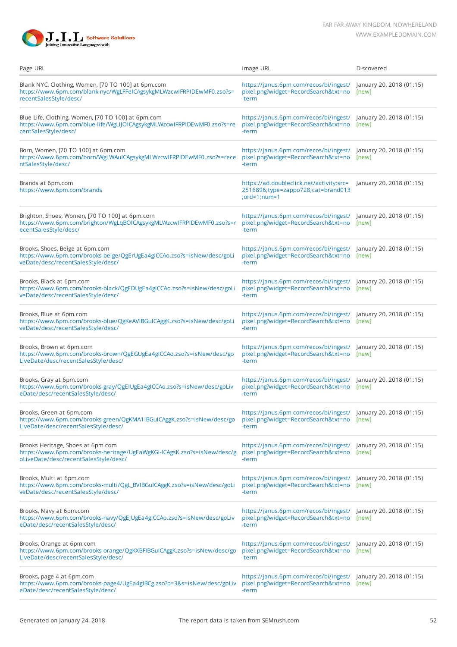

| Page URL                                                                                                                                              | Image URL                                                                                                              | Discovered                        |
|-------------------------------------------------------------------------------------------------------------------------------------------------------|------------------------------------------------------------------------------------------------------------------------|-----------------------------------|
| Blank NYC, Clothing, Women, [70 TO 100] at 6pm.com<br>https://www.6pm.com/blank-nyc/WgLFFeICAgsykgMLWzcwIFRPIDEwMF0.zso?s=<br>recentSalesStyle/desc/  | https://janus.6pm.com/recos/bi/ingest/ January 20, 2018 (01:15)<br>pixel.png?widget=RecordSearch&txt=no<br>-term       | [new]                             |
| Blue Life, Clothing, Women, [70 TO 100] at 6pm.com<br>https://www.6pm.com/blue-life/WgLIJOICAgsykgMLWzcwIFRPIDEwMF0.zso?s=re<br>centSalesStyle/desc/  | https://janus.6pm.com/recos/bi/ingest/<br>pixel.png?widget=RecordSearch&txt=no<br>-term                                | January 20, 2018 (01:15)<br>[new] |
| Born, Women, [70 TO 100] at 6pm.com<br>https://www.6pm.com/born/WgLWAuICAgsykgMLWzcwIFRPIDEwMF0.zso?s=rece<br>ntSalesStyle/desc/                      | https://janus.6pm.com/recos/bi/ingest/<br>pixel.png?widget=RecordSearch&txt=no<br>-term                                | January 20, 2018 (01:15)<br>[new] |
| Brands at 6pm.com<br>https://www.6pm.com/brands                                                                                                       | https://ad.doubleclick.net/activity;src=<br>2516896;type=zappo728;cat=brand013<br>; $ord=1; num=1$                     | January 20, 2018 (01:15)          |
| Brighton, Shoes, Women, [70 TO 100] at 6pm.com<br>https://www.6pm.com/brighton/WgLqBOICAgsykgMLWzcwIFRPIDEwMF0.zso?s=r<br>ecentSalesStyle/desc/       | https://janus.6pm.com/recos/bi/ingest/ January 20, 2018 (01:15)<br>pixel.png?widget=RecordSearch&txt=no [new]<br>-term |                                   |
| Brooks, Shoes, Beige at 6pm.com<br>https://www.6pm.com/brooks-beige/QgErUgEa4gICCAo.zso?s=isNew/desc/goLi<br>veDate/desc/recentSalesStyle/desc/       | https://janus.6pm.com/recos/bi/ingest/ January 20, 2018 (01:15)<br>pixel.png?widget=RecordSearch&txt=no<br>-term       | [new]                             |
| Brooks, Black at 6pm.com<br>https://www.6pm.com/brooks-black/QgEDUgEa4gICCAo.zso?s=isNew/desc/goLi<br>veDate/desc/recentSalesStyle/desc/              | https://janus.6pm.com/recos/bi/ingest/ January 20, 2018 (01:15)<br>pixel.png?widget=RecordSearch&txt=no<br>-term       | [new]                             |
| Brooks, Blue at 6pm.com<br>https://www.6pm.com/brooks-blue/QgKeAVIBGuICAggK.zso?s=isNew/desc/goLi<br>veDate/desc/recentSalesStyle/desc/               | https://janus.6pm.com/recos/bi/ingest/ January 20, 2018 (01:15)<br>pixel.png?widget=RecordSearch&txt=no<br>-term       | [new]                             |
| Brooks, Brown at 6pm.com<br>https://www.6pm.com/brooks-brown/QgEGUgEa4gICCAo.zso?s=isNew/desc/go<br>LiveDate/desc/recentSalesStyle/desc/              | https://janus.6pm.com/recos/bi/ingest/ January 20, 2018 (01:15)<br>pixel.png?widget=RecordSearch&txt=no [new]<br>-term |                                   |
| Brooks, Gray at 6pm.com<br>https://www.6pm.com/brooks-gray/QgEIUgEa4gICCAo.zso?s=isNew/desc/goLiv<br>eDate/desc/recentSalesStyle/desc/                | https://janus.6pm.com/recos/bi/ingest/ January 20, 2018 (01:15)<br>pixel.png?widget=RecordSearch&txt=no<br>-term       | [new]                             |
| Brooks, Green at 6pm.com<br>https://www.6pm.com/brooks-green/QgKMA1IBGuICAggK.zso?s=isNew/desc/go<br>LiveDate/desc/recentSalesStyle/desc/             | https://janus.6pm.com/recos/bi/ingest/ January 20, 2018 (01:15)<br>pixel.png?widget=RecordSearch&txt=no [new]<br>-term |                                   |
| Brooks Heritage, Shoes at 6pm.com<br>https://www.6pm.com/brooks-heritage/UgEaWgKGI-ICAgsK.zso?s=isNew/desc/g<br>oLiveDate/desc/recentSalesStyle/desc/ | https://janus.6pm.com/recos/bi/ingest/ January 20, 2018 (01:15)<br>pixel.png?widget=RecordSearch&txt=no<br>-term       | [new]                             |
| Brooks, Multi at 6pm.com<br>https://www.6pm.com/brooks-multi/QgL_BVIBGuICAggK.zso?s=isNew/desc/goLi<br>veDate/desc/recentSalesStyle/desc/             | https://janus.6pm.com/recos/bi/ingest/<br>pixel.png?widget=RecordSearch&txt=no<br>-term                                | January 20, 2018 (01:15)<br>[new] |
| Brooks, Navy at 6pm.com<br>https://www.6pm.com/brooks-navy/QgEJUgEa4gICCAo.zso?s=isNew/desc/goLiv<br>eDate/desc/recentSalesStyle/desc/                | https://janus.6pm.com/recos/bi/ingest/ January 20, 2018 (01:15)<br>pixel.png?widget=RecordSearch&txt=no [new]<br>-term |                                   |
| Brooks, Orange at 6pm.com<br>https://www.6pm.com/brooks-orange/QgKXBFIBGuICAggK.zso?s=isNew/desc/go<br>LiveDate/desc/recentSalesStyle/desc/           | https://janus.6pm.com/recos/bi/ingest/ January 20, 2018 (01:15)<br>pixel.png?widget=RecordSearch&txt=no<br>-term       | [new]                             |
| Brooks, page 4 at 6pm.com<br>https://www.6pm.com/brooks-page4/UgEa4gIBCg.zso?p=3&s=isNew/desc/goLiv<br>eDate/desc/recentSalesStyle/desc/              | https://janus.6pm.com/recos/bi/ingest/ January 20, 2018 (01:15)<br>pixel.png?widget=RecordSearch&txt=no [new]<br>-term |                                   |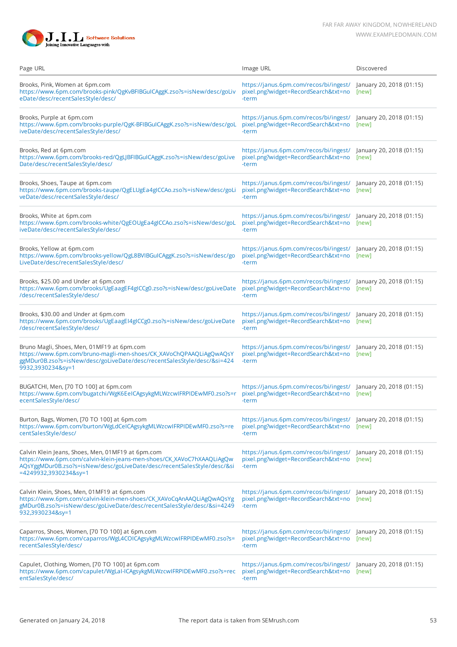

| Page URL                                                                                                                                                                                                                       | Image URL                                                                                                              | Discovered                        |
|--------------------------------------------------------------------------------------------------------------------------------------------------------------------------------------------------------------------------------|------------------------------------------------------------------------------------------------------------------------|-----------------------------------|
| Brooks, Pink, Women at 6pm.com<br>https://www.6pm.com/brooks-pink/QgKvBFIBGuICAggK.zso?s=isNew/desc/goLiv<br>eDate/desc/recentSalesStyle/desc/                                                                                 | https://janus.6pm.com/recos/bi/ingest/<br>pixel.png?widget=RecordSearch&txt=no<br>-term                                | January 20, 2018 (01:15)<br>[new] |
| Brooks, Purple at 6pm.com<br>https://www.6pm.com/brooks-purple/QgK-BFIBGuICAggK.zso?s=isNew/desc/goL<br>iveDate/desc/recentSalesStyle/desc/                                                                                    | https://janus.6pm.com/recos/bi/ingest/ January 20, 2018 (01:15)<br>pixel.png?widget=RecordSearch&txt=no<br>-term       | [new]                             |
| Brooks, Red at 6pm.com<br>https://www.6pm.com/brooks-red/QgLJBFIBGuICAggK.zso?s=isNew/desc/goLive<br>Date/desc/recentSalesStyle/desc/                                                                                          | https://janus.6pm.com/recos/bi/ingest/ January 20, 2018 (01:15)<br>pixel.png?widget=RecordSearch&txt=no [new]<br>-term |                                   |
| Brooks, Shoes, Taupe at 6pm.com<br>https://www.6pm.com/brooks-taupe/QgELUgEa4gICCAo.zso?s=isNew/desc/goLi<br>veDate/desc/recentSalesStyle/desc/                                                                                | https://janus.6pm.com/recos/bi/ingest/ January 20, 2018 (01:15)<br>pixel.png?widget=RecordSearch&txt=no<br>-term       | [new]                             |
| Brooks, White at 6pm.com<br>https://www.6pm.com/brooks-white/QgEOUgEa4gICCAo.zso?s=isNew/desc/goL<br>iveDate/desc/recentSalesStyle/desc/                                                                                       | https://janus.6pm.com/recos/bi/ingest/ January 20, 2018 (01:15)<br>pixel.png?widget=RecordSearch&txt=no<br>-term       | [new]                             |
| Brooks, Yellow at 6pm.com<br>https://www.6pm.com/brooks-yellow/QgL8BVIBGuICAggK.zso?s=isNew/desc/go<br>LiveDate/desc/recentSalesStyle/desc/                                                                                    | https://janus.6pm.com/recos/bi/ingest/ January 20, 2018 (01:15)<br>pixel.png?widget=RecordSearch&txt=no<br>-term       | [new]                             |
| Brooks, \$25.00 and Under at 6pm.com<br>https://www.6pm.com/brooks/UgEaagEF4gICCg0.zso?s=isNew/desc/goLiveDate<br>/desc/recentSalesStyle/desc/                                                                                 | https://janus.6pm.com/recos/bi/ingest/<br>pixel.png?widget=RecordSearch&txt=no<br>-term                                | January 20, 2018 (01:15)<br>[new] |
| Brooks, \$30.00 and Under at 6pm.com<br>https://www.6pm.com/brooks/UgEaagEI4gICCg0.zso?s=isNew/desc/goLiveDate<br>/desc/recentSalesStyle/desc/                                                                                 | https://janus.6pm.com/recos/bi/ingest/<br>pixel.png?widget=RecordSearch&txt=no<br>-term                                | January 20, 2018 (01:15)<br>[new] |
| Bruno Magli, Shoes, Men, 01MF19 at 6pm.com<br>https://www.6pm.com/bruno-magli-men-shoes/CK_XAVoChQPAAQLiAgQwAQsY<br>ggMDur0B.zso?s=isNew/desc/goLiveDate/desc/recentSalesStyle/desc/&si=424<br>9932,3930234&sy=1               | https://janus.6pm.com/recos/bi/ingest/<br>pixel.png?widget=RecordSearch&txt=no<br>-term                                | January 20, 2018 (01:15)<br>[new] |
| BUGATCHI, Men, [70 TO 100] at 6pm.com<br>https://www.6pm.com/bugatchi/WgK6EeICAgsykgMLWzcwIFRPIDEwMF0.zso?s=r<br>ecentSalesStyle/desc/                                                                                         | https://janus.6pm.com/recos/bi/ingest/ January 20, 2018 (01:15)<br>pixel.png?widget=RecordSearch&txt=no<br>-term       | [new]                             |
| Burton, Bags, Women, [70 TO 100] at 6pm.com<br>https://www.6pm.com/burton/WgLdCelCAgsykgMLWzcwIFRPIDEwMF0.zso?s=re<br>centSalesStyle/desc/                                                                                     | https://janus.6pm.com/recos/bi/ingest/ January 20, 2018 (01:15)<br>pixel.png?widget=RecordSearch&txt=no [new]<br>-term |                                   |
| Calvin Klein Jeans, Shoes, Men, 01MF19 at 6pm.com<br>https://www.6pm.com/calvin-klein-jeans-men-shoes/CK_XAVoC7hXAAQLiAgQw<br>AQsYggMDur0B.zso?s=isNew/desc/goLiveDate/desc/recentSalesStyle/desc/&si<br>=4249932,3930234&sy=1 | https://janus.6pm.com/recos/bi/ingest/ January 20, 2018 (01:15)<br>pixel.png?widget=RecordSearch&txt=no<br>-term       | [new]                             |
| Calvin Klein, Shoes, Men, 01MF19 at 6pm.com<br>https://www.6pm.com/calvin-klein-men-shoes/CK_XAVoCqAnAAQLiAgQwAQsYg<br>gMDur0B.zso?s=isNew/desc/goLiveDate/desc/recentSalesStyle/desc/&si=4249<br>932,3930234&sy=1             | https://janus.6pm.com/recos/bi/ingest/ January 20, 2018 (01:15)<br>pixel.png?widget=RecordSearch&txt=no<br>-term       | [new]                             |
| Caparros, Shoes, Women, [70 TO 100] at 6pm.com<br>https://www.6pm.com/caparros/WgL4COICAgsykgMLWzcwIFRPIDEwMF0.zso?s=<br>recentSalesStyle/desc/                                                                                | https://janus.6pm.com/recos/bi/ingest/<br>pixel.png?widget=RecordSearch&txt=no<br>-term                                | January 20, 2018 (01:15)<br>[new] |
| Capulet, Clothing, Women, [70 TO 100] at 6pm.com<br>https://www.6pm.com/capulet/WgLaI-ICAgsykgMLWzcwIFRPIDEwMF0.zso?s=rec<br>entSalesStyle/desc/                                                                               | https://janus.6pm.com/recos/bi/ingest/ January 20, 2018 (01:15)<br>pixel.png?widget=RecordSearch&txt=no<br>-term       | [new]                             |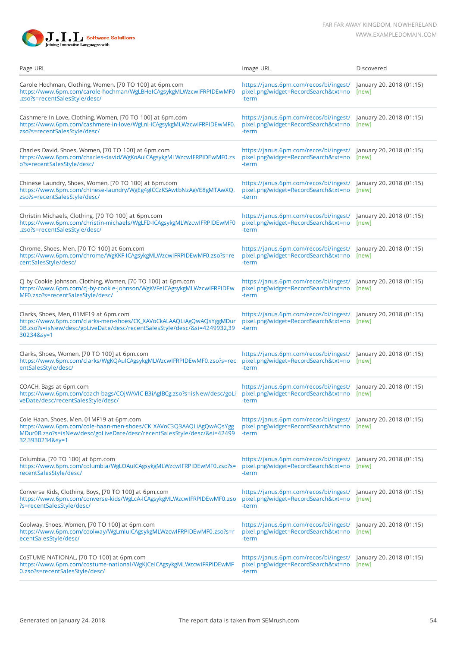

| Page URL                                                                                                                                                                                                     | Image URL                                                                                                              | Discovered                        |
|--------------------------------------------------------------------------------------------------------------------------------------------------------------------------------------------------------------|------------------------------------------------------------------------------------------------------------------------|-----------------------------------|
| Carole Hochman, Clothing, Women, [70 TO 100] at 6pm.com<br>https://www.6pm.com/carole-hochman/WgLBHeICAgsykgMLWzcwIFRPIDEwMF0<br>.zso?s=recentSalesStyle/desc/                                               | https://janus.6pm.com/recos/bi/ingest/<br>pixel.png?widget=RecordSearch&txt=no<br>-term                                | January 20, 2018 (01:15)<br>[new] |
| Cashmere In Love, Clothing, Women, [70 TO 100] at 6pm.com<br>https://www.6pm.com/cashmere-in-love/WgLnI-ICAgsykgMLWzcwIFRPIDEwMF0.<br>zso?s=recentSalesStyle/desc/                                           | https://janus.6pm.com/recos/bi/ingest/ January 20, 2018 (01:15)<br>pixel.png?widget=RecordSearch&txt=no<br>-term       | [new]                             |
| Charles David, Shoes, Women, [70 TO 100] at 6pm.com<br>https://www.6pm.com/charles-david/WgKoAuICAgsykgMLWzcwIFRPIDEwMF0.zs<br>o?s=recentSalesStyle/desc/                                                    | https://janus.6pm.com/recos/bi/ingest/ January 20, 2018 (01:15)<br>pixel.png?widget=RecordSearch&txt=no [new]<br>-term |                                   |
| Chinese Laundry, Shoes, Women, [70 TO 100] at 6pm.com<br>https://www.6pm.com/chinese-laundry/WgEg4gICCzKSAwtbNzAgVE8gMTAwXQ.<br>zso?s=recentSalesStyle/desc/                                                 | https://janus.6pm.com/recos/bi/ingest/ January 20, 2018 (01:15)<br>pixel.png?widget=RecordSearch&txt=no<br>-term       | [new]                             |
| Christin Michaels, Clothing, [70 TO 100] at 6pm.com<br>https://www.6pm.com/christin-michaels/WgLFD-ICAgsykgMLWzcwIFRPIDEwMF0<br>.zso?s=recentSalesStyle/desc/                                                | https://janus.6pm.com/recos/bi/ingest/ January 20, 2018 (01:15)<br>pixel.png?widget=RecordSearch&txt=no<br>-term       | [new]                             |
| Chrome, Shoes, Men, [70 TO 100] at 6pm.com<br>https://www.6pm.com/chrome/WgKKF-ICAgsykgMLWzcwIFRPIDEwMF0.zso?s=re<br>centSalesStyle/desc/                                                                    | https://janus.6pm.com/recos/bi/ingest/ January 20, 2018 (01:15)<br>pixel.png?widget=RecordSearch&txt=no<br>-term       | [new]                             |
| CJ by Cookie Johnson, Clothing, Women, [70 TO 100] at 6pm.com<br>https://www.6pm.com/cj-by-cookie-johnson/WgKVFeICAgsykgMLWzcwIFRPIDEw<br>MF0.zso?s=recentSalesStyle/desc/                                   | https://janus.6pm.com/recos/bi/ingest/<br>pixel.png?widget=RecordSearch&txt=no<br>-term                                | January 20, 2018 (01:15)<br>[new] |
| Clarks, Shoes, Men, 01MF19 at 6pm.com<br>https://www.6pm.com/clarks-men-shoes/CK_XAVoCkALAAQLiAgQwAQsYggMDur<br>0B.zso?s=isNew/desc/goLiveDate/desc/recentSalesStyle/desc/&si=4249932,39<br>30234&sy=1       | https://janus.6pm.com/recos/bi/ingest/<br>pixel.png?widget=RecordSearch&txt=no<br>-term                                | January 20, 2018 (01:15)<br>[new] |
| Clarks, Shoes, Women, [70 TO 100] at 6pm.com<br>https://www.6pm.com/clarks/WgKQAuICAgsykgMLWzcwIFRPIDEwMF0.zso?s=rec<br>entSalesStyle/desc/                                                                  | https://janus.6pm.com/recos/bi/ingest/<br>pixel.png?widget=RecordSearch&txt=no<br>-term                                | January 20, 2018 (01:15)<br>[new] |
| COACH, Bags at 6pm.com<br>https://www.6pm.com/coach-bags/COjWAVIC-B3iAgIBCg.zso?s=isNew/desc/goLi<br>veDate/desc/recentSalesStyle/desc/                                                                      | https://janus.6pm.com/recos/bi/ingest/ January 20, 2018 (01:15)<br>pixel.png?widget=RecordSearch&txt=no<br>-term       | [new]                             |
| Cole Haan, Shoes, Men, 01MF19 at 6pm.com<br>https://www.6pm.com/cole-haan-men-shoes/CK_XAVoC3Q3AAQLiAgQwAQsYgg<br>MDur0B.zso?s=isNew/desc/goLiveDate/desc/recentSalesStyle/desc/&si=42499<br>32,3930234&sy=1 | https://janus.6pm.com/recos/bi/ingest/ January 20, 2018 (01:15)<br>pixel.png?widget=RecordSearch&txt=no [new]<br>-term |                                   |
| Columbia, [70 TO 100] at 6pm.com<br>https://www.6pm.com/columbia/WgLOAuICAgsykgMLWzcwIFRPIDEwMF0.zso?s=<br>recentSalesStyle/desc/                                                                            | https://janus.6pm.com/recos/bi/ingest/ January 20, 2018 (01:15)<br>pixel.png?widget=RecordSearch&txt=no<br>-term       | [new]                             |
| Converse Kids, Clothing, Boys, [70 TO 100] at 6pm.com<br>https://www.6pm.com/converse-kids/WgLcA-ICAgsykgMLWzcwIFRPIDEwMF0.zso<br>?s=recentSalesStyle/desc/                                                  | https://janus.6pm.com/recos/bi/ingest/ January 20, 2018 (01:15)<br>pixel.png?widget=RecordSearch&txt=no<br>-term       | [new]                             |
| Coolway, Shoes, Women, [70 TO 100] at 6pm.com<br>https://www.6pm.com/coolway/WgLmlulCAgsykgMLWzcwlFRPIDEwMF0.zso?s=r<br>ecentSalesStyle/desc/                                                                | https://janus.6pm.com/recos/bi/ingest/<br>pixel.png?widget=RecordSearch&txt=no<br>-term                                | January 20, 2018 (01:15)<br>[new] |
| CoSTUME NATIONAL, [70 TO 100] at 6pm.com<br>https://www.6pm.com/costume-national/WgKJCeICAgsykgMLWzcwIFRPIDEwMF<br>0.zso?s=recentSalesStyle/desc/                                                            | https://janus.6pm.com/recos/bi/ingest/ January 20, 2018 (01:15)<br>pixel.png?widget=RecordSearch&txt=no [new]<br>-term |                                   |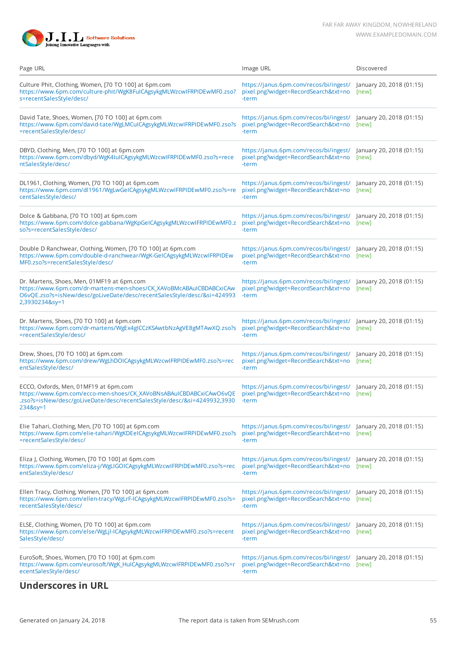

| Page URL                                                                                                                                                                                                       | Image URL                                                                                                              | Discovered                        |
|----------------------------------------------------------------------------------------------------------------------------------------------------------------------------------------------------------------|------------------------------------------------------------------------------------------------------------------------|-----------------------------------|
| Culture Phit, Clothing, Women, [70 TO 100] at 6pm.com<br>https://www.6pm.com/culture-phit/WgK8FuICAgsykgMLWzcwIFRPIDEwMF0.zso?<br>s=recentSalesStyle/desc/                                                     | https://janus.6pm.com/recos/bi/ingest/<br>pixel.png?widget=RecordSearch&txt=no<br>-term                                | January 20, 2018 (01:15)<br>[new] |
| David Tate, Shoes, Women, [70 TO 100] at 6pm.com<br>https://www.6pm.com/david-tate/WgLMCuICAgsykgMLWzcwIFRPIDEwMF0.zso?s<br>=recentSalesStyle/desc/                                                            | https://janus.6pm.com/recos/bi/ingest/ January 20, 2018 (01:15)<br>pixel.png?widget=RecordSearch&txt=no<br>-term       | [new]                             |
| DBYD, Clothing, Men, [70 TO 100] at 6pm.com<br>https://www.6pm.com/dbyd/WgK4IuICAgsykgMLWzcwIFRPIDEwMF0.zso?s=rece<br>ntSalesStyle/desc/                                                                       | https://janus.6pm.com/recos/bi/ingest/ January 20, 2018 (01:15)<br>pixel.png?widget=RecordSearch&txt=no<br>-term       | [new]                             |
| DL1961, Clothing, Women, [70 TO 100] at 6pm.com<br>https://www.6pm.com/dl1961/WgLwGeICAgsykgMLWzcwIFRPIDEwMF0.zso?s=re<br>centSalesStyle/desc/                                                                 | https://janus.6pm.com/recos/bi/ingest/ January 20, 2018 (01:15)<br>pixel.png?widget=RecordSearch&txt=no<br>-term       | [new]                             |
| Dolce & Gabbana, [70 TO 100] at 6pm.com<br>https://www.6pm.com/dolce-gabbana/WgKpGeICAgsykgMLWzcwIFRPIDEwMF0.z<br>so?s=recentSalesStyle/desc/                                                                  | https://janus.6pm.com/recos/bi/ingest/<br>pixel.png?widget=RecordSearch&txt=no<br>-term                                | January 20, 2018 (01:15)<br>[new] |
| Double D Ranchwear, Clothing, Women, [70 TO 100] at 6pm.com<br>https://www.6pm.com/double-d-ranchwear/WgK-GeICAgsykgMLWzcwIFRPIDEw<br>MF0.zso?s=recentSalesStyle/desc/                                         | https://janus.6pm.com/recos/bi/ingest/ January 20, 2018 (01:15)<br>pixel.png?widget=RecordSearch&txt=no<br>-term       | [new]                             |
| Dr. Martens, Shoes, Men, 01MF19 at 6pm.com<br>https://www.6pm.com/dr-martens-men-shoes/CK_XAVoBMcABAuICBDABCxiCAw<br>O6vQE.zso?s=isNew/desc/goLiveDate/desc/recentSalesStyle/desc/&si=424993<br>2,3930234&sy=1 | https://janus.6pm.com/recos/bi/ingest/ January 20, 2018 (01:15)<br>pixel.png?widget=RecordSearch&txt=no<br>-term       | [new]                             |
| Dr. Martens, Shoes, [70 TO 100] at 6pm.com<br>https://www.6pm.com/dr-martens/WgEx4gICCzKSAwtbNzAgVE8gMTAwXQ.zso?s<br>=recentSalesStyle/desc/                                                                   | https://janus.6pm.com/recos/bi/ingest/ January 20, 2018 (01:15)<br>pixel.png?widget=RecordSearch&txt=no<br>-term       | [new]                             |
| Drew, Shoes, [70 TO 100] at 6pm.com<br>https://www.6pm.com/drew/WgLhDOICAgsykgMLWzcwIFRPIDEwMF0.zso?s=rec<br>entSalesStyle/desc/                                                                               | https://janus.6pm.com/recos/bi/ingest/ January 20, 2018 (01:15)<br>pixel.png?widget=RecordSearch&txt=no<br>-term       | [new]                             |
| ECCO, Oxfords, Men, 01MF19 at 6pm.com<br>https://www.6pm.com/ecco-men-shoes/CK_XAVoBNsABAuICBDABCxiCAwO6vQE<br>.zso?s=isNew/desc/goLiveDate/desc/recentSalesStyle/desc/&si=4249932,3930<br>234&sy=1            | https://janus.6pm.com/recos/bi/ingest/ January 20, 2018 (01:15)<br>pixel.png?widget=RecordSearch&txt=no<br>-term       | [new]                             |
| Elie Tahari, Clothing, Men, [70 TO 100] at 6pm.com<br>https://www.6pm.com/elie-tahari/WgKDEeICAgsykgMLWzcwIFRPIDEwMF0.zso?s<br>=recentSalesStyle/desc/                                                         | https://janus.6pm.com/recos/bi/ingest/ January 20, 2018 (01:15)<br>pixel.png?widget=RecordSearch&txt=no<br>-term       | [new]                             |
| Eliza J, Clothing, Women, [70 TO 100] at 6pm.com<br>https://www.6pm.com/eliza-j/WgLIGOICAgsykgMLWzcwIFRPIDEwMF0.zso?s=rec<br>entSalesStyle/desc/                                                               | https://janus.6pm.com/recos/bi/ingest/<br>pixel.png?widget=RecordSearch&txt=no<br>-term                                | January 20, 2018 (01:15)<br>[new] |
| Ellen Tracy, Clothing, Women, [70 TO 100] at 6pm.com<br>https://www.6pm.com/ellen-tracy/WgLrF-ICAgsykgMLWzcwIFRPIDEwMF0.zso?s=<br>recentSalesStyle/desc/                                                       | https://janus.6pm.com/recos/bi/ingest/ January 20, 2018 (01:15)<br>pixel.png?widget=RecordSearch&txt=no<br>-term       | [new]                             |
| ELSE, Clothing, Women, [70 TO 100] at 6pm.com<br>https://www.6pm.com/else/WgLjI-ICAgsykgMLWzcwIFRPIDEwMF0.zso?s=recent<br>SalesStyle/desc/                                                                     | https://janus.6pm.com/recos/bi/ingest/<br>pixel.png?widget=RecordSearch&txt=no<br>-term                                | January 20, 2018 (01:15)<br>[new] |
| EuroSoft, Shoes, Women, [70 TO 100] at 6pm.com<br>https://www.6pm.com/eurosoft/WgK_HuICAgsykgMLWzcwIFRPIDEwMF0.zso?s=r<br>ecentSalesStyle/desc/                                                                | https://janus.6pm.com/recos/bi/ingest/ January 20, 2018 (01:15)<br>pixel.png?widget=RecordSearch&txt=no [new]<br>-term |                                   |
|                                                                                                                                                                                                                |                                                                                                                        |                                   |

### **Underscores in URL**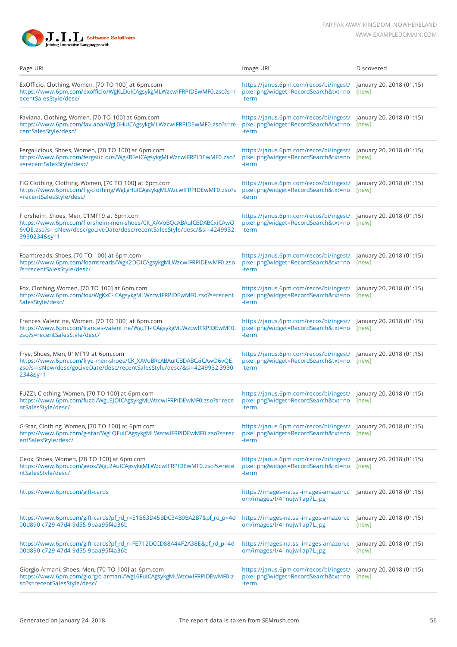

| Page URL                                                                                                                                                                                                    | Image URL                                                                                                              | Discovered                        |
|-------------------------------------------------------------------------------------------------------------------------------------------------------------------------------------------------------------|------------------------------------------------------------------------------------------------------------------------|-----------------------------------|
| ExOfficio, Clothing, Women, [70 TO 100] at 6pm.com<br>https://www.6pm.com/exofficio/WgKLDuICAgsykgMLWzcwIFRPIDEwMF0.zso?s=r<br>ecentSalesStyle/desc/                                                        | https://janus.6pm.com/recos/bi/ingest/<br>pixel.png?widget=RecordSearch&txt=no<br>-term                                | January 20, 2018 (01:15)<br>[new] |
| Faviana, Clothing, Women, [70 TO 100] at 6pm.com<br>https://www.6pm.com/faviana/WgL0HuICAgsykgMLWzcwIFRPIDEwMF0.zso?s=re<br>centSalesStyle/desc/                                                            | https://janus.6pm.com/recos/bi/ingest/ January 20, 2018 (01:15)<br>pixel.png?widget=RecordSearch&txt=no<br>-term       | [new]                             |
| Fergalicious, Shoes, Women, [70 TO 100] at 6pm.com<br>https://www.6pm.com/fergalicious/WgKRFeICAgsykgMLWzcwIFRPIDEwMF0.zso?<br>s=recentSalesStyle/desc/                                                     | https://janus.6pm.com/recos/bi/ingest/ January 20, 2018 (01:15)<br>pixel.png?widget=RecordSearch&txt=no<br>-term       | [new]                             |
| FIG Clothing, Clothing, Women, [70 TO 100] at 6pm.com<br>https://www.6pm.com/fig-clothing/WgLgHuICAgsykgMLWzcwIFRPIDEwMF0.zso?s<br>=recentSalesStyle/desc/                                                  | https://janus.6pm.com/recos/bi/ingest/<br>pixel.png?widget=RecordSearch&txt=no<br>-term                                | January 20, 2018 (01:15)<br>[new] |
| Florsheim, Shoes, Men, 01MF19 at 6pm.com<br>https://www.6pm.com/florsheim-men-shoes/CK_XAVoBQcABAuICBDABCxiCAwO<br>6vQE.zso?s=isNew/desc/goLiveDate/desc/recentSalesStyle/desc/&si=4249932,<br>3930234&sy=1 | https://janus.6pm.com/recos/bi/ingest/ January 20, 2018 (01:15)<br>pixel.png?widget=RecordSearch&txt=no [new]<br>-term |                                   |
| Foamtreads, Shoes, [70 TO 100] at 6pm.com<br>https://www.6pm.com/foamtreads/WgK2DOICAgsykgMLWzcwIFRPIDEwMF0.zso<br>?s=recentSalesStyle/desc/                                                                | https://janus.6pm.com/recos/bi/ingest/ January 20, 2018 (01:15)<br>pixel.png?widget=RecordSearch&txt=no<br>-term       | [new]                             |
| Fox, Clothing, Women, [70 TO 100] at 6pm.com<br>https://www.6pm.com/fox/WgKxC-ICAgsykgMLWzcwIFRPIDEwMF0.zso?s=recent<br>SalesStyle/desc/                                                                    | https://janus.6pm.com/recos/bi/ingest/ January 20, 2018 (01:15)<br>pixel.png?widget=RecordSearch&txt=no<br>-term       | [new]                             |
| Frances Valentine, Women, [70 TO 100] at 6pm.com<br>https://www.6pm.com/frances-valentine/WgLTI-ICAgsykgMLWzcwIFRPIDEwMF0.<br>zso?s=recentSalesStyle/desc/                                                  | https://janus.6pm.com/recos/bi/ingest/ January 20, 2018 (01:15)<br>pixel.png?widget=RecordSearch&txt=no<br>-term       | [new]                             |
| Frye, Shoes, Men, 01MF19 at 6pm.com<br>https://www.6pm.com/frye-men-shoes/CK_XAVoBRcABAuICBDABCxiCAwO6vQE.<br>zso?s=isNew/desc/goLiveDate/desc/recentSalesStyle/desc/&si=4249932,3930<br>234&sy=1           | https://janus.6pm.com/recos/bi/ingest/ January 20, 2018 (01:15)<br>pixel.png?widget=RecordSearch&txt=no<br>-term       | [new]                             |
| FUZZI, Clothing, Women, [70 TO 100] at 6pm.com<br>https://www.6pm.com/fuzzi/WgLEJOICAgsykgMLWzcwIFRPIDEwMF0.zso?s=rece<br>ntSalesStyle/desc/                                                                | https://janus.6pm.com/recos/bi/ingest/<br>pixel.png?widget=RecordSearch&txt=no<br>-term                                | January 20, 2018 (01:15)<br>[new] |
| G-Star, Clothing, Women, [70 TO 100] at 6pm.com<br>https://www.6pm.com/g-star/WgLQFuICAgsykgMLWzcwIFRPIDEwMF0.zso?s=rec<br>entSalesStyle/desc/                                                              | https://janus.6pm.com/recos/bi/ingest/ January 20, 2018 (01:15)<br>pixel.png?widget=RecordSearch&txt=no<br>-term       | [new]                             |
| Geox, Shoes, Women, [70 TO 100] at 6pm.com<br>https://www.6pm.com/geox/WgL2AuICAgsykgMLWzcwIFRPIDEwMF0.zso?s=rece<br>ntSalesStyle/desc/                                                                     | https://janus.6pm.com/recos/bi/ingest/ January 20, 2018 (01:15)<br>pixel.png?widget=RecordSearch&txt=no<br>-term       | [new]                             |
| https://www.6pm.com/gift-cards                                                                                                                                                                              | https://images-na.ssl-images-amazon.c January 20, 2018 (01:15)<br>om/images/l/41nujw1ap7L.jpg                          |                                   |
| https://www.6pm.com/gift-cards?pf_rd_r=E1B63D45BDC34B9BA2B7&pf_rd_p=4d<br>00d890-c729-47d4-9d55-9baa95f4a36b                                                                                                | https://images-na.ssl-images-amazon.c<br>om/images/l/41nujw1ap7L.jpg                                                   | January 20, 2018 (01:15)<br>[new] |
| https://www.6pm.com/gift-cards?pf_rd_r=FE712DCCD88A44F2A38E&pf_rd_p=4d<br>00d890-c729-47d4-9d55-9baa95f4a36b                                                                                                | https://images-na.ssl-images-amazon.c<br>om/images/l/41nujw1ap7L.jpg                                                   | January 20, 2018 (01:15)<br>[new] |
| Giorgio Armani, Shoes, Men, [70 TO 100] at 6pm.com<br>https://www.6pm.com/giorgio-armani/WgL6FuICAgsykgMLWzcwIFRPIDEwMF0.z<br>so?s=recentSalesStyle/desc/                                                   | https://janus.6pm.com/recos/bi/ingest/ January 20, 2018 (01:15)<br>pixel.png?widget=RecordSearch&txt=no<br>-term       | [new]                             |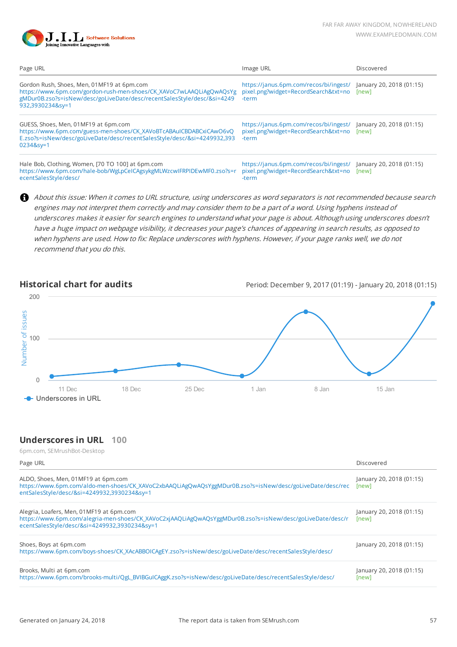

| Page URL                                                                                                                                                                                                         | Image URL                                                                                                              | Discovered                        |
|------------------------------------------------------------------------------------------------------------------------------------------------------------------------------------------------------------------|------------------------------------------------------------------------------------------------------------------------|-----------------------------------|
| Gordon Rush, Shoes, Men, 01MF19 at 6pm.com<br>https://www.6pm.com/gordon-rush-men-shoes/CK XAVoC7wLAAQLiAgQwAQsYg<br>gMDur0B.zso?s=isNew/desc/goLiveDate/desc/recentSalesStyle/desc/&si=4249<br>932,3930234&sy=1 | https://janus.6pm.com/recos/bi/ingest/ January 20, 2018 (01:15)<br>pixel.png?widget=RecordSearch&txt=no [new]<br>-term |                                   |
| GUESS, Shoes, Men, 01MF19 at 6pm.com<br>https://www.6pm.com/guess-men-shoes/CK XAVoBTcABAuICBDABCxiCAwO6vQ<br>E.zso?s=isNew/desc/goLiveDate/desc/recentSalesStyle/desc/&si=4249932,393<br>0234&sy=1              | https://janus.6pm.com/recos/bi/ingest/ January 20, 2018 (01:15)<br>pixel.png?widget=RecordSearch&txt=no [new]<br>-term |                                   |
| Hale Bob, Clothing, Women, [70 TO 100] at 6pm.com<br>https://www.6pm.com/hale-bob/WgLpCeICAgsykgMLWzcwIFRPIDEwMF0.zso?s=r<br>ecentSalesStyle/desc/                                                               | https://janus.6pm.com/recos/bi/ingest/<br>pixel.png?widget=RecordSearch&txt=no<br>-term                                | January 20, 2018 (01:15)<br>[new] |

About this issue: When it comes to URL structure, using underscores as word separators is not recommended because search engines may not interpret them correctly and may consider them to be a part of a word. Using hyphens instead of underscores makes it easier for search engines to understand what your page is about. Although using underscores doesn't have a huge impact on webpage visibility, it decreases your page's chances of appearing in search results, as opposed to when hyphens are used. How to fix: Replace underscores with hyphens. However, if your page ranks well, we do not recommend that you do this.

**Historical chart for audits** Period: December 9, 2017 (01:19) - January 20, 2018 (01:15)



#### **Underscores in URL 100**

| Page URL                                                                                                                                                                                               | Discovered                        |
|--------------------------------------------------------------------------------------------------------------------------------------------------------------------------------------------------------|-----------------------------------|
| ALDO, Shoes, Men, 01MF19 at 6pm.com<br>https://www.6pm.com/aldo-men-shoes/CK_XAVoC2xbAAQLiAgQwAQsYggMDur0B.zso?s=isNew/desc/goLiveDate/desc/rec<br>entSalesStyle/desc/&si=4249932,3930234&sy=1         | January 20, 2018 (01:15)<br>[new] |
| Alegria, Loafers, Men, 01MF19 at 6pm.com<br>https://www.6pm.com/alegria-men-shoes/CK_XAVoC2xjAAQLiAgQwAQsYggMDur0B.zso?s=isNew/desc/goLiveDate/desc/r<br>ecentSalesStyle/desc/&si=4249932,3930234&sy=1 | January 20, 2018 (01:15)<br>[new] |
| Shoes, Boys at 6pm.com<br>https://www.6pm.com/boys-shoes/CK_XAcABBOICAgEY.zso?s=isNew/desc/goLiveDate/desc/recentSalesStyle/desc/                                                                      | January 20, 2018 (01:15)          |
| Brooks, Multi at 6pm.com<br>https://www.6pm.com/brooks-multi/QgL_BVIBGuICAggK.zso?s=isNew/desc/goLiveDate/desc/recentSalesStyle/desc/                                                                  | January 20, 2018 (01:15)<br>[new] |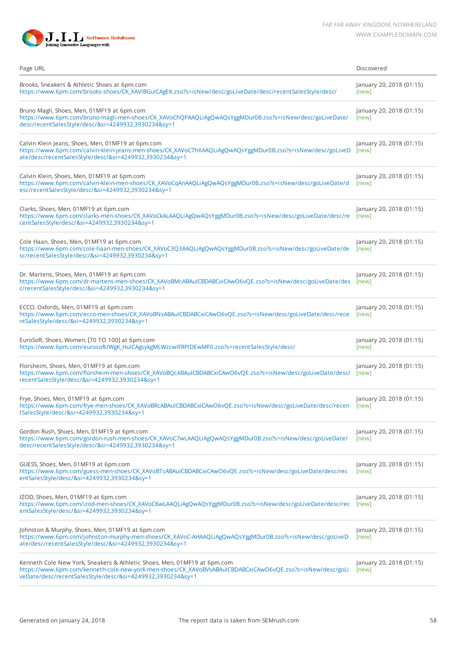



| Page URL                                                                                                                                                                                                                                            | Discovered                        |
|-----------------------------------------------------------------------------------------------------------------------------------------------------------------------------------------------------------------------------------------------------|-----------------------------------|
| Brooks, Sneakers & Athletic Shoes at 6pm.com<br>https://www.6pm.com/brooks-shoes/CK_XAVIBGuICAgEK.zso?s=isNew/desc/goLiveDate/desc/recentSalesStyle/desc/                                                                                           | January 20, 2018 (01:15)<br>[new] |
| Bruno Magli, Shoes, Men, 01MF19 at 6pm.com<br>https://www.6pm.com/bruno-magli-men-shoes/CK_XAVoChQPAAQLiAgQwAQsYggMDur0B.zso?s=isNew/desc/goLiveDate/<br>desc/recentSalesStyle/desc/&si=4249932,3930234&sy=1                                        | January 20, 2018 (01:15)<br>[new] |
| Calvin Klein Jeans, Shoes, Men, 01MF19 at 6pm.com<br>https://www.6pm.com/calvin-klein-jeans-men-shoes/CK_XAVoC7hXAAQLiAgQwAQsYggMDur0B.zso?s=isNew/desc/goLiveD<br>ate/desc/recentSalesStyle/desc/&si=4249932,3930234&sy=1                          | January 20, 2018 (01:15)<br>[new] |
| Calvin Klein, Shoes, Men, 01MF19 at 6pm.com<br>https://www.6pm.com/calvin-klein-men-shoes/CK_XAVoCqAnAAQLiAgQwAQsYggMDur0B.zso?s=isNew/desc/goLiveDate/d<br>esc/recentSalesStyle/desc/&si=4249932,3930234&sy=1                                      | January 20, 2018 (01:15)<br>[new] |
| Clarks, Shoes, Men, 01MF19 at 6pm.com<br>https://www.6pm.com/clarks-men-shoes/CK_XAVoCkALAAQLiAgQwAQsYggMDur0B.zso?s=isNew/desc/goLiveDate/desc/re<br>centSalesStyle/desc/&si=4249932,3930234&sy=1                                                  | January 20, 2018 (01:15)<br>[new] |
| Cole Haan, Shoes, Men, 01MF19 at 6pm.com<br>https://www.6pm.com/cole-haan-men-shoes/CK_XAVoC3Q3AAQLiAgQwAQsYggMDur0B.zso?s=isNew/desc/goLiveDate/de<br>sc/recentSalesStyle/desc/&si=4249932,3930234&sy=1                                            | January 20, 2018 (01:15)<br>[new] |
| Dr. Martens, Shoes, Men, 01MF19 at 6pm.com<br>https://www.6pm.com/dr-martens-men-shoes/CK_XAVoBMcABAuICBDABCxiCAwO6vQE.zso?s=isNew/desc/goLiveDate/des<br>c/recentSalesStyle/desc/&si=4249932,3930234&sy=1                                          | January 20, 2018 (01:15)<br>[new] |
| ECCO, Oxfords, Men, 01MF19 at 6pm.com<br>https://www.6pm.com/ecco-men-shoes/CK_XAVoBNsABAuICBDABCxiCAwO6vQE.zso?s=isNew/desc/goLiveDate/desc/rece<br>ntSalesStyle/desc/&si=4249932,3930234&sy=1                                                     | January 20, 2018 (01:15)<br>[new] |
| EuroSoft, Shoes, Women, [70 TO 100] at 6pm.com<br>https://www.6pm.com/eurosoft/WgK_HuICAgsykgMLWzcwIFRPIDEwMF0.zso?s=recentSalesStyle/desc/                                                                                                         | January 20, 2018 (01:15)<br>[new] |
| Florsheim, Shoes, Men, 01MF19 at 6pm.com<br>https://www.6pm.com/florsheim-men-shoes/CK_XAVoBQcABAuICBDABCxiCAwO6vQE.zso?s=isNew/desc/goLiveDate/desc/<br>recentSalesStyle/desc/&si=4249932,3930234&sy=1                                             | January 20, 2018 (01:15)<br>[new] |
| Frye, Shoes, Men, 01MF19 at 6pm.com<br>https://www.6pm.com/frye-men-shoes/CK_XAVoBRcABAuICBDABCxiCAwO6vQE.zso?s=isNew/desc/goLiveDate/desc/recen<br>tSalesStyle/desc/&si=4249932,3930234&sy=1                                                       | January 20, 2018 (01:15)<br>[new] |
| Gordon Rush, Shoes, Men, 01MF19 at 6pm.com<br>https://www.6pm.com/gordon-rush-men-shoes/CK_XAVoC7wLAAQLiAgQwAQsYggMDur0B.zso?s=isNew/desc/goLiveDate/<br>desc/recentSalesStyle/desc/&si=4249932,3930234&sy=1                                        | January 20, 2018 (01:15)<br>[new] |
| GUESS, Shoes, Men, 01MF19 at 6pm.com<br>https://www.6pm.com/guess-men-shoes/CK_XAVoBTcABAuICBDABCxiCAwO6vQE.zso?s=isNew/desc/goLiveDate/desc/rec<br>entSalesStyle/desc/&si=4249932,3930234&sy=1                                                     | January 20, 2018 (01:15)<br>[new] |
| IZOD, Shoes, Men, 01MF19 at 6pm.com<br>https://www.6pm.com/izod-men-shoes/CK_XAVoC8wLAAQLiAgQwAQsYggMDur0B.zso?s=isNew/desc/goLiveDate/desc/rec<br>entSalesStyle/desc/&si=4249932,3930234&sy=1                                                      | January 20, 2018 (01:15)<br>[new] |
| Johnston & Murphy, Shoes, Men, 01MF19 at 6pm.com<br>https://www.6pm.com/johnston-murphy-men-shoes/CK_XAVoC-AHAAQLiAgQwAQsYggMDur0B.zso?s=isNew/desc/goLiveD<br>ate/desc/recentSalesStyle/desc/&si=4249932,3930234&sy=1                              | January 20, 2018 (01:15)<br>[new] |
| Kenneth Cole New York, Sneakers & Athletic Shoes, Men, 01MF19 at 6pm.com<br>https://www.6pm.com/kenneth-cole-new-york-men-shoes/CK_XAVoBVsABAuICBDABCxiCAwO6vQE.zso?s=isNew/desc/goLi<br>veDate/desc/recentSalesStyle/desc/&si=4249932,3930234&sy=1 | January 20, 2018 (01:15)<br>[new] |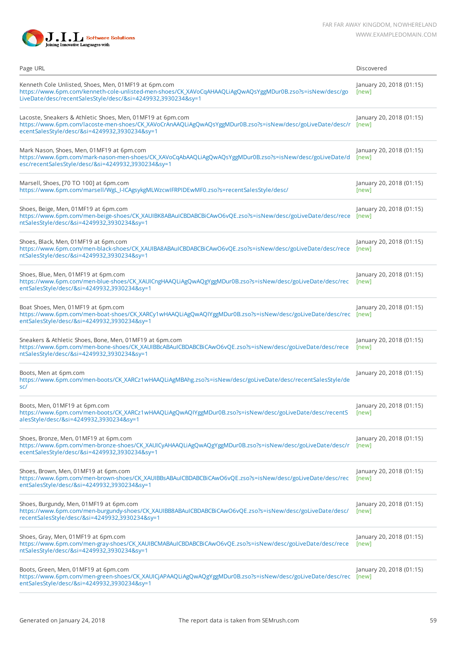

| Page URL                                                                                                                                                                                                                         | Discovered                        |
|----------------------------------------------------------------------------------------------------------------------------------------------------------------------------------------------------------------------------------|-----------------------------------|
| Kenneth Cole Unlisted, Shoes, Men, 01MF19 at 6pm.com<br>https://www.6pm.com/kenneth-cole-unlisted-men-shoes/CK_XAVoCqAHAAQLiAgQwAQsYggMDur0B.zso?s=isNew/desc/go<br>LiveDate/desc/recentSalesStyle/desc/&si=4249932,3930234&sy=1 | January 20, 2018 (01:15)<br>[new] |
| Lacoste, Sneakers & Athletic Shoes, Men, 01MF19 at 6pm.com<br>https://www.6pm.com/lacoste-men-shoes/CK_XAVoCrAnAAQLiAgQwAQsYggMDur0B.zso?s=isNew/desc/goLiveDate/desc/r<br>ecentSalesStyle/desc/&si=4249932,3930234&sy=1         | January 20, 2018 (01:15)<br>[new] |
| Mark Nason, Shoes, Men, 01MF19 at 6pm.com<br>https://www.6pm.com/mark-nason-men-shoes/CK_XAVoCqAbAAQLiAgQwAQsYggMDur0B.zso?s=isNew/desc/goLiveDate/d<br>esc/recentSalesStyle/desc/&si=4249932,3930234&sy=1                       | January 20, 2018 (01:15)<br>[new] |
| Marsell, Shoes, [70 TO 100] at 6pm.com<br>https://www.6pm.com/marsell/WgL_I-ICAgsykgMLWzcwIFRPIDEwMF0.zso?s=recentSalesStyle/desc/                                                                                               | January 20, 2018 (01:15)<br>[new] |
| Shoes, Beige, Men, 01MF19 at 6pm.com<br>https://www.6pm.com/men-beige-shoes/CK_XAUIBK8ABAuICBDABCBiCAwO6vQE.zso?s=isNew/desc/goLiveDate/desc/rece<br>ntSalesStyle/desc/&si=4249932,3930234&sy=1                                  | January 20, 2018 (01:15)<br>[new] |
| Shoes, Black, Men, 01MF19 at 6pm.com<br>https://www.6pm.com/men-black-shoes/CK_XAUIBA8ABAuICBDABCBiCAwO6vQE.zso?s=isNew/desc/goLiveDate/desc/rece<br>ntSalesStyle/desc/&si=4249932,3930234&sy=1                                  | January 20, 2018 (01:15)<br>[new] |
| Shoes, Blue, Men, 01MF19 at 6pm.com<br>https://www.6pm.com/men-blue-shoes/CK_XAUICngHAAQLiAgQwAQgYggMDur0B.zso?s=isNew/desc/goLiveDate/desc/rec<br>entSalesStyle/desc/&si=4249932,3930234&sy=1                                   | January 20, 2018 (01:15)<br>[new] |
| Boat Shoes, Men, 01MF19 at 6pm.com<br>https://www.6pm.com/men-boat-shoes/CK_XARCy1wHAAQLiAgQwAQIYggMDur0B.zso?s=isNew/desc/goLiveDate/desc/rec<br>entSalesStyle/desc/&si=4249932,3930234&sy=1                                    | January 20, 2018 (01:15)<br>[new] |
| Sneakers & Athletic Shoes, Bone, Men, 01MF19 at 6pm.com<br>https://www.6pm.com/men-bone-shoes/CK_XAUIBBcABAuICBDABCBiCAwO6vQE.zso?s=isNew/desc/goLiveDate/desc/rece<br>ntSalesStyle/desc/&si=4249932,3930234&sy=1                | January 20, 2018 (01:15)<br>[new] |
| Boots, Men at 6pm.com<br>https://www.6pm.com/men-boots/CK_XARCz1wHAAQLiAgMBAhg.zso?s=isNew/desc/goLiveDate/desc/recentSalesStyle/de<br>sc/                                                                                       | January 20, 2018 (01:15)          |
| Boots, Men, 01MF19 at 6pm.com<br>https://www.6pm.com/men-boots/CK_XARCz1wHAAQLiAgQwAQIYggMDur0B.zso?s=isNew/desc/goLiveDate/desc/recentS<br>alesStyle/desc/&si=4249932,3930234&sy=1                                              | January 20, 2018 (01:15)<br>[new] |
| Shoes, Bronze, Men, 01MF19 at 6pm.com<br>https://www.6pm.com/men-bronze-shoes/CK_XAUICyAHAAQLiAgQwAQgYggMDur0B.zso?s=isNew/desc/goLiveDate/desc/r<br>ecentSalesStyle/desc/&si=4249932,3930234&sy=1                               | January 20, 2018 (01:15)<br>[new] |
| Shoes, Brown, Men, 01MF19 at 6pm.com<br>https://www.6pm.com/men-brown-shoes/CK_XAUIBBsABAuICBDABCBiCAwO6vQE.zso?s=isNew/desc/goLiveDate/desc/rec<br>entSalesStyle/desc/&si=4249932,3930234&sy=1                                  | January 20, 2018 (01:15)<br>[new] |
| Shoes, Burgundy, Men, 01MF19 at 6pm.com<br>https://www.6pm.com/men-burgundy-shoes/CK_XAUIBB8ABAuICBDABCBiCAwO6vQE.zso?s=isNew/desc/goLiveDate/desc/<br>recentSalesStyle/desc/&si=4249932,3930234&sy=1                            | January 20, 2018 (01:15)<br>[new] |
| Shoes, Gray, Men, 01MF19 at 6pm.com<br>https://www.6pm.com/men-gray-shoes/CK_XAUIBCMABAuICBDABCBiCAwO6vQE.zso?s=isNew/desc/goLiveDate/desc/rece<br>ntSalesStyle/desc/&si=4249932,3930234&sy=1                                    | January 20, 2018 (01:15)<br>[new] |
| Boots, Green, Men, 01MF19 at 6pm.com<br>https://www.6pm.com/men-green-shoes/CK_XAUICjAPAAQLiAgQwAQgYggMDur0B.zso?s=isNew/desc/goLiveDate/desc/rec<br>entSalesStyle/desc/&si=4249932,3930234&sy=1                                 | January 20, 2018 (01:15)<br>[new] |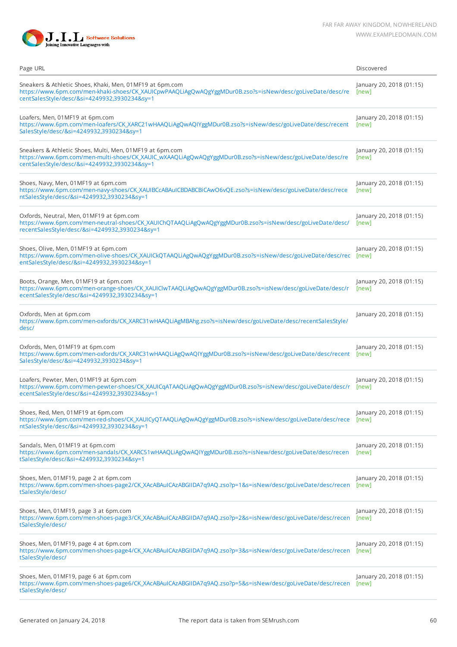

| Page URL                                                                                                                                                                                                             | Discovered                        |
|----------------------------------------------------------------------------------------------------------------------------------------------------------------------------------------------------------------------|-----------------------------------|
| Sneakers & Athletic Shoes, Khaki, Men, 01MF19 at 6pm.com<br>https://www.6pm.com/men-khaki-shoes/CK_XAUICpwPAAQLiAgQwAQgYggMDur0B.zso?s=isNew/desc/goLiveDate/desc/re<br>centSalesStyle/desc/&si=4249932,3930234&sy=1 | January 20, 2018 (01:15)<br>[new] |
| Loafers, Men, 01MF19 at 6pm.com<br>https://www.6pm.com/men-loafers/CK_XARC21wHAAQLiAgQwAQIYggMDur0B.zso?s=isNew/desc/goLiveDate/desc/recent<br>SalesStyle/desc/&si=4249932,3930234&sy=1                              | January 20, 2018 (01:15)<br>[new] |
| Sneakers & Athletic Shoes, Multi, Men, 01MF19 at 6pm.com<br>https://www.6pm.com/men-multi-shoes/CK_XAUIC_wXAAQLiAgQwAQgYggMDur0B.zso?s=isNew/desc/goLiveDate/desc/re<br>centSalesStyle/desc/&si=4249932,3930234&sy=1 | January 20, 2018 (01:15)<br>[new] |
| Shoes, Navy, Men, 01MF19 at 6pm.com<br>https://www.6pm.com/men-navy-shoes/CK_XAUIBCcABAuICBDABCBiCAwO6vQE.zso?s=isNew/desc/goLiveDate/desc/rece<br>ntSalesStyle/desc/&si=4249932,3930234&sy=1                        | January 20, 2018 (01:15)<br>[new] |
| Oxfords, Neutral, Men, 01MF19 at 6pm.com<br>https://www.6pm.com/men-neutral-shoes/CK_XAUIChQTAAQLiAgQwAQgYggMDur0B.zso?s=isNew/desc/goLiveDate/desc/<br>recentSalesStyle/desc/&si=4249932,3930234&sy=1               | January 20, 2018 (01:15)<br>[new] |
| Shoes, Olive, Men, 01MF19 at 6pm.com<br>https://www.6pm.com/men-olive-shoes/CK_XAUICkQTAAQLiAgQwAQgYggMDur0B.zso?s=isNew/desc/goLiveDate/desc/rec [new]<br>entSalesStyle/desc/&si=4249932,3930234&sy=1               | January 20, 2018 (01:15)          |
| Boots, Orange, Men, 01MF19 at 6pm.com<br>https://www.6pm.com/men-orange-shoes/CK_XAUIClwTAAQLiAgQwAQgYggMDur0B.zso?s=isNew/desc/goLiveDate/desc/r<br>ecentSalesStyle/desc/&si=4249932,3930234&sy=1                   | January 20, 2018 (01:15)<br>[new] |
| Oxfords, Men at 6pm.com<br>https://www.6pm.com/men-oxfords/CK_XARC31wHAAQLiAgMBAhg.zso?s=isNew/desc/goLiveDate/desc/recentSalesStyle/<br>desc/                                                                       | January 20, 2018 (01:15)          |
| Oxfords, Men, 01MF19 at 6pm.com<br>https://www.6pm.com/men-oxfords/CK_XARC31wHAAQLiAgQwAQIYggMDur0B.zso?s=isNew/desc/goLiveDate/desc/recent<br>SalesStyle/desc/&si=4249932,3930234&sy=1                              | January 20, 2018 (01:15)<br>[new] |
| Loafers, Pewter, Men, 01MF19 at 6pm.com<br>https://www.6pm.com/men-pewter-shoes/CK_XAUICqATAAQLiAgQwAQgYggMDur0B.zso?s=isNew/desc/goLiveDate/desc/r<br>ecentSalesStyle/desc/&si=4249932,3930234&sy=1                 | January 20, 2018 (01:15)<br>[new] |
| Shoes, Red, Men, 01MF19 at 6pm.com<br>https://www.6pm.com/men-red-shoes/CK_XAUICyQTAAQLiAgQwAQgYggMDur0B.zso?s=isNew/desc/goLiveDate/desc/rece<br>ntSalesStyle/desc/&si=4249932,3930234&sy=1                         | January 20, 2018 (01:15)<br>[new] |
| Sandals, Men, 01MF19 at 6pm.com<br>https://www.6pm.com/men-sandals/CK_XARC51wHAAQLiAgQwAQIYggMDur0B.zso?s=isNew/desc/goLiveDate/desc/recen<br>tSalesStyle/desc/&si=4249932,3930234&sy=1                              | January 20, 2018 (01:15)<br>[new] |
| Shoes, Men, 01MF19, page 2 at 6pm.com<br>https://www.6pm.com/men-shoes-page2/CK_XAcABAuICAzABGIIDA7q9AQ.zso?p=1&s=isNew/desc/goLiveDate/desc/recen<br>tSalesStyle/desc/                                              | January 20, 2018 (01:15)<br>[new] |
| Shoes, Men, 01MF19, page 3 at 6pm.com<br>https://www.6pm.com/men-shoes-page3/CK_XAcABAuICAzABGIIDA7q9AQ.zso?p=2&s=isNew/desc/goLiveDate/desc/recen<br>tSalesStyle/desc/                                              | January 20, 2018 (01:15)<br>[new] |
| Shoes, Men, 01MF19, page 4 at 6pm.com<br>https://www.6pm.com/men-shoes-page4/CK_XAcABAuICAzABGIIDA7q9AQ.zso?p=3&s=isNew/desc/goLiveDate/desc/recen<br>tSalesStyle/desc/                                              | January 20, 2018 (01:15)<br>[new] |
| Shoes, Men, 01MF19, page 6 at 6pm.com<br>https://www.6pm.com/men-shoes-page6/CK_XAcABAuICAzABGIIDA7q9AQ.zso?p=5&s=isNew/desc/goLiveDate/desc/recen [new]<br>tSalesStyle/desc/                                        | January 20, 2018 (01:15)          |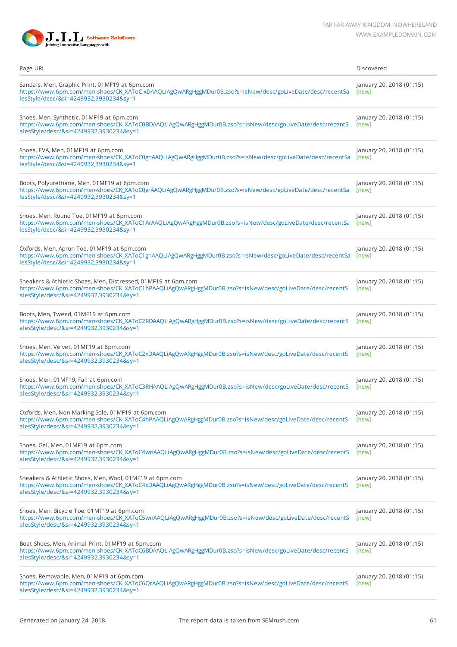

| Page URL                                                                                                                                                                                                            | Discovered                        |
|---------------------------------------------------------------------------------------------------------------------------------------------------------------------------------------------------------------------|-----------------------------------|
| Sandals, Men, Graphic Print, 01MF19 at 6pm.com<br>https://www.6pm.com/men-shoes/CK_XAToC-xDAAQLiAgQwARgHggMDur0B.zso?s=isNew/desc/goLiveDate/desc/recentSa<br>lesStyle/desc/&si=4249932,3930234&sy=1                | January 20, 2018 (01:15)<br>[new] |
| Shoes, Men, Synthetic, 01MF19 at 6pm.com<br>https://www.6pm.com/men-shoes/CK_XAToC0BDAAQLiAgQwARgHggMDur0B.zso?s=isNew/desc/goLiveDate/desc/recentS<br>alesStyle/desc/&si=4249932,3930234&sy=1                      | January 20, 2018 (01:15)<br>[new] |
| Shoes, EVA, Men, 01MF19 at 6pm.com<br>https://www.6pm.com/men-shoes/CK_XAToC0gnAAQLiAgQwARgHggMDur0B.zso?s=isNew/desc/goLiveDate/desc/recentSa<br>lesStyle/desc/&si=4249932,3930234&sy=1                            | January 20, 2018 (01:15)<br>[new] |
| Boots, Polyurethane, Men, 01MF19 at 6pm.com<br>https://www.6pm.com/men-shoes/CK_XAToC0grAAQLiAgQwARgHggMDur0B.zso?s=isNew/desc/goLiveDate/desc/recentSa<br>lesStyle/desc/&si=4249932,3930234&sy=1                   | January 20, 2018 (01:15)<br>[new] |
| Shoes, Men, Round Toe, 01MF19 at 6pm.com<br>https://www.6pm.com/men-shoes/CK_XAToC1ArAAQLiAgQwARgHggMDur0B.zso?s=isNew/desc/goLiveDate/desc/recentSa<br>lesStyle/desc/&si=4249932,3930234&sy=1                      | January 20, 2018 (01:15)<br>[new] |
| Oxfords, Men, Apron Toe, 01MF19 at 6pm.com<br>https://www.6pm.com/men-shoes/CK_XAToC1gnAAQLiAgQwARgHggMDur0B.zso?s=isNew/desc/goLiveDate/desc/recentSa<br>lesStyle/desc/&si=4249932,3930234&sy=1                    | January 20, 2018 (01:15)<br>[new] |
| Sneakers & Athletic Shoes, Men, Distressed, 01MF19 at 6pm.com<br>https://www.6pm.com/men-shoes/CK_XAToC1hPAAQLiAgQwARgHggMDur0B.zso?s=isNew/desc/goLiveDate/desc/recentS<br>alesStyle/desc/&si=4249932,3930234&sy=1 | January 20, 2018 (01:15)<br>[new] |
| Boots, Men, Tweed, 01MF19 at 6pm.com<br>https://www.6pm.com/men-shoes/CK_XAToC2RDAAQLiAgQwARgHggMDur0B.zso?s=isNew/desc/goLiveDate/desc/recentS<br>alesStyle/desc/&si=4249932,3930234&sy=1                          | January 20, 2018 (01:15)<br>[new] |
| Shoes, Men, Velvet, 01MF19 at 6pm.com<br>https://www.6pm.com/men-shoes/CK_XAToC2xDAAQLiAgQwARgHggMDur0B.zso?s=isNew/desc/goLiveDate/desc/recentS<br>alesStyle/desc/&si=4249932,3930234&sy=1                         | January 20, 2018 (01:15)<br>[new] |
| Shoes, Men, 01MF19, Fall at 6pm.com<br>https://www.6pm.com/men-shoes/CK_XAToC3RHAAQLiAgQwARgHggMDur0B.zso?s=isNew/desc/goLiveDate/desc/recentS<br>alesStyle/desc/&si=4249932,3930234&sy=1                           | January 20, 2018 (01:15)<br>[new] |
| Oxfords, Men, Non-Marking Sole, 01MF19 at 6pm.com<br>https://www.6pm.com/men-shoes/CK_XAToC4hPAAQLiAgQwARgHggMDur0B.zso?s=isNew/desc/goLiveDate/desc/recentS<br>alesStyle/desc/&si=4249932,3930234&sy=1             | January 20, 2018 (01:15)<br>[new] |
| Shoes, Gel, Men, 01MF19 at 6pm.com<br>https://www.6pm.com/men-shoes/CK_XAToC4wnAAQLiAgQwARgHggMDur0B.zso?s=isNew/desc/goLiveDate/desc/recentS<br>alesStyle/desc/&si=4249932,3930234&sy=1                            | January 20, 2018 (01:15)<br>[new] |
| Sneakers & Athletic Shoes, Men, Wool, 01MF19 at 6pm.com<br>https://www.6pm.com/men-shoes/CK_XAToC4xDAAQLiAgQwARgHggMDur0B.zso?s=isNew/desc/goLiveDate/desc/recentS<br>alesStyle/desc/&si=4249932,3930234&sy=1       | January 20, 2018 (01:15)<br>[new] |
| Shoes, Men, Bicycle Toe, 01MF19 at 6pm.com<br>https://www.6pm.com/men-shoes/CK_XAToC5wnAAQLiAgQwARgHggMDur0B.zso?s=isNew/desc/goLiveDate/desc/recentS<br>alesStyle/desc/&si=4249932,3930234&sy=1                    | January 20, 2018 (01:15)<br>[new] |
| Boat Shoes, Men, Animal Print, 01MF19 at 6pm.com<br>https://www.6pm.com/men-shoes/CK_XAToC6BDAAQLiAgQwARgHggMDur0B.zso?s=isNew/desc/goLiveDate/desc/recentS<br>alesStyle/desc/&si=4249932,3930234&sy=1              | January 20, 2018 (01:15)<br>[new] |
| Shoes, Removable, Men, 01MF19 at 6pm.com<br>https://www.6pm.com/men-shoes/CK_XAToC6QrAAQLiAgQwARgHggMDur0B.zso?s=isNew/desc/goLiveDate/desc/recentS<br>alesStyle/desc/&si=4249932,3930234&sy=1                      | January 20, 2018 (01:15)<br>[new] |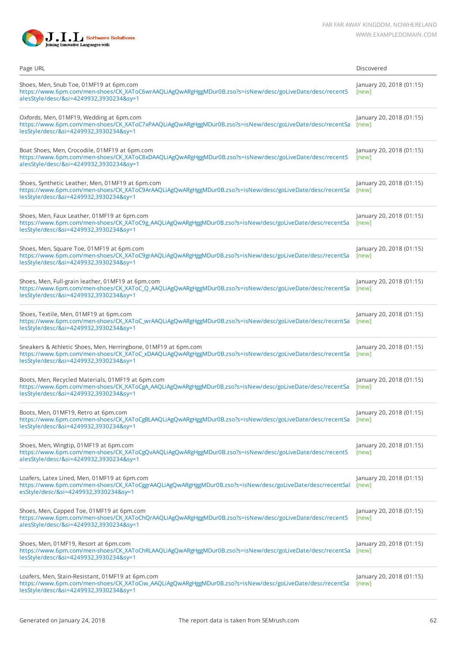

| Page URL                                                                                                                                                                                                             | Discovered                        |
|----------------------------------------------------------------------------------------------------------------------------------------------------------------------------------------------------------------------|-----------------------------------|
| Shoes, Men, Snub Toe, 01MF19 at 6pm.com<br>https://www.6pm.com/men-shoes/CK_XAToC6wrAAQLiAgQwARgHggMDur0B.zso?s=isNew/desc/goLiveDate/desc/recentS<br>alesStyle/desc/&si=4249932,3930234&sy=1                        | January 20, 2018 (01:15)<br>[new] |
| Oxfords, Men, 01MF19, Wedding at 6pm.com<br>https://www.6pm.com/men-shoes/CK_XAToC7xPAAQLiAgQwARgHggMDur0B.zso?s=isNew/desc/goLiveDate/desc/recentSa<br>lesStyle/desc/&si=4249932,3930234&sy=1                       | January 20, 2018 (01:15)<br>[new] |
| Boat Shoes, Men, Crocodile, 01MF19 at 6pm.com<br>https://www.6pm.com/men-shoes/CK_XAToC8xDAAQLiAgQwARgHggMDur0B.zso?s=isNew/desc/goLiveDate/desc/recentS<br>alesStyle/desc/&si=4249932,3930234&sy=1                  | January 20, 2018 (01:15)<br>[new] |
| Shoes, Synthetic Leather, Men, 01MF19 at 6pm.com<br>https://www.6pm.com/men-shoes/CK_XAToC9ArAAQLiAgQwARgHggMDur0B.zso?s=isNew/desc/goLiveDate/desc/recentSa<br>lesStyle/desc/&si=4249932,3930234&sy=1               | January 20, 2018 (01:15)<br>[new] |
| Shoes, Men, Faux Leather, 01MF19 at 6pm.com<br>https://www.6pm.com/men-shoes/CK_XAToC9g_AAQLiAgQwARgHggMDur0B.zso?s=isNew/desc/goLiveDate/desc/recentSa<br>lesStyle/desc/&si=4249932,3930234&sy=1                    | January 20, 2018 (01:15)<br>[new] |
| Shoes, Men, Square Toe, 01MF19 at 6pm.com<br>https://www.6pm.com/men-shoes/CK_XAToC9grAAQLiAgQwARgHggMDur0B.zso?s=isNew/desc/goLiveDate/desc/recentSa<br>lesStyle/desc/&si=4249932,3930234&sy=1                      | January 20, 2018 (01:15)<br>[new] |
| Shoes, Men, Full-grain leather, 01MF19 at 6pm.com<br>https://www.6pm.com/men-shoes/CK_XAToC_Q_AAQLiAgQwARgHggMDur0B.zso?s=isNew/desc/goLiveDate/desc/recentSa<br>lesStyle/desc/&si=4249932,3930234&sy=1              | January 20, 2018 (01:15)<br>[new] |
| Shoes, Textile, Men, 01MF19 at 6pm.com<br>https://www.6pm.com/men-shoes/CK_XAToC_wrAAQLiAgQwARgHggMDur0B.zso?s=isNew/desc/goLiveDate/desc/recentSa<br>lesStyle/desc/&si=4249932,3930234&sy=1                         | January 20, 2018 (01:15)<br>[new] |
| Sneakers & Athletic Shoes, Men, Herringbone, 01MF19 at 6pm.com<br>https://www.6pm.com/men-shoes/CK_XAToC_xDAAQLiAgQwARgHggMDur0B.zso?s=isNew/desc/goLiveDate/desc/recentSa<br>lesStyle/desc/&si=4249932,3930234&sy=1 | January 20, 2018 (01:15)<br>[new] |
| Boots, Men, Recycled Materials, 01MF19 at 6pm.com<br>https://www.6pm.com/men-shoes/CK_XAToCgA_AAQLiAgQwARgHggMDur0B.zso?s=isNew/desc/goLiveDate/desc/recentSa<br>lesStyle/desc/&si=4249932,3930234&sy=1              | January 20, 2018 (01:15)<br>[new] |
| Boots, Men, 01MF19, Retro at 6pm.com<br>https://www.6pm.com/men-shoes/CK_XAToCgBLAAQLiAgQwARgHggMDur0B.zso?s=isNew/desc/goLiveDate/desc/recentSa<br>lesStyle/desc/&si=4249932,3930234&sy=1                           | January 20, 2018 (01:15)<br>[new] |
| Shoes, Men, Wingtip, 01MF19 at 6pm.com<br>https://www.6pm.com/men-shoes/CK_XAToCgQvAAQLiAgQwARgHggMDur0B.zso?s=isNew/desc/goLiveDate/desc/recentS<br>alesStyle/desc/&si=4249932,3930234&sy=1                         | January 20, 2018 (01:15)<br>[new] |
| Loafers, Latex Lined, Men, 01MF19 at 6pm.com<br>https://www.6pm.com/men-shoes/CK_XAToCggrAAQLiAgQwARgHggMDur0B.zso?s=isNew/desc/goLiveDate/desc/recentSal<br>esStyle/desc/&si=4249932,3930234&sy=1                   | January 20, 2018 (01:15)<br>[new] |
| Shoes, Men, Capped Toe, 01MF19 at 6pm.com<br>https://www.6pm.com/men-shoes/CK_XAToChQrAAQLiAgQwARgHggMDur0B.zso?s=isNew/desc/goLiveDate/desc/recentS<br>alesStyle/desc/&si=4249932,3930234&sy=1                      | January 20, 2018 (01:15)<br>[new] |
| Shoes, Men, 01MF19, Resort at 6pm.com<br>https://www.6pm.com/men-shoes/CK_XAToChRLAAQLiAgQwARgHggMDur0B.zso?s=isNew/desc/goLiveDate/desc/recentSa<br>lesStyle/desc/&si=4249932,3930234&sy=1                          | January 20, 2018 (01:15)<br>[new] |
| Loafers, Men, Stain-Resistant, 01MF19 at 6pm.com<br>https://www.6pm.com/men-shoes/CK_XAToCiw_AAQLiAgQwARgHggMDur0B.zso?s=isNew/desc/goLiveDate/desc/recentSa<br>lesStyle/desc/&si=4249932,3930234&sy=1               | January 20, 2018 (01:15)<br>[new] |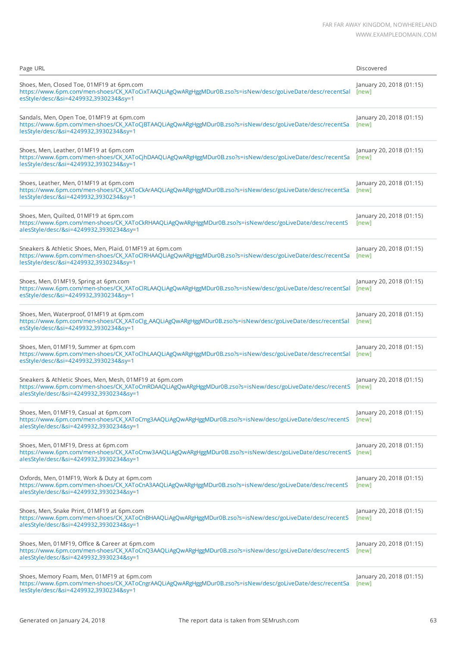| Page URL                                                                                                                                                                                                       | Discovered                        |
|----------------------------------------------------------------------------------------------------------------------------------------------------------------------------------------------------------------|-----------------------------------|
| Shoes, Men, Closed Toe, 01MF19 at 6pm.com<br>https://www.6pm.com/men-shoes/CK_XAToCixTAAQLiAgQwARgHggMDur0B.zso?s=isNew/desc/goLiveDate/desc/recentSal<br>esStyle/desc/&si=4249932,3930234&sy=1                | January 20, 2018 (01:15)<br>[new] |
| Sandals, Men, Open Toe, 01MF19 at 6pm.com<br>https://www.6pm.com/men-shoes/CK_XAToCjBTAAQLiAgQwARgHggMDur0B.zso?s=isNew/desc/goLiveDate/desc/recentSa<br>lesStyle/desc/&si=4249932,3930234&sy=1                | January 20, 2018 (01:15)<br>[new] |
| Shoes, Men, Leather, 01MF19 at 6pm.com<br>https://www.6pm.com/men-shoes/CK_XAToCjhDAAQLiAgQwARgHggMDur0B.zso?s=isNew/desc/goLiveDate/desc/recentSa<br>lesStyle/desc/&si=4249932,3930234&sy=1                   | January 20, 2018 (01:15)<br>[new] |
| Shoes, Leather, Men, 01MF19 at 6pm.com<br>https://www.6pm.com/men-shoes/CK_XAToCkArAAQLiAgQwARgHggMDur0B.zso?s=isNew/desc/goLiveDate/desc/recentSa<br>lesStyle/desc/&si=4249932,3930234&sy=1                   | January 20, 2018 (01:15)<br>[new] |
| Shoes, Men, Quilted, 01MF19 at 6pm.com<br>https://www.6pm.com/men-shoes/CK_XAToCkRHAAQLiAgQwARgHggMDur0B.zso?s=isNew/desc/goLiveDate/desc/recentS<br>alesStyle/desc/&si=4249932,3930234&sy=1                   | January 20, 2018 (01:15)<br>[new] |
| Sneakers & Athletic Shoes, Men, Plaid, 01MF19 at 6pm.com<br>https://www.6pm.com/men-shoes/CK_XAToClRHAAQLiAgQwARgHggMDur0B.zso?s=isNew/desc/goLiveDate/desc/recentSa<br>lesStyle/desc/&si=4249932,3930234&sy=1 | January 20, 2018 (01:15)<br>[new] |
| Shoes, Men, 01MF19, Spring at 6pm.com<br>https://www.6pm.com/men-shoes/CK_XAToClRLAAQLiAgQwARgHggMDur0B.zso?s=isNew/desc/goLiveDate/desc/recentSal<br>esStyle/desc/&si=4249932,3930234&sy=1                    | January 20, 2018 (01:15)<br>[new] |
| Shoes, Men, Waterproof, 01MF19 at 6pm.com<br>https://www.6pm.com/men-shoes/CK_XAToClg_AAQLiAgQwARgHggMDur0B.zso?s=isNew/desc/goLiveDate/desc/recentSal<br>esStyle/desc/&si=4249932,3930234&sy=1                | January 20, 2018 (01:15)<br>[new] |
| Shoes, Men, 01MF19, Summer at 6pm.com<br>https://www.6pm.com/men-shoes/CK_XAToClhLAAQLiAgQwARgHggMDur0B.zso?s=isNew/desc/goLiveDate/desc/recentSal<br>esStyle/desc/&si=4249932,3930234&sy=1                    | January 20, 2018 (01:15)<br>[new] |
| Sneakers & Athletic Shoes, Men, Mesh, 01MF19 at 6pm.com<br>https://www.6pm.com/men-shoes/CK_XAToCmRDAAQLiAgQwARgHggMDur0B.zso?s=isNew/desc/goLiveDate/desc/recentS<br>alesStyle/desc/&si=4249932,3930234&sy=1  | January 20, 2018 (01:15)<br>[new] |
| Shoes, Men, 01MF19, Casual at 6pm.com<br>https://www.6pm.com/men-shoes/CK_XAToCmg3AAQLiAgQwARgHggMDur0B.zso?s=isNew/desc/goLiveDate/desc/recentS<br>alesStyle/desc/&si=4249932,3930234&sy=1                    | January 20, 2018 (01:15)<br>[new] |
| Shoes, Men, 01MF19, Dress at 6pm.com<br>https://www.6pm.com/men-shoes/CK_XAToCmw3AAQLiAgQwARgHggMDur0B.zso?s=isNew/desc/goLiveDate/desc/recentS<br>alesStyle/desc/&si=4249932,3930234&sy=1                     | January 20, 2018 (01:15)<br>[new] |
| Oxfords, Men, 01MF19, Work & Duty at 6pm.com<br>https://www.6pm.com/men-shoes/CK_XAToCnA3AAQLiAgQwARgHggMDur0B.zso?s=isNew/desc/goLiveDate/desc/recentS<br>alesStyle/desc/&si=4249932,3930234&sy=1             | January 20, 2018 (01:15)<br>[new] |
| Shoes, Men, Snake Print, 01MF19 at 6pm.com<br>https://www.6pm.com/men-shoes/CK_XAToCnBHAAQLiAgQwARgHggMDur0B.zso?s=isNew/desc/goLiveDate/desc/recentS<br>alesStyle/desc/&si=4249932,3930234&sy=1               | January 20, 2018 (01:15)<br>[new] |
| Shoes, Men, 01MF19, Office & Career at 6pm.com<br>https://www.6pm.com/men-shoes/CK_XAToCnQ3AAQLiAgQwARgHggMDur0B.zso?s=isNew/desc/goLiveDate/desc/recentS<br>alesStyle/desc/&si=4249932,3930234&sy=1           | January 20, 2018 (01:15)<br>[new] |
| Shoes, Memory Foam, Men, 01MF19 at 6pm.com<br>https://www.6pm.com/men-shoes/CK_XAToCngrAAQLiAgQwARgHggMDur0B.zso?s=isNew/desc/goLiveDate/desc/recentSa<br>lesStyle/desc/&si=4249932,3930234&sy=1               | January 20, 2018 (01:15)<br>[new] |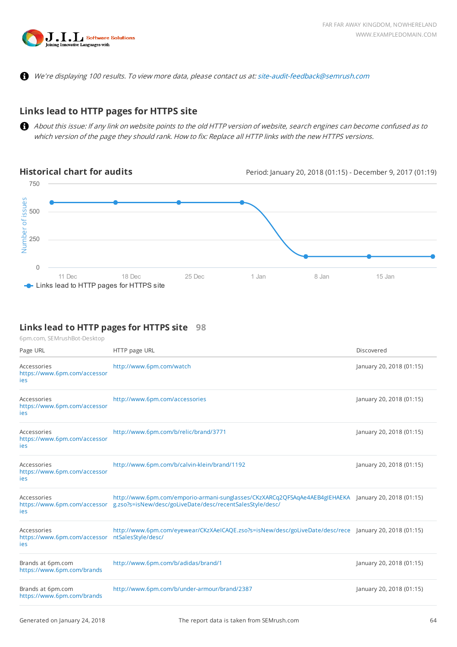

We're displaying 100 results. To view more data, please contact us at: [site-audit-feedback@semrush.com](mailto:site-audit-feedback@semrush.com)

# **Links lead to HTTP pages for HTTPS site**

About this issue: If any link on website points to the old HTTP version of website, search engines can become confused as to which version of the page they should rank. How to fix: Replace all HTTP links with the new HTTPS versions.

**Historical chart for audits** Period: January 20, 2018 (01:15) - December 9, 2017 (01:19)



#### **Links lead to HTTP pages for HTTPS site 98**

| Page URL                                           | HTTP page URL                                                                                                                                                                                 | Discovered               |
|----------------------------------------------------|-----------------------------------------------------------------------------------------------------------------------------------------------------------------------------------------------|--------------------------|
| Accessories<br>https://www.6pm.com/accessor<br>ies | http://www.6pm.com/watch                                                                                                                                                                      | January 20, 2018 (01:15) |
| Accessories<br>https://www.6pm.com/accessor<br>ies | http://www.6pm.com/accessories                                                                                                                                                                | January 20, 2018 (01:15) |
| Accessories<br>https://www.6pm.com/accessor<br>ies | http://www.6pm.com/b/relic/brand/3771                                                                                                                                                         | January 20, 2018 (01:15) |
| Accessories<br>https://www.6pm.com/accessor<br>ies | http://www.6pm.com/b/calvin-klein/brand/1192                                                                                                                                                  | January 20, 2018 (01:15) |
| Accessories<br>ies                                 | http://www.6pm.com/emporio-armani-sunglasses/CKzXARCq2QFSAqAe4AEB4gIEHAEKA January 20, 2018 (01:15)<br>https://www.6pm.com/accessor g.zso?s=isNew/desc/goLiveDate/desc/recentSalesStyle/desc/ |                          |
| Accessories<br>https://www.6pm.com/accessor<br>ies | http://www.6pm.com/eyewear/CKzXAeICAQE.zso?s=isNew/desc/goLiveDate/desc/rece January 20, 2018 (01:15)<br>ntSalesStyle/desc/                                                                   |                          |
| Brands at 6pm.com<br>https://www.6pm.com/brands    | http://www.6pm.com/b/adidas/brand/1                                                                                                                                                           | January 20, 2018 (01:15) |
| Brands at 6pm.com<br>https://www.6pm.com/brands    | http://www.6pm.com/b/under-armour/brand/2387                                                                                                                                                  | January 20, 2018 (01:15) |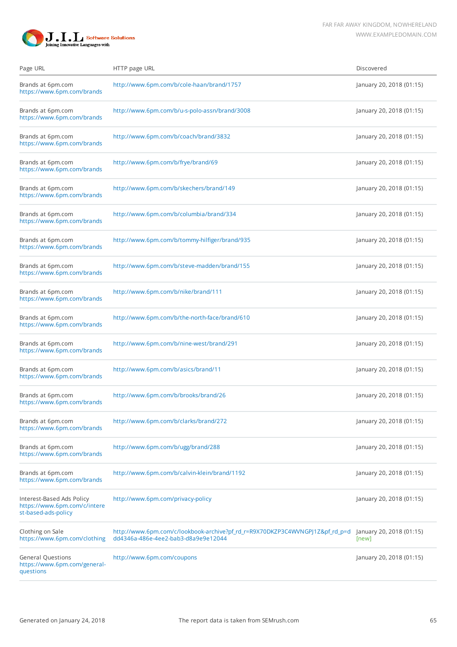

| Page URL                                                                         | HTTP page URL                                                                                                       | Discovered                        |
|----------------------------------------------------------------------------------|---------------------------------------------------------------------------------------------------------------------|-----------------------------------|
| Brands at 6pm.com<br>https://www.6pm.com/brands                                  | http://www.6pm.com/b/cole-haan/brand/1757                                                                           | January 20, 2018 (01:15)          |
| Brands at 6pm.com<br>https://www.6pm.com/brands                                  | http://www.6pm.com/b/u-s-polo-assn/brand/3008                                                                       | January 20, 2018 (01:15)          |
| Brands at 6pm.com<br>https://www.6pm.com/brands                                  | http://www.6pm.com/b/coach/brand/3832                                                                               | January 20, 2018 (01:15)          |
| Brands at 6pm.com<br>https://www.6pm.com/brands                                  | http://www.6pm.com/b/frye/brand/69                                                                                  | January 20, 2018 (01:15)          |
| Brands at 6pm.com<br>https://www.6pm.com/brands                                  | http://www.6pm.com/b/skechers/brand/149                                                                             | January 20, 2018 (01:15)          |
| Brands at 6pm.com<br>https://www.6pm.com/brands                                  | http://www.6pm.com/b/columbia/brand/334                                                                             | January 20, 2018 (01:15)          |
| Brands at 6pm.com<br>https://www.6pm.com/brands                                  | http://www.6pm.com/b/tommy-hilfiger/brand/935                                                                       | January 20, 2018 (01:15)          |
| Brands at 6pm.com<br>https://www.6pm.com/brands                                  | http://www.6pm.com/b/steve-madden/brand/155                                                                         | January 20, 2018 (01:15)          |
| Brands at 6pm.com<br>https://www.6pm.com/brands                                  | http://www.6pm.com/b/nike/brand/111                                                                                 | January 20, 2018 (01:15)          |
| Brands at 6pm.com<br>https://www.6pm.com/brands                                  | http://www.6pm.com/b/the-north-face/brand/610                                                                       | January 20, 2018 (01:15)          |
| Brands at 6pm.com<br>https://www.6pm.com/brands                                  | http://www.6pm.com/b/nine-west/brand/291                                                                            | January 20, 2018 (01:15)          |
| Brands at 6pm.com<br>https://www.6pm.com/brands                                  | http://www.6pm.com/b/asics/brand/11                                                                                 | January 20, 2018 (01:15)          |
| Brands at 6pm.com<br>https://www.6pm.com/brands                                  | http://www.6pm.com/b/brooks/brand/26                                                                                | January 20, 2018 (01:15)          |
| Brands at 6pm.com<br>https://www.6pm.com/brands                                  | http://www.6pm.com/b/clarks/brand/272                                                                               | January 20, 2018 (01:15)          |
| Brands at 6pm.com<br>https://www.6pm.com/brands                                  | http://www.6pm.com/b/ugg/brand/288                                                                                  | January 20, 2018 (01:15)          |
| Brands at 6pm.com<br>https://www.6pm.com/brands                                  | http://www.6pm.com/b/calvin-klein/brand/1192                                                                        | January 20, 2018 (01:15)          |
| Interest-Based Ads Policy<br>https://www.6pm.com/c/intere<br>st-based-ads-policy | http://www.6pm.com/privacy-policy                                                                                   | January 20, 2018 (01:15)          |
| Clothing on Sale<br>https://www.6pm.com/clothing                                 | http://www.6pm.com/c/lookbook-archive?pf_rd_r=R9X70DKZP3C4WVNGPJ1Z&pf_rd_p=d<br>dd4346a-486e-4ee2-bab3-d8a9e9e12044 | January 20, 2018 (01:15)<br>[new] |
| <b>General Questions</b><br>https://www.6pm.com/general-<br>questions            | http://www.6pm.com/coupons                                                                                          | January 20, 2018 (01:15)          |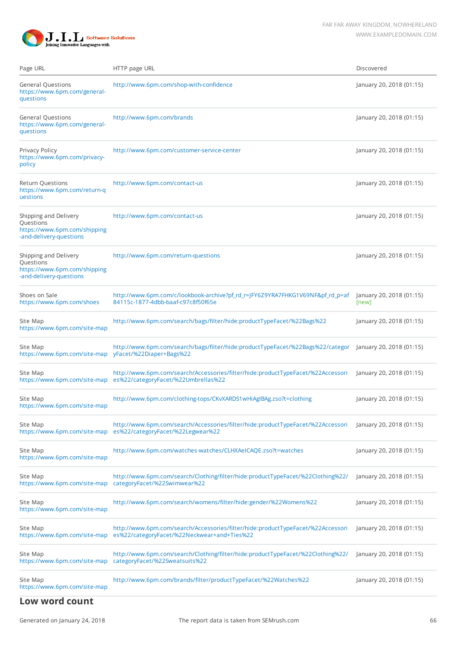

| Page URL                                                                                      | HTTP page URL                                                                                                                  | Discovered                        |
|-----------------------------------------------------------------------------------------------|--------------------------------------------------------------------------------------------------------------------------------|-----------------------------------|
| <b>General Questions</b><br>https://www.6pm.com/general-<br>questions                         | http://www.6pm.com/shop-with-confidence                                                                                        | January 20, 2018 (01:15)          |
| <b>General Questions</b><br>https://www.6pm.com/general-<br>questions                         | http://www.6pm.com/brands                                                                                                      | January 20, 2018 (01:15)          |
| Privacy Policy<br>https://www.6pm.com/privacy-<br>policy                                      | http://www.6pm.com/customer-service-center                                                                                     | January 20, 2018 (01:15)          |
| <b>Return Questions</b><br>https://www.6pm.com/return-q<br>uestions                           | http://www.6pm.com/contact-us                                                                                                  | January 20, 2018 (01:15)          |
| Shipping and Delivery<br>Questions<br>https://www.6pm.com/shipping<br>-and-delivery-questions | http://www.6pm.com/contact-us                                                                                                  | January 20, 2018 (01:15)          |
| Shipping and Delivery<br>Questions<br>https://www.6pm.com/shipping<br>-and-delivery-questions | http://www.6pm.com/return-questions                                                                                            | January 20, 2018 (01:15)          |
| Shoes on Sale<br>https://www.6pm.com/shoes                                                    | http://www.6pm.com/c/lookbook-archive?pf_rd_r=JFY6Z9YRA7FHKG1V69NF&pf_rd_p=af<br>84115c-1877-4dbb-baaf-c97c8f50f65e            | January 20, 2018 (01:15)<br>[new] |
| Site Map<br>https://www.6pm.com/site-map                                                      | http://www.6pm.com/search/bags/filter/hide:productTypeFacet/%22Bags%22                                                         | January 20, 2018 (01:15)          |
| Site Map<br>https://www.6pm.com/site-map                                                      | http://www.6pm.com/search/bags/filter/hide:productTypeFacet/%22Bags%22/categor<br>yFacet/%22Diaper+Bags%22                     | January 20, 2018 (01:15)          |
| Site Map<br>https://www.6pm.com/site-map                                                      | http://www.6pm.com/search/Accessories/filter/hide:productTypeFacet/%22Accessori<br>es%22/categoryFacet/%22Umbrellas%22         | January 20, 2018 (01:15)          |
| Site Map<br>https://www.6pm.com/site-map                                                      | http://www.6pm.com/clothing-tops/CKvXARDS1wHiAgIBAg.zso?t=clothing                                                             | January 20, 2018 (01:15)          |
| Site Map<br>https://www.6pm.com/site-map                                                      | http://www.6pm.com/search/Accessories/filter/hide:productTypeFacet/%22Accessori<br>es%22/categoryFacet/%22Legwear%22           | January 20, 2018 (01:15)          |
| Site Map<br>https://www.6pm.com/site-map                                                      | http://www.6pm.com/watches-watches/CLHXAeICAQE.zso?t=watches                                                                   | January 20, 2018 (01:15)          |
| Site Map<br>https://www.6pm.com/site-map                                                      | http://www.6pm.com/search/Clothing/filter/hide:productTypeFacet/%22Clothing%22/<br>categoryFacet/%22Swimwear%22                | January 20, 2018 (01:15)          |
| Site Map<br>https://www.6pm.com/site-map                                                      | http://www.6pm.com/search/womens/filter/hide:gender/%22Womens%22                                                               | January 20, 2018 (01:15)          |
| Site Map<br>https://www.6pm.com/site-map                                                      | http://www.6pm.com/search/Accessories/filter/hide:productTypeFacet/%22Accessori<br>es%22/categoryFacet/%22Neckwear+and+Ties%22 | January 20, 2018 (01:15)          |
| Site Map<br>https://www.6pm.com/site-map                                                      | http://www.6pm.com/search/Clothing/filter/hide:productTypeFacet/%22Clothing%22/<br>categoryFacet/%22Sweatsuits%22              | January 20, 2018 (01:15)          |
| Site Map<br>https://www.6pm.com/site-map                                                      | http://www.6pm.com/brands/filter/productTypeFacet/%22Watches%22                                                                | January 20, 2018 (01:15)          |
| Low word count                                                                                |                                                                                                                                |                                   |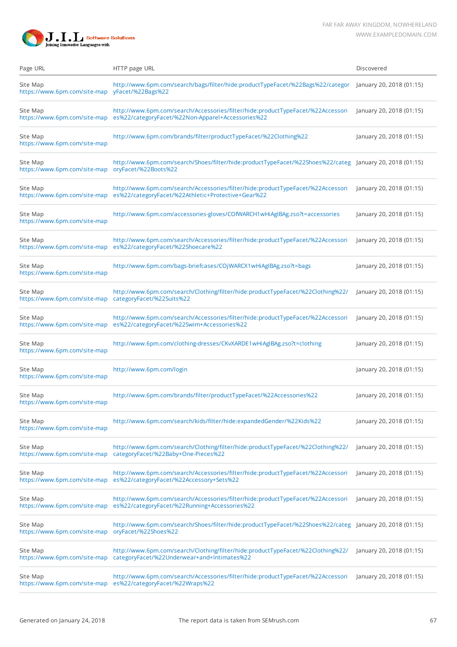

| Page URL                                                                                                                                                                          | HTTP page URL                                                                                                                        | Discovered               |
|-----------------------------------------------------------------------------------------------------------------------------------------------------------------------------------|--------------------------------------------------------------------------------------------------------------------------------------|--------------------------|
| Site Map<br>https://www.6pm.com/site-map                                                                                                                                          | http://www.6pm.com/search/bags/filter/hide:productTypeFacet/%22Bags%22/categor<br>yFacet/%22Bags%22                                  | January 20, 2018 (01:15) |
| Site Map<br>https://www.6pm.com/site-map                                                                                                                                          | http://www.6pm.com/search/Accessories/filter/hide:productTypeFacet/%22Accessori<br>es%22/categoryFacet/%22Non-Apparel+Accessories%22 | January 20, 2018 (01:15) |
| http://www.6pm.com/brands/filter/productTypeFacet/%22Clothing%22<br>Site Map<br>https://www.6pm.com/site-map                                                                      |                                                                                                                                      | January 20, 2018 (01:15) |
| http://www.6pm.com/search/Shoes/filter/hide:productTypeFacet/%22Shoes%22/categ January 20, 2018 (01:15)<br>Site Map<br>oryFacet/%22Boots%22<br>https://www.6pm.com/site-map       |                                                                                                                                      |                          |
| http://www.6pm.com/search/Accessories/filter/hide:productTypeFacet/%22Accessori<br>Site Map<br>es%22/categoryFacet/%22Athletic+Protective+Gear%22<br>https://www.6pm.com/site-map |                                                                                                                                      | January 20, 2018 (01:15) |
| Site Map<br>https://www.6pm.com/site-map                                                                                                                                          | http://www.6pm.com/accessories-gloves/COfWARCH1wHiAgIBAg.zso?t=accessories                                                           | January 20, 2018 (01:15) |
| Site Map<br>https://www.6pm.com/site-map                                                                                                                                          | http://www.6pm.com/search/Accessories/filter/hide:productTypeFacet/%22Accessori<br>es%22/categoryFacet/%22Shoecare%22                | January 20, 2018 (01:15) |
| Site Map<br>https://www.6pm.com/site-map                                                                                                                                          | http://www.6pm.com/bags-briefcases/COjWARCX1wHiAgIBAg.zso?t=bags                                                                     | January 20, 2018 (01:15) |
| Site Map<br>https://www.6pm.com/site-map                                                                                                                                          | http://www.6pm.com/search/Clothing/filter/hide:productTypeFacet/%22Clothing%22/<br>categoryFacet/%22Suits%22                         | January 20, 2018 (01:15) |
| Site Map<br>https://www.6pm.com/site-map                                                                                                                                          | http://www.6pm.com/search/Accessories/filter/hide:productTypeFacet/%22Accessori<br>es%22/categoryFacet/%22Swim+Accessories%22        | January 20, 2018 (01:15) |
| Site Map<br>https://www.6pm.com/site-map                                                                                                                                          | http://www.6pm.com/clothing-dresses/CKvXARDE1wHiAgIBAg.zso?t=clothing                                                                | January 20, 2018 (01:15) |
| Site Map<br>http://www.6pm.com/login<br>https://www.6pm.com/site-map                                                                                                              |                                                                                                                                      | January 20, 2018 (01:15) |
| Site Map<br>https://www.6pm.com/site-map                                                                                                                                          | http://www.6pm.com/brands/filter/productTypeFacet/%22Accessories%22                                                                  | January 20, 2018 (01:15) |
| Site Map<br>https://www.6pm.com/site-map                                                                                                                                          | http://www.6pm.com/search/kids/filter/hide:expandedGender/%22Kids%22                                                                 | January 20, 2018 (01:15) |
| Site Map<br>https://www.6pm.com/site-map                                                                                                                                          | http://www.6pm.com/search/Clothing/filter/hide:productTypeFacet/%22Clothing%22/<br>categoryFacet/%22Baby+One-Pieces%22               | January 20, 2018 (01:15) |
| Site Map<br>https://www.6pm.com/site-map                                                                                                                                          | http://www.6pm.com/search/Accessories/filter/hide:productTypeFacet/%22Accessori<br>es%22/categoryFacet/%22Accessory+Sets%22          | January 20, 2018 (01:15) |
| Site Map<br>https://www.6pm.com/site-map                                                                                                                                          | http://www.6pm.com/search/Accessories/filter/hide:productTypeFacet/%22Accessori<br>es%22/categoryFacet/%22Running+Accessories%22     | January 20, 2018 (01:15) |
| Site Map<br>https://www.6pm.com/site-map                                                                                                                                          | http://www.6pm.com/search/Shoes/filter/hide:productTypeFacet/%22Shoes%22/categ January 20, 2018 (01:15)<br>oryFacet/%22Shoes%22      |                          |
| Site Map<br>https://www.6pm.com/site-map                                                                                                                                          | http://www.6pm.com/search/Clothing/filter/hide:productTypeFacet/%22Clothing%22/<br>categoryFacet/%22Underwear+and+Intimates%22       | January 20, 2018 (01:15) |
| Site Map<br>https://www.6pm.com/site-map                                                                                                                                          | http://www.6pm.com/search/Accessories/filter/hide:productTypeFacet/%22Accessori<br>es%22/categoryFacet/%22Wraps%22                   | January 20, 2018 (01:15) |
|                                                                                                                                                                                   |                                                                                                                                      |                          |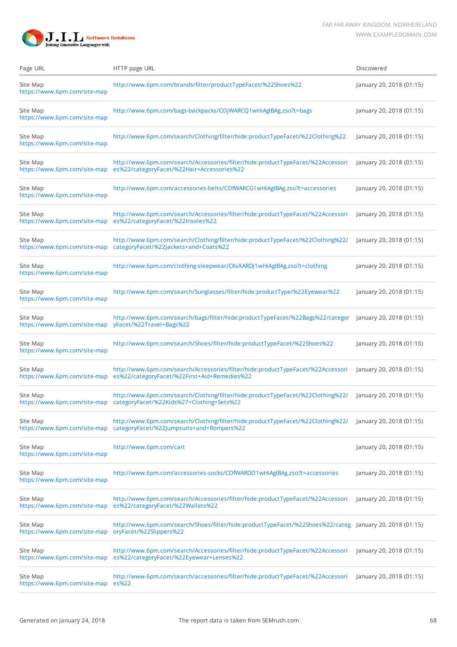

| Page URL                                 | HTTP page URL                                                                                                                                                    | Discovered               |
|------------------------------------------|------------------------------------------------------------------------------------------------------------------------------------------------------------------|--------------------------|
| Site Map<br>https://www.6pm.com/site-map | http://www.6pm.com/brands/filter/productTypeFacet/%22Shoes%22                                                                                                    | January 20, 2018 (01:15) |
| Site Map<br>https://www.6pm.com/site-map | http://www.6pm.com/bags-backpacks/COjWARCQ1wHiAgIBAg.zso?t=bags                                                                                                  | January 20, 2018 (01:15) |
| Site Map<br>https://www.6pm.com/site-map | http://www.6pm.com/search/Clothing/filter/hide:productTypeFacet/%22Clothing%22                                                                                   | January 20, 2018 (01:15) |
| Site Map<br>https://www.6pm.com/site-map | http://www.6pm.com/search/Accessories/filter/hide:productTypeFacet/%22Accessori<br>es%22/categoryFacet/%22Hair+Accessories%22                                    | January 20, 2018 (01:15) |
| Site Map<br>https://www.6pm.com/site-map | http://www.6pm.com/accessories-belts/COfWARCG1wHiAgIBAg.zso?t=accessories                                                                                        | January 20, 2018 (01:15) |
| Site Map<br>https://www.6pm.com/site-map | http://www.6pm.com/search/Accessories/filter/hide:productTypeFacet/%22Accessori<br>es%22/categoryFacet/%22Insoles%22                                             | January 20, 2018 (01:15) |
| Site Map<br>https://www.6pm.com/site-map | http://www.6pm.com/search/Clothing/filter/hide:productTypeFacet/%22Clothing%22/<br>categoryFacet/%22Jackets+and+Coats%22                                         | January 20, 2018 (01:15) |
| Site Map<br>https://www.6pm.com/site-map | http://www.6pm.com/clothing-sleepwear/CKvXARDJ1wHiAgIBAg.zso?t=clothing                                                                                          | January 20, 2018 (01:15) |
| Site Map<br>https://www.6pm.com/site-map | http://www.6pm.com/search/Sunglasses/filter/hide:productType/%22Eyewear%22                                                                                       | January 20, 2018 (01:15) |
| Site Map<br>https://www.6pm.com/site-map | http://www.6pm.com/search/bags/filter/hide:productTypeFacet/%22Bags%22/categor<br>yFacet/%22Travel+Bags%22                                                       | January 20, 2018 (01:15) |
| Site Map<br>https://www.6pm.com/site-map | http://www.6pm.com/search/Shoes/filter/hide:productTypeFacet/%22Shoes%22                                                                                         | January 20, 2018 (01:15) |
| Site Map<br>https://www.6pm.com/site-map | http://www.6pm.com/search/Accessories/filter/hide:productTypeFacet/%22Accessori<br>es%22/categoryFacet/%22First+Aid+Remedies%22                                  | January 20, 2018 (01:15) |
| Site Map                                 | http://www.6pm.com/search/Clothing/filter/hide:productTypeFacet/%22Clothing%22/<br>https://www.6pm.com/site-map        categoryFacet/%22Kids%27+Clothing+Sets%22 | January 20, 2018 (01:15) |
| Site Map<br>https://www.6pm.com/site-map | http://www.6pm.com/search/Clothing/filter/hide:productTypeFacet/%22Clothing%22/<br>categoryFacet/%22Jumpsuits+and+Rompers%22                                     | January 20, 2018 (01:15) |
| Site Map<br>https://www.6pm.com/site-map | http://www.6pm.com/cart                                                                                                                                          | January 20, 2018 (01:15) |
| Site Map<br>https://www.6pm.com/site-map | http://www.6pm.com/accessories-socks/COfWARDO1wHiAgIBAg.zso?t=accessories                                                                                        | January 20, 2018 (01:15) |
| Site Map<br>https://www.6pm.com/site-map | http://www.6pm.com/search/Accessories/filter/hide:productTypeFacet/%22Accessori<br>es%22/categoryFacet/%22Wallets%22                                             | January 20, 2018 (01:15) |
| Site Map<br>https://www.6pm.com/site-map | http://www.6pm.com/search/Shoes/filter/hide:productTypeFacet/%22Shoes%22/categ January 20, 2018 (01:15)<br>oryFacet/%22Slippers%22                               |                          |
| Site Map<br>https://www.6pm.com/site-map | http://www.6pm.com/search/Accessories/filter/hide:productTypeFacet/%22Accessori<br>es%22/categoryFacet/%22Eyewear+Lenses%22                                      | January 20, 2018 (01:15) |
| Site Map<br>https://www.6pm.com/site-map | http://www.6pm.com/search/accessories/filter/hide:productTypeFacet/%22Accessori<br>es%22                                                                         | January 20, 2018 (01:15) |
|                                          |                                                                                                                                                                  |                          |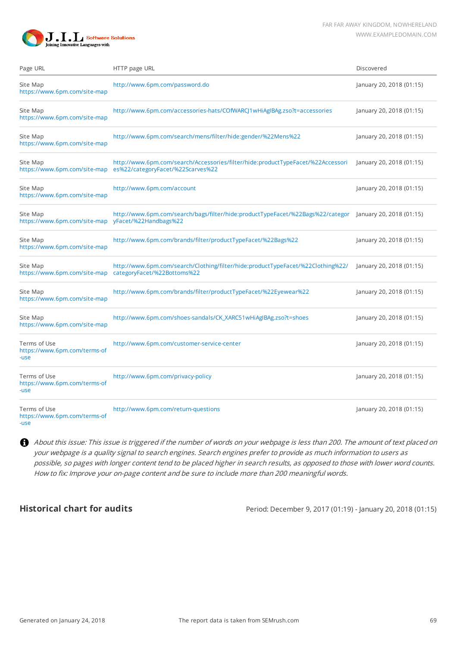

| Page URL                                                                                                    | HTTP page URL                                                                                                        | Discovered               |
|-------------------------------------------------------------------------------------------------------------|----------------------------------------------------------------------------------------------------------------------|--------------------------|
| Site Map<br>https://www.6pm.com/site-map                                                                    | http://www.6pm.com/password.do                                                                                       | January 20, 2018 (01:15) |
| Site Map<br>https://www.6pm.com/site-map                                                                    | http://www.6pm.com/accessories-hats/COfWARCJ1wHiAgIBAg.zso?t=accessories                                             | January 20, 2018 (01:15) |
| Site Map<br>https://www.6pm.com/site-map                                                                    | http://www.6pm.com/search/mens/filter/hide:gender/%22Mens%22                                                         | January 20, 2018 (01:15) |
| Site Map<br>https://www.6pm.com/site-map                                                                    | http://www.6pm.com/search/Accessories/filter/hide:productTypeFacet/%22Accessori<br>es%22/categoryFacet/%22Scarves%22 | January 20, 2018 (01:15) |
| Site Map<br>https://www.6pm.com/site-map                                                                    | http://www.6pm.com/account                                                                                           | January 20, 2018 (01:15) |
| Site Map<br>https://www.6pm.com/site-map                                                                    | http://www.6pm.com/search/bags/filter/hide:productTypeFacet/%22Bags%22/categor<br>yFacet/%22Handbags%22              | January 20, 2018 (01:15) |
| Site Map<br>https://www.6pm.com/site-map                                                                    | http://www.6pm.com/brands/filter/productTypeFacet/%22Bags%22                                                         | January 20, 2018 (01:15) |
| Site Map<br>https://www.6pm.com/site-map                                                                    | http://www.6pm.com/search/Clothing/filter/hide:productTypeFacet/%22Clothing%22/<br>categoryFacet/%22Bottoms%22       | January 20, 2018 (01:15) |
| http://www.6pm.com/brands/filter/productTypeFacet/%22Eyewear%22<br>Site Map<br>https://www.6pm.com/site-map |                                                                                                                      | January 20, 2018 (01:15) |
| http://www.6pm.com/shoes-sandals/CK_XARC51wHiAgIBAg.zso?t=shoes<br>Site Map<br>https://www.6pm.com/site-map |                                                                                                                      | January 20, 2018 (01:15) |
| Terms of Use<br>https://www.6pm.com/terms-of<br>-use                                                        | http://www.6pm.com/customer-service-center                                                                           | January 20, 2018 (01:15) |
| Terms of Use<br>https://www.6pm.com/terms-of<br>-use                                                        | http://www.6pm.com/privacy-policy                                                                                    | January 20, 2018 (01:15) |
| Terms of Use<br>https://www.6pm.com/terms-of<br>-use                                                        | http://www.6pm.com/return-questions                                                                                  | January 20, 2018 (01:15) |

About this issue: This issue is triggered if the number of words on your webpage is less than 200. The amount of text placed on your webpage is a quality signal to search engines. Search engines prefer to provide as much information to users as possible, so pages with longer content tend to be placed higher in search results, as opposed to those with lower word counts. How to fix: Improve your on-page content and be sure to include more than 200 meaningful words.

**Historical chart for audits** Period: December 9, 2017 (01:19) - January 20, 2018 (01:15)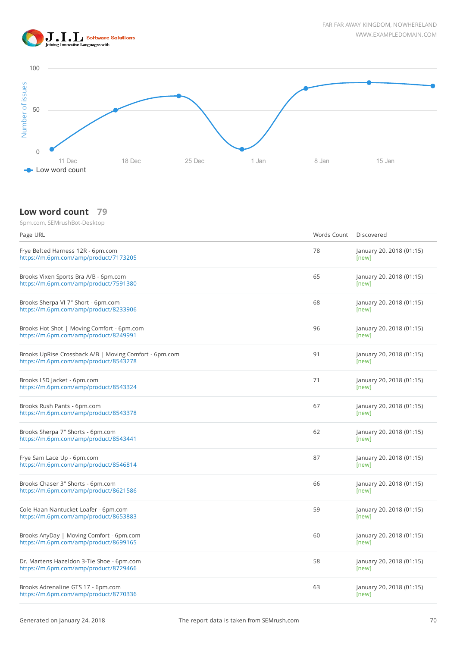



#### **Low word count 79**

| Page URL                                                                                        | Words Count | Discovered                        |
|-------------------------------------------------------------------------------------------------|-------------|-----------------------------------|
| Frye Belted Harness 12R - 6pm.com<br>https://m.6pm.com/amp/product/7173205                      | 78          | January 20, 2018 (01:15)<br>[new] |
| Brooks Vixen Sports Bra A/B - 6pm.com<br>https://m.6pm.com/amp/product/7591380                  | 65          | January 20, 2018 (01:15)<br>[new] |
| Brooks Sherpa VI 7" Short - 6pm.com<br>https://m.6pm.com/amp/product/8233906                    | 68          | January 20, 2018 (01:15)<br>[new] |
| Brooks Hot Shot   Moving Comfort - 6pm.com<br>https://m.6pm.com/amp/product/8249991             | 96          | January 20, 2018 (01:15)<br>[new] |
| Brooks UpRise Crossback A/B   Moving Comfort - 6pm.com<br>https://m.6pm.com/amp/product/8543278 | 91          | January 20, 2018 (01:15)<br>[new] |
| Brooks LSD Jacket - 6pm.com<br>https://m.6pm.com/amp/product/8543324                            | 71          | January 20, 2018 (01:15)<br>[new] |
| Brooks Rush Pants - 6pm.com<br>https://m.6pm.com/amp/product/8543378                            | 67          | January 20, 2018 (01:15)<br>[new] |
| Brooks Sherpa 7" Shorts - 6pm.com<br>https://m.6pm.com/amp/product/8543441                      | 62          | January 20, 2018 (01:15)<br>[new] |
| Frye Sam Lace Up - 6pm.com<br>https://m.6pm.com/amp/product/8546814                             | 87          | January 20, 2018 (01:15)<br>[new] |
| Brooks Chaser 3" Shorts - 6pm.com<br>https://m.6pm.com/amp/product/8621586                      | 66          | January 20, 2018 (01:15)<br>[new] |
| Cole Haan Nantucket Loafer - 6pm.com<br>https://m.6pm.com/amp/product/8653883                   | 59          | January 20, 2018 (01:15)<br>[new] |
| Brooks AnyDay   Moving Comfort - 6pm.com<br>https://m.6pm.com/amp/product/8699165               | 60          | January 20, 2018 (01:15)<br>[new] |
| Dr. Martens Hazeldon 3-Tie Shoe - 6pm.com<br>https://m.6pm.com/amp/product/8729466              | 58          | January 20, 2018 (01:15)<br>[new] |
| Brooks Adrenaline GTS 17 - 6pm.com<br>https://m.6pm.com/amp/product/8770336                     | 63          | January 20, 2018 (01:15)<br>[new] |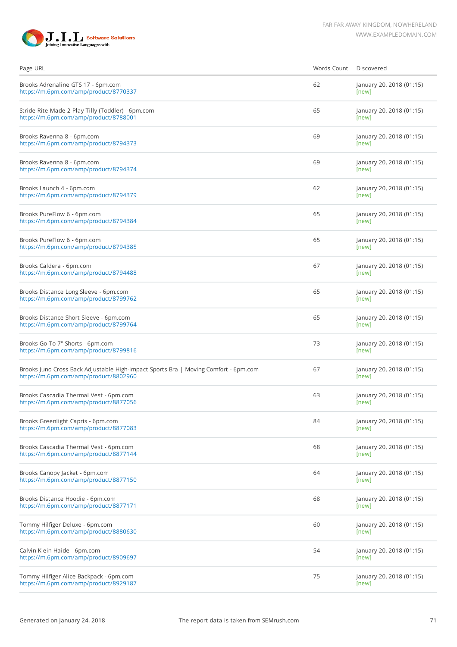

| Page URL                                                                                                                     | Words Count | Discovered                        |
|------------------------------------------------------------------------------------------------------------------------------|-------------|-----------------------------------|
| Brooks Adrenaline GTS 17 - 6pm.com<br>https://m.6pm.com/amp/product/8770337                                                  | 62          | January 20, 2018 (01:15)<br>[new] |
| Stride Rite Made 2 Play Tilly (Toddler) - 6pm.com<br>https://m.6pm.com/amp/product/8788001                                   | 65          | January 20, 2018 (01:15)<br>[new] |
| Brooks Ravenna 8 - 6pm.com<br>https://m.6pm.com/amp/product/8794373                                                          | 69          | January 20, 2018 (01:15)<br>[new] |
| Brooks Ravenna 8 - 6pm.com<br>https://m.6pm.com/amp/product/8794374                                                          | 69          | January 20, 2018 (01:15)<br>[new] |
| Brooks Launch 4 - 6pm.com<br>https://m.6pm.com/amp/product/8794379                                                           | 62          | January 20, 2018 (01:15)<br>[new] |
| Brooks PureFlow 6 - 6pm.com<br>https://m.6pm.com/amp/product/8794384                                                         | 65          | January 20, 2018 (01:15)<br>[new] |
| Brooks PureFlow 6 - 6pm.com<br>https://m.6pm.com/amp/product/8794385                                                         | 65          | January 20, 2018 (01:15)<br>[new] |
| Brooks Caldera - 6pm.com<br>https://m.6pm.com/amp/product/8794488                                                            | 67          | January 20, 2018 (01:15)<br>[new] |
| Brooks Distance Long Sleeve - 6pm.com<br>https://m.6pm.com/amp/product/8799762                                               | 65          | January 20, 2018 (01:15)<br>[new] |
| Brooks Distance Short Sleeve - 6pm.com<br>https://m.6pm.com/amp/product/8799764                                              | 65          | January 20, 2018 (01:15)<br>[new] |
| Brooks Go-To 7" Shorts - 6pm.com<br>https://m.6pm.com/amp/product/8799816                                                    | 73          | January 20, 2018 (01:15)<br>[new] |
| Brooks Juno Cross Back Adjustable High-Impact Sports Bra   Moving Comfort - 6pm.com<br>https://m.6pm.com/amp/product/8802960 | 67          | January 20, 2018 (01:15)<br>[new] |
| Brooks Cascadia Thermal Vest - 6pm.com<br>https://m.6pm.com/amp/product/8877056                                              | 63          | January 20, 2018 (01:15)<br>[new] |
| Brooks Greenlight Capris - 6pm.com<br>https://m.6pm.com/amp/product/8877083                                                  | 84          | January 20, 2018 (01:15)<br>[new] |
| Brooks Cascadia Thermal Vest - 6pm.com<br>https://m.6pm.com/amp/product/8877144                                              | 68          | January 20, 2018 (01:15)<br>[new] |
| Brooks Canopy Jacket - 6pm.com<br>https://m.6pm.com/amp/product/8877150                                                      | 64          | January 20, 2018 (01:15)<br>[new] |
| Brooks Distance Hoodie - 6pm.com<br>https://m.6pm.com/amp/product/8877171                                                    | 68          | January 20, 2018 (01:15)<br>[new] |
| Tommy Hilfiger Deluxe - 6pm.com<br>https://m.6pm.com/amp/product/8880630                                                     | 60          | January 20, 2018 (01:15)<br>[new] |
| Calvin Klein Haide - 6pm.com<br>https://m.6pm.com/amp/product/8909697                                                        | 54          | January 20, 2018 (01:15)<br>[new] |
| Tommy Hilfiger Alice Backpack - 6pm.com<br>https://m.6pm.com/amp/product/8929187                                             | 75          | January 20, 2018 (01:15)<br>[new] |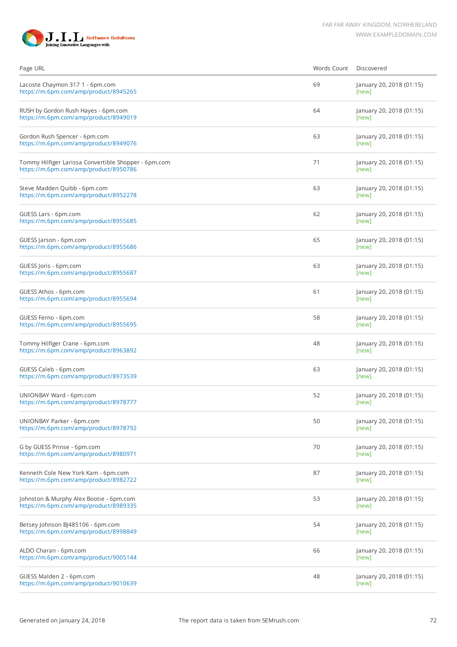

| Page URL                                                                                      | Words Count | Discovered                        |
|-----------------------------------------------------------------------------------------------|-------------|-----------------------------------|
| Lacoste Chaymon 317 1 - 6pm.com<br>https://m.6pm.com/amp/product/8945265                      | 69          | January 20, 2018 (01:15)<br>[new] |
| RUSH by Gordon Rush Hayes - 6pm.com<br>https://m.6pm.com/amp/product/8949019                  | 64          | January 20, 2018 (01:15)<br>[new] |
| Gordon Rush Spencer - 6pm.com<br>https://m.6pm.com/amp/product/8949076                        | 63          | January 20, 2018 (01:15)<br>[new] |
| Tommy Hilfiger Larissa Convertible Shopper - 6pm.com<br>https://m.6pm.com/amp/product/8950786 | 71          | January 20, 2018 (01:15)<br>[new] |
| Steve Madden Quibb - 6pm.com<br>https://m.6pm.com/amp/product/8952278                         | 63          | January 20, 2018 (01:15)<br>[new] |
| GUESS Lars - 6pm.com<br>https://m.6pm.com/amp/product/8955685                                 | 62          | January 20, 2018 (01:15)<br>[new] |
| GUESS Jarson - 6pm.com<br>https://m.6pm.com/amp/product/8955686                               | 65          | January 20, 2018 (01:15)<br>[new] |
| GUESS Joris - 6pm.com<br>https://m.6pm.com/amp/product/8955687                                | 63          | January 20, 2018 (01:15)<br>[new] |
| GUESS Athos - 6pm.com<br>https://m.6pm.com/amp/product/8955694                                | 61          | January 20, 2018 (01:15)<br>[new] |
| GUESS Ferno - 6pm.com<br>https://m.6pm.com/amp/product/8955695                                | 58          | January 20, 2018 (01:15)<br>[new] |
| Tommy Hilfiger Crane - 6pm.com<br>https://m.6pm.com/amp/product/8963892                       | 48          | January 20, 2018 (01:15)<br>[new] |
| GUESS Caleb - 6pm.com<br>https://m.6pm.com/amp/product/8973539                                | 63          | January 20, 2018 (01:15)<br>[new] |
| UNIONBAY Ward - 6pm.com<br>https://m.6pm.com/amp/product/8978777                              | 52          | January 20, 2018 (01:15)<br>[new] |
| UNIONBAY Parker - 6pm.com<br>https://m.6pm.com/amp/product/8978792                            | 50          | January 20, 2018 (01:15)<br>[new] |
| G by GUESS Prinse - 6pm.com<br>https://m.6pm.com/amp/product/8980971                          | 70          | January 20, 2018 (01:15)<br>[new] |
| Kenneth Cole New York Kam - 6pm.com<br>https://m.6pm.com/amp/product/8982722                  | 87          | January 20, 2018 (01:15)<br>[new] |
| Johnston & Murphy Alex Bootie - 6pm.com<br>https://m.6pm.com/amp/product/8989335              | 53          | January 20, 2018 (01:15)<br>[new] |
| Betsey Johnson BJ485106 - 6pm.com<br>https://m.6pm.com/amp/product/8998849                    | 54          | January 20, 2018 (01:15)<br>[new] |
| ALDO Charan - 6pm.com<br>https://m.6pm.com/amp/product/9005144                                | 66          | January 20, 2018 (01:15)<br>[new] |
| GUESS Malden 2 - 6pm.com<br>https://m.6pm.com/amp/product/9010639                             | 48          | January 20, 2018 (01:15)<br>[new] |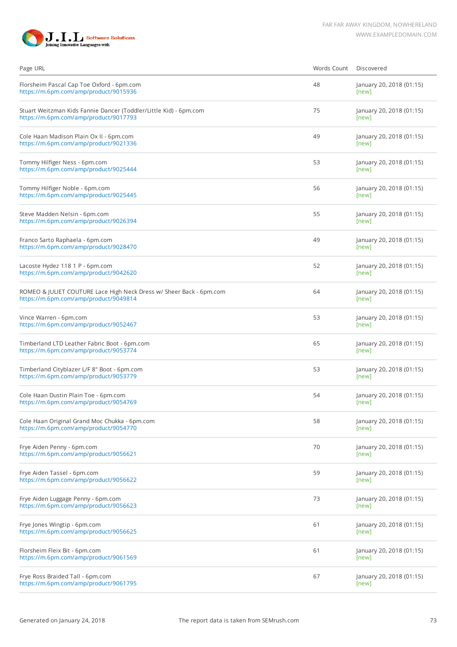

| Page URL                                                                                                     | Words Count | Discovered                        |
|--------------------------------------------------------------------------------------------------------------|-------------|-----------------------------------|
| Florsheim Pascal Cap Toe Oxford - 6pm.com<br>https://m.6pm.com/amp/product/9015936                           | 48          | January 20, 2018 (01:15)<br>[new] |
| Stuart Weitzman Kids Fannie Dancer (Toddler/Little Kid) - 6pm.com<br>https://m.6pm.com/amp/product/9017793   | 75          | January 20, 2018 (01:15)<br>[new] |
| Cole Haan Madison Plain Ox II - 6pm.com<br>https://m.6pm.com/amp/product/9021336                             | 49          | January 20, 2018 (01:15)<br>[new] |
| Tommy Hilfiger Ness - 6pm.com<br>https://m.6pm.com/amp/product/9025444                                       | 53          | January 20, 2018 (01:15)<br>[new] |
| Tommy Hilfiger Noble - 6pm.com<br>https://m.6pm.com/amp/product/9025445                                      | 56          | January 20, 2018 (01:15)<br>[new] |
| Steve Madden Nelsin - 6pm.com<br>https://m.6pm.com/amp/product/9026394                                       | 55          | January 20, 2018 (01:15)<br>[new] |
| Franco Sarto Raphaela - 6pm.com<br>https://m.6pm.com/amp/product/9028470                                     | 49          | January 20, 2018 (01:15)<br>[new] |
| Lacoste Hydez 118 1 P - 6pm.com<br>https://m.6pm.com/amp/product/9042620                                     | 52          | January 20, 2018 (01:15)<br>[new] |
| ROMEO & JULIET COUTURE Lace High Neck Dress w/ Sheer Back - 6pm.com<br>https://m.6pm.com/amp/product/9049814 | 64          | January 20, 2018 (01:15)<br>[new] |
| Vince Warren - 6pm.com<br>https://m.6pm.com/amp/product/9052467                                              | 53          | January 20, 2018 (01:15)<br>[new] |
| Timberland LTD Leather Fabric Boot - 6pm.com<br>https://m.6pm.com/amp/product/9053774                        | 65          | January 20, 2018 (01:15)<br>[new] |
| Timberland Cityblazer L/F 8" Boot - 6pm.com<br>https://m.6pm.com/amp/product/9053779                         | 53          | January 20, 2018 (01:15)<br>[new] |
| Cole Haan Dustin Plain Toe - 6pm.com<br>https://m.6pm.com/amp/product/9054769                                | 54          | January 20, 2018 (01:15)<br>[new] |
| Cole Haan Original Grand Moc Chukka - 6pm.com<br>https://m.6pm.com/amp/product/9054770                       | 58          | January 20, 2018 (01:15)<br>[new] |
| Frye Aiden Penny - 6pm.com<br>https://m.6pm.com/amp/product/9056621                                          | 70          | January 20, 2018 (01:15)<br>[new] |
| Frye Aiden Tassel - 6pm.com<br>https://m.6pm.com/amp/product/9056622                                         | 59          | January 20, 2018 (01:15)<br>[new] |
| Frye Aiden Luggage Penny - 6pm.com<br>https://m.6pm.com/amp/product/9056623                                  | 73          | January 20, 2018 (01:15)<br>[new] |
| Frye Jones Wingtip - 6pm.com<br>https://m.6pm.com/amp/product/9056625                                        | 61          | January 20, 2018 (01:15)<br>[new] |
| Florsheim Fleix Bit - 6pm.com<br>https://m.6pm.com/amp/product/9061569                                       | 61          | January 20, 2018 (01:15)<br>[new] |
| Frye Ross Braided Tall - 6pm.com<br>https://m.6pm.com/amp/product/9061795                                    | 67          | January 20, 2018 (01:15)<br>[new] |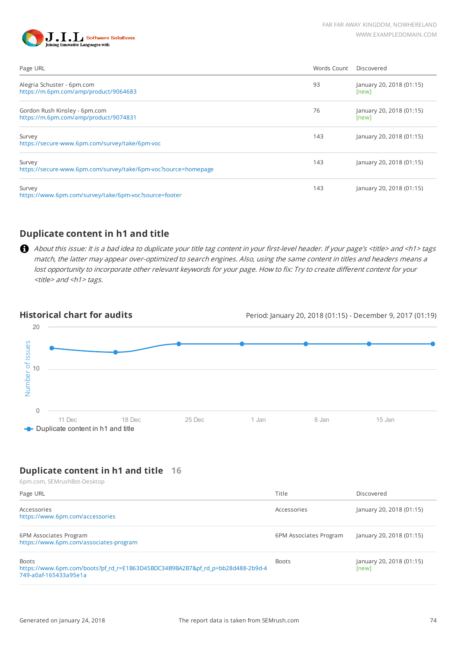



| Page URL                                                                 | Words Count | Discovered                        |
|--------------------------------------------------------------------------|-------------|-----------------------------------|
| Alegria Schuster - 6pm.com<br>https://m.6pm.com/amp/product/9064683      | 93          | January 20, 2018 (01:15)<br>[new] |
| Gordon Rush Kinsley - 6pm.com<br>https://m.6pm.com/amp/product/9074831   | 76          | January 20, 2018 (01:15)<br>[new] |
| Survey<br>https://secure-www.6pm.com/survey/take/6pm-voc                 | 143         | January 20, 2018 (01:15)          |
| Survey<br>https://secure-www.6pm.com/survey/take/6pm-voc?source=homepage | 143         | January 20, 2018 (01:15)          |
| Survey<br>https://www.6pm.com/survey/take/6pm-voc?source=footer          | 143         | January 20, 2018 (01:15)          |

## **Duplicate content in h1 and title**

About this issue: It is a bad idea to duplicate your title tag content in your first-level header. If your page's <title> and <h1> tags match, the latter may appear over-optimized to search engines. Also, using the same content in titles and headers means a lost opportunity to incorporate other relevant keywords for your page. How to fix: Try to create different content for your <title> and <h1> tags.

**Historical chart for audits** Period: January 20, 2018 (01:15) - December 9, 2017 (01:19)



## **Duplicate content in h1 and title 16**

| 6pm.com, SEMrushBot-Desktop                                                                                             |                        |                                   |
|-------------------------------------------------------------------------------------------------------------------------|------------------------|-----------------------------------|
| Page URL                                                                                                                | Title                  | Discovered                        |
| Accessories<br>https://www.6pm.com/accessories                                                                          | Accessories            | January 20, 2018 (01:15)          |
| 6PM Associates Program<br>https://www.6pm.com/associates-program                                                        | 6PM Associates Program | January 20, 2018 (01:15)          |
| <b>Boots</b><br>https://www.6pm.com/boots?pf rd_r=E1B63D45BDC34B9BA2B7&pf rd_p=bb28d488-2b9d-4<br>749-a0af-165433a95e1a | <b>Boots</b>           | January 20, 2018 (01:15)<br>[new] |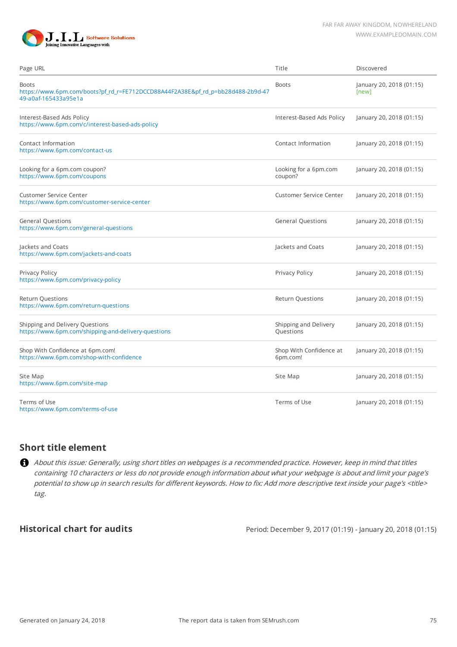



| Page URL                                                                                                                | Title                               | Discovered                        |
|-------------------------------------------------------------------------------------------------------------------------|-------------------------------------|-----------------------------------|
| <b>Boots</b><br>https://www.6pm.com/boots?pf_rd_r=FE712DCCD88A44F2A38E&pf_rd_p=bb28d488-2b9d-47<br>49-a0af-165433a95e1a | <b>Boots</b>                        | January 20, 2018 (01:15)<br>[new] |
| Interest-Based Ads Policy<br>https://www.6pm.com/c/interest-based-ads-policy                                            | Interest-Based Ads Policy           | January 20, 2018 (01:15)          |
| Contact Information<br>https://www.6pm.com/contact-us                                                                   | Contact Information                 | January 20, 2018 (01:15)          |
| Looking for a 6pm.com coupon?<br>https://www.6pm.com/coupons                                                            | Looking for a 6pm.com<br>coupon?    | January 20, 2018 (01:15)          |
| Customer Service Center<br>https://www.6pm.com/customer-service-center                                                  | <b>Customer Service Center</b>      | January 20, 2018 (01:15)          |
| <b>General Questions</b><br>https://www.6pm.com/general-questions                                                       | <b>General Questions</b>            | January 20, 2018 (01:15)          |
| Jackets and Coats<br>https://www.6pm.com/jackets-and-coats                                                              | Jackets and Coats                   | January 20, 2018 (01:15)          |
| Privacy Policy<br>https://www.6pm.com/privacy-policy                                                                    | Privacy Policy                      | January 20, 2018 (01:15)          |
| <b>Return Questions</b><br>https://www.6pm.com/return-questions                                                         | <b>Return Questions</b>             | January 20, 2018 (01:15)          |
| Shipping and Delivery Questions<br>https://www.6pm.com/shipping-and-delivery-questions                                  | Shipping and Delivery<br>Questions  | January 20, 2018 (01:15)          |
| Shop With Confidence at 6pm.com!<br>https://www.6pm.com/shop-with-confidence                                            | Shop With Confidence at<br>6pm.com! | January 20, 2018 (01:15)          |
| Site Map<br>https://www.6pm.com/site-map                                                                                | Site Map                            | January 20, 2018 (01:15)          |
| Terms of Use<br>https://www.6pm.com/terms-of-use                                                                        | Terms of Use                        | January 20, 2018 (01:15)          |

#### **Short title element**

About this issue: Generally, using short titles on webpages is a recommended practice. However, keep in mind that titles containing 10 characters or less do not provide enough information about what your webpage is about and limit your page's potential to show up in search results for different keywords. How to fix: Add more descriptive text inside your page's <title> tag.

**Historical chart for audits** Period: December 9, 2017 (01:19) - January 20, 2018 (01:15)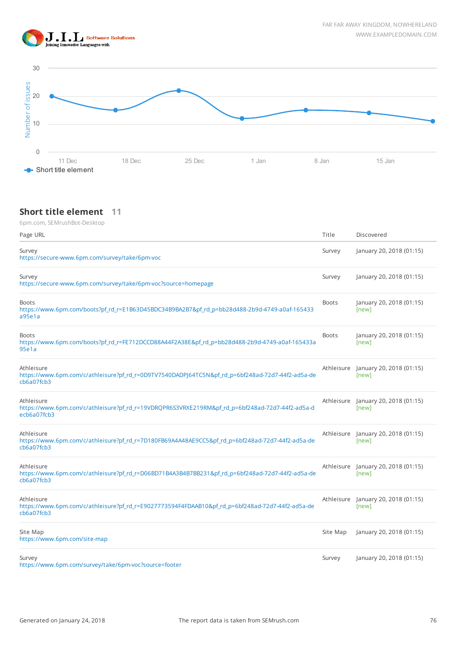



## **Short title element 11**

| Page URL                                                                                                                     | Title        | Discovered                                   |
|------------------------------------------------------------------------------------------------------------------------------|--------------|----------------------------------------------|
| Survey<br>https://secure-www.6pm.com/survey/take/6pm-voc                                                                     | Survey       | January 20, 2018 (01:15)                     |
| Survey<br>https://secure-www.6pm.com/survey/take/6pm-voc?source=homepage                                                     | Survey       | January 20, 2018 (01:15)                     |
| <b>Boots</b><br>https://www.6pm.com/boots?pf_rd_r=E1B63D45BDC34B9BA2B7&pf_rd_p=bb28d488-2b9d-4749-a0af-165433<br>a95e1a      | <b>Boots</b> | January 20, 2018 (01:15)<br>[new]            |
| <b>Boots</b><br>https://www.6pm.com/boots?pf_rd_r=FE712DCCD88A44F2A38E&pf_rd_p=bb28d488-2b9d-4749-a0af-165433a<br>95e1a      | <b>Boots</b> | January 20, 2018 (01:15)<br>[new]            |
| Athleisure<br>https://www.6pm.com/c/athleisure?pf_rd_r=0D9TV7540DADPJ64TC5N&pf_rd_p=6bf248ad-72d7-44f2-ad5a-de<br>cb6a07fcb3 |              | Athleisure January 20, 2018 (01:15)<br>[new] |
| Athleisure<br>https://www.6pm.com/c/athleisure?pf_rd_r=19VDRQPR6S3VRXE219RM&pf_rd_p=6bf248ad-72d7-44f2-ad5a-d<br>ecb6a07fcb3 |              | Athleisure January 20, 2018 (01:15)<br>[new] |
| Athleisure<br>https://www.6pm.com/c/athleisure?pf_rd_r=7D180FB69A4A48AE9CC5&pf_rd_p=6bf248ad-72d7-44f2-ad5a-de<br>cb6a07fcb3 |              | Athleisure January 20, 2018 (01:15)<br>[new] |
| Athleisure<br>https://www.6pm.com/c/athleisure?pf_rd_r=D06BD71B4A3B4B7BB231&pf_rd_p=6bf248ad-72d7-44f2-ad5a-de<br>cb6a07fcb3 |              | Athleisure January 20, 2018 (01:15)<br>[new] |
| Athleisure<br>https://www.6pm.com/c/athleisure?pf_rd_r=E9027773594F4FDAAB10&pf_rd_p=6bf248ad-72d7-44f2-ad5a-de<br>cb6a07fcb3 |              | Athleisure January 20, 2018 (01:15)<br>[new] |
| Site Map<br>https://www.6pm.com/site-map                                                                                     | Site Map     | January 20, 2018 (01:15)                     |
| Survey<br>https://www.6pm.com/survey/take/6pm-voc?source=footer                                                              | Survey       | January 20, 2018 (01:15)                     |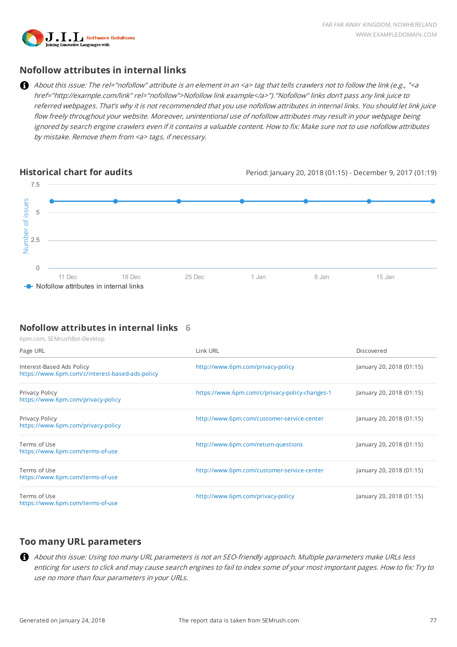

# **Nofollow attributes in internal links**

About this issue: The rel="nofollow" attribute is an element in an <a> tag that tells crawlers not to follow the link (e.g., "<a href="http://example.com/link" rel="nofollow">Nofollow link example</a>")."Nofollow" links don't pass any link juice to referred webpages. That's why it is not recommended that you use nofollow attributes in internal links. You should let link juice flow freely throughout your website. Moreover, unintentional use of nofollow attributes may result in your webpage being ignored by search engine crawlers even if it contains a valuable content. How to fix: Make sure not to use nofollow attributes by mistake. Remove them from <a> tags, if necessary.



## **Nofollow attributes in internal links 6**

6pm.com, SEMrushBot-Desktop

| Page URL                                                                     | Link URL                                       | Discovered               |
|------------------------------------------------------------------------------|------------------------------------------------|--------------------------|
| Interest-Based Ads Policy<br>https://www.6pm.com/c/interest-based-ads-policy | http://www.6pm.com/privacy-policy              | January 20, 2018 (01:15) |
| Privacy Policy<br>https://www.6pm.com/privacy-policy                         | https://www.6pm.com/c/privacy-policy-changes-1 | January 20, 2018 (01:15) |
| Privacy Policy<br>https://www.6pm.com/privacy-policy                         | http://www.6pm.com/customer-service-center     | January 20, 2018 (01:15) |
| Terms of Use<br>https://www.6pm.com/terms-of-use                             | http://www.6pm.com/return-questions            | January 20, 2018 (01:15) |
| Terms of Use<br>https://www.6pm.com/terms-of-use                             | http://www.6pm.com/customer-service-center     | January 20, 2018 (01:15) |
| Terms of Use<br>https://www.6pm.com/terms-of-use                             | http://www.6pm.com/privacy-policy              | January 20, 2018 (01:15) |

## **Too many URL parameters**

About this issue: Using too many URL parameters is not an SEO-friendly approach. Multiple parameters make URLs less enticing for users to click and may cause search engines to fail to index some of your most important pages. How to fix: Try to use no more than four parameters in your URLs.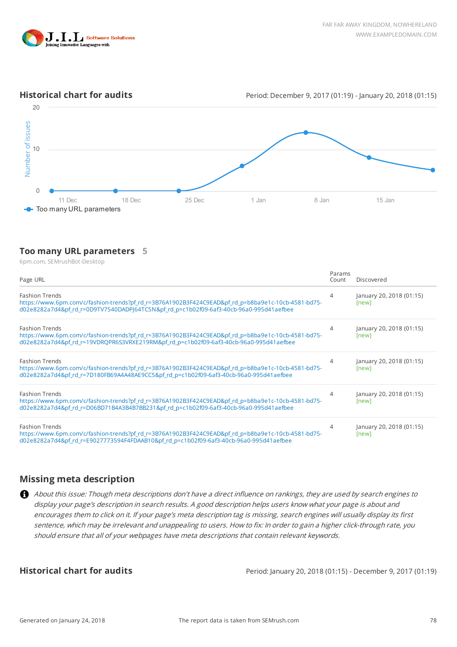

**Historical chart for audits Historical chart for audits** Period: December 9, 2017 (01:19) - January 20, 2018 (01:15)



#### **Too many URL parameters 5**

| Number of issues<br>10                  |                                                                                                                                                                                                                                                                                                                                                                                                                                                                                                                                                                                                                |        |       |                 |                                                             |
|-----------------------------------------|----------------------------------------------------------------------------------------------------------------------------------------------------------------------------------------------------------------------------------------------------------------------------------------------------------------------------------------------------------------------------------------------------------------------------------------------------------------------------------------------------------------------------------------------------------------------------------------------------------------|--------|-------|-----------------|-------------------------------------------------------------|
| 0                                       |                                                                                                                                                                                                                                                                                                                                                                                                                                                                                                                                                                                                                |        |       |                 |                                                             |
| 11 Dec<br>Too many URL parameters       | 18 Dec                                                                                                                                                                                                                                                                                                                                                                                                                                                                                                                                                                                                         | 25 Dec | 1 Jan | 8 Jan           | 15 Jan                                                      |
|                                         | Too many URL parameters 5                                                                                                                                                                                                                                                                                                                                                                                                                                                                                                                                                                                      |        |       |                 |                                                             |
| 6pm.com, SEMrushBot-Desktop<br>Page URL |                                                                                                                                                                                                                                                                                                                                                                                                                                                                                                                                                                                                                |        |       | Params<br>Count | Discovered                                                  |
| <b>Fashion Trends</b>                   | https://www.6pm.com/c/fashion-trends?pf rd r=3B76A1902B3F424C9EAD&pf rd p=b8ba9e1c-10cb-4581-bd75-<br>d02e8282a7d4&pf_rd_r=0D9TV7540DADPJ64TC5N&pf_rd_p=c1b02f09-6af3-40cb-96a0-995d41aefbee                                                                                                                                                                                                                                                                                                                                                                                                                   |        |       | $\overline{4}$  | January 20, 2018 (01:15)<br>[new]                           |
| <b>Fashion Trends</b>                   | https://www.6pm.com/c/fashion-trends?pf rd r=3B76A1902B3F424C9EAD&pf rd p=b8ba9e1c-10cb-4581-bd75-<br>d02e8282a7d4&pf rd_r=19VDRQPR6S3VRXE219RM&pf_rd_p=c1b02f09-6af3-40cb-96a0-995d41aefbee                                                                                                                                                                                                                                                                                                                                                                                                                   |        |       | $\overline{4}$  | January 20, 2018 (01:15)<br>[new]                           |
| <b>Fashion Trends</b>                   | https://www.6pm.com/c/fashion-trends?pf rd r=3B76A1902B3F424C9EAD&pf rd p=b8ba9e1c-10cb-4581-bd75-<br>d02e8282a7d4&pf_rd_r=7D180FB69A4A48AE9CC5&pf_rd_p=c1b02f09-6af3-40cb-96a0-995d41aefbee                                                                                                                                                                                                                                                                                                                                                                                                                   |        |       | $\overline{4}$  | January 20, 2018 (01:15)<br>[new]                           |
| <b>Fashion Trends</b>                   | https://www.6pm.com/c/fashion-trends?pf rd r=3B76A1902B3F424C9EAD&pf rd p=b8ba9e1c-10cb-4581-bd75-<br>d02e8282a7d4&pf_rd_r=D06BD71B4A3B4B7BB231&pf_rd_p=c1b02f09-6af3-40cb-96a0-995d41aefbee                                                                                                                                                                                                                                                                                                                                                                                                                   |        |       | $\overline{4}$  | January 20, 2018 (01:15)<br>[new]                           |
| <b>Fashion Trends</b>                   | https://www.6pm.com/c/fashion-trends?pf rd r=3B76A1902B3F424C9EAD&pf rd p=b8ba9e1c-10cb-4581-bd75-<br>d02e8282a7d4&pf rd r=E9027773594F4FDAAB10&pf rd p=c1b02f09-6af3-40cb-96a0-995d41aefbee                                                                                                                                                                                                                                                                                                                                                                                                                   |        |       | $\overline{4}$  | January 20, 2018 (01:15)<br>[new]                           |
| <b>Missing meta description</b>         |                                                                                                                                                                                                                                                                                                                                                                                                                                                                                                                                                                                                                |        |       |                 |                                                             |
|                                         | About this issue: Though meta descriptions don't have a direct influence on rankings, they are used by search engines to<br>display your page's description in search results. A good description helps users know what your page is about and<br>encourages them to click on it. If your page's meta description tag is missing, search engines will usually display its first<br>sentence, which may be irrelevant and unappealing to users. How to fix: In order to gain a higher click-through rate, you<br>should ensure that all of your webpages have meta descriptions that contain relevant keywords. |        |       |                 |                                                             |
| <b>Historical chart for audits</b>      |                                                                                                                                                                                                                                                                                                                                                                                                                                                                                                                                                                                                                |        |       |                 | Period: January 20, 2018 (01:15) - December 9, 2017 (01:19) |

#### **Missing meta description**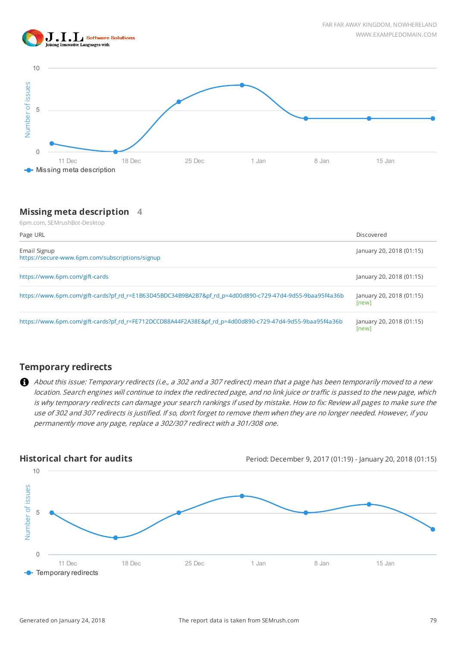





### **Missing meta description 4**

| Number of issues<br>5                                                                                                                                                                                            |        |        |       |       |                                                                                                                                                                                                                                                                                                                                                                                                   |
|------------------------------------------------------------------------------------------------------------------------------------------------------------------------------------------------------------------|--------|--------|-------|-------|---------------------------------------------------------------------------------------------------------------------------------------------------------------------------------------------------------------------------------------------------------------------------------------------------------------------------------------------------------------------------------------------------|
| $\mathbf{0}$<br>11 Dec<br>Missing meta description                                                                                                                                                               | 18 Dec | 25 Dec | 1 Jan | 8 Jan | 15 Jan                                                                                                                                                                                                                                                                                                                                                                                            |
| <b>Missing meta description</b><br>6pm.com, SEMrushBot-Desktop<br>Page URL                                                                                                                                       | 4      |        |       |       | Discovered                                                                                                                                                                                                                                                                                                                                                                                        |
| Email Signup<br>https://secure-www.6pm.com/subscriptions/signup                                                                                                                                                  |        |        |       |       | January 20, 2018 (01:15)                                                                                                                                                                                                                                                                                                                                                                          |
| https://www.6pm.com/gift-cards                                                                                                                                                                                   |        |        |       |       | January 20, 2018 (01:15)                                                                                                                                                                                                                                                                                                                                                                          |
| https://www.6pm.com/gift-cards?pf_rd_r=E1B63D45BDC34B9BA2B7&pf_rd_p=4d00d890-c729-47d4-9d55-9baa95f4a36b                                                                                                         |        |        |       |       | January 20, 2018 (01:15)<br>[new]                                                                                                                                                                                                                                                                                                                                                                 |
| https://www.6pm.com/gift-cards?pf_rd_r=FE712DCCD88A44F2A38E&pf_rd_p=4d00d890-c729-47d4-9d55-9baa95f4a36b                                                                                                         |        |        |       |       | January 20, 2018 (01:15)<br>[new]                                                                                                                                                                                                                                                                                                                                                                 |
| <b>Temporary redirects</b>                                                                                                                                                                                       |        |        |       |       |                                                                                                                                                                                                                                                                                                                                                                                                   |
| Ø.<br>use of 302 and 307 redirects is justified. If so, don't forget to remove them when they are no longer needed. However, if you<br>permanently move any page, replace a 302/307 redirect with a 301/308 one. |        |        |       |       | About this issue: Temporary redirects (i.e., a 302 and a 307 redirect) mean that a page has been temporarily moved to a new<br>location. Search engines will continue to index the redirected page, and no link juice or traffic is passed to the new page, which<br>is why temporary redirects can damage your search rankings if used by mistake. How to fix: Review all pages to make sure the |
| <b>Historical chart for audits</b>                                                                                                                                                                               |        |        |       |       | Period: December 9, 2017 (01:19) - January 20, 2018 (01:15)                                                                                                                                                                                                                                                                                                                                       |

## **Temporary redirects**

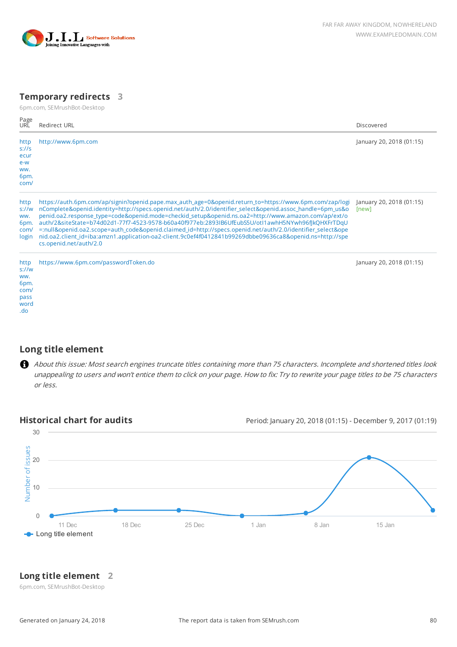

## **Temporary redirects 3**

6pm.com, SEMrushBot-Desktop

| Page<br><b>URL</b>                                 | Redirect URL                                                                                                                                                                                                                                                                                                                                                                                                                                                                                                                                                                                                                                                                         | Discovered                        |
|----------------------------------------------------|--------------------------------------------------------------------------------------------------------------------------------------------------------------------------------------------------------------------------------------------------------------------------------------------------------------------------------------------------------------------------------------------------------------------------------------------------------------------------------------------------------------------------------------------------------------------------------------------------------------------------------------------------------------------------------------|-----------------------------------|
| http<br>S!/S<br>ecur<br>e-w<br>WW.<br>6pm.<br>com/ | http://www.6pm.com                                                                                                                                                                                                                                                                                                                                                                                                                                                                                                                                                                                                                                                                   | January 20, 2018 (01:15)          |
| http<br>$s$ ://w<br>WW.<br>6pm.<br>com/<br>login   | https://auth.6pm.com/ap/signin?openid.pape.max_auth_age=0&openid.return_to=https://www.6pm.com/zap/logi<br>nComplete&openid.identity=http://specs.openid.net/auth/2.0/identifier_select&openid.assoc_handle=6pm_us&o<br>penid.oa2.response_type=code&openid.mode=checkid_setup&openid.ns.oa2=http://www.amazon.com/ap/ext/o<br>auth/2&siteState=b74d02d1-77f7-4523-9578-b60a40f977eb:2893IB6UfEubS5U/otI1awhH5NYwh96fJkQHXFrTDqU<br>=:null&openid.oa2.scope=auth_code&openid.claimed_id=http://specs.openid.net/auth/2.0/identifier_select&ope<br>nid.oa2.client_id=iba:amzn1.application-oa2-client.9c0ef4f0412841b99269dbbe09636ca8&openid.ns=http://spe<br>cs.openid.net/auth/2.0 | January 20, 2018 (01:15)<br>[new] |
| http<br>s!/w<br>WW.<br>6pm.<br>com/<br>pass        | https://www.6pm.com/passwordToken.do                                                                                                                                                                                                                                                                                                                                                                                                                                                                                                                                                                                                                                                 | January 20, 2018 (01:15)          |

## **Long title element**

.<br>word .do

About this issue: Most search engines truncate titles containing more than 75 characters. Incomplete and shortened titles look unappealing to users and won't entice them to click on your page. How to fix: Try to rewrite your page titles to be 75 characters or less.

**Historical chart for audits** Period: January 20, 2018 (01:15) - December 9, 2017 (01:19)



## **Long title element 2**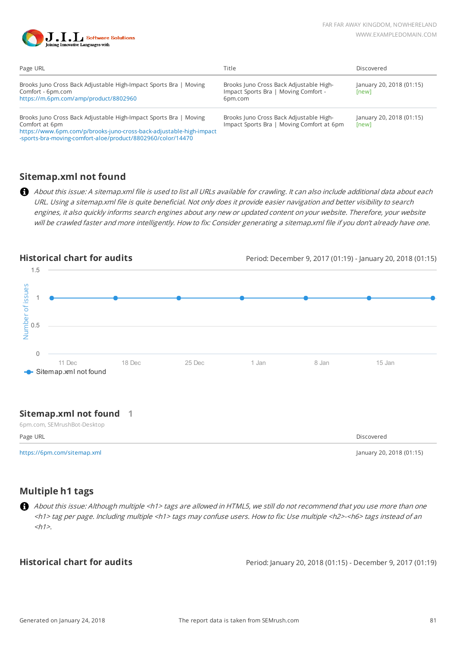

| Page URL                                                                                                                                                                                                                  | Title                                                                                      | Discovered                        |
|---------------------------------------------------------------------------------------------------------------------------------------------------------------------------------------------------------------------------|--------------------------------------------------------------------------------------------|-----------------------------------|
| Brooks Juno Cross Back Adjustable High-Impact Sports Bra   Moving<br>Comfort - 6pm.com<br>https://m.6pm.com/amp/product/8802960                                                                                           | Brooks Juno Cross Back Adjustable High-<br>Impact Sports Bra   Moving Comfort -<br>6pm.com | January 20, 2018 (01:15)<br>[new] |
| Brooks Juno Cross Back Adjustable High-Impact Sports Bra   Moving<br>Comfort at 6pm<br>https://www.6pm.com/p/brooks-juno-cross-back-adjustable-high-impact<br>-sports-bra-moving-comfort-aloe/product/8802960/color/14470 | Brooks Juno Cross Back Adjustable High-<br>Impact Sports Bra   Moving Comfort at 6pm       | January 20, 2018 (01:15)<br>[new] |

# **Sitemap.xml not found**

About this issue: A sitemap.xml file is used to list all URLs available for crawling. It can also include additional data about each URL. Using a sitemap.xml file is quite beneficial. Not only does it provide easier navigation and better visibility to search engines, it also quickly informs search engines about any new or updated content on your website. Therefore, your website will be crawled faster and more intelligently. How to fix: Consider generating a sitemap.xml file if you don't already have one.



#### **Sitemap.xml not found 1**

| Page URL                    |                          |
|-----------------------------|--------------------------|
|                             |                          |
| https://6pm.com/sitemap.xml | lanuary 20, 2018 (01:15) |

**Multiple h1 tags**

About this issue: Although multiple <h1> tags are allowed in HTML5, we still do not recommend that you use more than one <h1> tag per page. Including multiple <h1> tags may confuse users. How to fix: Use multiple <h2>-<h6> tags instead of an  $\langle h1 \rangle$ 

**Historical chart for audits** Period: January 20, 2018 (01:15) - December 9, 2017 (01:19)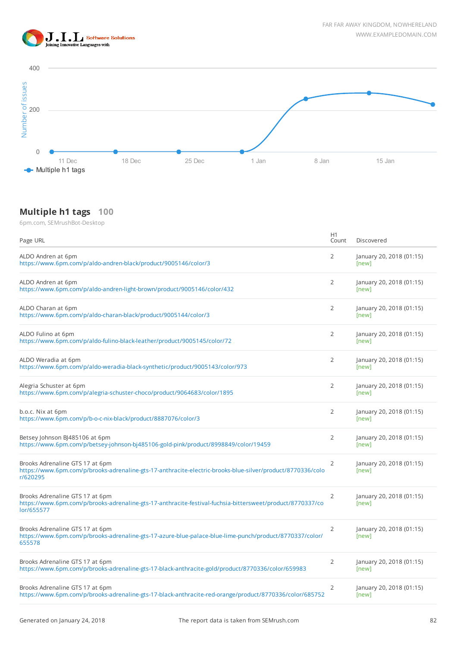



# **Multiple h1 tags 100**

| Page URL                                                                                                                                                   | H1<br>Count    | Discovered                        |
|------------------------------------------------------------------------------------------------------------------------------------------------------------|----------------|-----------------------------------|
| ALDO Andren at 6pm<br>https://www.6pm.com/p/aldo-andren-black/product/9005146/color/3                                                                      | $\overline{2}$ | January 20, 2018 (01:15)<br>[new] |
| ALDO Andren at 6pm<br>https://www.6pm.com/p/aldo-andren-light-brown/product/9005146/color/432                                                              | 2              | January 20, 2018 (01:15)<br>[new] |
| ALDO Charan at 6pm<br>https://www.6pm.com/p/aldo-charan-black/product/9005144/color/3                                                                      | 2              | January 20, 2018 (01:15)<br>[new] |
| ALDO Fulino at 6pm<br>https://www.6pm.com/p/aldo-fulino-black-leather/product/9005145/color/72                                                             | $\overline{2}$ | January 20, 2018 (01:15)<br>[new] |
| ALDO Weradia at 6pm<br>https://www.6pm.com/p/aldo-weradia-black-synthetic/product/9005143/color/973                                                        | $\overline{2}$ | January 20, 2018 (01:15)<br>[new] |
| Alegria Schuster at 6pm<br>https://www.6pm.com/p/alegria-schuster-choco/product/9064683/color/1895                                                         | $\overline{2}$ | January 20, 2018 (01:15)<br>[new] |
| b.o.c. Nix at 6pm<br>https://www.6pm.com/p/b-o-c-nix-black/product/8887076/color/3                                                                         | $\overline{2}$ | January 20, 2018 (01:15)<br>[new] |
| Betsey Johnson BJ485106 at 6pm<br>https://www.6pm.com/p/betsey-johnson-bj485106-gold-pink/product/8998849/color/19459                                      | $\overline{2}$ | January 20, 2018 (01:15)<br>[new] |
| Brooks Adrenaline GTS 17 at 6pm<br>https://www.6pm.com/p/brooks-adrenaline-gts-17-anthracite-electric-brooks-blue-silver/product/8770336/colo<br>r/620295  | $\overline{2}$ | January 20, 2018 (01:15)<br>[new] |
| Brooks Adrenaline GTS 17 at 6pm<br>https://www.6pm.com/p/brooks-adrenaline-gts-17-anthracite-festival-fuchsia-bittersweet/product/8770337/co<br>lor/655577 | $\overline{2}$ | January 20, 2018 (01:15)<br>[new] |
| Brooks Adrenaline GTS 17 at 6pm<br>https://www.6pm.com/p/brooks-adrenaline-gts-17-azure-blue-palace-blue-lime-punch/product/8770337/color/<br>655578       | $\overline{2}$ | January 20, 2018 (01:15)<br>[new] |
| Brooks Adrenaline GTS 17 at 6pm<br>https://www.6pm.com/p/brooks-adrenaline-gts-17-black-anthracite-gold/product/8770336/color/659983                       | $\overline{2}$ | January 20, 2018 (01:15)<br>[new] |
| Brooks Adrenaline GTS 17 at 6pm<br>https://www.6pm.com/p/brooks-adrenaline-gts-17-black-anthracite-red-orange/product/8770336/color/685752                 | 2              | January 20, 2018 (01:15)<br>[new] |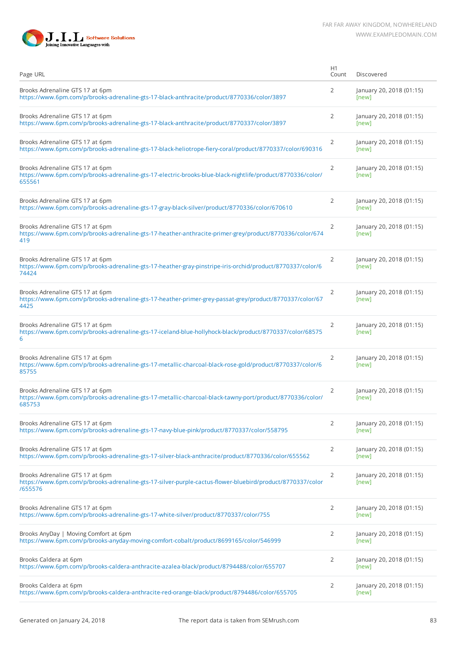

| Page URL                                                                                                                                                | H1<br>Count    | Discovered                        |
|---------------------------------------------------------------------------------------------------------------------------------------------------------|----------------|-----------------------------------|
| Brooks Adrenaline GTS 17 at 6pm<br>https://www.6pm.com/p/brooks-adrenaline-gts-17-black-anthracite/product/8770336/color/3897                           | 2              | January 20, 2018 (01:15)<br>[new] |
| Brooks Adrenaline GTS 17 at 6pm<br>https://www.6pm.com/p/brooks-adrenaline-gts-17-black-anthracite/product/8770337/color/3897                           | 2              | January 20, 2018 (01:15)<br>[new] |
| Brooks Adrenaline GTS 17 at 6pm<br>https://www.6pm.com/p/brooks-adrenaline-gts-17-black-heliotrope-fiery-coral/product/8770337/color/690316             | 2              | January 20, 2018 (01:15)<br>[new] |
| Brooks Adrenaline GTS 17 at 6pm<br>https://www.6pm.com/p/brooks-adrenaline-gts-17-electric-brooks-blue-black-nightlife/product/8770336/color/<br>655561 | 2              | January 20, 2018 (01:15)<br>[new] |
| Brooks Adrenaline GTS 17 at 6pm<br>https://www.6pm.com/p/brooks-adrenaline-gts-17-gray-black-silver/product/8770336/color/670610                        | 2              | January 20, 2018 (01:15)<br>[new] |
| Brooks Adrenaline GTS 17 at 6pm<br>https://www.6pm.com/p/brooks-adrenaline-gts-17-heather-anthracite-primer-grey/product/8770336/color/674<br>419       | 2              | January 20, 2018 (01:15)<br>[new] |
| Brooks Adrenaline GTS 17 at 6pm<br>https://www.6pm.com/p/brooks-adrenaline-gts-17-heather-gray-pinstripe-iris-orchid/product/8770337/color/6<br>74424   | 2              | January 20, 2018 (01:15)<br>[new] |
| Brooks Adrenaline GTS 17 at 6pm<br>https://www.6pm.com/p/brooks-adrenaline-gts-17-heather-primer-grey-passat-grey/product/8770337/color/67<br>4425      | 2              | January 20, 2018 (01:15)<br>[new] |
| Brooks Adrenaline GTS 17 at 6pm<br>https://www.6pm.com/p/brooks-adrenaline-gts-17-iceland-blue-hollyhock-black/product/8770337/color/68575<br>6         | 2              | January 20, 2018 (01:15)<br>[new] |
| Brooks Adrenaline GTS 17 at 6pm<br>https://www.6pm.com/p/brooks-adrenaline-gts-17-metallic-charcoal-black-rose-gold/product/8770337/color/6<br>85755    | 2              | January 20, 2018 (01:15)<br>[new] |
| Brooks Adrenaline GTS 17 at 6pm<br>https://www.6pm.com/p/brooks-adrenaline-gts-17-metallic-charcoal-black-tawny-port/product/8770336/color/<br>685753   | 2              | January 20, 2018 (01:15)<br>[new] |
| Brooks Adrenaline GTS 17 at 6pm<br>https://www.6pm.com/p/brooks-adrenaline-gts-17-navy-blue-pink/product/8770337/color/558795                           | 2              | January 20, 2018 (01:15)<br>[new] |
| Brooks Adrenaline GTS 17 at 6pm<br>https://www.6pm.com/p/brooks-adrenaline-gts-17-silver-black-anthracite/product/8770336/color/655562                  | 2              | January 20, 2018 (01:15)<br>[new] |
| Brooks Adrenaline GTS 17 at 6pm<br>https://www.6pm.com/p/brooks-adrenaline-gts-17-silver-purple-cactus-flower-bluebird/product/8770337/color<br>/655576 | 2              | January 20, 2018 (01:15)<br>[new] |
| Brooks Adrenaline GTS 17 at 6pm<br>https://www.6pm.com/p/brooks-adrenaline-gts-17-white-silver/product/8770337/color/755                                | $\overline{2}$ | January 20, 2018 (01:15)<br>[new] |
| Brooks AnyDay   Moving Comfort at 6pm<br>https://www.6pm.com/p/brooks-anyday-moving-comfort-cobalt/product/8699165/color/546999                         | 2              | January 20, 2018 (01:15)<br>[new] |
| Brooks Caldera at 6pm<br>https://www.6pm.com/p/brooks-caldera-anthracite-azalea-black/product/8794488/color/655707                                      | 2              | January 20, 2018 (01:15)<br>[new] |
| Brooks Caldera at 6pm<br>https://www.6pm.com/p/brooks-caldera-anthracite-red-orange-black/product/8794486/color/655705                                  | 2              | January 20, 2018 (01:15)<br>[new] |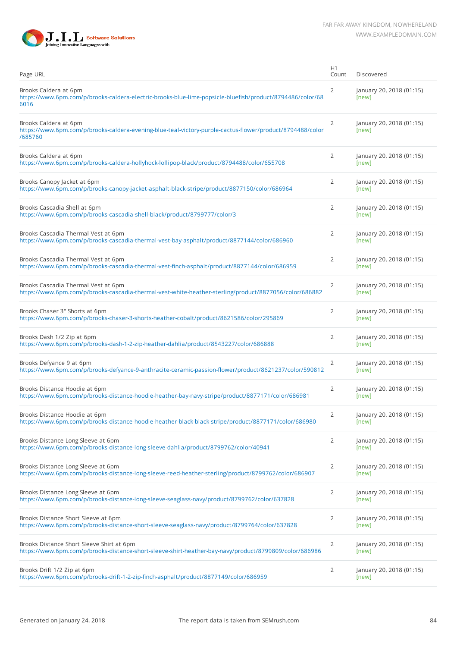

| Page URL                                                                                                                                            | H1<br>Count    | Discovered                        |
|-----------------------------------------------------------------------------------------------------------------------------------------------------|----------------|-----------------------------------|
| Brooks Caldera at 6pm<br>https://www.6pm.com/p/brooks-caldera-electric-brooks-blue-lime-popsicle-bluefish/product/8794486/color/68<br>6016          | 2              | January 20, 2018 (01:15)<br>[new] |
| Brooks Caldera at 6pm<br>https://www.6pm.com/p/brooks-caldera-evening-blue-teal-victory-purple-cactus-flower/product/8794488/color<br>/685760       | $\overline{2}$ | January 20, 2018 (01:15)<br>[new] |
| Brooks Caldera at 6pm<br>https://www.6pm.com/p/brooks-caldera-hollyhock-lollipop-black/product/8794488/color/655708                                 | 2              | January 20, 2018 (01:15)<br>[new] |
| Brooks Canopy Jacket at 6pm<br>https://www.6pm.com/p/brooks-canopy-jacket-asphalt-black-stripe/product/8877150/color/686964                         | 2              | January 20, 2018 (01:15)<br>[new] |
| Brooks Cascadia Shell at 6pm<br>https://www.6pm.com/p/brooks-cascadia-shell-black/product/8799777/color/3                                           | 2              | January 20, 2018 (01:15)<br>[new] |
| Brooks Cascadia Thermal Vest at 6pm<br>https://www.6pm.com/p/brooks-cascadia-thermal-vest-bay-asphalt/product/8877144/color/686960                  | 2              | January 20, 2018 (01:15)<br>[new] |
| Brooks Cascadia Thermal Vest at 6pm<br>https://www.6pm.com/p/brooks-cascadia-thermal-vest-finch-asphalt/product/8877144/color/686959                | $\overline{2}$ | January 20, 2018 (01:15)<br>[new] |
| Brooks Cascadia Thermal Vest at 6pm<br>https://www.6pm.com/p/brooks-cascadia-thermal-vest-white-heather-sterling/product/8877056/color/686882       | 2              | January 20, 2018 (01:15)<br>[new] |
| Brooks Chaser 3" Shorts at 6pm<br>https://www.6pm.com/p/brooks-chaser-3-shorts-heather-cobalt/product/8621586/color/295869                          | 2              | January 20, 2018 (01:15)<br>[new] |
| Brooks Dash 1/2 Zip at 6pm<br>https://www.6pm.com/p/brooks-dash-1-2-zip-heather-dahlia/product/8543227/color/686888                                 | 2              | January 20, 2018 (01:15)<br>[new] |
| Brooks Defyance 9 at 6pm<br>https://www.6pm.com/p/brooks-defyance-9-anthracite-ceramic-passion-flower/product/8621237/color/590812                  | 2              | January 20, 2018 (01:15)<br>[new] |
| Brooks Distance Hoodie at 6pm<br>https://www.6pm.com/p/brooks-distance-hoodie-heather-bay-navy-stripe/product/8877171/color/686981                  | $\overline{2}$ | January 20, 2018 (01:15)<br>[new] |
| Brooks Distance Hoodie at 6pm<br>https://www.6pm.com/p/brooks-distance-hoodie-heather-black-black-stripe/product/8877171/color/686980               | $\overline{2}$ | January 20, 2018 (01:15)<br>[new] |
| Brooks Distance Long Sleeve at 6pm<br>https://www.6pm.com/p/brooks-distance-long-sleeve-dahlia/product/8799762/color/40941                          | $\overline{2}$ | January 20, 2018 (01:15)<br>[new] |
| Brooks Distance Long Sleeve at 6pm<br>https://www.6pm.com/p/brooks-distance-long-sleeve-reed-heather-sterling/product/8799762/color/686907          | 2              | January 20, 2018 (01:15)<br>[new] |
| Brooks Distance Long Sleeve at 6pm<br>https://www.6pm.com/p/brooks-distance-long-sleeve-seaglass-navy/product/8799762/color/637828                  | 2              | January 20, 2018 (01:15)<br>[new] |
| Brooks Distance Short Sleeve at 6pm<br>https://www.6pm.com/p/brooks-distance-short-sleeve-seaglass-navy/product/8799764/color/637828                | 2              | January 20, 2018 (01:15)<br>[new] |
| Brooks Distance Short Sleeve Shirt at 6pm<br>https://www.6pm.com/p/brooks-distance-short-sleeve-shirt-heather-bay-navy/product/8799809/color/686986 | 2              | January 20, 2018 (01:15)<br>[new] |
| Brooks Drift 1/2 Zip at 6pm<br>https://www.6pm.com/p/brooks-drift-1-2-zip-finch-asphalt/product/8877149/color/686959                                | 2              | January 20, 2018 (01:15)<br>[new] |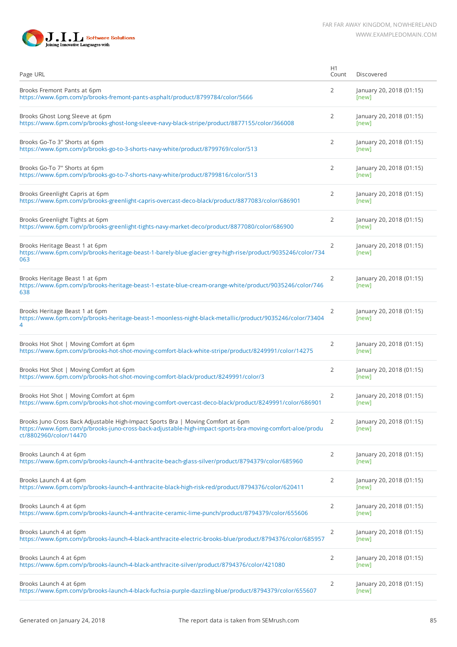

| Page URL                                                                                                                                                                                                               | H1<br>Count    | Discovered                        |
|------------------------------------------------------------------------------------------------------------------------------------------------------------------------------------------------------------------------|----------------|-----------------------------------|
| Brooks Fremont Pants at 6pm<br>https://www.6pm.com/p/brooks-fremont-pants-asphalt/product/8799784/color/5666                                                                                                           | 2              | January 20, 2018 (01:15)<br>[new] |
| Brooks Ghost Long Sleeve at 6pm<br>https://www.6pm.com/p/brooks-ghost-long-sleeve-navy-black-stripe/product/8877155/color/366008                                                                                       | 2              | January 20, 2018 (01:15)<br>[new] |
| Brooks Go-To 3" Shorts at 6pm<br>https://www.6pm.com/p/brooks-go-to-3-shorts-navy-white/product/8799769/color/513                                                                                                      | 2              | January 20, 2018 (01:15)<br>[new] |
| Brooks Go-To 7" Shorts at 6pm<br>https://www.6pm.com/p/brooks-go-to-7-shorts-navy-white/product/8799816/color/513                                                                                                      | $\overline{2}$ | January 20, 2018 (01:15)<br>[new] |
| Brooks Greenlight Capris at 6pm<br>https://www.6pm.com/p/brooks-greenlight-capris-overcast-deco-black/product/8877083/color/686901                                                                                     | 2              | January 20, 2018 (01:15)<br>[new] |
| Brooks Greenlight Tights at 6pm<br>https://www.6pm.com/p/brooks-greenlight-tights-navy-market-deco/product/8877080/color/686900                                                                                        | 2              | January 20, 2018 (01:15)<br>[new] |
| Brooks Heritage Beast 1 at 6pm<br>https://www.6pm.com/p/brooks-heritage-beast-1-barely-blue-glacier-grey-high-rise/product/9035246/color/734<br>063                                                                    | 2              | January 20, 2018 (01:15)<br>[new] |
| Brooks Heritage Beast 1 at 6pm<br>https://www.6pm.com/p/brooks-heritage-beast-1-estate-blue-cream-orange-white/product/9035246/color/746<br>638                                                                        | 2              | January 20, 2018 (01:15)<br>[new] |
| Brooks Heritage Beast 1 at 6pm<br>https://www.6pm.com/p/brooks-heritage-beast-1-moonless-night-black-metallic/product/9035246/color/73404<br>4                                                                         | $\overline{2}$ | January 20, 2018 (01:15)<br>[new] |
| Brooks Hot Shot   Moving Comfort at 6pm<br>https://www.6pm.com/p/brooks-hot-shot-moving-comfort-black-white-stripe/product/8249991/color/14275                                                                         | $\overline{2}$ | January 20, 2018 (01:15)<br>[new] |
| Brooks Hot Shot   Moving Comfort at 6pm<br>https://www.6pm.com/p/brooks-hot-shot-moving-comfort-black/product/8249991/color/3                                                                                          | 2              | January 20, 2018 (01:15)<br>[new] |
| Brooks Hot Shot   Moving Comfort at 6pm<br>https://www.6pm.com/p/brooks-hot-shot-moving-comfort-overcast-deco-black/product/8249991/color/686901                                                                       | 2              | January 20, 2018 (01:15)<br>[new] |
| Brooks Juno Cross Back Adjustable High-Impact Sports Bra   Moving Comfort at 6pm<br>https://www.6pm.com/p/brooks-juno-cross-back-adjustable-high-impact-sports-bra-moving-comfort-aloe/produ<br>ct/8802960/color/14470 | $\overline{2}$ | January 20, 2018 (01:15)<br>[new] |
| Brooks Launch 4 at 6pm<br>https://www.6pm.com/p/brooks-launch-4-anthracite-beach-glass-silver/product/8794379/color/685960                                                                                             | $\overline{2}$ | January 20, 2018 (01:15)<br>[new] |
| Brooks Launch 4 at 6pm<br>https://www.6pm.com/p/brooks-launch-4-anthracite-black-high-risk-red/product/8794376/color/620411                                                                                            | $\overline{2}$ | January 20, 2018 (01:15)<br>[new] |
| Brooks Launch 4 at 6pm<br>https://www.6pm.com/p/brooks-launch-4-anthracite-ceramic-lime-punch/product/8794379/color/655606                                                                                             | 2              | January 20, 2018 (01:15)<br>[new] |
| Brooks Launch 4 at 6pm<br>https://www.6pm.com/p/brooks-launch-4-black-anthracite-electric-brooks-blue/product/8794376/color/685957                                                                                     | $\overline{2}$ | January 20, 2018 (01:15)<br>[new] |
| Brooks Launch 4 at 6pm<br>https://www.6pm.com/p/brooks-launch-4-black-anthracite-silver/product/8794376/color/421080                                                                                                   | $\overline{2}$ | January 20, 2018 (01:15)<br>[new] |
| Brooks Launch 4 at 6pm<br>https://www.6pm.com/p/brooks-launch-4-black-fuchsia-purple-dazzling-blue/product/8794379/color/655607                                                                                        | 2              | January 20, 2018 (01:15)<br>[new] |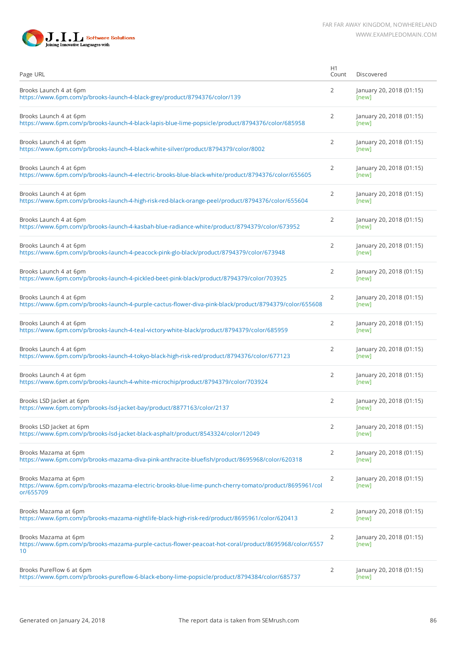



| Page URL                                                                                                                                   | H1<br>Count    | Discovered                        |
|--------------------------------------------------------------------------------------------------------------------------------------------|----------------|-----------------------------------|
| Brooks Launch 4 at 6pm<br>https://www.6pm.com/p/brooks-launch-4-black-grey/product/8794376/color/139                                       | 2              | January 20, 2018 (01:15)<br>[new] |
| Brooks Launch 4 at 6pm<br>https://www.6pm.com/p/brooks-launch-4-black-lapis-blue-lime-popsicle/product/8794376/color/685958                | 2              | January 20, 2018 (01:15)<br>[new] |
| Brooks Launch 4 at 6pm<br>https://www.6pm.com/p/brooks-launch-4-black-white-silver/product/8794379/color/8002                              | 2              | January 20, 2018 (01:15)<br>[new] |
| Brooks Launch 4 at 6pm<br>https://www.6pm.com/p/brooks-launch-4-electric-brooks-blue-black-white/product/8794376/color/655605              | 2              | January 20, 2018 (01:15)<br>[new] |
| Brooks Launch 4 at 6pm<br>https://www.6pm.com/p/brooks-launch-4-high-risk-red-black-orange-peel/product/8794376/color/655604               | 2              | January 20, 2018 (01:15)<br>[new] |
| Brooks Launch 4 at 6pm<br>https://www.6pm.com/p/brooks-launch-4-kasbah-blue-radiance-white/product/8794379/color/673952                    | 2              | January 20, 2018 (01:15)<br>[new] |
| Brooks Launch 4 at 6pm<br>https://www.6pm.com/p/brooks-launch-4-peacock-pink-glo-black/product/8794379/color/673948                        | 2              | January 20, 2018 (01:15)<br>[new] |
| Brooks Launch 4 at 6pm<br>https://www.6pm.com/p/brooks-launch-4-pickled-beet-pink-black/product/8794379/color/703925                       | $\overline{2}$ | January 20, 2018 (01:15)<br>[new] |
| Brooks Launch 4 at 6pm<br>https://www.6pm.com/p/brooks-launch-4-purple-cactus-flower-diva-pink-black/product/8794379/color/655608          | 2              | January 20, 2018 (01:15)<br>[new] |
| Brooks Launch 4 at 6pm<br>https://www.6pm.com/p/brooks-launch-4-teal-victory-white-black/product/8794379/color/685959                      | $\overline{2}$ | January 20, 2018 (01:15)<br>[new] |
| Brooks Launch 4 at 6pm<br>https://www.6pm.com/p/brooks-launch-4-tokyo-black-high-risk-red/product/8794376/color/677123                     | 2              | January 20, 2018 (01:15)<br>[new] |
| Brooks Launch 4 at 6pm<br>https://www.6pm.com/p/brooks-launch-4-white-microchip/product/8794379/color/703924                               | 2              | January 20, 2018 (01:15)<br>[new] |
| Brooks LSD Jacket at 6pm<br>https://www.6pm.com/p/brooks-lsd-jacket-bay/product/8877163/color/2137                                         | 2              | January 20, 2018 (01:15)<br>[new] |
| Brooks LSD Jacket at 6pm<br>https://www.6pm.com/p/brooks-lsd-jacket-black-asphalt/product/8543324/color/12049                              | 2              | January 20, 2018 (01:15)<br>[new] |
| Brooks Mazama at 6pm<br>https://www.6pm.com/p/brooks-mazama-diva-pink-anthracite-bluefish/product/8695968/color/620318                     | 2              | January 20, 2018 (01:15)<br>[new] |
| Brooks Mazama at 6pm<br>https://www.6pm.com/p/brooks-mazama-electric-brooks-blue-lime-punch-cherry-tomato/product/8695961/col<br>or/655709 | 2              | January 20, 2018 (01:15)<br>[new] |
| Brooks Mazama at 6pm<br>https://www.6pm.com/p/brooks-mazama-nightlife-black-high-risk-red/product/8695961/color/620413                     | 2              | January 20, 2018 (01:15)<br>[new] |
| Brooks Mazama at 6pm<br>https://www.6pm.com/p/brooks-mazama-purple-cactus-flower-peacoat-hot-coral/product/8695968/color/6557<br>10        | 2              | January 20, 2018 (01:15)<br>[new] |
| Brooks PureFlow 6 at 6pm<br>https://www.6pm.com/p/brooks-pureflow-6-black-ebony-lime-popsicle/product/8794384/color/685737                 | $\overline{2}$ | January 20, 2018 (01:15)<br>[new] |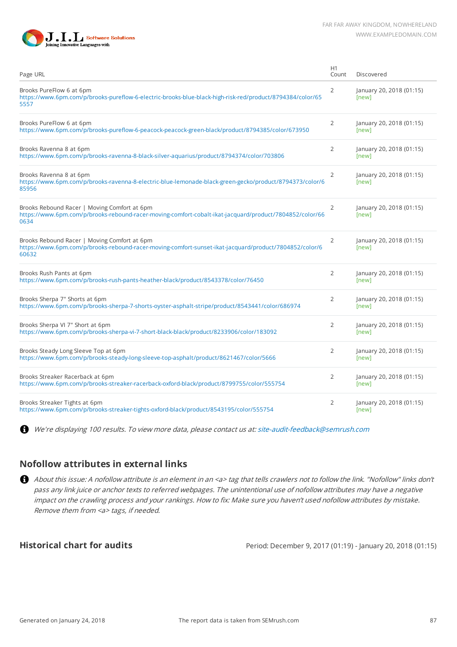



| Page URL                                                                                                                                                        | H1<br>Count    | Discovered                        |
|-----------------------------------------------------------------------------------------------------------------------------------------------------------------|----------------|-----------------------------------|
| Brooks PureFlow 6 at 6pm<br>https://www.6pm.com/p/brooks-pureflow-6-electric-brooks-blue-black-high-risk-red/product/8794384/color/65<br>5557                   | 2              | January 20, 2018 (01:15)<br>[new] |
| Brooks PureFlow 6 at 6pm<br>https://www.6pm.com/p/brooks-pureflow-6-peacock-peacock-green-black/product/8794385/color/673950                                    | $\overline{2}$ | January 20, 2018 (01:15)<br>[new] |
| Brooks Ravenna 8 at 6pm<br>https://www.6pm.com/p/brooks-ravenna-8-black-silver-aquarius/product/8794374/color/703806                                            | $\overline{2}$ | January 20, 2018 (01:15)<br>[new] |
| Brooks Ravenna 8 at 6pm<br>https://www.6pm.com/p/brooks-ravenna-8-electric-blue-lemonade-black-green-gecko/product/8794373/color/6<br>85956                     | $\overline{2}$ | January 20, 2018 (01:15)<br>[new] |
| Brooks Rebound Racer   Moving Comfort at 6pm<br>https://www.6pm.com/p/brooks-rebound-racer-moving-comfort-cobalt-ikat-jacquard/product/7804852/color/66<br>0634 | $\overline{2}$ | January 20, 2018 (01:15)<br>[new] |
| Brooks Rebound Racer   Moving Comfort at 6pm<br>https://www.6pm.com/p/brooks-rebound-racer-moving-comfort-sunset-ikat-jacquard/product/7804852/color/6<br>60632 | 2              | January 20, 2018 (01:15)<br>[new] |
| Brooks Rush Pants at 6pm<br>https://www.6pm.com/p/brooks-rush-pants-heather-black/product/8543378/color/76450                                                   | $\overline{2}$ | January 20, 2018 (01:15)<br>[new] |
| Brooks Sherpa 7" Shorts at 6pm<br>https://www.6pm.com/p/brooks-sherpa-7-shorts-oyster-asphalt-stripe/product/8543441/color/686974                               | $\overline{2}$ | January 20, 2018 (01:15)<br>[new] |
| Brooks Sherpa VI 7" Short at 6pm<br>https://www.6pm.com/p/brooks-sherpa-vi-7-short-black-black/product/8233906/color/183092                                     | 2              | January 20, 2018 (01:15)<br>[new] |
| Brooks Steady Long Sleeve Top at 6pm<br>https://www.6pm.com/p/brooks-steady-long-sleeve-top-asphalt/product/8621467/color/5666                                  | $\overline{2}$ | January 20, 2018 (01:15)<br>[new] |
| Brooks Streaker Racerback at 6pm<br>https://www.6pm.com/p/brooks-streaker-racerback-oxford-black/product/8799755/color/555754                                   | $\overline{2}$ | January 20, 2018 (01:15)<br>[new] |
| Brooks Streaker Tights at 6pm<br>https://www.6pm.com/p/brooks-streaker-tights-oxford-black/product/8543195/color/555754                                         | $\overline{2}$ | January 20, 2018 (01:15)<br>[new] |

We're displaying 100 results. To view more data, please contact us at: [site-audit-feedback@semrush.com](mailto:site-audit-feedback@semrush.com)

#### **Nofollow attributes in external links**

About this issue: A nofollow attribute is an element in an <a> tag that tells crawlers not to follow the link. "Nofollow" links don't pass any link juice or anchor texts to referred webpages. The unintentional use of nofollow attributes may have a negative impact on the crawling process and your rankings. How to fix: Make sure you haven't used nofollow attributes by mistake. Remove them from <a> tags, if needed.

**Historical chart for audits** Period: December 9, 2017 (01:19) - January 20, 2018 (01:15)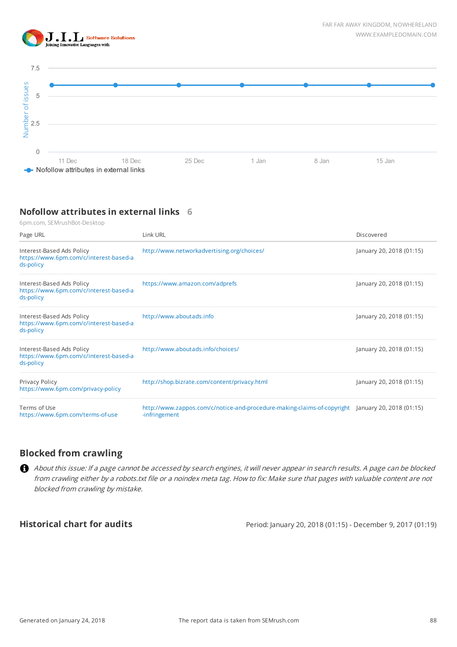



# **Nofollow attributes in external links 6**

| 5                                                                                                                               |               |                                              |       |       |                                                                                                  |
|---------------------------------------------------------------------------------------------------------------------------------|---------------|----------------------------------------------|-------|-------|--------------------------------------------------------------------------------------------------|
|                                                                                                                                 |               |                                              |       |       |                                                                                                  |
|                                                                                                                                 |               |                                              |       |       |                                                                                                  |
| Number of issues<br>2.5                                                                                                         |               |                                              |       |       |                                                                                                  |
|                                                                                                                                 |               |                                              |       |       |                                                                                                  |
| $\Omega$                                                                                                                        |               |                                              |       |       |                                                                                                  |
| 11 Dec<br>18 Dec                                                                                                                |               | 25 Dec                                       | 1 Jan | 8 Jan | 15 Jan                                                                                           |
| Nofollow attributes in external links                                                                                           |               |                                              |       |       |                                                                                                  |
|                                                                                                                                 |               |                                              |       |       |                                                                                                  |
|                                                                                                                                 |               |                                              |       |       |                                                                                                  |
| Nofollow attributes in external links 6                                                                                         |               |                                              |       |       |                                                                                                  |
| 6pm.com, SEMrushBot-Desktop                                                                                                     |               |                                              |       |       |                                                                                                  |
| Page URL                                                                                                                        | Link URL      |                                              |       |       | Discovered                                                                                       |
|                                                                                                                                 |               |                                              |       |       |                                                                                                  |
| Interest-Based Ads Policy<br>https://www.6pm.com/c/interest-based-a                                                             |               | http://www.networkadvertising.org/choices/   |       |       | January 20, 2018 (01:15)                                                                         |
| ds-policy                                                                                                                       |               |                                              |       |       |                                                                                                  |
| Interest-Based Ads Policy                                                                                                       |               | https://www.amazon.com/adprefs               |       |       | January 20, 2018 (01:15)                                                                         |
| https://www.6pm.com/c/interest-based-a                                                                                          |               |                                              |       |       |                                                                                                  |
| ds-policy                                                                                                                       |               |                                              |       |       |                                                                                                  |
| Interest-Based Ads Policy                                                                                                       |               | http://www.aboutads.info                     |       |       | January 20, 2018 (01:15)                                                                         |
| https://www.6pm.com/c/interest-based-a<br>ds-policy                                                                             |               |                                              |       |       |                                                                                                  |
|                                                                                                                                 |               |                                              |       |       |                                                                                                  |
| Interest-Based Ads Policy                                                                                                       |               | http://www.aboutads.info/choices/            |       |       | January 20, 2018 (01:15)                                                                         |
| https://www.6pm.com/c/interest-based-a<br>ds-policy                                                                             |               |                                              |       |       |                                                                                                  |
|                                                                                                                                 |               |                                              |       |       |                                                                                                  |
| Privacy Policy                                                                                                                  |               | http://shop.bizrate.com/content/privacy.html |       |       | January 20, 2018 (01:15)                                                                         |
| https://www.6pm.com/privacy-policy                                                                                              |               |                                              |       |       |                                                                                                  |
| Terms of Use                                                                                                                    |               |                                              |       |       | http://www.zappos.com/c/notice-and-procedure-making-claims-of-copyright January 20, 2018 (01:15) |
| https://www.6pm.com/terms-of-use                                                                                                | -infringement |                                              |       |       |                                                                                                  |
|                                                                                                                                 |               |                                              |       |       |                                                                                                  |
|                                                                                                                                 |               |                                              |       |       |                                                                                                  |
| <b>Blocked from crawling</b>                                                                                                    |               |                                              |       |       |                                                                                                  |
| About this issue: If a page cannot be accessed by search engines, it will never appear in search results. A page can be blocked |               |                                              |       |       |                                                                                                  |
| from crawling either by a robots.txt file or a noindex meta tag. How to fix: Make sure that pages with valuable content are not |               |                                              |       |       |                                                                                                  |
| blocked from crawling by mistake.                                                                                               |               |                                              |       |       |                                                                                                  |
|                                                                                                                                 |               |                                              |       |       |                                                                                                  |
|                                                                                                                                 |               |                                              |       |       |                                                                                                  |
| <b>Historical chart for audits</b>                                                                                              |               |                                              |       |       | Period: January 20, 2018 (01:15) - December 9, 2017 (01:19)                                      |

# **Blocked from crawling**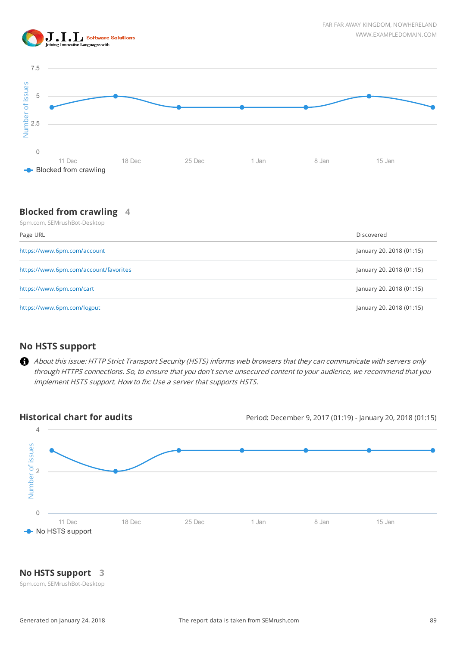



### **Blocked from crawling 4**

| 6pm.com, SEMrushBot-Desktop           |                          |  |  |
|---------------------------------------|--------------------------|--|--|
| Page URL                              | Discovered               |  |  |
| https://www.6pm.com/account           | January 20, 2018 (01:15) |  |  |
| https://www.6pm.com/account/favorites | January 20, 2018 (01:15) |  |  |
| https://www.6pm.com/cart              | January 20, 2018 (01:15) |  |  |
| https://www.6pm.com/logout            | January 20, 2018 (01:15) |  |  |

### **No HSTS support**

About this issue: HTTP Strict Transport Security (HSTS) informs web browsers that they can communicate with servers only through HTTPS connections. So, to ensure that you don't serve unsecured content to your audience, we recommend that you implement HSTS support. How to fix: Use a server that supports HSTS.



## **No HSTS support 3**